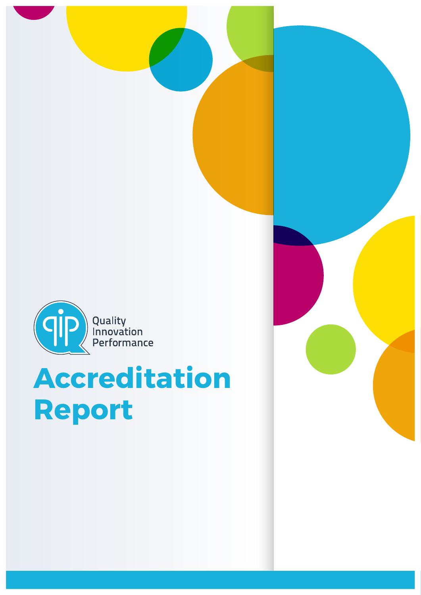

# **Accreditation Report**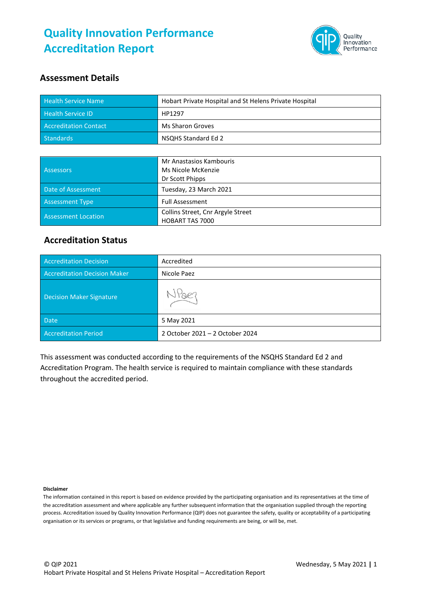

#### **Assessment Details**

| <b>Health Service Name</b>   | Hobart Private Hospital and St Helens Private Hospital |
|------------------------------|--------------------------------------------------------|
| <b>Health Service ID</b>     | HP1297                                                 |
| <b>Accreditation Contact</b> | Ms Sharon Groves                                       |
| Standards                    | NSQHS Standard Ed 2                                    |

|                            | Mr Anastasios Kambouris           |  |
|----------------------------|-----------------------------------|--|
| <b>Assessors</b>           | Ms Nicole McKenzie                |  |
|                            | Dr Scott Phipps                   |  |
| Date of Assessment         | Tuesday, 23 March 2021            |  |
| <b>Assessment Type</b>     | <b>Full Assessment</b>            |  |
| <b>Assessment Location</b> | Collins Street, Cnr Argyle Street |  |
|                            | <b>HOBART TAS 7000</b>            |  |

#### **Accreditation Status**

| <b>Accreditation Decision</b>       | Accredited                      |
|-------------------------------------|---------------------------------|
| <b>Accreditation Decision Maker</b> | Nicole Paez                     |
| Decision Maker Signature            | Stoer                           |
| <b>Date</b>                         | 5 May 2021                      |
| <b>Accreditation Period</b>         | 2 October 2021 - 2 October 2024 |

This assessment was conducted according to the requirements of the NSQHS Standard Ed 2 and Accreditation Program. The health service is required to maintain compliance with these standards throughout the accredited period.

**Disclaimer**

The information contained in this report is based on evidence provided by the participating organisation and its representatives at the time of the accreditation assessment and where applicable any further subsequent information that the organisation supplied through the reporting process. Accreditation issued by Quality Innovation Performance (QIP) does not guarantee the safety, quality or acceptability of a participating organisation or its services or programs, or that legislative and funding requirements are being, or will be, met.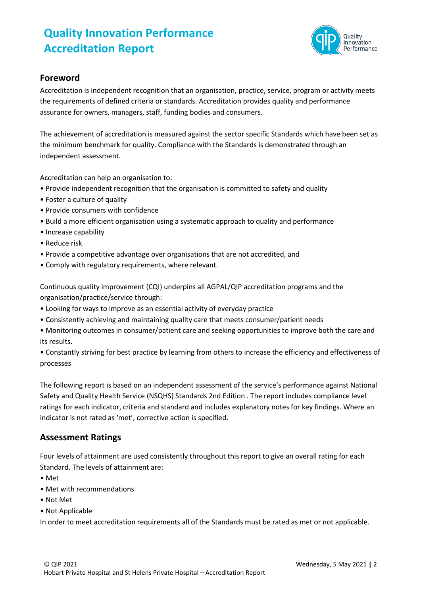

#### **Foreword**

Accreditation is independent recognition that an organisation, practice, service, program or activity meets the requirements of defined criteria or standards. Accreditation provides quality and performance assurance for owners, managers, staff, funding bodies and consumers.

The achievement of accreditation is measured against the sector specific Standards which have been set as the minimum benchmark for quality. Compliance with the Standards is demonstrated through an independent assessment.

Accreditation can help an organisation to:

- Provide independent recognition that the organisation is committed to safety and quality
- Foster a culture of quality
- Provide consumers with confidence
- Build a more efficient organisation using a systematic approach to quality and performance
- Increase capability
- Reduce risk
- Provide a competitive advantage over organisations that are not accredited, and
- Comply with regulatory requirements, where relevant.

Continuous quality improvement (CQI) underpins all AGPAL/QIP accreditation programs and the organisation/practice/service through:

- Looking for ways to improve as an essential activity of everyday practice
- Consistently achieving and maintaining quality care that meets consumer/patient needs
- Monitoring outcomes in consumer/patient care and seeking opportunities to improve both the care and its results.

• Constantly striving for best practice by learning from others to increase the efficiency and effectiveness of processes

The following report is based on an independent assessment of the service's performance against National Safety and Quality Health Service (NSQHS) Standards 2nd Edition . The report includes compliance level ratings for each indicator, criteria and standard and includes explanatory notes for key findings. Where an indicator is not rated as 'met', corrective action is specified.

#### **Assessment Ratings**

Four levels of attainment are used consistently throughout this report to give an overall rating for each Standard. The levels of attainment are:

- Met
- Met with recommendations
- Not Met
- Not Applicable

In order to meet accreditation requirements all of the Standards must be rated as met or not applicable.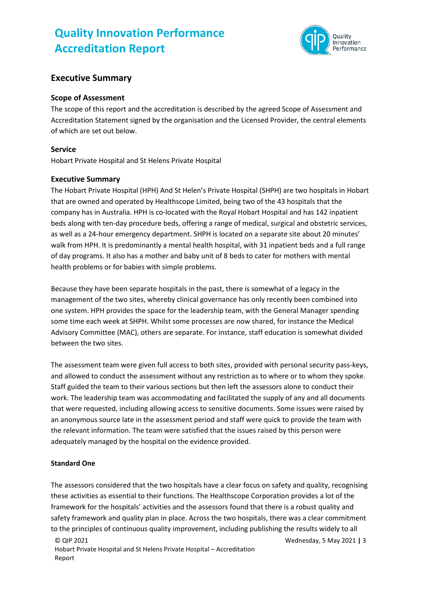

#### **Executive Summary**

#### **Scope of Assessment**

The scope of this report and the accreditation is described by the agreed Scope of Assessment and Accreditation Statement signed by the organisation and the Licensed Provider, the central elements of which are set out below.

#### **Service**

Hobart Private Hospital and St Helens Private Hospital

#### **Executive Summary**

The Hobart Private Hospital (HPH) And St Helen's Private Hospital (SHPH) are two hospitals in Hobart that are owned and operated by Healthscope Limited, being two of the 43 hospitals that the company has in Australia. HPH is co-located with the Royal Hobart Hospital and has 142 inpatient beds along with ten-day procedure beds, offering a range of medical, surgical and obstetric services, as well as a 24-hour emergency department. SHPH is located on a separate site about 20 minutes' walk from HPH. It is predominantly a mental health hospital, with 31 inpatient beds and a full range of day programs. It also has a mother and baby unit of 8 beds to cater for mothers with mental health problems or for babies with simple problems.

Because they have been separate hospitals in the past, there is somewhat of a legacy in the management of the two sites, whereby clinical governance has only recently been combined into one system. HPH provides the space for the leadership team, with the General Manager spending some time each week at SHPH. Whilst some processes are now shared, for instance the Medical Advisory Committee (MAC), others are separate. For instance, staff education is somewhat divided between the two sites.

The assessment team were given full access to both sites, provided with personal security pass-keys, and allowed to conduct the assessment without any restriction as to where or to whom they spoke. Staff guided the team to their various sections but then left the assessors alone to conduct their work. The leadership team was accommodating and facilitated the supply of any and all documents that were requested, including allowing access to sensitive documents. Some issues were raised by an anonymous source late in the assessment period and staff were quick to provide the team with the relevant information. The team were satisfied that the issues raised by this person were adequately managed by the hospital on the evidence provided.

#### **Standard One**

The assessors considered that the two hospitals have a clear focus on safety and quality, recognising these activities as essential to their functions. The Healthscope Corporation provides a lot of the framework for the hospitals' activities and the assessors found that there is a robust quality and safety framework and quality plan in place. Across the two hospitals, there was a clear commitment to the principles of continuous quality improvement, including publishing the results widely to all

Wednesday, 5 May 2021 **|** 3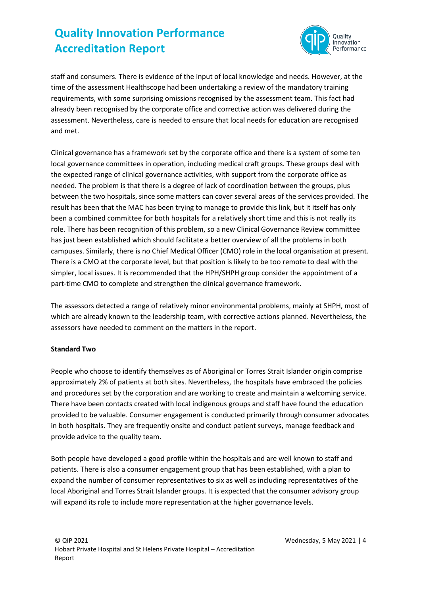

staff and consumers. There is evidence of the input of local knowledge and needs. However, at the time of the assessment Healthscope had been undertaking a review of the mandatory training requirements, with some surprising omissions recognised by the assessment team. This fact had already been recognised by the corporate office and corrective action was delivered during the assessment. Nevertheless, care is needed to ensure that local needs for education are recognised and met.

Clinical governance has a framework set by the corporate office and there is a system of some ten local governance committees in operation, including medical craft groups. These groups deal with the expected range of clinical governance activities, with support from the corporate office as needed. The problem is that there is a degree of lack of coordination between the groups, plus between the two hospitals, since some matters can cover several areas of the services provided. The result has been that the MAC has been trying to manage to provide this link, but it itself has only been a combined committee for both hospitals for a relatively short time and this is not really its role. There has been recognition of this problem, so a new Clinical Governance Review committee has just been established which should facilitate a better overview of all the problems in both campuses. Similarly, there is no Chief Medical Officer (CMO) role in the local organisation at present. There is a CMO at the corporate level, but that position is likely to be too remote to deal with the simpler, local issues. It is recommended that the HPH/SHPH group consider the appointment of a part-time CMO to complete and strengthen the clinical governance framework.

The assessors detected a range of relatively minor environmental problems, mainly at SHPH, most of which are already known to the leadership team, with corrective actions planned. Nevertheless, the assessors have needed to comment on the matters in the report.

#### **Standard Two**

People who choose to identify themselves as of Aboriginal or Torres Strait Islander origin comprise approximately 2% of patients at both sites. Nevertheless, the hospitals have embraced the policies and procedures set by the corporation and are working to create and maintain a welcoming service. There have been contacts created with local indigenous groups and staff have found the education provided to be valuable. Consumer engagement is conducted primarily through consumer advocates in both hospitals. They are frequently onsite and conduct patient surveys, manage feedback and provide advice to the quality team.

Both people have developed a good profile within the hospitals and are well known to staff and patients. There is also a consumer engagement group that has been established, with a plan to expand the number of consumer representatives to six as well as including representatives of the local Aboriginal and Torres Strait Islander groups. It is expected that the consumer advisory group will expand its role to include more representation at the higher governance levels.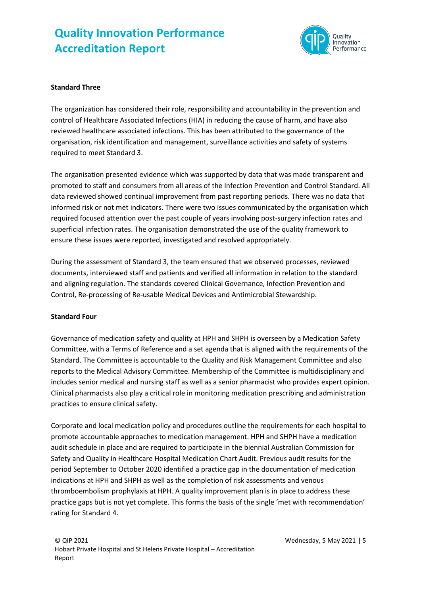

#### **Standard Three**

The organization has considered their role, responsibility and accountability in the prevention and control of Healthcare Associated Infections (HIA) in reducing the cause of harm, and have also reviewed healthcare associated infections. This has been attributed to the governance of the organisation, risk identification and management, surveillance activities and safety of systems required to meet Standard 3.

The organisation presented evidence which was supported by data that was made transparent and promoted to staff and consumers from all areas of the Infection Prevention and Control Standard. All data reviewed showed continual improvement from past reporting periods. There was no data that informed risk or not met indicators. There were two issues communicated by the organisation which required focused attention over the past couple of years involving post-surgery infection rates and superficial infection rates. The organisation demonstrated the use of the quality framework to ensure these issues were reported, investigated and resolved appropriately.

During the assessment of Standard 3, the team ensured that we observed processes, reviewed documents, interviewed staff and patients and verified all information in relation to the standard and aligning regulation. The standards covered Clinical Governance, Infection Prevention and Control, Re-processing of Re-usable Medical Devices and Antimicrobial Stewardship.

#### **Standard Four**

Governance of medication safety and quality at HPH and SHPH is overseen by a Medication Safety Committee, with a Terms of Reference and a set agenda that is aligned with the requirements of the Standard. The Committee is accountable to the Quality and Risk Management Committee and also reports to the Medical Advisory Committee. Membership of the Committee is multidisciplinary and includes senior medical and nursing staff as well as a senior pharmacist who provides expert opinion. Clinical pharmacists also play a critical role in monitoring medication prescribing and administration practices to ensure clinical safety.

Corporate and local medication policy and procedures outline the requirements for each hospital to promote accountable approaches to medication management. HPH and SHPH have a medication audit schedule in place and are required to participate in the biennial Australian Commission for Safety and Quality in Healthcare Hospital Medication Chart Audit. Previous audit results for the period September to October 2020 identified a practice gap in the documentation of medication indications at HPH and SHPH as well as the completion of risk assessments and venous thromboembolism prophylaxis at HPH. A quality improvement plan is in place to address these practice gaps but is not yet complete. This forms the basis of the single 'met with recommendation' rating for Standard 4.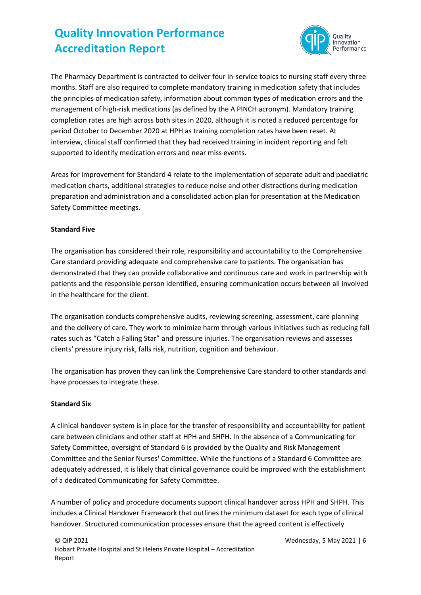

The Pharmacy Department is contracted to deliver four in-service topics to nursing staff every three months. Staff are also required to complete mandatory training in medication safety that includes the principles of medication safety, information about common types of medication errors and the management of high-risk medications (as defined by the A PINCH acronym). Mandatory training completion rates are high across both sites in 2020, although it is noted a reduced percentage for period October to December 2020 at HPH as training completion rates have been reset. At interview, clinical staff confirmed that they had received training in incident reporting and felt supported to identify medication errors and near miss events.

Areas for improvement for Standard 4 relate to the implementation of separate adult and paediatric medication charts, additional strategies to reduce noise and other distractions during medication preparation and administration and a consolidated action plan for presentation at the Medication Safety Committee meetings.

#### **Standard Five**

The organisation has considered their role, responsibility and accountability to the Comprehensive Care standard providing adequate and comprehensive care to patients. The organisation has demonstrated that they can provide collaborative and continuous care and work in partnership with patients and the responsible person identified, ensuring communication occurs between all involved in the healthcare for the client.

The organisation conducts comprehensive audits, reviewing screening, assessment, care planning and the delivery of care. They work to minimize harm through various initiatives such as reducing fall rates such as "Catch a Falling Star" and pressure injuries. The organisation reviews and assesses clients' pressure injury risk, falls risk, nutrition, cognition and behaviour.

The organisation has proven they can link the Comprehensive Care standard to other standards and have processes to integrate these.

#### **Standard Six**

A clinical handover system is in place for the transfer of responsibility and accountability for patient care between clinicians and other staff at HPH and SHPH. In the absence of a Communicating for Safety Committee, oversight of Standard 6 is provided by the Quality and Risk Management Committee and the Senior Nurses' Committee. While the functions of a Standard 6 Committee are adequately addressed, it is likely that clinical governance could be improved with the establishment of a dedicated Communicating for Safety Committee.

A number of policy and procedure documents support clinical handover across HPH and SHPH. This includes a Clinical Handover Framework that outlines the minimum dataset for each type of clinical handover. Structured communication processes ensure that the agreed content is effectively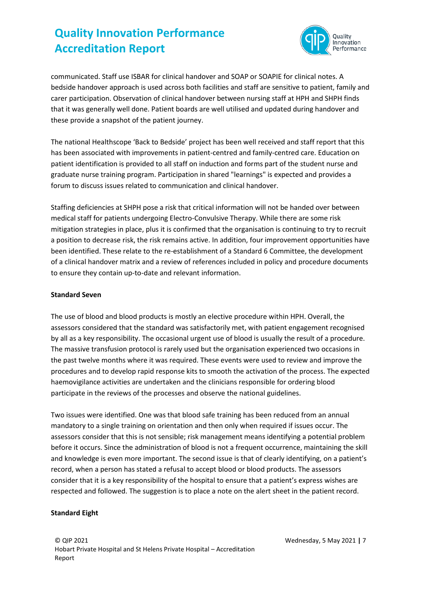

communicated. Staff use ISBAR for clinical handover and SOAP or SOAPIE for clinical notes. A bedside handover approach is used across both facilities and staff are sensitive to patient, family and carer participation. Observation of clinical handover between nursing staff at HPH and SHPH finds that it was generally well done. Patient boards are well utilised and updated during handover and these provide a snapshot of the patient journey.

The national Healthscope 'Back to Bedside' project has been well received and staff report that this has been associated with improvements in patient-centred and family-centred care. Education on patient identification is provided to all staff on induction and forms part of the student nurse and graduate nurse training program. Participation in shared "learnings" is expected and provides a forum to discuss issues related to communication and clinical handover.

Staffing deficiencies at SHPH pose a risk that critical information will not be handed over between medical staff for patients undergoing Electro-Convulsive Therapy. While there are some risk mitigation strategies in place, plus it is confirmed that the organisation is continuing to try to recruit a position to decrease risk, the risk remains active. In addition, four improvement opportunities have been identified. These relate to the re-establishment of a Standard 6 Committee, the development of a clinical handover matrix and a review of references included in policy and procedure documents to ensure they contain up-to-date and relevant information.

#### **Standard Seven**

The use of blood and blood products is mostly an elective procedure within HPH. Overall, the assessors considered that the standard was satisfactorily met, with patient engagement recognised by all as a key responsibility. The occasional urgent use of blood is usually the result of a procedure. The massive transfusion protocol is rarely used but the organisation experienced two occasions in the past twelve months where it was required. These events were used to review and improve the procedures and to develop rapid response kits to smooth the activation of the process. The expected haemovigilance activities are undertaken and the clinicians responsible for ordering blood participate in the reviews of the processes and observe the national guidelines.

Two issues were identified. One was that blood safe training has been reduced from an annual mandatory to a single training on orientation and then only when required if issues occur. The assessors consider that this is not sensible; risk management means identifying a potential problem before it occurs. Since the administration of blood is not a frequent occurrence, maintaining the skill and knowledge is even more important. The second issue is that of clearly identifying, on a patient's record, when a person has stated a refusal to accept blood or blood products. The assessors consider that it is a key responsibility of the hospital to ensure that a patient's express wishes are respected and followed. The suggestion is to place a note on the alert sheet in the patient record.

#### **Standard Eight**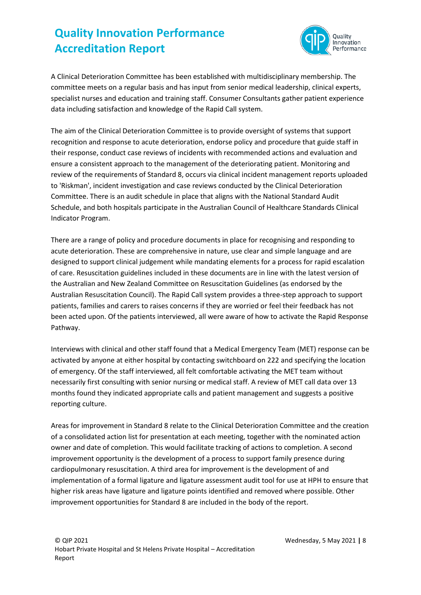

A Clinical Deterioration Committee has been established with multidisciplinary membership. The committee meets on a regular basis and has input from senior medical leadership, clinical experts, specialist nurses and education and training staff. Consumer Consultants gather patient experience data including satisfaction and knowledge of the Rapid Call system.

The aim of the Clinical Deterioration Committee is to provide oversight of systems that support recognition and response to acute deterioration, endorse policy and procedure that guide staff in their response, conduct case reviews of incidents with recommended actions and evaluation and ensure a consistent approach to the management of the deteriorating patient. Monitoring and review of the requirements of Standard 8, occurs via clinical incident management reports uploaded to 'Riskman', incident investigation and case reviews conducted by the Clinical Deterioration Committee. There is an audit schedule in place that aligns with the National Standard Audit Schedule, and both hospitals participate in the Australian Council of Healthcare Standards Clinical Indicator Program.

There are a range of policy and procedure documents in place for recognising and responding to acute deterioration. These are comprehensive in nature, use clear and simple language and are designed to support clinical judgement while mandating elements for a process for rapid escalation of care. Resuscitation guidelines included in these documents are in line with the latest version of the Australian and New Zealand Committee on Resuscitation Guidelines (as endorsed by the Australian Resuscitation Council). The Rapid Call system provides a three-step approach to support patients, families and carers to raises concerns if they are worried or feel their feedback has not been acted upon. Of the patients interviewed, all were aware of how to activate the Rapid Response Pathway.

Interviews with clinical and other staff found that a Medical Emergency Team (MET) response can be activated by anyone at either hospital by contacting switchboard on 222 and specifying the location of emergency. Of the staff interviewed, all felt comfortable activating the MET team without necessarily first consulting with senior nursing or medical staff. A review of MET call data over 13 months found they indicated appropriate calls and patient management and suggests a positive reporting culture.

Areas for improvement in Standard 8 relate to the Clinical Deterioration Committee and the creation of a consolidated action list for presentation at each meeting, together with the nominated action owner and date of completion. This would facilitate tracking of actions to completion. A second improvement opportunity is the development of a process to support family presence during cardiopulmonary resuscitation. A third area for improvement is the development of and implementation of a formal ligature and ligature assessment audit tool for use at HPH to ensure that higher risk areas have ligature and ligature points identified and removed where possible. Other improvement opportunities for Standard 8 are included in the body of the report.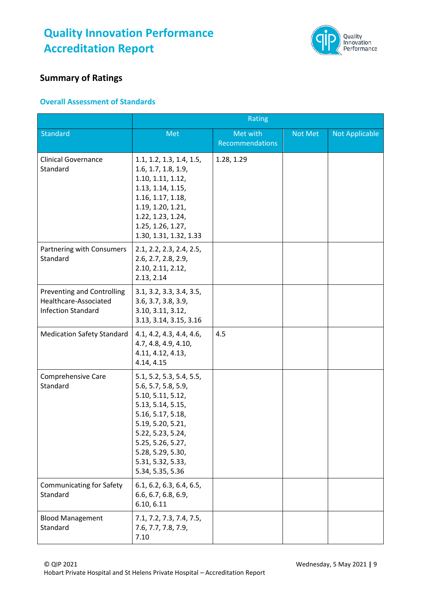

#### **Summary of Ratings**

#### **Overall Assessment of Standards**

|                                                                                         | Rating                                                                                                                                                                                                                                      |                             |         |                       |
|-----------------------------------------------------------------------------------------|---------------------------------------------------------------------------------------------------------------------------------------------------------------------------------------------------------------------------------------------|-----------------------------|---------|-----------------------|
| <b>Standard</b>                                                                         | Met                                                                                                                                                                                                                                         | Met with<br>Recommendations | Not Met | <b>Not Applicable</b> |
| <b>Clinical Governance</b><br>Standard                                                  | 1.1, 1.2, 1.3, 1.4, 1.5,<br>1.6, 1.7, 1.8, 1.9,<br>1.10, 1.11, 1.12,<br>1.13, 1.14, 1.15,<br>1.16, 1.17, 1.18,<br>1.19, 1.20, 1.21,<br>1.22, 1.23, 1.24,<br>1.25, 1.26, 1.27,<br>1.30, 1.31, 1.32, 1.33                                     | 1.28, 1.29                  |         |                       |
| Partnering with Consumers<br>Standard                                                   | 2.1, 2.2, 2.3, 2.4, 2.5,<br>2.6, 2.7, 2.8, 2.9,<br>2.10, 2.11, 2.12,<br>2.13, 2.14                                                                                                                                                          |                             |         |                       |
| <b>Preventing and Controlling</b><br>Healthcare-Associated<br><b>Infection Standard</b> | 3.1, 3.2, 3.3, 3.4, 3.5,<br>3.6, 3.7, 3.8, 3.9,<br>3.10, 3.11, 3.12,<br>3.13, 3.14, 3.15, 3.16                                                                                                                                              |                             |         |                       |
| <b>Medication Safety Standard</b>                                                       | 4.1, 4.2, 4.3, 4.4, 4.6,<br>4.7, 4.8, 4.9, 4.10,<br>4.11, 4.12, 4.13,<br>4.14, 4.15                                                                                                                                                         | 4.5                         |         |                       |
| <b>Comprehensive Care</b><br>Standard                                                   | 5.1, 5.2, 5.3, 5.4, 5.5,<br>5.6, 5.7, 5.8, 5.9,<br>5.10, 5.11, 5.12,<br>5.13, 5.14, 5.15,<br>5.16, 5.17, 5.18,<br>5.19, 5.20, 5.21,<br>5.22, 5.23, 5.24,<br>5.25, 5.26, 5.27,<br>5.28, 5.29, 5.30,<br>5.31, 5.32, 5.33,<br>5.34, 5.35, 5.36 |                             |         |                       |
| <b>Communicating for Safety</b><br>Standard                                             | 6.1, 6.2, 6.3, 6.4, 6.5,<br>6.6, 6.7, 6.8, 6.9,<br>6.10, 6.11                                                                                                                                                                               |                             |         |                       |
| <b>Blood Management</b><br>Standard                                                     | 7.1, 7.2, 7.3, 7.4, 7.5,<br>7.6, 7.7, 7.8, 7.9,<br>7.10                                                                                                                                                                                     |                             |         |                       |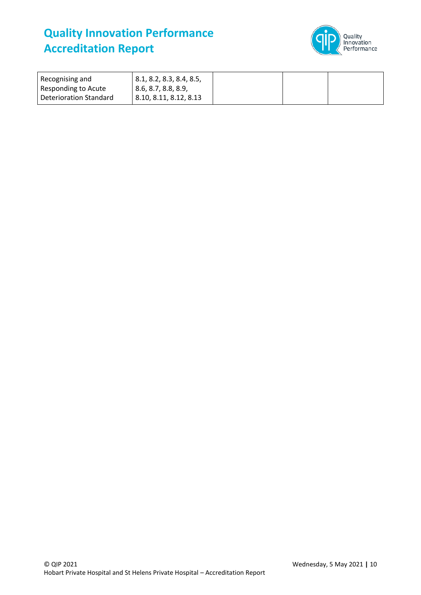

| Recognising and        | $\vert$ 8.1, 8.2, 8.3, 8.4, 8.5, |  |  |
|------------------------|----------------------------------|--|--|
| Responding to Acute    | 8.6, 8.7, 8.8, 8.9,              |  |  |
| Deterioration Standard | 8.10, 8.11, 8.12, 8.13           |  |  |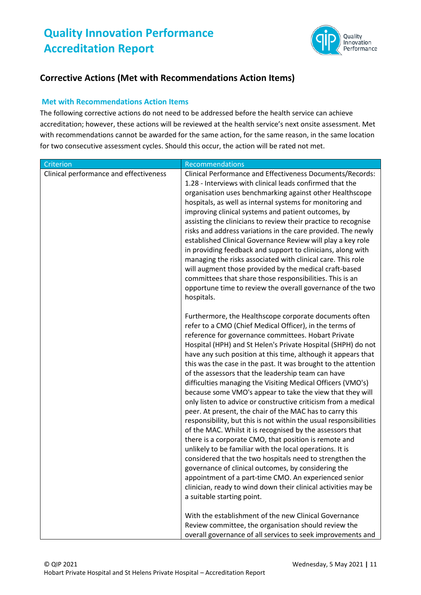

#### **Corrective Actions (Met with Recommendations Action Items)**

#### **Met with Recommendations Action Items**

The following corrective actions do not need to be addressed before the health service can achieve accreditation; however, these actions will be reviewed at the health service's next onsite assessment. Met with recommendations cannot be awarded for the same action, for the same reason, in the same location for two consecutive assessment cycles. Should this occur, the action will be rated not met.

| Criterion                              | Recommendations                                                                                                                                                                                                                                                                                                                                                                                                                                                                                                                                                                                                                                                                                                                                                                                                                                                                                                                                                                                                                                                                                                                                                                                                                |
|----------------------------------------|--------------------------------------------------------------------------------------------------------------------------------------------------------------------------------------------------------------------------------------------------------------------------------------------------------------------------------------------------------------------------------------------------------------------------------------------------------------------------------------------------------------------------------------------------------------------------------------------------------------------------------------------------------------------------------------------------------------------------------------------------------------------------------------------------------------------------------------------------------------------------------------------------------------------------------------------------------------------------------------------------------------------------------------------------------------------------------------------------------------------------------------------------------------------------------------------------------------------------------|
| Clinical performance and effectiveness | Clinical Performance and Effectiveness Documents/Records:<br>1.28 - Interviews with clinical leads confirmed that the<br>organisation uses benchmarking against other Healthscope<br>hospitals, as well as internal systems for monitoring and<br>improving clinical systems and patient outcomes, by<br>assisting the clinicians to review their practice to recognise<br>risks and address variations in the care provided. The newly<br>established Clinical Governance Review will play a key role<br>in providing feedback and support to clinicians, along with<br>managing the risks associated with clinical care. This role<br>will augment those provided by the medical craft-based<br>committees that share those responsibilities. This is an<br>opportune time to review the overall governance of the two<br>hospitals.                                                                                                                                                                                                                                                                                                                                                                                         |
|                                        | Furthermore, the Healthscope corporate documents often<br>refer to a CMO (Chief Medical Officer), in the terms of<br>reference for governance committees. Hobart Private<br>Hospital (HPH) and St Helen's Private Hospital (SHPH) do not<br>have any such position at this time, although it appears that<br>this was the case in the past. It was brought to the attention<br>of the assessors that the leadership team can have<br>difficulties managing the Visiting Medical Officers (VMO's)<br>because some VMO's appear to take the view that they will<br>only listen to advice or constructive criticism from a medical<br>peer. At present, the chair of the MAC has to carry this<br>responsibility, but this is not within the usual responsibilities<br>of the MAC. Whilst it is recognised by the assessors that<br>there is a corporate CMO, that position is remote and<br>unlikely to be familiar with the local operations. It is<br>considered that the two hospitals need to strengthen the<br>governance of clinical outcomes, by considering the<br>appointment of a part-time CMO. An experienced senior<br>clinician, ready to wind down their clinical activities may be<br>a suitable starting point. |
|                                        | With the establishment of the new Clinical Governance<br>Review committee, the organisation should review the<br>overall governance of all services to seek improvements and                                                                                                                                                                                                                                                                                                                                                                                                                                                                                                                                                                                                                                                                                                                                                                                                                                                                                                                                                                                                                                                   |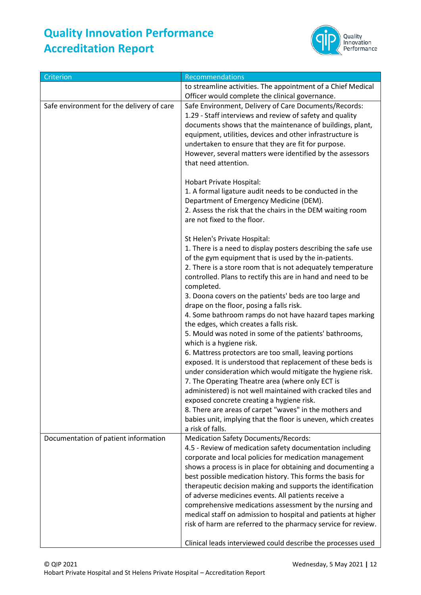

| Criterion                                 | Recommendations                                                                                                                                                                                                                                                                                                                                                                                                                                                                                                                                                                                                                                                                                                                                                                                                                                                                                                                                                                                                                                                                                              |
|-------------------------------------------|--------------------------------------------------------------------------------------------------------------------------------------------------------------------------------------------------------------------------------------------------------------------------------------------------------------------------------------------------------------------------------------------------------------------------------------------------------------------------------------------------------------------------------------------------------------------------------------------------------------------------------------------------------------------------------------------------------------------------------------------------------------------------------------------------------------------------------------------------------------------------------------------------------------------------------------------------------------------------------------------------------------------------------------------------------------------------------------------------------------|
|                                           | to streamline activities. The appointment of a Chief Medical                                                                                                                                                                                                                                                                                                                                                                                                                                                                                                                                                                                                                                                                                                                                                                                                                                                                                                                                                                                                                                                 |
|                                           | Officer would complete the clinical governance.                                                                                                                                                                                                                                                                                                                                                                                                                                                                                                                                                                                                                                                                                                                                                                                                                                                                                                                                                                                                                                                              |
| Safe environment for the delivery of care | Safe Environment, Delivery of Care Documents/Records:<br>1.29 - Staff interviews and review of safety and quality<br>documents shows that the maintenance of buildings, plant,<br>equipment, utilities, devices and other infrastructure is<br>undertaken to ensure that they are fit for purpose.<br>However, several matters were identified by the assessors<br>that need attention.                                                                                                                                                                                                                                                                                                                                                                                                                                                                                                                                                                                                                                                                                                                      |
|                                           | Hobart Private Hospital:<br>1. A formal ligature audit needs to be conducted in the<br>Department of Emergency Medicine (DEM).<br>2. Assess the risk that the chairs in the DEM waiting room<br>are not fixed to the floor.                                                                                                                                                                                                                                                                                                                                                                                                                                                                                                                                                                                                                                                                                                                                                                                                                                                                                  |
|                                           | St Helen's Private Hospital:<br>1. There is a need to display posters describing the safe use<br>of the gym equipment that is used by the in-patients.<br>2. There is a store room that is not adequately temperature<br>controlled. Plans to rectify this are in hand and need to be<br>completed.<br>3. Doona covers on the patients' beds are too large and<br>drape on the floor, posing a falls risk.<br>4. Some bathroom ramps do not have hazard tapes marking<br>the edges, which creates a falls risk.<br>5. Mould was noted in some of the patients' bathrooms,<br>which is a hygiene risk.<br>6. Mattress protectors are too small, leaving portions<br>exposed. It is understood that replacement of these beds is<br>under consideration which would mitigate the hygiene risk.<br>7. The Operating Theatre area (where only ECT is<br>administered) is not well maintained with cracked tiles and<br>exposed concrete creating a hygiene risk.<br>8. There are areas of carpet "waves" in the mothers and<br>babies unit, implying that the floor is uneven, which creates<br>a risk of falls. |
| Documentation of patient information      | <b>Medication Safety Documents/Records:</b><br>4.5 - Review of medication safety documentation including<br>corporate and local policies for medication management<br>shows a process is in place for obtaining and documenting a<br>best possible medication history. This forms the basis for<br>therapeutic decision making and supports the identification<br>of adverse medicines events. All patients receive a<br>comprehensive medications assessment by the nursing and<br>medical staff on admission to hospital and patients at higher<br>risk of harm are referred to the pharmacy service for review.<br>Clinical leads interviewed could describe the processes used                                                                                                                                                                                                                                                                                                                                                                                                                           |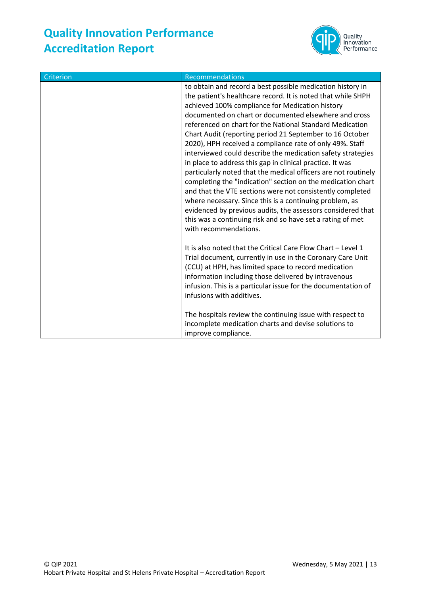

| Criterion | Recommendations                                                                                                                                                                                                                                                                                                                                                                                                                                                                                                                                                                                                                                                                                                                                                                                                                                                                                                                                                       |
|-----------|-----------------------------------------------------------------------------------------------------------------------------------------------------------------------------------------------------------------------------------------------------------------------------------------------------------------------------------------------------------------------------------------------------------------------------------------------------------------------------------------------------------------------------------------------------------------------------------------------------------------------------------------------------------------------------------------------------------------------------------------------------------------------------------------------------------------------------------------------------------------------------------------------------------------------------------------------------------------------|
|           | to obtain and record a best possible medication history in<br>the patient's healthcare record. It is noted that while SHPH<br>achieved 100% compliance for Medication history<br>documented on chart or documented elsewhere and cross<br>referenced on chart for the National Standard Medication<br>Chart Audit (reporting period 21 September to 16 October<br>2020), HPH received a compliance rate of only 49%. Staff<br>interviewed could describe the medication safety strategies<br>in place to address this gap in clinical practice. It was<br>particularly noted that the medical officers are not routinely<br>completing the "indication" section on the medication chart<br>and that the VTE sections were not consistently completed<br>where necessary. Since this is a continuing problem, as<br>evidenced by previous audits, the assessors considered that<br>this was a continuing risk and so have set a rating of met<br>with recommendations. |
|           | It is also noted that the Critical Care Flow Chart - Level 1<br>Trial document, currently in use in the Coronary Care Unit<br>(CCU) at HPH, has limited space to record medication<br>information including those delivered by intravenous<br>infusion. This is a particular issue for the documentation of<br>infusions with additives.<br>The hospitals review the continuing issue with respect to<br>incomplete medication charts and devise solutions to<br>improve compliance.                                                                                                                                                                                                                                                                                                                                                                                                                                                                                  |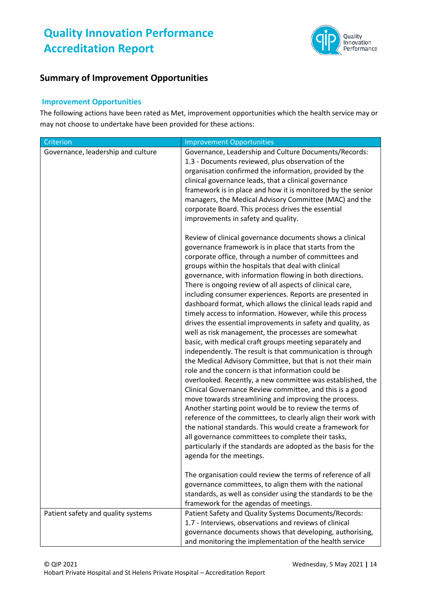

#### **Summary of Improvement Opportunities**

#### **Improvement Opportunities**

The following actions have been rated as Met, improvement opportunities which the health service may or may not choose to undertake have been provided for these actions:

| Criterion                          | <b>Improvement Opportunities</b>                                                                                                                                                                                                                                                                                                                                                                                                                                                                                                                                                                                                                                                                                                                                                                                                                                                                                                                                                                                                                                                                                                                                                                                                                                                                                                                                                                                                                 |
|------------------------------------|--------------------------------------------------------------------------------------------------------------------------------------------------------------------------------------------------------------------------------------------------------------------------------------------------------------------------------------------------------------------------------------------------------------------------------------------------------------------------------------------------------------------------------------------------------------------------------------------------------------------------------------------------------------------------------------------------------------------------------------------------------------------------------------------------------------------------------------------------------------------------------------------------------------------------------------------------------------------------------------------------------------------------------------------------------------------------------------------------------------------------------------------------------------------------------------------------------------------------------------------------------------------------------------------------------------------------------------------------------------------------------------------------------------------------------------------------|
| Governance, leadership and culture | Governance, Leadership and Culture Documents/Records:<br>1.3 - Documents reviewed, plus observation of the<br>organisation confirmed the information, provided by the<br>clinical governance leads, that a clinical governance<br>framework is in place and how it is monitored by the senior<br>managers, the Medical Advisory Committee (MAC) and the<br>corporate Board. This process drives the essential<br>improvements in safety and quality.                                                                                                                                                                                                                                                                                                                                                                                                                                                                                                                                                                                                                                                                                                                                                                                                                                                                                                                                                                                             |
|                                    | Review of clinical governance documents shows a clinical<br>governance framework is in place that starts from the<br>corporate office, through a number of committees and<br>groups within the hospitals that deal with clinical<br>governance, with information flowing in both directions.<br>There is ongoing review of all aspects of clinical care,<br>including consumer experiences. Reports are presented in<br>dashboard format, which allows the clinical leads rapid and<br>timely access to information. However, while this process<br>drives the essential improvements in safety and quality, as<br>well as risk management, the processes are somewhat<br>basic, with medical craft groups meeting separately and<br>independently. The result is that communication is through<br>the Medical Advisory Committee, but that is not their main<br>role and the concern is that information could be<br>overlooked. Recently, a new committee was established, the<br>Clinical Governance Review committee, and this is a good<br>move towards streamlining and improving the process.<br>Another starting point would be to review the terms of<br>reference of the committees, to clearly align their work with<br>the national standards. This would create a framework for<br>all governance committees to complete their tasks,<br>particularly if the standards are adopted as the basis for the<br>agenda for the meetings. |
|                                    | The organisation could review the terms of reference of all<br>governance committees, to align them with the national<br>standards, as well as consider using the standards to be the<br>framework for the agendas of meetings.                                                                                                                                                                                                                                                                                                                                                                                                                                                                                                                                                                                                                                                                                                                                                                                                                                                                                                                                                                                                                                                                                                                                                                                                                  |
| Patient safety and quality systems | Patient Safety and Quality Systems Documents/Records:<br>1.7 - Interviews, observations and reviews of clinical<br>governance documents shows that developing, authorising,<br>and monitoring the implementation of the health service                                                                                                                                                                                                                                                                                                                                                                                                                                                                                                                                                                                                                                                                                                                                                                                                                                                                                                                                                                                                                                                                                                                                                                                                           |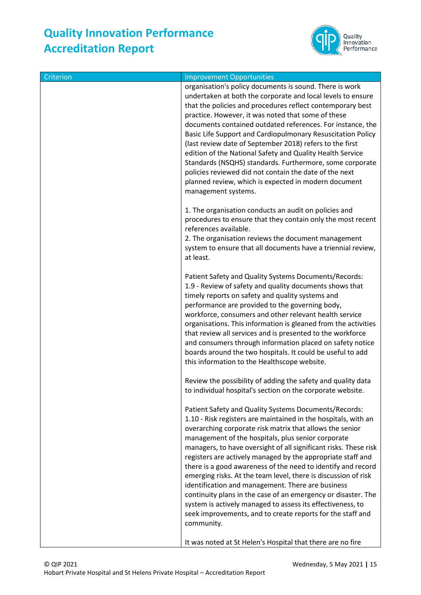

| Criterion | <b>Improvement Opportunities</b>                                                                                            |
|-----------|-----------------------------------------------------------------------------------------------------------------------------|
|           | organisation's policy documents is sound. There is work<br>undertaken at both the corporate and local levels to ensure      |
|           | that the policies and procedures reflect contemporary best                                                                  |
|           | practice. However, it was noted that some of these                                                                          |
|           | documents contained outdated references. For instance, the                                                                  |
|           | Basic Life Support and Cardiopulmonary Resuscitation Policy<br>(last review date of September 2018) refers to the first     |
|           | edition of the National Safety and Quality Health Service                                                                   |
|           | Standards (NSQHS) standards. Furthermore, some corporate                                                                    |
|           | policies reviewed did not contain the date of the next                                                                      |
|           | planned review, which is expected in modern document                                                                        |
|           | management systems.                                                                                                         |
|           | 1. The organisation conducts an audit on policies and                                                                       |
|           | procedures to ensure that they contain only the most recent                                                                 |
|           | references available.                                                                                                       |
|           | 2. The organisation reviews the document management                                                                         |
|           | system to ensure that all documents have a triennial review,<br>at least.                                                   |
|           |                                                                                                                             |
|           | Patient Safety and Quality Systems Documents/Records:                                                                       |
|           | 1.9 - Review of safety and quality documents shows that                                                                     |
|           | timely reports on safety and quality systems and<br>performance are provided to the governing body,                         |
|           | workforce, consumers and other relevant health service                                                                      |
|           | organisations. This information is gleaned from the activities                                                              |
|           | that review all services and is presented to the workforce                                                                  |
|           | and consumers through information placed on safety notice<br>boards around the two hospitals. It could be useful to add     |
|           | this information to the Healthscope website.                                                                                |
|           |                                                                                                                             |
|           | Review the possibility of adding the safety and quality data                                                                |
|           | to individual hospital's section on the corporate website.                                                                  |
|           | Patient Safety and Quality Systems Documents/Records:                                                                       |
|           | 1.10 - Risk registers are maintained in the hospitals, with an                                                              |
|           | overarching corporate risk matrix that allows the senior                                                                    |
|           | management of the hospitals, plus senior corporate<br>managers, to have oversight of all significant risks. These risk      |
|           | registers are actively managed by the appropriate staff and                                                                 |
|           | there is a good awareness of the need to identify and record                                                                |
|           | emerging risks. At the team level, there is discussion of risk                                                              |
|           | identification and management. There are business                                                                           |
|           | continuity plans in the case of an emergency or disaster. The<br>system is actively managed to assess its effectiveness, to |
|           | seek improvements, and to create reports for the staff and                                                                  |
|           | community.                                                                                                                  |
|           |                                                                                                                             |
|           | It was noted at St Helen's Hospital that there are no fire                                                                  |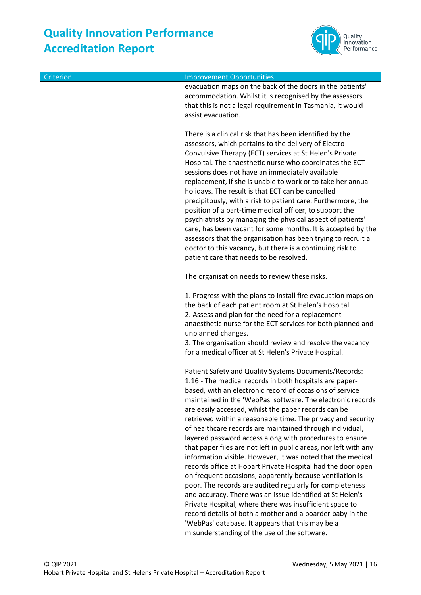

| Criterion | <b>Improvement Opportunities</b>                                                                                                                                                                                                                                                                                                                                                                                                                                                                                                                                                                                                                                                                                                                                                                                                                                                                                                                                                                                                                                                                              |
|-----------|---------------------------------------------------------------------------------------------------------------------------------------------------------------------------------------------------------------------------------------------------------------------------------------------------------------------------------------------------------------------------------------------------------------------------------------------------------------------------------------------------------------------------------------------------------------------------------------------------------------------------------------------------------------------------------------------------------------------------------------------------------------------------------------------------------------------------------------------------------------------------------------------------------------------------------------------------------------------------------------------------------------------------------------------------------------------------------------------------------------|
|           | evacuation maps on the back of the doors in the patients'<br>accommodation. Whilst it is recognised by the assessors<br>that this is not a legal requirement in Tasmania, it would<br>assist evacuation.                                                                                                                                                                                                                                                                                                                                                                                                                                                                                                                                                                                                                                                                                                                                                                                                                                                                                                      |
|           | There is a clinical risk that has been identified by the<br>assessors, which pertains to the delivery of Electro-<br>Convulsive Therapy (ECT) services at St Helen's Private<br>Hospital. The anaesthetic nurse who coordinates the ECT<br>sessions does not have an immediately available<br>replacement, if she is unable to work or to take her annual<br>holidays. The result is that ECT can be cancelled<br>precipitously, with a risk to patient care. Furthermore, the<br>position of a part-time medical officer, to support the<br>psychiatrists by managing the physical aspect of patients'<br>care, has been vacant for some months. It is accepted by the<br>assessors that the organisation has been trying to recruit a<br>doctor to this vacancy, but there is a continuing risk to<br>patient care that needs to be resolved.                                                                                                                                                                                                                                                               |
|           | The organisation needs to review these risks.                                                                                                                                                                                                                                                                                                                                                                                                                                                                                                                                                                                                                                                                                                                                                                                                                                                                                                                                                                                                                                                                 |
|           | 1. Progress with the plans to install fire evacuation maps on<br>the back of each patient room at St Helen's Hospital.<br>2. Assess and plan for the need for a replacement<br>anaesthetic nurse for the ECT services for both planned and<br>unplanned changes.<br>3. The organisation should review and resolve the vacancy<br>for a medical officer at St Helen's Private Hospital.                                                                                                                                                                                                                                                                                                                                                                                                                                                                                                                                                                                                                                                                                                                        |
|           | Patient Safety and Quality Systems Documents/Records:<br>1.16 - The medical records in both hospitals are paper-<br>based, with an electronic record of occasions of service<br>maintained in the 'WebPas' software. The electronic records<br>are easily accessed, whilst the paper records can be<br>retrieved within a reasonable time. The privacy and security<br>of healthcare records are maintained through individual,<br>layered password access along with procedures to ensure<br>that paper files are not left in public areas, nor left with any<br>information visible. However, it was noted that the medical<br>records office at Hobart Private Hospital had the door open<br>on frequent occasions, apparently because ventilation is<br>poor. The records are audited regularly for completeness<br>and accuracy. There was an issue identified at St Helen's<br>Private Hospital, where there was insufficient space to<br>record details of both a mother and a boarder baby in the<br>'WebPas' database. It appears that this may be a<br>misunderstanding of the use of the software. |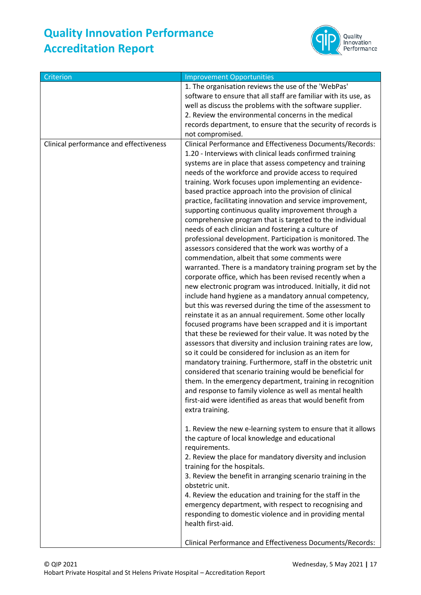

| Criterion                              | <b>Improvement Opportunities</b>                                                                                                                                                                                                                                                                                                                                                                                                                                                                                                                                                                                                                                                                                                                                                                                                                                                                                                                                                                                                                                                                                                                                                                                                                                                                                                                                                                                                                                                                                                                                                                                                                                                                                                                      |
|----------------------------------------|-------------------------------------------------------------------------------------------------------------------------------------------------------------------------------------------------------------------------------------------------------------------------------------------------------------------------------------------------------------------------------------------------------------------------------------------------------------------------------------------------------------------------------------------------------------------------------------------------------------------------------------------------------------------------------------------------------------------------------------------------------------------------------------------------------------------------------------------------------------------------------------------------------------------------------------------------------------------------------------------------------------------------------------------------------------------------------------------------------------------------------------------------------------------------------------------------------------------------------------------------------------------------------------------------------------------------------------------------------------------------------------------------------------------------------------------------------------------------------------------------------------------------------------------------------------------------------------------------------------------------------------------------------------------------------------------------------------------------------------------------------|
|                                        | 1. The organisation reviews the use of the 'WebPas'<br>software to ensure that all staff are familiar with its use, as<br>well as discuss the problems with the software supplier.<br>2. Review the environmental concerns in the medical<br>records department, to ensure that the security of records is<br>not compromised.                                                                                                                                                                                                                                                                                                                                                                                                                                                                                                                                                                                                                                                                                                                                                                                                                                                                                                                                                                                                                                                                                                                                                                                                                                                                                                                                                                                                                        |
| Clinical performance and effectiveness | Clinical Performance and Effectiveness Documents/Records:<br>1.20 - Interviews with clinical leads confirmed training<br>systems are in place that assess competency and training<br>needs of the workforce and provide access to required<br>training. Work focuses upon implementing an evidence-<br>based practice approach into the provision of clinical<br>practice, facilitating innovation and service improvement,<br>supporting continuous quality improvement through a<br>comprehensive program that is targeted to the individual<br>needs of each clinician and fostering a culture of<br>professional development. Participation is monitored. The<br>assessors considered that the work was worthy of a<br>commendation, albeit that some comments were<br>warranted. There is a mandatory training program set by the<br>corporate office, which has been revised recently when a<br>new electronic program was introduced. Initially, it did not<br>include hand hygiene as a mandatory annual competency,<br>but this was reversed during the time of the assessment to<br>reinstate it as an annual requirement. Some other locally<br>focused programs have been scrapped and it is important<br>that these be reviewed for their value. It was noted by the<br>assessors that diversity and inclusion training rates are low,<br>so it could be considered for inclusion as an item for<br>mandatory training. Furthermore, staff in the obstetric unit<br>considered that scenario training would be beneficial for<br>them. In the emergency department, training in recognition<br>and response to family violence as well as mental health<br>first-aid were identified as areas that would benefit from<br>extra training. |
|                                        | 1. Review the new e-learning system to ensure that it allows<br>the capture of local knowledge and educational<br>requirements.<br>2. Review the place for mandatory diversity and inclusion<br>training for the hospitals.<br>3. Review the benefit in arranging scenario training in the<br>obstetric unit.<br>4. Review the education and training for the staff in the<br>emergency department, with respect to recognising and<br>responding to domestic violence and in providing mental<br>health first-aid.                                                                                                                                                                                                                                                                                                                                                                                                                                                                                                                                                                                                                                                                                                                                                                                                                                                                                                                                                                                                                                                                                                                                                                                                                                   |
|                                        | Clinical Performance and Effectiveness Documents/Records:                                                                                                                                                                                                                                                                                                                                                                                                                                                                                                                                                                                                                                                                                                                                                                                                                                                                                                                                                                                                                                                                                                                                                                                                                                                                                                                                                                                                                                                                                                                                                                                                                                                                                             |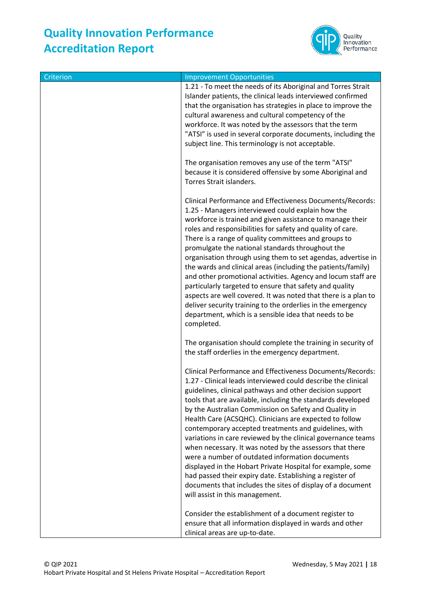

| Criterion | <b>Improvement Opportunities</b>                                                                                                                                                                                                                                                                                                                                                                                                                                                                                                                                                                                                                                                                                                                                                                                                             |
|-----------|----------------------------------------------------------------------------------------------------------------------------------------------------------------------------------------------------------------------------------------------------------------------------------------------------------------------------------------------------------------------------------------------------------------------------------------------------------------------------------------------------------------------------------------------------------------------------------------------------------------------------------------------------------------------------------------------------------------------------------------------------------------------------------------------------------------------------------------------|
|           | 1.21 - To meet the needs of its Aboriginal and Torres Strait<br>Islander patients, the clinical leads interviewed confirmed<br>that the organisation has strategies in place to improve the<br>cultural awareness and cultural competency of the<br>workforce. It was noted by the assessors that the term<br>"ATSI" is used in several corporate documents, including the<br>subject line. This terminology is not acceptable.                                                                                                                                                                                                                                                                                                                                                                                                              |
|           | The organisation removes any use of the term "ATSI"<br>because it is considered offensive by some Aboriginal and<br>Torres Strait islanders.                                                                                                                                                                                                                                                                                                                                                                                                                                                                                                                                                                                                                                                                                                 |
|           | Clinical Performance and Effectiveness Documents/Records:<br>1.25 - Managers interviewed could explain how the<br>workforce is trained and given assistance to manage their<br>roles and responsibilities for safety and quality of care.<br>There is a range of quality committees and groups to<br>promulgate the national standards throughout the<br>organisation through using them to set agendas, advertise in<br>the wards and clinical areas (including the patients/family)<br>and other promotional activities. Agency and locum staff are<br>particularly targeted to ensure that safety and quality<br>aspects are well covered. It was noted that there is a plan to<br>deliver security training to the orderlies in the emergency<br>department, which is a sensible idea that needs to be<br>completed.                     |
|           | The organisation should complete the training in security of<br>the staff orderlies in the emergency department.                                                                                                                                                                                                                                                                                                                                                                                                                                                                                                                                                                                                                                                                                                                             |
|           | Clinical Performance and Effectiveness Documents/Records:<br>1.27 - Clinical leads interviewed could describe the clinical<br>guidelines, clinical pathways and other decision support<br>tools that are available, including the standards developed<br>by the Australian Commission on Safety and Quality in<br>Health Care (ACSQHC). Clinicians are expected to follow<br>contemporary accepted treatments and guidelines, with<br>variations in care reviewed by the clinical governance teams<br>when necessary. It was noted by the assessors that there<br>were a number of outdated information documents<br>displayed in the Hobart Private Hospital for example, some<br>had passed their expiry date. Establishing a register of<br>documents that includes the sites of display of a document<br>will assist in this management. |
|           | Consider the establishment of a document register to<br>ensure that all information displayed in wards and other<br>clinical areas are up-to-date.                                                                                                                                                                                                                                                                                                                                                                                                                                                                                                                                                                                                                                                                                           |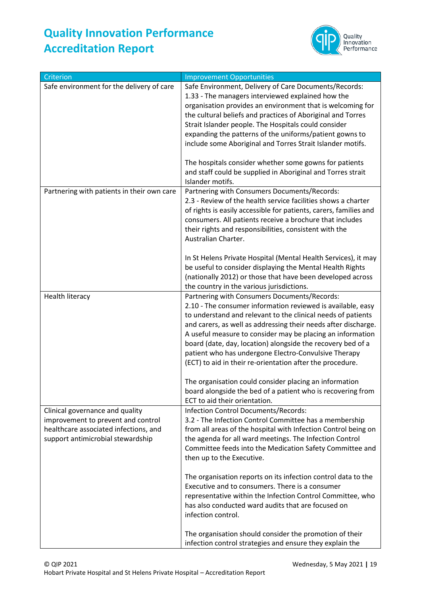

| Criterion                                                                                                                                           | <b>Improvement Opportunities</b>                                                                                                                                                                                                                                                                                                                                                                                                                                                                |
|-----------------------------------------------------------------------------------------------------------------------------------------------------|-------------------------------------------------------------------------------------------------------------------------------------------------------------------------------------------------------------------------------------------------------------------------------------------------------------------------------------------------------------------------------------------------------------------------------------------------------------------------------------------------|
| Safe environment for the delivery of care                                                                                                           | Safe Environment, Delivery of Care Documents/Records:<br>1.33 - The managers interviewed explained how the<br>organisation provides an environment that is welcoming for<br>the cultural beliefs and practices of Aboriginal and Torres<br>Strait Islander people. The Hospitals could consider<br>expanding the patterns of the uniforms/patient gowns to<br>include some Aboriginal and Torres Strait Islander motifs.                                                                        |
|                                                                                                                                                     | The hospitals consider whether some gowns for patients<br>and staff could be supplied in Aboriginal and Torres strait<br>Islander motifs.                                                                                                                                                                                                                                                                                                                                                       |
| Partnering with patients in their own care                                                                                                          | Partnering with Consumers Documents/Records:<br>2.3 - Review of the health service facilities shows a charter<br>of rights is easily accessible for patients, carers, families and<br>consumers. All patients receive a brochure that includes<br>their rights and responsibilities, consistent with the<br>Australian Charter.                                                                                                                                                                 |
|                                                                                                                                                     | In St Helens Private Hospital (Mental Health Services), it may<br>be useful to consider displaying the Mental Health Rights<br>(nationally 2012) or those that have been developed across<br>the country in the various jurisdictions.                                                                                                                                                                                                                                                          |
| Health literacy                                                                                                                                     | Partnering with Consumers Documents/Records:<br>2.10 - The consumer information reviewed is available, easy<br>to understand and relevant to the clinical needs of patients<br>and carers, as well as addressing their needs after discharge.<br>A useful measure to consider may be placing an information<br>board (date, day, location) alongside the recovery bed of a<br>patient who has undergone Electro-Convulsive Therapy<br>(ECT) to aid in their re-orientation after the procedure. |
|                                                                                                                                                     | The organisation could consider placing an information<br>board alongside the bed of a patient who is recovering from<br>ECT to aid their orientation.                                                                                                                                                                                                                                                                                                                                          |
| Clinical governance and quality<br>improvement to prevent and control<br>healthcare associated infections, and<br>support antimicrobial stewardship | Infection Control Documents/Records:<br>3.2 - The Infection Control Committee has a membership<br>from all areas of the hospital with Infection Control being on<br>the agenda for all ward meetings. The Infection Control<br>Committee feeds into the Medication Safety Committee and<br>then up to the Executive.                                                                                                                                                                            |
|                                                                                                                                                     | The organisation reports on its infection control data to the<br>Executive and to consumers. There is a consumer<br>representative within the Infection Control Committee, who<br>has also conducted ward audits that are focused on<br>infection control.                                                                                                                                                                                                                                      |
|                                                                                                                                                     | The organisation should consider the promotion of their<br>infection control strategies and ensure they explain the                                                                                                                                                                                                                                                                                                                                                                             |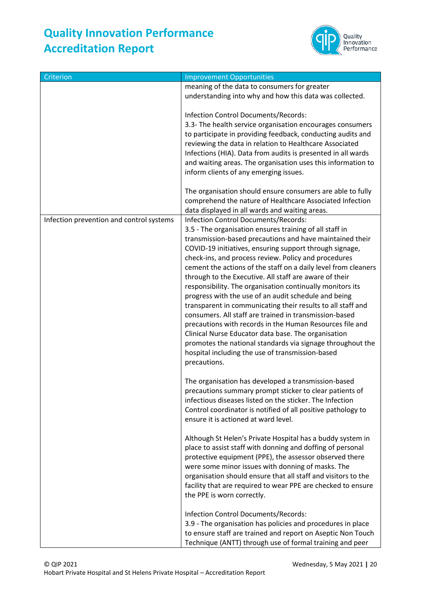

| Criterion                                | <b>Improvement Opportunities</b>                                                                                                                                                                                                                                                                                                                                                                                                                                                                                                                                                                                                                                                                                                                                                                                                                                                                              |
|------------------------------------------|---------------------------------------------------------------------------------------------------------------------------------------------------------------------------------------------------------------------------------------------------------------------------------------------------------------------------------------------------------------------------------------------------------------------------------------------------------------------------------------------------------------------------------------------------------------------------------------------------------------------------------------------------------------------------------------------------------------------------------------------------------------------------------------------------------------------------------------------------------------------------------------------------------------|
|                                          | meaning of the data to consumers for greater                                                                                                                                                                                                                                                                                                                                                                                                                                                                                                                                                                                                                                                                                                                                                                                                                                                                  |
|                                          | understanding into why and how this data was collected.                                                                                                                                                                                                                                                                                                                                                                                                                                                                                                                                                                                                                                                                                                                                                                                                                                                       |
|                                          | Infection Control Documents/Records:<br>3.3- The health service organisation encourages consumers<br>to participate in providing feedback, conducting audits and<br>reviewing the data in relation to Healthcare Associated<br>Infections (HIA). Data from audits is presented in all wards<br>and waiting areas. The organisation uses this information to<br>inform clients of any emerging issues.                                                                                                                                                                                                                                                                                                                                                                                                                                                                                                         |
|                                          | The organisation should ensure consumers are able to fully<br>comprehend the nature of Healthcare Associated Infection<br>data displayed in all wards and waiting areas.                                                                                                                                                                                                                                                                                                                                                                                                                                                                                                                                                                                                                                                                                                                                      |
| Infection prevention and control systems | Infection Control Documents/Records:<br>3.5 - The organisation ensures training of all staff in<br>transmission-based precautions and have maintained their<br>COVID-19 initiatives, ensuring support through signage,<br>check-ins, and process review. Policy and procedures<br>cement the actions of the staff on a daily level from cleaners<br>through to the Executive. All staff are aware of their<br>responsibility. The organisation continually monitors its<br>progress with the use of an audit schedule and being<br>transparent in communicating their results to all staff and<br>consumers. All staff are trained in transmission-based<br>precautions with records in the Human Resources file and<br>Clinical Nurse Educator data base. The organisation<br>promotes the national standards via signage throughout the<br>hospital including the use of transmission-based<br>precautions. |
|                                          | The organisation has developed a transmission-based<br>precautions summary prompt sticker to clear patients of<br>infectious diseases listed on the sticker. The Infection<br>Control coordinator is notified of all positive pathology to<br>ensure it is actioned at ward level.                                                                                                                                                                                                                                                                                                                                                                                                                                                                                                                                                                                                                            |
|                                          | Although St Helen's Private Hospital has a buddy system in<br>place to assist staff with donning and doffing of personal<br>protective equipment (PPE), the assessor observed there<br>were some minor issues with donning of masks. The<br>organisation should ensure that all staff and visitors to the<br>facility that are required to wear PPE are checked to ensure<br>the PPE is worn correctly.                                                                                                                                                                                                                                                                                                                                                                                                                                                                                                       |
|                                          | Infection Control Documents/Records:<br>3.9 - The organisation has policies and procedures in place<br>to ensure staff are trained and report on Aseptic Non Touch<br>Technique (ANTT) through use of formal training and peer                                                                                                                                                                                                                                                                                                                                                                                                                                                                                                                                                                                                                                                                                |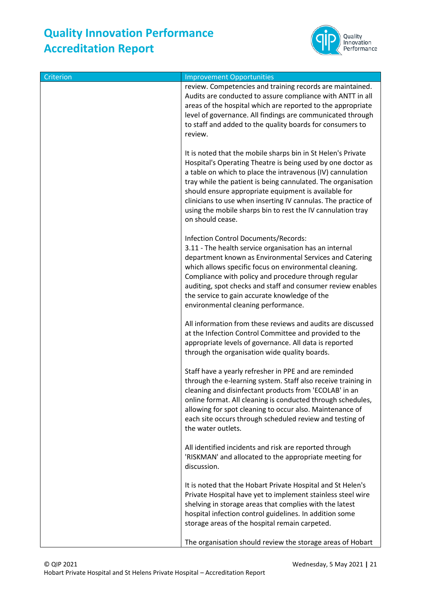

| Criterion | <b>Improvement Opportunities</b>                                                                                                                                                                                                                                                                                                                                                                                                                                      |
|-----------|-----------------------------------------------------------------------------------------------------------------------------------------------------------------------------------------------------------------------------------------------------------------------------------------------------------------------------------------------------------------------------------------------------------------------------------------------------------------------|
|           | review. Competencies and training records are maintained.<br>Audits are conducted to assure compliance with ANTT in all<br>areas of the hospital which are reported to the appropriate<br>level of governance. All findings are communicated through<br>to staff and added to the quality boards for consumers to<br>review.                                                                                                                                          |
|           | It is noted that the mobile sharps bin in St Helen's Private<br>Hospital's Operating Theatre is being used by one doctor as<br>a table on which to place the intravenous (IV) cannulation<br>tray while the patient is being cannulated. The organisation<br>should ensure appropriate equipment is available for<br>clinicians to use when inserting IV cannulas. The practice of<br>using the mobile sharps bin to rest the IV cannulation tray<br>on should cease. |
|           | Infection Control Documents/Records:<br>3.11 - The health service organisation has an internal<br>department known as Environmental Services and Catering<br>which allows specific focus on environmental cleaning.<br>Compliance with policy and procedure through regular<br>auditing, spot checks and staff and consumer review enables<br>the service to gain accurate knowledge of the<br>environmental cleaning performance.                                    |
|           | All information from these reviews and audits are discussed<br>at the Infection Control Committee and provided to the<br>appropriate levels of governance. All data is reported<br>through the organisation wide quality boards.                                                                                                                                                                                                                                      |
|           | Staff have a yearly refresher in PPE and are reminded<br>through the e-learning system. Staff also receive training in<br>cleaning and disinfectant products from 'ECOLAB' in an<br>online format. All cleaning is conducted through schedules,<br>allowing for spot cleaning to occur also. Maintenance of<br>each site occurs through scheduled review and testing of<br>the water outlets.                                                                         |
|           | All identified incidents and risk are reported through<br>'RISKMAN' and allocated to the appropriate meeting for<br>discussion.                                                                                                                                                                                                                                                                                                                                       |
|           | It is noted that the Hobart Private Hospital and St Helen's<br>Private Hospital have yet to implement stainless steel wire<br>shelving in storage areas that complies with the latest<br>hospital infection control guidelines. In addition some<br>storage areas of the hospital remain carpeted.                                                                                                                                                                    |
|           | The organisation should review the storage areas of Hobart                                                                                                                                                                                                                                                                                                                                                                                                            |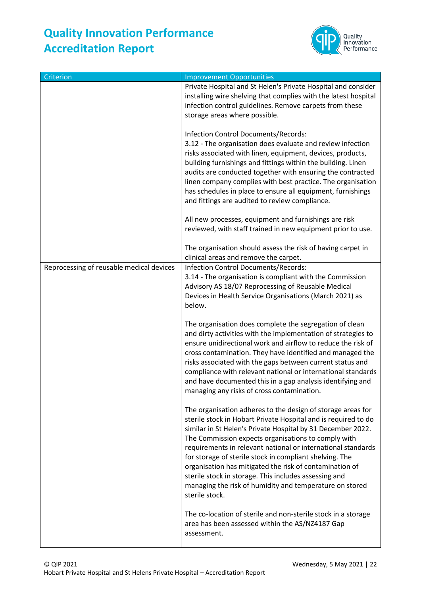

| Criterion                                | <b>Improvement Opportunities</b>                                                                                                                                                                                                                                                                                                                                                                                                                                                                                                                                                                                                                                                                                              |
|------------------------------------------|-------------------------------------------------------------------------------------------------------------------------------------------------------------------------------------------------------------------------------------------------------------------------------------------------------------------------------------------------------------------------------------------------------------------------------------------------------------------------------------------------------------------------------------------------------------------------------------------------------------------------------------------------------------------------------------------------------------------------------|
|                                          | Private Hospital and St Helen's Private Hospital and consider<br>installing wire shelving that complies with the latest hospital<br>infection control guidelines. Remove carpets from these                                                                                                                                                                                                                                                                                                                                                                                                                                                                                                                                   |
|                                          | storage areas where possible.<br>Infection Control Documents/Records:<br>3.12 - The organisation does evaluate and review infection<br>risks associated with linen, equipment, devices, products,<br>building furnishings and fittings within the building. Linen<br>audits are conducted together with ensuring the contracted<br>linen company complies with best practice. The organisation<br>has schedules in place to ensure all equipment, furnishings<br>and fittings are audited to review compliance.<br>All new processes, equipment and furnishings are risk                                                                                                                                                      |
|                                          | reviewed, with staff trained in new equipment prior to use.                                                                                                                                                                                                                                                                                                                                                                                                                                                                                                                                                                                                                                                                   |
|                                          | The organisation should assess the risk of having carpet in<br>clinical areas and remove the carpet.                                                                                                                                                                                                                                                                                                                                                                                                                                                                                                                                                                                                                          |
| Reprocessing of reusable medical devices | Infection Control Documents/Records:<br>3.14 - The organisation is compliant with the Commission<br>Advisory AS 18/07 Reprocessing of Reusable Medical<br>Devices in Health Service Organisations (March 2021) as<br>below.<br>The organisation does complete the segregation of clean<br>and dirty activities with the implementation of strategies to<br>ensure unidirectional work and airflow to reduce the risk of<br>cross contamination. They have identified and managed the<br>risks associated with the gaps between current status and<br>compliance with relevant national or international standards<br>and have documented this in a gap analysis identifying and<br>managing any risks of cross contamination. |
|                                          | The organisation adheres to the design of storage areas for<br>sterile stock in Hobart Private Hospital and is required to do<br>similar in St Helen's Private Hospital by 31 December 2022.<br>The Commission expects organisations to comply with<br>requirements in relevant national or international standards<br>for storage of sterile stock in compliant shelving. The<br>organisation has mitigated the risk of contamination of<br>sterile stock in storage. This includes assessing and<br>managing the risk of humidity and temperature on stored<br>sterile stock.                                                                                                                                               |
|                                          | The co-location of sterile and non-sterile stock in a storage<br>area has been assessed within the AS/NZ4187 Gap<br>assessment.                                                                                                                                                                                                                                                                                                                                                                                                                                                                                                                                                                                               |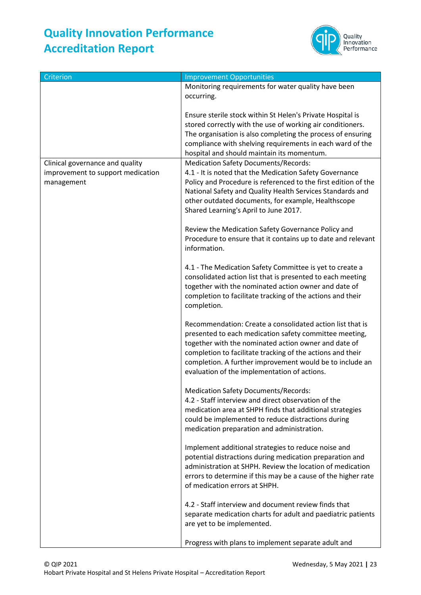

| Criterion                                                                          | <b>Improvement Opportunities</b>                                                                                                                                                                                                                                                                                                                      |
|------------------------------------------------------------------------------------|-------------------------------------------------------------------------------------------------------------------------------------------------------------------------------------------------------------------------------------------------------------------------------------------------------------------------------------------------------|
|                                                                                    | Monitoring requirements for water quality have been                                                                                                                                                                                                                                                                                                   |
|                                                                                    | occurring.                                                                                                                                                                                                                                                                                                                                            |
|                                                                                    | Ensure sterile stock within St Helen's Private Hospital is<br>stored correctly with the use of working air conditioners.<br>The organisation is also completing the process of ensuring<br>compliance with shelving requirements in each ward of the<br>hospital and should maintain its momentum.                                                    |
| Clinical governance and quality<br>improvement to support medication<br>management | <b>Medication Safety Documents/Records:</b><br>4.1 - It is noted that the Medication Safety Governance<br>Policy and Procedure is referenced to the first edition of the<br>National Safety and Quality Health Services Standards and<br>other outdated documents, for example, Healthscope<br>Shared Learning's April to June 2017.                  |
|                                                                                    | Review the Medication Safety Governance Policy and<br>Procedure to ensure that it contains up to date and relevant<br>information.                                                                                                                                                                                                                    |
|                                                                                    | 4.1 - The Medication Safety Committee is yet to create a<br>consolidated action list that is presented to each meeting<br>together with the nominated action owner and date of<br>completion to facilitate tracking of the actions and their<br>completion.                                                                                           |
|                                                                                    | Recommendation: Create a consolidated action list that is<br>presented to each medication safety committee meeting,<br>together with the nominated action owner and date of<br>completion to facilitate tracking of the actions and their<br>completion. A further improvement would be to include an<br>evaluation of the implementation of actions. |
|                                                                                    | <b>Medication Safety Documents/Records:</b><br>4.2 - Staff interview and direct observation of the<br>medication area at SHPH finds that additional strategies<br>could be implemented to reduce distractions during<br>medication preparation and administration.                                                                                    |
|                                                                                    | Implement additional strategies to reduce noise and<br>potential distractions during medication preparation and<br>administration at SHPH. Review the location of medication<br>errors to determine if this may be a cause of the higher rate<br>of medication errors at SHPH.                                                                        |
|                                                                                    | 4.2 - Staff interview and document review finds that<br>separate medication charts for adult and paediatric patients<br>are yet to be implemented.                                                                                                                                                                                                    |
|                                                                                    | Progress with plans to implement separate adult and                                                                                                                                                                                                                                                                                                   |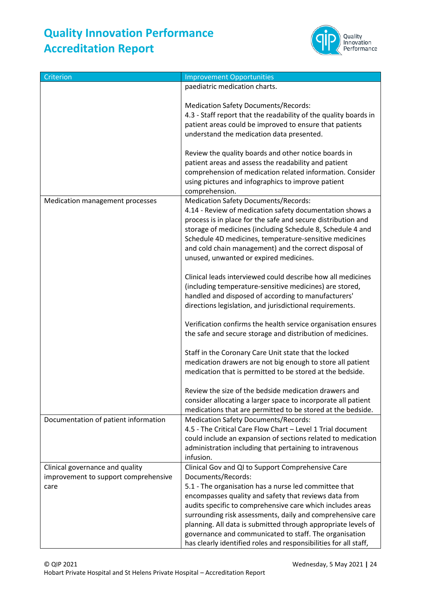

| Criterion                            | <b>Improvement Opportunities</b>                                                                                        |
|--------------------------------------|-------------------------------------------------------------------------------------------------------------------------|
|                                      | paediatric medication charts.                                                                                           |
|                                      |                                                                                                                         |
|                                      | <b>Medication Safety Documents/Records:</b>                                                                             |
|                                      | 4.3 - Staff report that the readability of the quality boards in                                                        |
|                                      | patient areas could be improved to ensure that patients                                                                 |
|                                      | understand the medication data presented.                                                                               |
|                                      |                                                                                                                         |
|                                      | Review the quality boards and other notice boards in                                                                    |
|                                      | patient areas and assess the readability and patient                                                                    |
|                                      | comprehension of medication related information. Consider                                                               |
|                                      | using pictures and infographics to improve patient                                                                      |
|                                      | comprehension.                                                                                                          |
| Medication management processes      | <b>Medication Safety Documents/Records:</b>                                                                             |
|                                      | 4.14 - Review of medication safety documentation shows a                                                                |
|                                      | process is in place for the safe and secure distribution and                                                            |
|                                      | storage of medicines (including Schedule 8, Schedule 4 and                                                              |
|                                      | Schedule 4D medicines, temperature-sensitive medicines                                                                  |
|                                      | and cold chain management) and the correct disposal of                                                                  |
|                                      | unused, unwanted or expired medicines.                                                                                  |
|                                      |                                                                                                                         |
|                                      | Clinical leads interviewed could describe how all medicines                                                             |
|                                      | (including temperature-sensitive medicines) are stored,                                                                 |
|                                      | handled and disposed of according to manufacturers'                                                                     |
|                                      | directions legislation, and jurisdictional requirements.                                                                |
|                                      |                                                                                                                         |
|                                      | Verification confirms the health service organisation ensures                                                           |
|                                      | the safe and secure storage and distribution of medicines.                                                              |
|                                      |                                                                                                                         |
|                                      | Staff in the Coronary Care Unit state that the locked                                                                   |
|                                      | medication drawers are not big enough to store all patient<br>medication that is permitted to be stored at the bedside. |
|                                      |                                                                                                                         |
|                                      | Review the size of the bedside medication drawers and                                                                   |
|                                      | consider allocating a larger space to incorporate all patient                                                           |
|                                      | medications that are permitted to be stored at the bedside.                                                             |
| Documentation of patient information | <b>Medication Safety Documents/Records:</b>                                                                             |
|                                      | 4.5 - The Critical Care Flow Chart - Level 1 Trial document                                                             |
|                                      | could include an expansion of sections related to medication                                                            |
|                                      | administration including that pertaining to intravenous                                                                 |
|                                      | infusion.                                                                                                               |
| Clinical governance and quality      | Clinical Gov and QI to Support Comprehensive Care                                                                       |
| improvement to support comprehensive | Documents/Records:                                                                                                      |
| care                                 | 5.1 - The organisation has a nurse led committee that                                                                   |
|                                      | encompasses quality and safety that reviews data from                                                                   |
|                                      | audits specific to comprehensive care which includes areas                                                              |
|                                      | surrounding risk assessments, daily and comprehensive care                                                              |
|                                      | planning. All data is submitted through appropriate levels of                                                           |
|                                      | governance and communicated to staff. The organisation                                                                  |
|                                      | has clearly identified roles and responsibilities for all staff,                                                        |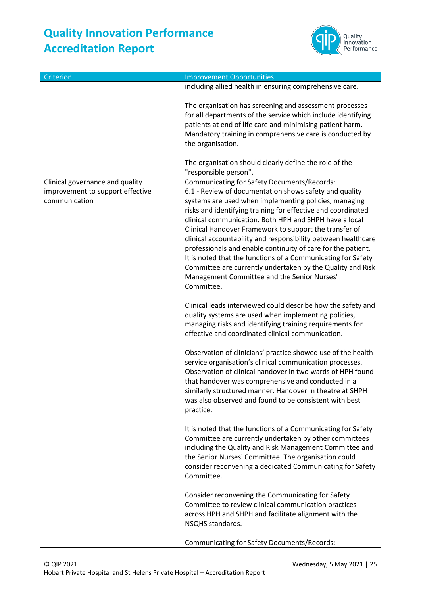

| Criterion                                                                            | <b>Improvement Opportunities</b>                                                                                                                                                                                                                                                                                                                                                                                                                                                                                                                                                                                                                                                      |
|--------------------------------------------------------------------------------------|---------------------------------------------------------------------------------------------------------------------------------------------------------------------------------------------------------------------------------------------------------------------------------------------------------------------------------------------------------------------------------------------------------------------------------------------------------------------------------------------------------------------------------------------------------------------------------------------------------------------------------------------------------------------------------------|
|                                                                                      | including allied health in ensuring comprehensive care.                                                                                                                                                                                                                                                                                                                                                                                                                                                                                                                                                                                                                               |
|                                                                                      | The organisation has screening and assessment processes<br>for all departments of the service which include identifying<br>patients at end of life care and minimising patient harm.<br>Mandatory training in comprehensive care is conducted by<br>the organisation.                                                                                                                                                                                                                                                                                                                                                                                                                 |
|                                                                                      | The organisation should clearly define the role of the<br>"responsible person".                                                                                                                                                                                                                                                                                                                                                                                                                                                                                                                                                                                                       |
| Clinical governance and quality<br>improvement to support effective<br>communication | <b>Communicating for Safety Documents/Records:</b><br>6.1 - Review of documentation shows safety and quality<br>systems are used when implementing policies, managing<br>risks and identifying training for effective and coordinated<br>clinical communication. Both HPH and SHPH have a local<br>Clinical Handover Framework to support the transfer of<br>clinical accountability and responsibility between healthcare<br>professionals and enable continuity of care for the patient.<br>It is noted that the functions of a Communicating for Safety<br>Committee are currently undertaken by the Quality and Risk<br>Management Committee and the Senior Nurses'<br>Committee. |
|                                                                                      | Clinical leads interviewed could describe how the safety and<br>quality systems are used when implementing policies,<br>managing risks and identifying training requirements for<br>effective and coordinated clinical communication.                                                                                                                                                                                                                                                                                                                                                                                                                                                 |
|                                                                                      | Observation of clinicians' practice showed use of the health<br>service organisation's clinical communication processes.<br>Observation of clinical handover in two wards of HPH found<br>that handover was comprehensive and conducted in a<br>similarly structured manner. Handover in theatre at SHPH<br>was also observed and found to be consistent with best<br>practice.                                                                                                                                                                                                                                                                                                       |
|                                                                                      | It is noted that the functions of a Communicating for Safety<br>Committee are currently undertaken by other committees<br>including the Quality and Risk Management Committee and<br>the Senior Nurses' Committee. The organisation could<br>consider reconvening a dedicated Communicating for Safety<br>Committee.                                                                                                                                                                                                                                                                                                                                                                  |
|                                                                                      | Consider reconvening the Communicating for Safety<br>Committee to review clinical communication practices<br>across HPH and SHPH and facilitate alignment with the<br>NSQHS standards.                                                                                                                                                                                                                                                                                                                                                                                                                                                                                                |
|                                                                                      | <b>Communicating for Safety Documents/Records:</b>                                                                                                                                                                                                                                                                                                                                                                                                                                                                                                                                                                                                                                    |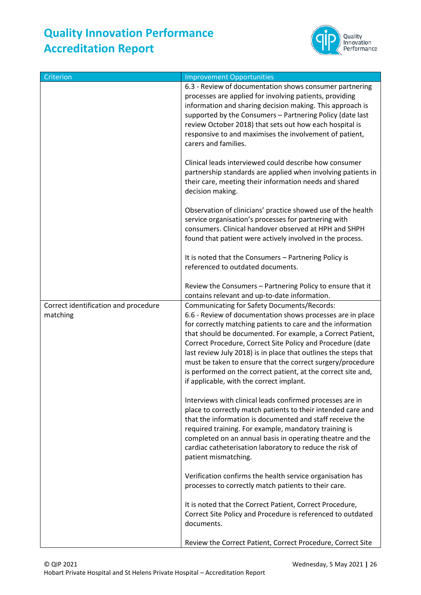

| Criterion                                        | <b>Improvement Opportunities</b>                                                                                                                                                                                                                                                                                                                                                                                                                                                                                                                          |
|--------------------------------------------------|-----------------------------------------------------------------------------------------------------------------------------------------------------------------------------------------------------------------------------------------------------------------------------------------------------------------------------------------------------------------------------------------------------------------------------------------------------------------------------------------------------------------------------------------------------------|
|                                                  | 6.3 - Review of documentation shows consumer partnering<br>processes are applied for involving patients, providing<br>information and sharing decision making. This approach is<br>supported by the Consumers - Partnering Policy (date last<br>review October 2018) that sets out how each hospital is<br>responsive to and maximises the involvement of patient,<br>carers and families.                                                                                                                                                                |
|                                                  | Clinical leads interviewed could describe how consumer<br>partnership standards are applied when involving patients in<br>their care, meeting their information needs and shared<br>decision making.                                                                                                                                                                                                                                                                                                                                                      |
|                                                  | Observation of clinicians' practice showed use of the health<br>service organisation's processes for partnering with<br>consumers. Clinical handover observed at HPH and SHPH<br>found that patient were actively involved in the process.                                                                                                                                                                                                                                                                                                                |
|                                                  | It is noted that the Consumers - Partnering Policy is<br>referenced to outdated documents.                                                                                                                                                                                                                                                                                                                                                                                                                                                                |
|                                                  | Review the Consumers - Partnering Policy to ensure that it<br>contains relevant and up-to-date information.                                                                                                                                                                                                                                                                                                                                                                                                                                               |
| Correct identification and procedure<br>matching | <b>Communicating for Safety Documents/Records:</b><br>6.6 - Review of documentation shows processes are in place<br>for correctly matching patients to care and the information<br>that should be documented. For example, a Correct Patient,<br>Correct Procedure, Correct Site Policy and Procedure (date<br>last review July 2018) is in place that outlines the steps that<br>must be taken to ensure that the correct surgery/procedure<br>is performed on the correct patient, at the correct site and,<br>if applicable, with the correct implant. |
|                                                  | Interviews with clinical leads confirmed processes are in<br>place to correctly match patients to their intended care and<br>that the information is documented and staff receive the<br>required training. For example, mandatory training is<br>completed on an annual basis in operating theatre and the<br>cardiac catheterisation laboratory to reduce the risk of<br>patient mismatching.                                                                                                                                                           |
|                                                  | Verification confirms the health service organisation has<br>processes to correctly match patients to their care.                                                                                                                                                                                                                                                                                                                                                                                                                                         |
|                                                  | It is noted that the Correct Patient, Correct Procedure,<br>Correct Site Policy and Procedure is referenced to outdated<br>documents.                                                                                                                                                                                                                                                                                                                                                                                                                     |
|                                                  | Review the Correct Patient, Correct Procedure, Correct Site                                                                                                                                                                                                                                                                                                                                                                                                                                                                                               |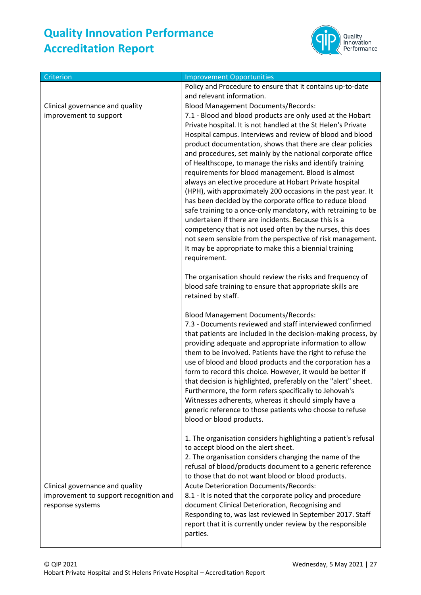

| Criterion                                                                                     | <b>Improvement Opportunities</b>                                                                                                                                                                                                                                                                                                                                                                                                                                                                                                                                                                                                                                                                                                                                                                                                                                                                                                                                                                                                                                                                               |
|-----------------------------------------------------------------------------------------------|----------------------------------------------------------------------------------------------------------------------------------------------------------------------------------------------------------------------------------------------------------------------------------------------------------------------------------------------------------------------------------------------------------------------------------------------------------------------------------------------------------------------------------------------------------------------------------------------------------------------------------------------------------------------------------------------------------------------------------------------------------------------------------------------------------------------------------------------------------------------------------------------------------------------------------------------------------------------------------------------------------------------------------------------------------------------------------------------------------------|
|                                                                                               | Policy and Procedure to ensure that it contains up-to-date                                                                                                                                                                                                                                                                                                                                                                                                                                                                                                                                                                                                                                                                                                                                                                                                                                                                                                                                                                                                                                                     |
|                                                                                               | and relevant information.                                                                                                                                                                                                                                                                                                                                                                                                                                                                                                                                                                                                                                                                                                                                                                                                                                                                                                                                                                                                                                                                                      |
| Clinical governance and quality                                                               | <b>Blood Management Documents/Records:</b>                                                                                                                                                                                                                                                                                                                                                                                                                                                                                                                                                                                                                                                                                                                                                                                                                                                                                                                                                                                                                                                                     |
| improvement to support                                                                        | 7.1 - Blood and blood products are only used at the Hobart<br>Private hospital. It is not handled at the St Helen's Private<br>Hospital campus. Interviews and review of blood and blood<br>product documentation, shows that there are clear policies<br>and procedures, set mainly by the national corporate office<br>of Healthscope, to manage the risks and identify training<br>requirements for blood management. Blood is almost<br>always an elective procedure at Hobart Private hospital<br>(HPH), with approximately 200 occasions in the past year. It<br>has been decided by the corporate office to reduce blood<br>safe training to a once-only mandatory, with retraining to be<br>undertaken if there are incidents. Because this is a<br>competency that is not used often by the nurses, this does<br>not seem sensible from the perspective of risk management.<br>It may be appropriate to make this a biennial training<br>requirement.<br>The organisation should review the risks and frequency of<br>blood safe training to ensure that appropriate skills are<br>retained by staff. |
|                                                                                               | <b>Blood Management Documents/Records:</b><br>7.3 - Documents reviewed and staff interviewed confirmed<br>that patients are included in the decision-making process, by<br>providing adequate and appropriate information to allow<br>them to be involved. Patients have the right to refuse the<br>use of blood and blood products and the corporation has a<br>form to record this choice. However, it would be better if<br>that decision is highlighted, preferably on the "alert" sheet.<br>Furthermore, the form refers specifically to Jehovah's<br>Witnesses adherents, whereas it should simply have a<br>generic reference to those patients who choose to refuse<br>blood or blood products.<br>1. The organisation considers highlighting a patient's refusal                                                                                                                                                                                                                                                                                                                                      |
|                                                                                               | to accept blood on the alert sheet.<br>2. The organisation considers changing the name of the<br>refusal of blood/products document to a generic reference<br>to those that do not want blood or blood products.                                                                                                                                                                                                                                                                                                                                                                                                                                                                                                                                                                                                                                                                                                                                                                                                                                                                                               |
| Clinical governance and quality<br>improvement to support recognition and<br>response systems | Acute Deterioration Documents/Records:<br>8.1 - It is noted that the corporate policy and procedure<br>document Clinical Deterioration, Recognising and<br>Responding to, was last reviewed in September 2017. Staff<br>report that it is currently under review by the responsible<br>parties.                                                                                                                                                                                                                                                                                                                                                                                                                                                                                                                                                                                                                                                                                                                                                                                                                |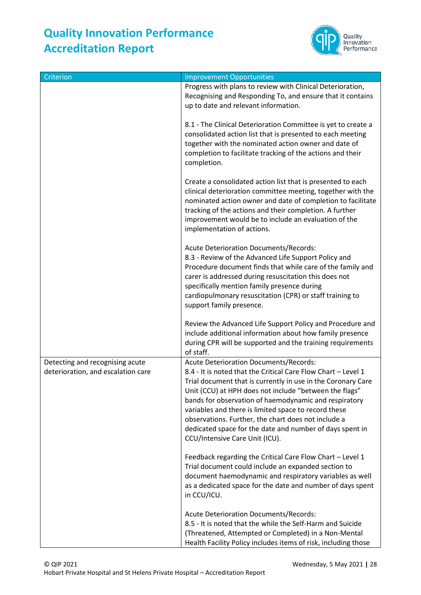

| Criterion                                                             | <b>Improvement Opportunities</b>                                                                                                                                                                                                                                                                                                                                                                                                                                                                               |
|-----------------------------------------------------------------------|----------------------------------------------------------------------------------------------------------------------------------------------------------------------------------------------------------------------------------------------------------------------------------------------------------------------------------------------------------------------------------------------------------------------------------------------------------------------------------------------------------------|
|                                                                       | Progress with plans to review with Clinical Deterioration,<br>Recognising and Responding To, and ensure that it contains<br>up to date and relevant information.                                                                                                                                                                                                                                                                                                                                               |
|                                                                       | 8.1 - The Clinical Deterioration Committee is yet to create a<br>consolidated action list that is presented to each meeting<br>together with the nominated action owner and date of<br>completion to facilitate tracking of the actions and their<br>completion.                                                                                                                                                                                                                                               |
|                                                                       | Create a consolidated action list that is presented to each<br>clinical deterioration committee meeting, together with the<br>nominated action owner and date of completion to facilitate<br>tracking of the actions and their completion. A further<br>improvement would be to include an evaluation of the<br>implementation of actions.                                                                                                                                                                     |
|                                                                       | Acute Deterioration Documents/Records:<br>8.3 - Review of the Advanced Life Support Policy and<br>Procedure document finds that while care of the family and<br>carer is addressed during resuscitation this does not<br>specifically mention family presence during<br>cardiopulmonary resuscitation (CPR) or staff training to<br>support family presence.                                                                                                                                                   |
|                                                                       | Review the Advanced Life Support Policy and Procedure and<br>include additional information about how family presence<br>during CPR will be supported and the training requirements<br>of staff.                                                                                                                                                                                                                                                                                                               |
| Detecting and recognising acute<br>deterioration, and escalation care | <b>Acute Deterioration Documents/Records:</b><br>8.4 - It is noted that the Critical Care Flow Chart - Level 1<br>Trial document that is currently in use in the Coronary Care<br>Unit (CCU) at HPH does not include "between the flags"<br>bands for observation of haemodynamic and respiratory<br>variables and there is limited space to record these<br>observations. Further, the chart does not include a<br>dedicated space for the date and number of days spent in<br>CCU/Intensive Care Unit (ICU). |
|                                                                       | Feedback regarding the Critical Care Flow Chart - Level 1<br>Trial document could include an expanded section to<br>document haemodynamic and respiratory variables as well<br>as a dedicated space for the date and number of days spent<br>in CCU/ICU.                                                                                                                                                                                                                                                       |
|                                                                       | <b>Acute Deterioration Documents/Records:</b><br>8.5 - It is noted that the while the Self-Harm and Suicide<br>(Threatened, Attempted or Completed) in a Non-Mental<br>Health Facility Policy includes items of risk, including those                                                                                                                                                                                                                                                                          |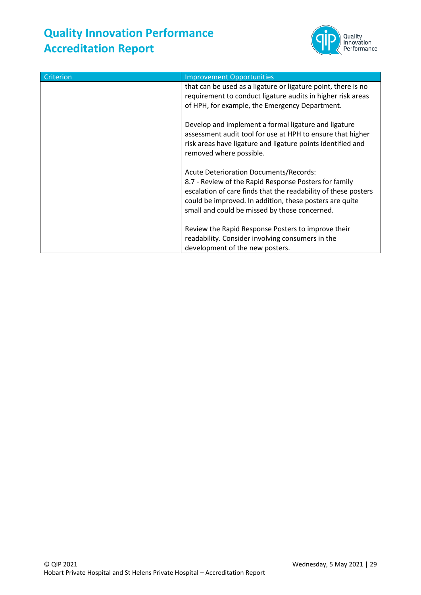

| Criterion | <b>Improvement Opportunities</b>                                                                                                                                                                                                                                                     |
|-----------|--------------------------------------------------------------------------------------------------------------------------------------------------------------------------------------------------------------------------------------------------------------------------------------|
|           | that can be used as a ligature or ligature point, there is no<br>requirement to conduct ligature audits in higher risk areas<br>of HPH, for example, the Emergency Department.                                                                                                       |
|           | Develop and implement a formal ligature and ligature<br>assessment audit tool for use at HPH to ensure that higher<br>risk areas have ligature and ligature points identified and<br>removed where possible.                                                                         |
|           | <b>Acute Deterioration Documents/Records:</b><br>8.7 - Review of the Rapid Response Posters for family<br>escalation of care finds that the readability of these posters<br>could be improved. In addition, these posters are quite<br>small and could be missed by those concerned. |
|           | Review the Rapid Response Posters to improve their<br>readability. Consider involving consumers in the<br>development of the new posters.                                                                                                                                            |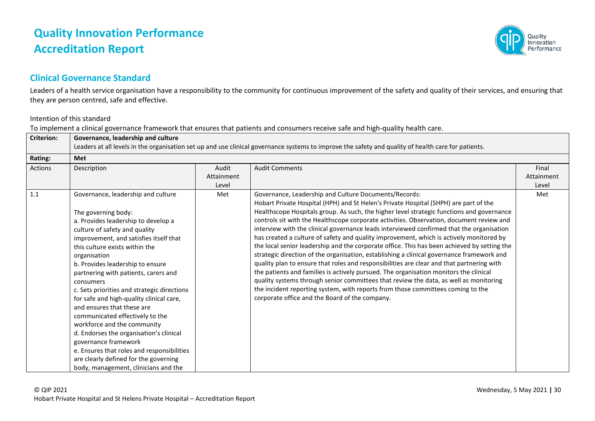# Innovation Performance

#### **Clinical Governance Standard**

Leaders of a health service organisation have a responsibility to the community for continuous improvement of the safety and quality of their services, and ensuring that they are person centred, safe and effective.

#### Intention of this standard

To implement a clinical governance framework that ensures that patients and consumers receive safe and high-quality health care.

| <b>Criterion:</b> | Governance, leadership and culture<br>Leaders at all levels in the organisation set up and use clinical governance systems to improve the safety and quality of health care for patients.                                                                                                                                                                                                                                                                                                                                                                                                                                                                                                                           |                              |                                                                                                                                                                                                                                                                                                                                                                                                                                                                                                                                                                                                                                                                                                                                                                                                                                                                                                                                                                                                                                                                                                                                               |                              |  |
|-------------------|---------------------------------------------------------------------------------------------------------------------------------------------------------------------------------------------------------------------------------------------------------------------------------------------------------------------------------------------------------------------------------------------------------------------------------------------------------------------------------------------------------------------------------------------------------------------------------------------------------------------------------------------------------------------------------------------------------------------|------------------------------|-----------------------------------------------------------------------------------------------------------------------------------------------------------------------------------------------------------------------------------------------------------------------------------------------------------------------------------------------------------------------------------------------------------------------------------------------------------------------------------------------------------------------------------------------------------------------------------------------------------------------------------------------------------------------------------------------------------------------------------------------------------------------------------------------------------------------------------------------------------------------------------------------------------------------------------------------------------------------------------------------------------------------------------------------------------------------------------------------------------------------------------------------|------------------------------|--|
| Rating:           | Met                                                                                                                                                                                                                                                                                                                                                                                                                                                                                                                                                                                                                                                                                                                 |                              |                                                                                                                                                                                                                                                                                                                                                                                                                                                                                                                                                                                                                                                                                                                                                                                                                                                                                                                                                                                                                                                                                                                                               |                              |  |
| Actions           | Description                                                                                                                                                                                                                                                                                                                                                                                                                                                                                                                                                                                                                                                                                                         | Audit<br>Attainment<br>Level | <b>Audit Comments</b>                                                                                                                                                                                                                                                                                                                                                                                                                                                                                                                                                                                                                                                                                                                                                                                                                                                                                                                                                                                                                                                                                                                         | Final<br>Attainment<br>Level |  |
| 1.1               | Governance, leadership and culture<br>The governing body:<br>a. Provides leadership to develop a<br>culture of safety and quality<br>improvement, and satisfies itself that<br>this culture exists within the<br>organisation<br>b. Provides leadership to ensure<br>partnering with patients, carers and<br>consumers<br>c. Sets priorities and strategic directions<br>for safe and high-quality clinical care,<br>and ensures that these are<br>communicated effectively to the<br>workforce and the community<br>d. Endorses the organisation's clinical<br>governance framework<br>e. Ensures that roles and responsibilities<br>are clearly defined for the governing<br>body, management, clinicians and the | Met                          | Governance, Leadership and Culture Documents/Records:<br>Hobart Private Hospital (HPH) and St Helen's Private Hospital (SHPH) are part of the<br>Healthscope Hospitals group. As such, the higher level strategic functions and governance<br>controls sit with the Healthscope corporate activities. Observation, document review and<br>interview with the clinical governance leads interviewed confirmed that the organisation<br>has created a culture of safety and quality improvement, which is actively monitored by<br>the local senior leadership and the corporate office. This has been achieved by setting the<br>strategic direction of the organisation, establishing a clinical governance framework and<br>quality plan to ensure that roles and responsibilities are clear and that partnering with<br>the patients and families is actively pursued. The organisation monitors the clinical<br>quality systems through senior committees that review the data, as well as monitoring<br>the incident reporting system, with reports from those committees coming to the<br>corporate office and the Board of the company. | Met                          |  |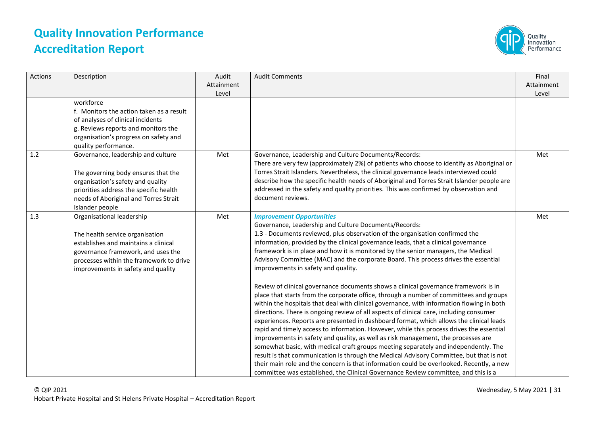

| Actions | Description                                                                                                                                                                                                                 | Audit<br>Attainment<br>Level | <b>Audit Comments</b>                                                                                                                                                                                                                                                                                                                                                                                                                                                                                                                                                                                                                                                                                                                                                                                                                                                                                                                                                                                                                                                                                                                                                                                                                                                                                                                                                                                                                                                                                       | Final<br>Attainment<br>Level |
|---------|-----------------------------------------------------------------------------------------------------------------------------------------------------------------------------------------------------------------------------|------------------------------|-------------------------------------------------------------------------------------------------------------------------------------------------------------------------------------------------------------------------------------------------------------------------------------------------------------------------------------------------------------------------------------------------------------------------------------------------------------------------------------------------------------------------------------------------------------------------------------------------------------------------------------------------------------------------------------------------------------------------------------------------------------------------------------------------------------------------------------------------------------------------------------------------------------------------------------------------------------------------------------------------------------------------------------------------------------------------------------------------------------------------------------------------------------------------------------------------------------------------------------------------------------------------------------------------------------------------------------------------------------------------------------------------------------------------------------------------------------------------------------------------------------|------------------------------|
|         | workforce<br>f. Monitors the action taken as a result<br>of analyses of clinical incidents<br>g. Reviews reports and monitors the<br>organisation's progress on safety and<br>quality performance.                          |                              |                                                                                                                                                                                                                                                                                                                                                                                                                                                                                                                                                                                                                                                                                                                                                                                                                                                                                                                                                                                                                                                                                                                                                                                                                                                                                                                                                                                                                                                                                                             |                              |
| 1.2     | Governance, leadership and culture<br>The governing body ensures that the<br>organisation's safety and quality<br>priorities address the specific health<br>needs of Aboriginal and Torres Strait<br>Islander people        | Met                          | Governance, Leadership and Culture Documents/Records:<br>There are very few (approximately 2%) of patients who choose to identify as Aboriginal or<br>Torres Strait Islanders. Nevertheless, the clinical governance leads interviewed could<br>describe how the specific health needs of Aboriginal and Torres Strait Islander people are<br>addressed in the safety and quality priorities. This was confirmed by observation and<br>document reviews.                                                                                                                                                                                                                                                                                                                                                                                                                                                                                                                                                                                                                                                                                                                                                                                                                                                                                                                                                                                                                                                    | Met                          |
| 1.3     | Organisational leadership<br>The health service organisation<br>establishes and maintains a clinical<br>governance framework, and uses the<br>processes within the framework to drive<br>improvements in safety and quality | Met                          | <b>Improvement Opportunities</b><br>Governance, Leadership and Culture Documents/Records:<br>1.3 - Documents reviewed, plus observation of the organisation confirmed the<br>information, provided by the clinical governance leads, that a clinical governance<br>framework is in place and how it is monitored by the senior managers, the Medical<br>Advisory Committee (MAC) and the corporate Board. This process drives the essential<br>improvements in safety and quality.<br>Review of clinical governance documents shows a clinical governance framework is in<br>place that starts from the corporate office, through a number of committees and groups<br>within the hospitals that deal with clinical governance, with information flowing in both<br>directions. There is ongoing review of all aspects of clinical care, including consumer<br>experiences. Reports are presented in dashboard format, which allows the clinical leads<br>rapid and timely access to information. However, while this process drives the essential<br>improvements in safety and quality, as well as risk management, the processes are<br>somewhat basic, with medical craft groups meeting separately and independently. The<br>result is that communication is through the Medical Advisory Committee, but that is not<br>their main role and the concern is that information could be overlooked. Recently, a new<br>committee was established, the Clinical Governance Review committee, and this is a | Met                          |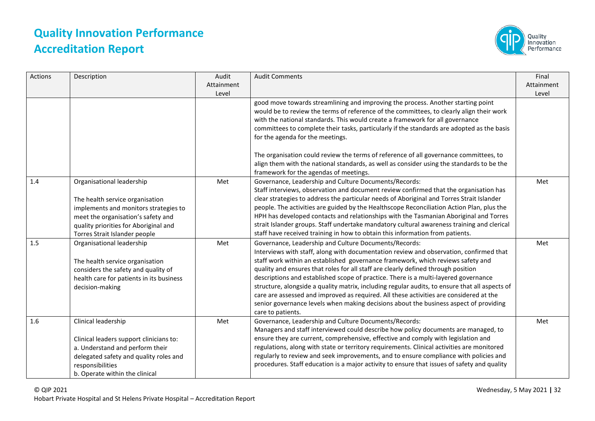

| Actions | Description                                                                                                                                                                                                           | Audit<br>Attainment<br>Level | <b>Audit Comments</b>                                                                                                                                                                                                                                                                                                                                                                                                                                                                                                                                                                                                                                                                                                    | Final<br>Attainment<br>Level |
|---------|-----------------------------------------------------------------------------------------------------------------------------------------------------------------------------------------------------------------------|------------------------------|--------------------------------------------------------------------------------------------------------------------------------------------------------------------------------------------------------------------------------------------------------------------------------------------------------------------------------------------------------------------------------------------------------------------------------------------------------------------------------------------------------------------------------------------------------------------------------------------------------------------------------------------------------------------------------------------------------------------------|------------------------------|
|         |                                                                                                                                                                                                                       |                              | good move towards streamlining and improving the process. Another starting point<br>would be to review the terms of reference of the committees, to clearly align their work<br>with the national standards. This would create a framework for all governance<br>committees to complete their tasks, particularly if the standards are adopted as the basis<br>for the agenda for the meetings.                                                                                                                                                                                                                                                                                                                          |                              |
|         |                                                                                                                                                                                                                       |                              | The organisation could review the terms of reference of all governance committees, to<br>align them with the national standards, as well as consider using the standards to be the<br>framework for the agendas of meetings.                                                                                                                                                                                                                                                                                                                                                                                                                                                                                             |                              |
| 1.4     | Organisational leadership<br>The health service organisation<br>implements and monitors strategies to<br>meet the organisation's safety and<br>quality priorities for Aboriginal and<br>Torres Strait Islander people | Met                          | Governance, Leadership and Culture Documents/Records:<br>Staff interviews, observation and document review confirmed that the organisation has<br>clear strategies to address the particular needs of Aboriginal and Torres Strait Islander<br>people. The activities are guided by the Healthscope Reconciliation Action Plan, plus the<br>HPH has developed contacts and relationships with the Tasmanian Aboriginal and Torres<br>strait Islander groups. Staff undertake mandatory cultural awareness training and clerical<br>staff have received training in how to obtain this information from patients.                                                                                                         | Met                          |
| 1.5     | Organisational leadership<br>The health service organisation<br>considers the safety and quality of<br>health care for patients in its business<br>decision-making                                                    | Met                          | Governance, Leadership and Culture Documents/Records:<br>Interviews with staff, along with documentation review and observation, confirmed that<br>staff work within an established governance framework, which reviews safety and<br>quality and ensures that roles for all staff are clearly defined through position<br>descriptions and established scope of practice. There is a multi-layered governance<br>structure, alongside a quality matrix, including regular audits, to ensure that all aspects of<br>care are assessed and improved as required. All these activities are considered at the<br>senior governance levels when making decisions about the business aspect of providing<br>care to patients. | Met                          |
| 1.6     | Clinical leadership<br>Clinical leaders support clinicians to:<br>a. Understand and perform their<br>delegated safety and quality roles and<br>responsibilities<br>b. Operate within the clinical                     | Met                          | Governance, Leadership and Culture Documents/Records:<br>Managers and staff interviewed could describe how policy documents are managed, to<br>ensure they are current, comprehensive, effective and comply with legislation and<br>regulations, along with state or territory requirements. Clinical activities are monitored<br>regularly to review and seek improvements, and to ensure compliance with policies and<br>procedures. Staff education is a major activity to ensure that issues of safety and quality                                                                                                                                                                                                   | Met                          |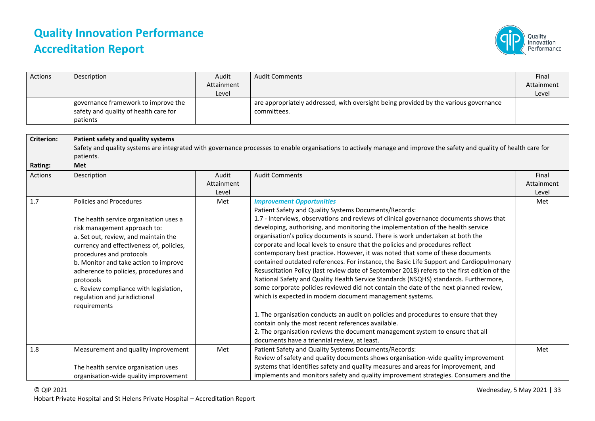

| Actions           | Description                              | Audit      | <b>Audit Comments</b>                                                                                                                                                | Final      |  |  |  |
|-------------------|------------------------------------------|------------|----------------------------------------------------------------------------------------------------------------------------------------------------------------------|------------|--|--|--|
|                   |                                          | Attainment |                                                                                                                                                                      | Attainment |  |  |  |
|                   |                                          | Level      |                                                                                                                                                                      | Level      |  |  |  |
|                   | governance framework to improve the      |            | are appropriately addressed, with oversight being provided by the various governance                                                                                 |            |  |  |  |
|                   | safety and quality of health care for    |            | committees.                                                                                                                                                          |            |  |  |  |
|                   | patients                                 |            |                                                                                                                                                                      |            |  |  |  |
|                   |                                          |            |                                                                                                                                                                      |            |  |  |  |
| <b>Criterion:</b> | Patient safety and quality systems       |            |                                                                                                                                                                      |            |  |  |  |
|                   |                                          |            | Safety and quality systems are integrated with governance processes to enable organisations to actively manage and improve the safety and quality of health care for |            |  |  |  |
|                   | patients.                                |            |                                                                                                                                                                      |            |  |  |  |
| Rating:           | Met                                      |            |                                                                                                                                                                      |            |  |  |  |
| Actions           | Description                              | Audit      | <b>Audit Comments</b>                                                                                                                                                | Final      |  |  |  |
|                   |                                          | Attainment |                                                                                                                                                                      | Attainment |  |  |  |
|                   |                                          | Level      |                                                                                                                                                                      | Level      |  |  |  |
| 1.7               | Policies and Procedures                  | Met        | <b>Improvement Opportunities</b>                                                                                                                                     | Met        |  |  |  |
|                   |                                          |            | Patient Safety and Quality Systems Documents/Records:                                                                                                                |            |  |  |  |
|                   | The health service organisation uses a   |            | 1.7 - Interviews, observations and reviews of clinical governance documents shows that                                                                               |            |  |  |  |
|                   | risk management approach to:             |            | developing, authorising, and monitoring the implementation of the health service                                                                                     |            |  |  |  |
|                   | a. Set out, review, and maintain the     |            | organisation's policy documents is sound. There is work undertaken at both the                                                                                       |            |  |  |  |
|                   | currency and effectiveness of, policies, |            | corporate and local levels to ensure that the policies and procedures reflect                                                                                        |            |  |  |  |
|                   | procedures and protocols                 |            | contemporary best practice. However, it was noted that some of these documents                                                                                       |            |  |  |  |
|                   | b. Monitor and take action to improve    |            | contained outdated references. For instance, the Basic Life Support and Cardiopulmonary                                                                              |            |  |  |  |
|                   | adherence to policies, procedures and    |            | Resuscitation Policy (last review date of September 2018) refers to the first edition of the                                                                         |            |  |  |  |
|                   | protocols                                |            | National Safety and Quality Health Service Standards (NSQHS) standards. Furthermore,                                                                                 |            |  |  |  |
|                   | c. Review compliance with legislation,   |            | some corporate policies reviewed did not contain the date of the next planned review,                                                                                |            |  |  |  |
|                   | regulation and jurisdictional            |            | which is expected in modern document management systems.                                                                                                             |            |  |  |  |
|                   | requirements                             |            |                                                                                                                                                                      |            |  |  |  |
|                   |                                          |            | 1. The organisation conducts an audit on policies and procedures to ensure that they                                                                                 |            |  |  |  |
|                   |                                          |            | contain only the most recent references available.                                                                                                                   |            |  |  |  |
|                   |                                          |            | 2. The organisation reviews the document management system to ensure that all                                                                                        |            |  |  |  |
|                   |                                          |            | documents have a triennial review, at least.                                                                                                                         |            |  |  |  |
| 1.8               | Measurement and quality improvement      | Met        | Patient Safety and Quality Systems Documents/Records:                                                                                                                | Met        |  |  |  |
|                   |                                          |            | Review of safety and quality documents shows organisation-wide quality improvement                                                                                   |            |  |  |  |
|                   | The health service organisation uses     |            | systems that identifies safety and quality measures and areas for improvement, and                                                                                   |            |  |  |  |
|                   | organisation-wide quality improvement    |            | implements and monitors safety and quality improvement strategies. Consumers and the                                                                                 |            |  |  |  |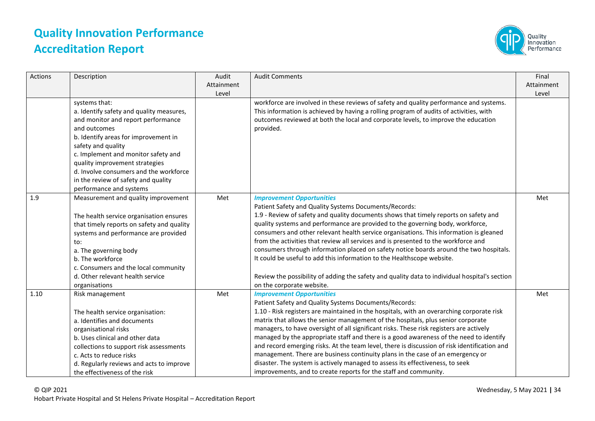

| <b>Actions</b> | Description                                                                                                                                                                                                                                                                                                                                                        | Audit<br>Attainment<br>Level | <b>Audit Comments</b>                                                                                                                                                                                                                                                                                                                                                                                                                                                                                                                                                                                                                                                                                                                                                                                  | Final<br>Attainment<br>Level |
|----------------|--------------------------------------------------------------------------------------------------------------------------------------------------------------------------------------------------------------------------------------------------------------------------------------------------------------------------------------------------------------------|------------------------------|--------------------------------------------------------------------------------------------------------------------------------------------------------------------------------------------------------------------------------------------------------------------------------------------------------------------------------------------------------------------------------------------------------------------------------------------------------------------------------------------------------------------------------------------------------------------------------------------------------------------------------------------------------------------------------------------------------------------------------------------------------------------------------------------------------|------------------------------|
|                | systems that:<br>a. Identify safety and quality measures,<br>and monitor and report performance<br>and outcomes<br>b. Identify areas for improvement in<br>safety and quality<br>c. Implement and monitor safety and<br>quality improvement strategies<br>d. Involve consumers and the workforce<br>in the review of safety and quality<br>performance and systems |                              | workforce are involved in these reviews of safety and quality performance and systems.<br>This information is achieved by having a rolling program of audits of activities, with<br>outcomes reviewed at both the local and corporate levels, to improve the education<br>provided.                                                                                                                                                                                                                                                                                                                                                                                                                                                                                                                    |                              |
| 1.9            | Measurement and quality improvement<br>The health service organisation ensures<br>that timely reports on safety and quality<br>systems and performance are provided<br>to:<br>a. The governing body<br>b. The workforce<br>c. Consumers and the local community<br>d. Other relevant health service<br>organisations                                               | Met                          | <b>Improvement Opportunities</b><br>Patient Safety and Quality Systems Documents/Records:<br>1.9 - Review of safety and quality documents shows that timely reports on safety and<br>quality systems and performance are provided to the governing body, workforce,<br>consumers and other relevant health service organisations. This information is gleaned<br>from the activities that review all services and is presented to the workforce and<br>consumers through information placed on safety notice boards around the two hospitals.<br>It could be useful to add this information to the Healthscope website.<br>Review the possibility of adding the safety and quality data to individual hospital's section<br>on the corporate website.                                                  | Met                          |
| 1.10           | Risk management<br>The health service organisation:<br>a. Identifies and documents<br>organisational risks<br>b. Uses clinical and other data<br>collections to support risk assessments<br>c. Acts to reduce risks<br>d. Regularly reviews and acts to improve<br>the effectiveness of the risk                                                                   | Met                          | <b>Improvement Opportunities</b><br>Patient Safety and Quality Systems Documents/Records:<br>1.10 - Risk registers are maintained in the hospitals, with an overarching corporate risk<br>matrix that allows the senior management of the hospitals, plus senior corporate<br>managers, to have oversight of all significant risks. These risk registers are actively<br>managed by the appropriate staff and there is a good awareness of the need to identify<br>and record emerging risks. At the team level, there is discussion of risk identification and<br>management. There are business continuity plans in the case of an emergency or<br>disaster. The system is actively managed to assess its effectiveness, to seek<br>improvements, and to create reports for the staff and community. | Met                          |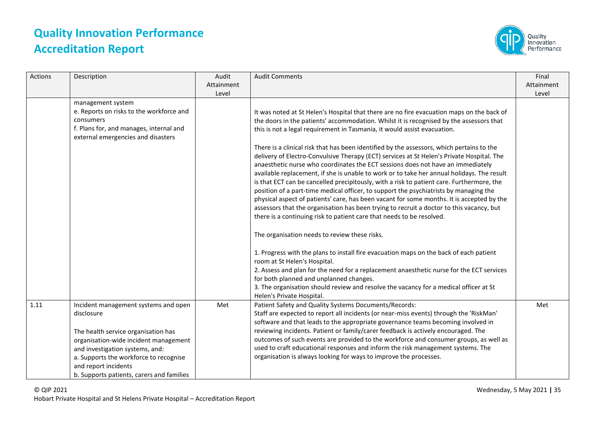

| Actions | Description                                                                                                                                                                                                                                                                          | Audit<br>Attainment<br>Level | <b>Audit Comments</b>                                                                                                                                                                                                                                                                                                                                                                                                                                                                                                                                                                                                                                                                                                                                                                                                                                                                                                                                                                                                                                                                                                                                                                                                                                                          | Final<br>Attainment<br>Level |
|---------|--------------------------------------------------------------------------------------------------------------------------------------------------------------------------------------------------------------------------------------------------------------------------------------|------------------------------|--------------------------------------------------------------------------------------------------------------------------------------------------------------------------------------------------------------------------------------------------------------------------------------------------------------------------------------------------------------------------------------------------------------------------------------------------------------------------------------------------------------------------------------------------------------------------------------------------------------------------------------------------------------------------------------------------------------------------------------------------------------------------------------------------------------------------------------------------------------------------------------------------------------------------------------------------------------------------------------------------------------------------------------------------------------------------------------------------------------------------------------------------------------------------------------------------------------------------------------------------------------------------------|------------------------------|
|         | management system<br>e. Reports on risks to the workforce and<br>consumers<br>f. Plans for, and manages, internal and<br>external emergencies and disasters                                                                                                                          |                              | It was noted at St Helen's Hospital that there are no fire evacuation maps on the back of<br>the doors in the patients' accommodation. Whilst it is recognised by the assessors that<br>this is not a legal requirement in Tasmania, it would assist evacuation.<br>There is a clinical risk that has been identified by the assessors, which pertains to the<br>delivery of Electro-Convulsive Therapy (ECT) services at St Helen's Private Hospital. The<br>anaesthetic nurse who coordinates the ECT sessions does not have an immediately<br>available replacement, if she is unable to work or to take her annual holidays. The result<br>is that ECT can be cancelled precipitously, with a risk to patient care. Furthermore, the<br>position of a part-time medical officer, to support the psychiatrists by managing the<br>physical aspect of patients' care, has been vacant for some months. It is accepted by the<br>assessors that the organisation has been trying to recruit a doctor to this vacancy, but<br>there is a continuing risk to patient care that needs to be resolved.<br>The organisation needs to review these risks.<br>1. Progress with the plans to install fire evacuation maps on the back of each patient<br>room at St Helen's Hospital. |                              |
|         |                                                                                                                                                                                                                                                                                      |                              | 2. Assess and plan for the need for a replacement anaesthetic nurse for the ECT services<br>for both planned and unplanned changes.<br>3. The organisation should review and resolve the vacancy for a medical officer at St<br>Helen's Private Hospital.                                                                                                                                                                                                                                                                                                                                                                                                                                                                                                                                                                                                                                                                                                                                                                                                                                                                                                                                                                                                                      |                              |
| 1.11    | Incident management systems and open<br>disclosure<br>The health service organisation has<br>organisation-wide incident management<br>and investigation systems, and:<br>a. Supports the workforce to recognise<br>and report incidents<br>b. Supports patients, carers and families | Met                          | Patient Safety and Quality Systems Documents/Records:<br>Staff are expected to report all incidents (or near-miss events) through the 'RiskMan'<br>software and that leads to the appropriate governance teams becoming involved in<br>reviewing incidents. Patient or family/carer feedback is actively encouraged. The<br>outcomes of such events are provided to the workforce and consumer groups, as well as<br>used to craft educational responses and inform the risk management systems. The<br>organisation is always looking for ways to improve the processes.                                                                                                                                                                                                                                                                                                                                                                                                                                                                                                                                                                                                                                                                                                      | Met                          |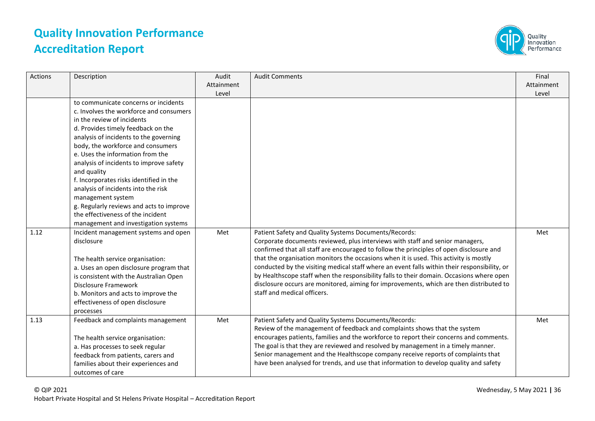

| Actions | Description                                                                                                                                                                                                                                                                                                                                                                                                                                                                                                                                                      | Audit<br>Attainment<br>Level | <b>Audit Comments</b>                                                                                                                                                                                                                                                                                                                                                                                                                                                                                                                                                                                                                            | Final<br>Attainment<br>Level |
|---------|------------------------------------------------------------------------------------------------------------------------------------------------------------------------------------------------------------------------------------------------------------------------------------------------------------------------------------------------------------------------------------------------------------------------------------------------------------------------------------------------------------------------------------------------------------------|------------------------------|--------------------------------------------------------------------------------------------------------------------------------------------------------------------------------------------------------------------------------------------------------------------------------------------------------------------------------------------------------------------------------------------------------------------------------------------------------------------------------------------------------------------------------------------------------------------------------------------------------------------------------------------------|------------------------------|
|         | to communicate concerns or incidents<br>c. Involves the workforce and consumers<br>in the review of incidents<br>d. Provides timely feedback on the<br>analysis of incidents to the governing<br>body, the workforce and consumers<br>e. Uses the information from the<br>analysis of incidents to improve safety<br>and quality<br>f. Incorporates risks identified in the<br>analysis of incidents into the risk<br>management system<br>g. Regularly reviews and acts to improve<br>the effectiveness of the incident<br>management and investigation systems |                              |                                                                                                                                                                                                                                                                                                                                                                                                                                                                                                                                                                                                                                                  |                              |
| 1.12    | Incident management systems and open<br>disclosure<br>The health service organisation:<br>a. Uses an open disclosure program that<br>is consistent with the Australian Open<br><b>Disclosure Framework</b><br>b. Monitors and acts to improve the<br>effectiveness of open disclosure<br>processes                                                                                                                                                                                                                                                               | Met                          | Patient Safety and Quality Systems Documents/Records:<br>Corporate documents reviewed, plus interviews with staff and senior managers,<br>confirmed that all staff are encouraged to follow the principles of open disclosure and<br>that the organisation monitors the occasions when it is used. This activity is mostly<br>conducted by the visiting medical staff where an event falls within their responsibility, or<br>by Healthscope staff when the responsibility falls to their domain. Occasions where open<br>disclosure occurs are monitored, aiming for improvements, which are then distributed to<br>staff and medical officers. | Met                          |
| 1.13    | Feedback and complaints management<br>The health service organisation:<br>a. Has processes to seek regular<br>feedback from patients, carers and<br>families about their experiences and<br>outcomes of care                                                                                                                                                                                                                                                                                                                                                     | Met                          | Patient Safety and Quality Systems Documents/Records:<br>Review of the management of feedback and complaints shows that the system<br>encourages patients, families and the workforce to report their concerns and comments.<br>The goal is that they are reviewed and resolved by management in a timely manner.<br>Senior management and the Healthscope company receive reports of complaints that<br>have been analysed for trends, and use that information to develop quality and safety                                                                                                                                                   | Met                          |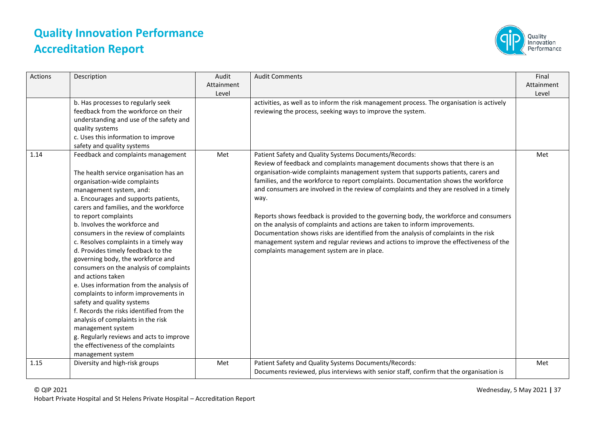

| <b>Actions</b> | Description                                                                                                                                                                                                                                                                                                                                                                                                                                                                                                                                                                                                                                                                                                                                                                                                                                       | Audit<br>Attainment<br>Level | <b>Audit Comments</b>                                                                                                                                                                                                                                                                                                                                                                                                                                                                                                                                                                                                                                                                                                                                                                                                         | Final<br>Attainment<br>Level |
|----------------|---------------------------------------------------------------------------------------------------------------------------------------------------------------------------------------------------------------------------------------------------------------------------------------------------------------------------------------------------------------------------------------------------------------------------------------------------------------------------------------------------------------------------------------------------------------------------------------------------------------------------------------------------------------------------------------------------------------------------------------------------------------------------------------------------------------------------------------------------|------------------------------|-------------------------------------------------------------------------------------------------------------------------------------------------------------------------------------------------------------------------------------------------------------------------------------------------------------------------------------------------------------------------------------------------------------------------------------------------------------------------------------------------------------------------------------------------------------------------------------------------------------------------------------------------------------------------------------------------------------------------------------------------------------------------------------------------------------------------------|------------------------------|
|                | b. Has processes to regularly seek<br>feedback from the workforce on their<br>understanding and use of the safety and<br>quality systems<br>c. Uses this information to improve<br>safety and quality systems                                                                                                                                                                                                                                                                                                                                                                                                                                                                                                                                                                                                                                     |                              | activities, as well as to inform the risk management process. The organisation is actively<br>reviewing the process, seeking ways to improve the system.                                                                                                                                                                                                                                                                                                                                                                                                                                                                                                                                                                                                                                                                      |                              |
| 1.14           | Feedback and complaints management<br>The health service organisation has an<br>organisation-wide complaints<br>management system, and:<br>a. Encourages and supports patients,<br>carers and families, and the workforce<br>to report complaints<br>b. Involves the workforce and<br>consumers in the review of complaints<br>c. Resolves complaints in a timely way<br>d. Provides timely feedback to the<br>governing body, the workforce and<br>consumers on the analysis of complaints<br>and actions taken<br>e. Uses information from the analysis of<br>complaints to inform improvements in<br>safety and quality systems<br>f. Records the risks identified from the<br>analysis of complaints in the risk<br>management system<br>g. Regularly reviews and acts to improve<br>the effectiveness of the complaints<br>management system | Met                          | Patient Safety and Quality Systems Documents/Records:<br>Review of feedback and complaints management documents shows that there is an<br>organisation-wide complaints management system that supports patients, carers and<br>families, and the workforce to report complaints. Documentation shows the workforce<br>and consumers are involved in the review of complaints and they are resolved in a timely<br>way.<br>Reports shows feedback is provided to the governing body, the workforce and consumers<br>on the analysis of complaints and actions are taken to inform improvements.<br>Documentation shows risks are identified from the analysis of complaints in the risk<br>management system and regular reviews and actions to improve the effectiveness of the<br>complaints management system are in place. | Met                          |
| 1.15           | Diversity and high-risk groups                                                                                                                                                                                                                                                                                                                                                                                                                                                                                                                                                                                                                                                                                                                                                                                                                    | Met                          | Patient Safety and Quality Systems Documents/Records:<br>Documents reviewed, plus interviews with senior staff, confirm that the organisation is                                                                                                                                                                                                                                                                                                                                                                                                                                                                                                                                                                                                                                                                              | Met                          |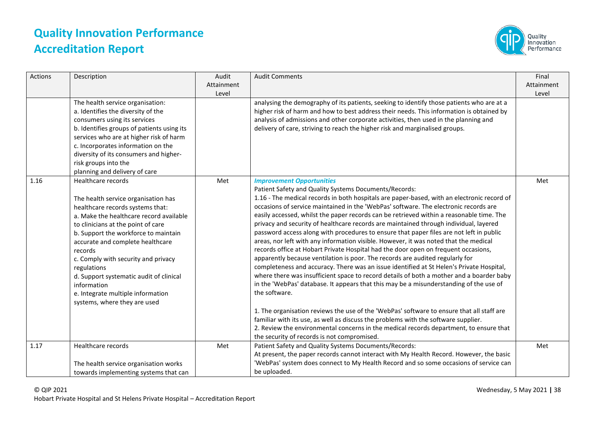

| Actions | Description                                                                                                                                                                                                                                                                                                                                                                                                                                                | Audit<br>Attainment<br>Level | <b>Audit Comments</b>                                                                                                                                                                                                                                                                                                                                                                                                                                                                                                                                                                                                                                                                                                                                                                                                                                                                                                                                                                                                                                                                                                             | Final<br>Attainment<br>Level |
|---------|------------------------------------------------------------------------------------------------------------------------------------------------------------------------------------------------------------------------------------------------------------------------------------------------------------------------------------------------------------------------------------------------------------------------------------------------------------|------------------------------|-----------------------------------------------------------------------------------------------------------------------------------------------------------------------------------------------------------------------------------------------------------------------------------------------------------------------------------------------------------------------------------------------------------------------------------------------------------------------------------------------------------------------------------------------------------------------------------------------------------------------------------------------------------------------------------------------------------------------------------------------------------------------------------------------------------------------------------------------------------------------------------------------------------------------------------------------------------------------------------------------------------------------------------------------------------------------------------------------------------------------------------|------------------------------|
|         | The health service organisation:<br>a. Identifies the diversity of the<br>consumers using its services<br>b. Identifies groups of patients using its<br>services who are at higher risk of harm<br>c. Incorporates information on the<br>diversity of its consumers and higher-<br>risk groups into the<br>planning and delivery of care                                                                                                                   |                              | analysing the demography of its patients, seeking to identify those patients who are at a<br>higher risk of harm and how to best address their needs. This information is obtained by<br>analysis of admissions and other corporate activities, then used in the planning and<br>delivery of care, striving to reach the higher risk and marginalised groups.                                                                                                                                                                                                                                                                                                                                                                                                                                                                                                                                                                                                                                                                                                                                                                     |                              |
| 1.16    | Healthcare records<br>The health service organisation has<br>healthcare records systems that:<br>a. Make the healthcare record available<br>to clinicians at the point of care<br>b. Support the workforce to maintain<br>accurate and complete healthcare<br>records<br>c. Comply with security and privacy<br>regulations<br>d. Support systematic audit of clinical<br>information<br>e. Integrate multiple information<br>systems, where they are used | Met                          | <b>Improvement Opportunities</b><br>Patient Safety and Quality Systems Documents/Records:<br>1.16 - The medical records in both hospitals are paper-based, with an electronic record of<br>occasions of service maintained in the 'WebPas' software. The electronic records are<br>easily accessed, whilst the paper records can be retrieved within a reasonable time. The<br>privacy and security of healthcare records are maintained through individual, layered<br>password access along with procedures to ensure that paper files are not left in public<br>areas, nor left with any information visible. However, it was noted that the medical<br>records office at Hobart Private Hospital had the door open on frequent occasions,<br>apparently because ventilation is poor. The records are audited regularly for<br>completeness and accuracy. There was an issue identified at St Helen's Private Hospital,<br>where there was insufficient space to record details of both a mother and a boarder baby<br>in the 'WebPas' database. It appears that this may be a misunderstanding of the use of<br>the software. | Met                          |
|         |                                                                                                                                                                                                                                                                                                                                                                                                                                                            |                              | 1. The organisation reviews the use of the 'WebPas' software to ensure that all staff are<br>familiar with its use, as well as discuss the problems with the software supplier.<br>2. Review the environmental concerns in the medical records department, to ensure that<br>the security of records is not compromised.                                                                                                                                                                                                                                                                                                                                                                                                                                                                                                                                                                                                                                                                                                                                                                                                          |                              |
| 1.17    | Healthcare records<br>The health service organisation works<br>towards implementing systems that can                                                                                                                                                                                                                                                                                                                                                       | Met                          | Patient Safety and Quality Systems Documents/Records:<br>At present, the paper records cannot interact with My Health Record. However, the basic<br>'WebPas' system does connect to My Health Record and so some occasions of service can<br>be uploaded.                                                                                                                                                                                                                                                                                                                                                                                                                                                                                                                                                                                                                                                                                                                                                                                                                                                                         | Met                          |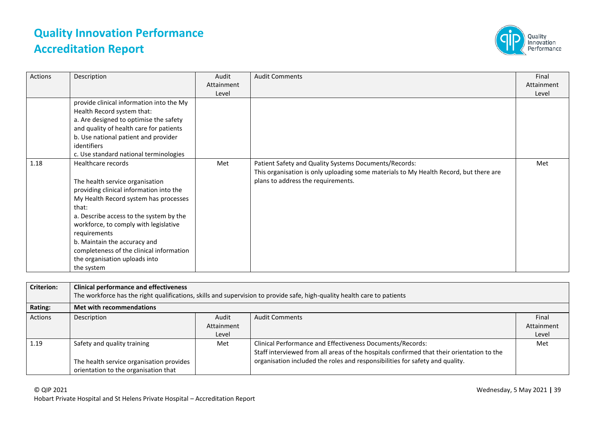

| Actions | Description                                                                                                                                                                                                                                                                                                                                                                       | Audit<br>Attainment<br>Level | <b>Audit Comments</b>                                                                                                                                                                | Final<br>Attainment<br>Level |
|---------|-----------------------------------------------------------------------------------------------------------------------------------------------------------------------------------------------------------------------------------------------------------------------------------------------------------------------------------------------------------------------------------|------------------------------|--------------------------------------------------------------------------------------------------------------------------------------------------------------------------------------|------------------------------|
|         | provide clinical information into the My<br>Health Record system that:<br>a. Are designed to optimise the safety<br>and quality of health care for patients<br>b. Use national patient and provider<br>identifiers<br>c. Use standard national terminologies                                                                                                                      |                              |                                                                                                                                                                                      |                              |
| 1.18    | Healthcare records<br>The health service organisation<br>providing clinical information into the<br>My Health Record system has processes<br>that:<br>a. Describe access to the system by the<br>workforce, to comply with legislative<br>requirements<br>b. Maintain the accuracy and<br>completeness of the clinical information<br>the organisation uploads into<br>the system | Met                          | Patient Safety and Quality Systems Documents/Records:<br>This organisation is only uploading some materials to My Health Record, but there are<br>plans to address the requirements. | Met                          |

| <b>Criterion:</b> | <b>Clinical performance and effectiveness</b><br>The workforce has the right qualifications, skills and supervision to provide safe, high-quality health care to patients |            |                                                                                           |            |  |
|-------------------|---------------------------------------------------------------------------------------------------------------------------------------------------------------------------|------------|-------------------------------------------------------------------------------------------|------------|--|
| Rating:           | <b>Met with recommendations</b>                                                                                                                                           |            |                                                                                           |            |  |
| <b>Actions</b>    | Description                                                                                                                                                               | Audit      | <b>Audit Comments</b>                                                                     | Final      |  |
|                   |                                                                                                                                                                           | Attainment |                                                                                           | Attainment |  |
|                   |                                                                                                                                                                           | Level      |                                                                                           | Level      |  |
| 1.19              | Safety and quality training                                                                                                                                               | Met        | Clinical Performance and Effectiveness Documents/Records:                                 | Met        |  |
|                   |                                                                                                                                                                           |            | Staff interviewed from all areas of the hospitals confirmed that their orientation to the |            |  |
|                   | The health service organisation provides                                                                                                                                  |            | organisation included the roles and responsibilities for safety and quality.              |            |  |
|                   | orientation to the organisation that                                                                                                                                      |            |                                                                                           |            |  |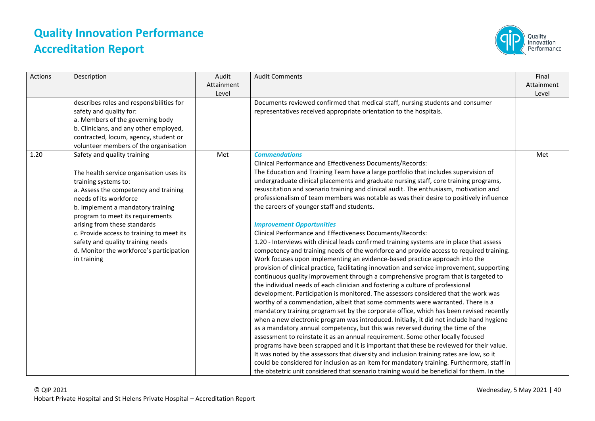

| Actions | Description                                                                                                                                                                                                                                                                                                                                                                                                              | Audit<br>Attainment<br>Level | <b>Audit Comments</b>                                                                                                                                                                                                                                                                                                                                                                                                                                                                                                                                                                                                                                                                                                                                                                                                                                                                                                                                                                                                                                                                                                                                                                                                                                                                                                                                                                                                                                                                                                                                                                                                                                                                                                                                                                                                                                                                                                                                                                                                                                                      | Final<br>Attainment<br>Level |
|---------|--------------------------------------------------------------------------------------------------------------------------------------------------------------------------------------------------------------------------------------------------------------------------------------------------------------------------------------------------------------------------------------------------------------------------|------------------------------|----------------------------------------------------------------------------------------------------------------------------------------------------------------------------------------------------------------------------------------------------------------------------------------------------------------------------------------------------------------------------------------------------------------------------------------------------------------------------------------------------------------------------------------------------------------------------------------------------------------------------------------------------------------------------------------------------------------------------------------------------------------------------------------------------------------------------------------------------------------------------------------------------------------------------------------------------------------------------------------------------------------------------------------------------------------------------------------------------------------------------------------------------------------------------------------------------------------------------------------------------------------------------------------------------------------------------------------------------------------------------------------------------------------------------------------------------------------------------------------------------------------------------------------------------------------------------------------------------------------------------------------------------------------------------------------------------------------------------------------------------------------------------------------------------------------------------------------------------------------------------------------------------------------------------------------------------------------------------------------------------------------------------------------------------------------------------|------------------------------|
|         | describes roles and responsibilities for<br>safety and quality for:<br>a. Members of the governing body<br>b. Clinicians, and any other employed,<br>contracted, locum, agency, student or<br>volunteer members of the organisation                                                                                                                                                                                      |                              | Documents reviewed confirmed that medical staff, nursing students and consumer<br>representatives received appropriate orientation to the hospitals.                                                                                                                                                                                                                                                                                                                                                                                                                                                                                                                                                                                                                                                                                                                                                                                                                                                                                                                                                                                                                                                                                                                                                                                                                                                                                                                                                                                                                                                                                                                                                                                                                                                                                                                                                                                                                                                                                                                       |                              |
| 1.20    | Safety and quality training<br>The health service organisation uses its<br>training systems to:<br>a. Assess the competency and training<br>needs of its workforce<br>b. Implement a mandatory training<br>program to meet its requirements<br>arising from these standards<br>c. Provide access to training to meet its<br>safety and quality training needs<br>d. Monitor the workforce's participation<br>in training | Met                          | <b>Commendations</b><br>Clinical Performance and Effectiveness Documents/Records:<br>The Education and Training Team have a large portfolio that includes supervision of<br>undergraduate clinical placements and graduate nursing staff, core training programs,<br>resuscitation and scenario training and clinical audit. The enthusiasm, motivation and<br>professionalism of team members was notable as was their desire to positively influence<br>the careers of younger staff and students.<br><b>Improvement Opportunities</b><br>Clinical Performance and Effectiveness Documents/Records:<br>1.20 - Interviews with clinical leads confirmed training systems are in place that assess<br>competency and training needs of the workforce and provide access to required training.<br>Work focuses upon implementing an evidence-based practice approach into the<br>provision of clinical practice, facilitating innovation and service improvement, supporting<br>continuous quality improvement through a comprehensive program that is targeted to<br>the individual needs of each clinician and fostering a culture of professional<br>development. Participation is monitored. The assessors considered that the work was<br>worthy of a commendation, albeit that some comments were warranted. There is a<br>mandatory training program set by the corporate office, which has been revised recently<br>when a new electronic program was introduced. Initially, it did not include hand hygiene<br>as a mandatory annual competency, but this was reversed during the time of the<br>assessment to reinstate it as an annual requirement. Some other locally focused<br>programs have been scrapped and it is important that these be reviewed for their value.<br>It was noted by the assessors that diversity and inclusion training rates are low, so it<br>could be considered for inclusion as an item for mandatory training. Furthermore, staff in<br>the obstetric unit considered that scenario training would be beneficial for them. In the | Met                          |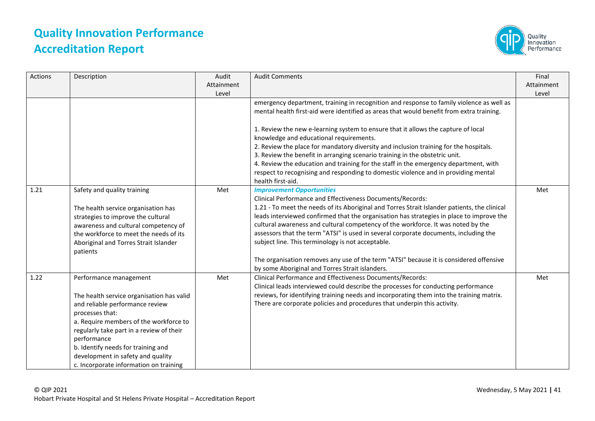

| <b>Actions</b> | Description                                                                                                                                                                                                                                                                                                                                         | Audit<br>Attainment<br>Level | <b>Audit Comments</b>                                                                                                                                                                                                                                                                                                                                                                                                                                                                                                                                                                                                                                                   | Final<br>Attainment<br>Level |
|----------------|-----------------------------------------------------------------------------------------------------------------------------------------------------------------------------------------------------------------------------------------------------------------------------------------------------------------------------------------------------|------------------------------|-------------------------------------------------------------------------------------------------------------------------------------------------------------------------------------------------------------------------------------------------------------------------------------------------------------------------------------------------------------------------------------------------------------------------------------------------------------------------------------------------------------------------------------------------------------------------------------------------------------------------------------------------------------------------|------------------------------|
|                |                                                                                                                                                                                                                                                                                                                                                     |                              | emergency department, training in recognition and response to family violence as well as<br>mental health first-aid were identified as areas that would benefit from extra training.                                                                                                                                                                                                                                                                                                                                                                                                                                                                                    |                              |
|                |                                                                                                                                                                                                                                                                                                                                                     |                              | 1. Review the new e-learning system to ensure that it allows the capture of local<br>knowledge and educational requirements.                                                                                                                                                                                                                                                                                                                                                                                                                                                                                                                                            |                              |
|                |                                                                                                                                                                                                                                                                                                                                                     |                              | 2. Review the place for mandatory diversity and inclusion training for the hospitals.<br>3. Review the benefit in arranging scenario training in the obstetric unit.                                                                                                                                                                                                                                                                                                                                                                                                                                                                                                    |                              |
|                |                                                                                                                                                                                                                                                                                                                                                     |                              | 4. Review the education and training for the staff in the emergency department, with<br>respect to recognising and responding to domestic violence and in providing mental<br>health first-aid.                                                                                                                                                                                                                                                                                                                                                                                                                                                                         |                              |
| 1.21           | Safety and quality training<br>The health service organisation has<br>strategies to improve the cultural<br>awareness and cultural competency of<br>the workforce to meet the needs of its<br>Aboriginal and Torres Strait Islander<br>patients                                                                                                     | Met                          | <b>Improvement Opportunities</b><br>Clinical Performance and Effectiveness Documents/Records:<br>1.21 - To meet the needs of its Aboriginal and Torres Strait Islander patients, the clinical<br>leads interviewed confirmed that the organisation has strategies in place to improve the<br>cultural awareness and cultural competency of the workforce. It was noted by the<br>assessors that the term "ATSI" is used in several corporate documents, including the<br>subject line. This terminology is not acceptable.<br>The organisation removes any use of the term "ATSI" because it is considered offensive<br>by some Aboriginal and Torres Strait islanders. | Met                          |
| 1.22           | Performance management<br>The health service organisation has valid<br>and reliable performance review<br>processes that:<br>a. Require members of the workforce to<br>regularly take part in a review of their<br>performance<br>b. Identify needs for training and<br>development in safety and quality<br>c. Incorporate information on training | Met                          | Clinical Performance and Effectiveness Documents/Records:<br>Clinical leads interviewed could describe the processes for conducting performance<br>reviews, for identifying training needs and incorporating them into the training matrix.<br>There are corporate policies and procedures that underpin this activity.                                                                                                                                                                                                                                                                                                                                                 | Met                          |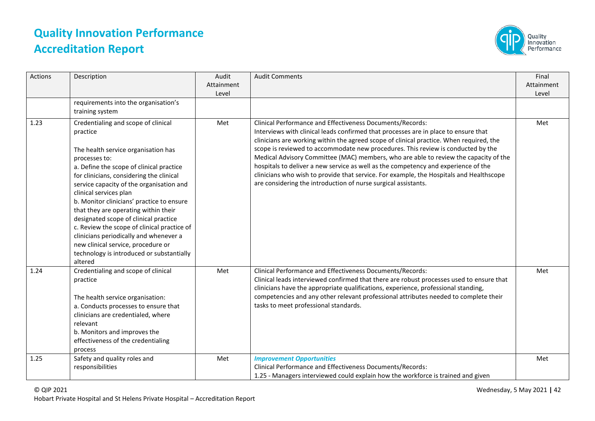

| Actions | Description                                                                                                                                                                                                                                                                                                                                                                                                                                                                                                                                                                                | Audit<br>Attainment<br>Level | <b>Audit Comments</b>                                                                                                                                                                                                                                                                                                                                                                                                                                                                                                                                                                                                                                                      | Final<br>Attainment<br>Level |
|---------|--------------------------------------------------------------------------------------------------------------------------------------------------------------------------------------------------------------------------------------------------------------------------------------------------------------------------------------------------------------------------------------------------------------------------------------------------------------------------------------------------------------------------------------------------------------------------------------------|------------------------------|----------------------------------------------------------------------------------------------------------------------------------------------------------------------------------------------------------------------------------------------------------------------------------------------------------------------------------------------------------------------------------------------------------------------------------------------------------------------------------------------------------------------------------------------------------------------------------------------------------------------------------------------------------------------------|------------------------------|
|         | requirements into the organisation's<br>training system                                                                                                                                                                                                                                                                                                                                                                                                                                                                                                                                    |                              |                                                                                                                                                                                                                                                                                                                                                                                                                                                                                                                                                                                                                                                                            |                              |
| 1.23    | Credentialing and scope of clinical<br>practice<br>The health service organisation has<br>processes to:<br>a. Define the scope of clinical practice<br>for clinicians, considering the clinical<br>service capacity of the organisation and<br>clinical services plan<br>b. Monitor clinicians' practice to ensure<br>that they are operating within their<br>designated scope of clinical practice<br>c. Review the scope of clinical practice of<br>clinicians periodically and whenever a<br>new clinical service, procedure or<br>technology is introduced or substantially<br>altered | Met                          | Clinical Performance and Effectiveness Documents/Records:<br>Interviews with clinical leads confirmed that processes are in place to ensure that<br>clinicians are working within the agreed scope of clinical practice. When required, the<br>scope is reviewed to accommodate new procedures. This review is conducted by the<br>Medical Advisory Committee (MAC) members, who are able to review the capacity of the<br>hospitals to deliver a new service as well as the competency and experience of the<br>clinicians who wish to provide that service. For example, the Hospitals and Healthscope<br>are considering the introduction of nurse surgical assistants. | Met                          |
| 1.24    | Credentialing and scope of clinical<br>practice<br>The health service organisation:<br>a. Conducts processes to ensure that<br>clinicians are credentialed, where<br>relevant<br>b. Monitors and improves the<br>effectiveness of the credentialing<br>process                                                                                                                                                                                                                                                                                                                             | Met                          | Clinical Performance and Effectiveness Documents/Records:<br>Clinical leads interviewed confirmed that there are robust processes used to ensure that<br>clinicians have the appropriate qualifications, experience, professional standing,<br>competencies and any other relevant professional attributes needed to complete their<br>tasks to meet professional standards.                                                                                                                                                                                                                                                                                               | Met                          |
| 1.25    | Safety and quality roles and<br>responsibilities                                                                                                                                                                                                                                                                                                                                                                                                                                                                                                                                           | Met                          | <b>Improvement Opportunities</b><br>Clinical Performance and Effectiveness Documents/Records:<br>1.25 - Managers interviewed could explain how the workforce is trained and given                                                                                                                                                                                                                                                                                                                                                                                                                                                                                          | Met                          |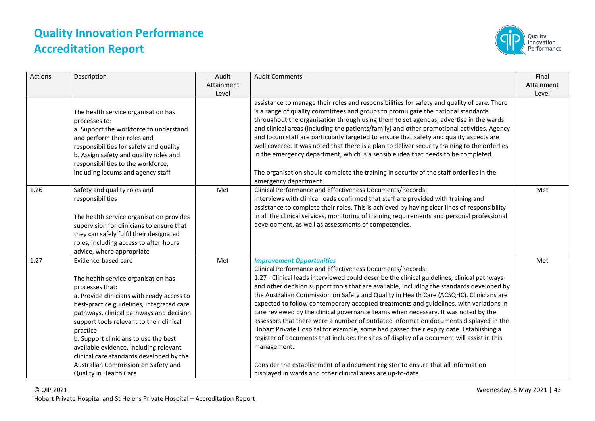

| Actions | Description                                                                                                                                                                                                                                                                                                                                                                                                                                                                  | Audit<br>Attainment<br>Level | <b>Audit Comments</b>                                                                                                                                                                                                                                                                                                                                                                                                                                                                                                                                                                                                                                                                                                                                                                                                                                                                                                                                                                                                   | Final<br>Attainment<br>Level |
|---------|------------------------------------------------------------------------------------------------------------------------------------------------------------------------------------------------------------------------------------------------------------------------------------------------------------------------------------------------------------------------------------------------------------------------------------------------------------------------------|------------------------------|-------------------------------------------------------------------------------------------------------------------------------------------------------------------------------------------------------------------------------------------------------------------------------------------------------------------------------------------------------------------------------------------------------------------------------------------------------------------------------------------------------------------------------------------------------------------------------------------------------------------------------------------------------------------------------------------------------------------------------------------------------------------------------------------------------------------------------------------------------------------------------------------------------------------------------------------------------------------------------------------------------------------------|------------------------------|
|         | The health service organisation has<br>processes to:<br>a. Support the workforce to understand<br>and perform their roles and<br>responsibilities for safety and quality<br>b. Assign safety and quality roles and<br>responsibilities to the workforce,<br>including locums and agency staff                                                                                                                                                                                |                              | assistance to manage their roles and responsibilities for safety and quality of care. There<br>is a range of quality committees and groups to promulgate the national standards<br>throughout the organisation through using them to set agendas, advertise in the wards<br>and clinical areas (including the patients/family) and other promotional activities. Agency<br>and locum staff are particularly targeted to ensure that safety and quality aspects are<br>well covered. It was noted that there is a plan to deliver security training to the orderlies<br>in the emergency department, which is a sensible idea that needs to be completed.<br>The organisation should complete the training in security of the staff orderlies in the<br>emergency department.                                                                                                                                                                                                                                            |                              |
| 1.26    | Safety and quality roles and<br>responsibilities<br>The health service organisation provides<br>supervision for clinicians to ensure that<br>they can safely fulfil their designated<br>roles, including access to after-hours<br>advice, where appropriate                                                                                                                                                                                                                  | Met                          | Clinical Performance and Effectiveness Documents/Records:<br>Interviews with clinical leads confirmed that staff are provided with training and<br>assistance to complete their roles. This is achieved by having clear lines of responsibility<br>in all the clinical services, monitoring of training requirements and personal professional<br>development, as well as assessments of competencies.                                                                                                                                                                                                                                                                                                                                                                                                                                                                                                                                                                                                                  | Met                          |
| 1.27    | Evidence-based care<br>The health service organisation has<br>processes that:<br>a. Provide clinicians with ready access to<br>best-practice guidelines, integrated care<br>pathways, clinical pathways and decision<br>support tools relevant to their clinical<br>practice<br>b. Support clinicians to use the best<br>available evidence, including relevant<br>clinical care standards developed by the<br>Australian Commission on Safety and<br>Quality in Health Care | Met                          | <b>Improvement Opportunities</b><br>Clinical Performance and Effectiveness Documents/Records:<br>1.27 - Clinical leads interviewed could describe the clinical guidelines, clinical pathways<br>and other decision support tools that are available, including the standards developed by<br>the Australian Commission on Safety and Quality in Health Care (ACSQHC). Clinicians are<br>expected to follow contemporary accepted treatments and guidelines, with variations in<br>care reviewed by the clinical governance teams when necessary. It was noted by the<br>assessors that there were a number of outdated information documents displayed in the<br>Hobart Private Hospital for example, some had passed their expiry date. Establishing a<br>register of documents that includes the sites of display of a document will assist in this<br>management.<br>Consider the establishment of a document register to ensure that all information<br>displayed in wards and other clinical areas are up-to-date. | Met                          |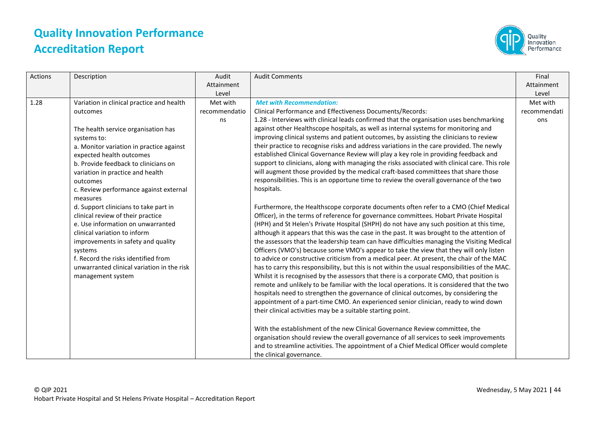

| Actions | Description                                                                                                                                                                                                                                                                                                                                                                                                                                                                                                                                                                                                                                     | Audit<br>Attainment<br>Level    | <b>Audit Comments</b>                                                                                                                                                                                                                                                                                                                                                                                                                                                                                                                                                                                                                                                                                                                                                                                                                                                                                                                                                                                                                                                                                                                                                                                                                                                                                                                                                                                                                                                                                                                                                                                                                                                                                                                                                                                                                                                                                                                                                                                                                                                                                                                                     | Final<br>Attainment<br>Level    |
|---------|-------------------------------------------------------------------------------------------------------------------------------------------------------------------------------------------------------------------------------------------------------------------------------------------------------------------------------------------------------------------------------------------------------------------------------------------------------------------------------------------------------------------------------------------------------------------------------------------------------------------------------------------------|---------------------------------|-----------------------------------------------------------------------------------------------------------------------------------------------------------------------------------------------------------------------------------------------------------------------------------------------------------------------------------------------------------------------------------------------------------------------------------------------------------------------------------------------------------------------------------------------------------------------------------------------------------------------------------------------------------------------------------------------------------------------------------------------------------------------------------------------------------------------------------------------------------------------------------------------------------------------------------------------------------------------------------------------------------------------------------------------------------------------------------------------------------------------------------------------------------------------------------------------------------------------------------------------------------------------------------------------------------------------------------------------------------------------------------------------------------------------------------------------------------------------------------------------------------------------------------------------------------------------------------------------------------------------------------------------------------------------------------------------------------------------------------------------------------------------------------------------------------------------------------------------------------------------------------------------------------------------------------------------------------------------------------------------------------------------------------------------------------------------------------------------------------------------------------------------------------|---------------------------------|
| 1.28    | Variation in clinical practice and health<br>outcomes<br>The health service organisation has<br>systems to:<br>a. Monitor variation in practice against<br>expected health outcomes<br>b. Provide feedback to clinicians on<br>variation in practice and health<br>outcomes<br>c. Review performance against external<br>measures<br>d. Support clinicians to take part in<br>clinical review of their practice<br>e. Use information on unwarranted<br>clinical variation to inform<br>improvements in safety and quality<br>systems<br>f. Record the risks identified from<br>unwarranted clinical variation in the risk<br>management system | Met with<br>recommendatio<br>ns | <b>Met with Recommendation:</b><br>Clinical Performance and Effectiveness Documents/Records:<br>1.28 - Interviews with clinical leads confirmed that the organisation uses benchmarking<br>against other Healthscope hospitals, as well as internal systems for monitoring and<br>improving clinical systems and patient outcomes, by assisting the clinicians to review<br>their practice to recognise risks and address variations in the care provided. The newly<br>established Clinical Governance Review will play a key role in providing feedback and<br>support to clinicians, along with managing the risks associated with clinical care. This role<br>will augment those provided by the medical craft-based committees that share those<br>responsibilities. This is an opportune time to review the overall governance of the two<br>hospitals.<br>Furthermore, the Healthscope corporate documents often refer to a CMO (Chief Medical<br>Officer), in the terms of reference for governance committees. Hobart Private Hospital<br>(HPH) and St Helen's Private Hospital (SHPH) do not have any such position at this time,<br>although it appears that this was the case in the past. It was brought to the attention of<br>the assessors that the leadership team can have difficulties managing the Visiting Medical<br>Officers (VMO's) because some VMO's appear to take the view that they will only listen<br>to advice or constructive criticism from a medical peer. At present, the chair of the MAC<br>has to carry this responsibility, but this is not within the usual responsibilities of the MAC.<br>Whilst it is recognised by the assessors that there is a corporate CMO, that position is<br>remote and unlikely to be familiar with the local operations. It is considered that the two<br>hospitals need to strengthen the governance of clinical outcomes, by considering the<br>appointment of a part-time CMO. An experienced senior clinician, ready to wind down<br>their clinical activities may be a suitable starting point.<br>With the establishment of the new Clinical Governance Review committee, the | Met with<br>recommendati<br>ons |
|         |                                                                                                                                                                                                                                                                                                                                                                                                                                                                                                                                                                                                                                                 |                                 | organisation should review the overall governance of all services to seek improvements<br>and to streamline activities. The appointment of a Chief Medical Officer would complete<br>the clinical governance.                                                                                                                                                                                                                                                                                                                                                                                                                                                                                                                                                                                                                                                                                                                                                                                                                                                                                                                                                                                                                                                                                                                                                                                                                                                                                                                                                                                                                                                                                                                                                                                                                                                                                                                                                                                                                                                                                                                                             |                                 |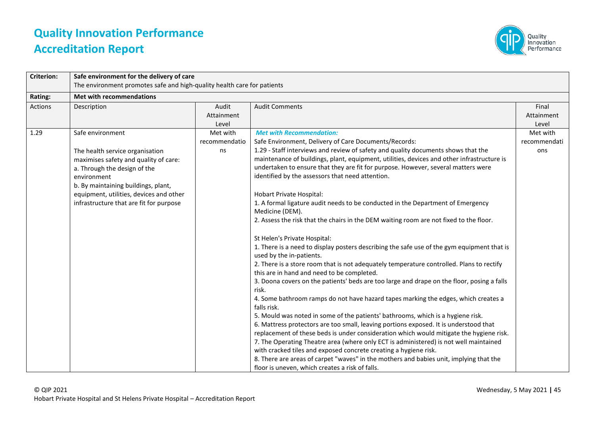

| <b>Criterion:</b> | Safe environment for the delivery of care                               |               |                                                                                                                        |              |
|-------------------|-------------------------------------------------------------------------|---------------|------------------------------------------------------------------------------------------------------------------------|--------------|
|                   | The environment promotes safe and high-quality health care for patients |               |                                                                                                                        |              |
| Rating:           | <b>Met with recommendations</b>                                         |               |                                                                                                                        |              |
| <b>Actions</b>    | Description                                                             | Audit         | <b>Audit Comments</b>                                                                                                  | Final        |
|                   |                                                                         | Attainment    |                                                                                                                        | Attainment   |
|                   |                                                                         | Level         |                                                                                                                        | Level        |
| 1.29              | Safe environment                                                        | Met with      | <b>Met with Recommendation:</b>                                                                                        | Met with     |
|                   |                                                                         | recommendatio | Safe Environment, Delivery of Care Documents/Records:                                                                  | recommendati |
|                   | The health service organisation                                         | ns            | 1.29 - Staff interviews and review of safety and quality documents shows that the                                      | ons          |
|                   | maximises safety and quality of care:                                   |               | maintenance of buildings, plant, equipment, utilities, devices and other infrastructure is                             |              |
|                   | a. Through the design of the                                            |               | undertaken to ensure that they are fit for purpose. However, several matters were                                      |              |
|                   | environment                                                             |               | identified by the assessors that need attention.                                                                       |              |
|                   | b. By maintaining buildings, plant,                                     |               |                                                                                                                        |              |
|                   | equipment, utilities, devices and other                                 |               | Hobart Private Hospital:                                                                                               |              |
|                   | infrastructure that are fit for purpose                                 |               | 1. A formal ligature audit needs to be conducted in the Department of Emergency                                        |              |
|                   |                                                                         |               | Medicine (DEM).                                                                                                        |              |
|                   |                                                                         |               | 2. Assess the risk that the chairs in the DEM waiting room are not fixed to the floor.                                 |              |
|                   |                                                                         |               | St Helen's Private Hospital:                                                                                           |              |
|                   |                                                                         |               | 1. There is a need to display posters describing the safe use of the gym equipment that is<br>used by the in-patients. |              |
|                   |                                                                         |               | 2. There is a store room that is not adequately temperature controlled. Plans to rectify                               |              |
|                   |                                                                         |               | this are in hand and need to be completed.                                                                             |              |
|                   |                                                                         |               | 3. Doona covers on the patients' beds are too large and drape on the floor, posing a falls<br>risk.                    |              |
|                   |                                                                         |               | 4. Some bathroom ramps do not have hazard tapes marking the edges, which creates a<br>falls risk.                      |              |
|                   |                                                                         |               | 5. Mould was noted in some of the patients' bathrooms, which is a hygiene risk.                                        |              |
|                   |                                                                         |               | 6. Mattress protectors are too small, leaving portions exposed. It is understood that                                  |              |
|                   |                                                                         |               | replacement of these beds is under consideration which would mitigate the hygiene risk.                                |              |
|                   |                                                                         |               | 7. The Operating Theatre area (where only ECT is administered) is not well maintained                                  |              |
|                   |                                                                         |               | with cracked tiles and exposed concrete creating a hygiene risk.                                                       |              |
|                   |                                                                         |               | 8. There are areas of carpet "waves" in the mothers and babies unit, implying that the                                 |              |
|                   |                                                                         |               | floor is uneven, which creates a risk of falls.                                                                        |              |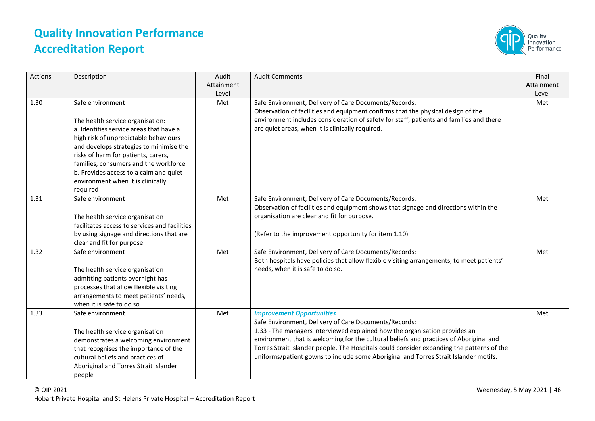

| Actions | Description                                                                                                                                                                                                                                                                                                                                                    | Audit<br>Attainment<br>Level | <b>Audit Comments</b>                                                                                                                                                                                                                                                                                                                                                                                                                                  | Final<br>Attainment<br>Level |
|---------|----------------------------------------------------------------------------------------------------------------------------------------------------------------------------------------------------------------------------------------------------------------------------------------------------------------------------------------------------------------|------------------------------|--------------------------------------------------------------------------------------------------------------------------------------------------------------------------------------------------------------------------------------------------------------------------------------------------------------------------------------------------------------------------------------------------------------------------------------------------------|------------------------------|
| 1.30    | Safe environment<br>The health service organisation:<br>a. Identifies service areas that have a<br>high risk of unpredictable behaviours<br>and develops strategies to minimise the<br>risks of harm for patients, carers,<br>families, consumers and the workforce<br>b. Provides access to a calm and quiet<br>environment when it is clinically<br>required | Met                          | Safe Environment, Delivery of Care Documents/Records:<br>Observation of facilities and equipment confirms that the physical design of the<br>environment includes consideration of safety for staff, patients and families and there<br>are quiet areas, when it is clinically required.                                                                                                                                                               | Met                          |
| 1.31    | Safe environment<br>The health service organisation<br>facilitates access to services and facilities<br>by using signage and directions that are<br>clear and fit for purpose                                                                                                                                                                                  | Met                          | Safe Environment, Delivery of Care Documents/Records:<br>Observation of facilities and equipment shows that signage and directions within the<br>organisation are clear and fit for purpose.<br>(Refer to the improvement opportunity for item 1.10)                                                                                                                                                                                                   | Met                          |
| 1.32    | Safe environment<br>The health service organisation<br>admitting patients overnight has<br>processes that allow flexible visiting<br>arrangements to meet patients' needs,<br>when it is safe to do so                                                                                                                                                         | Met                          | Safe Environment, Delivery of Care Documents/Records:<br>Both hospitals have policies that allow flexible visiting arrangements, to meet patients'<br>needs, when it is safe to do so.                                                                                                                                                                                                                                                                 | Met                          |
| 1.33    | Safe environment<br>The health service organisation<br>demonstrates a welcoming environment<br>that recognises the importance of the<br>cultural beliefs and practices of<br>Aboriginal and Torres Strait Islander<br>people                                                                                                                                   | Met                          | <b>Improvement Opportunities</b><br>Safe Environment, Delivery of Care Documents/Records:<br>1.33 - The managers interviewed explained how the organisation provides an<br>environment that is welcoming for the cultural beliefs and practices of Aboriginal and<br>Torres Strait Islander people. The Hospitals could consider expanding the patterns of the<br>uniforms/patient gowns to include some Aboriginal and Torres Strait Islander motifs. | Met                          |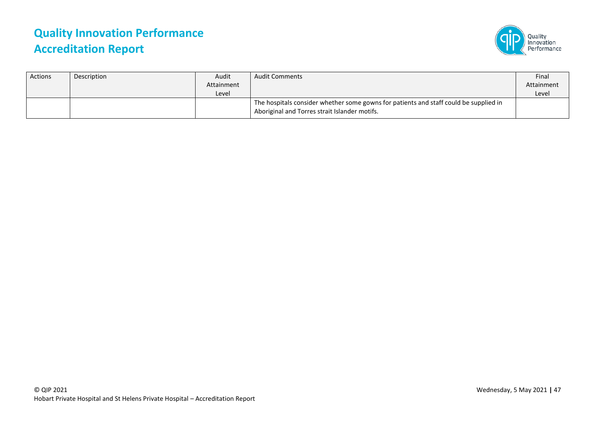

| <b>Actions</b> | Description | Audit<br>Attainment | <b>Audit Comments</b>                                                                                                                  | Final<br>Attainment |
|----------------|-------------|---------------------|----------------------------------------------------------------------------------------------------------------------------------------|---------------------|
|                |             | Level               | The hospitals consider whether some gowns for patients and staff could be supplied in<br>Aboriginal and Torres strait Islander motifs. | Level               |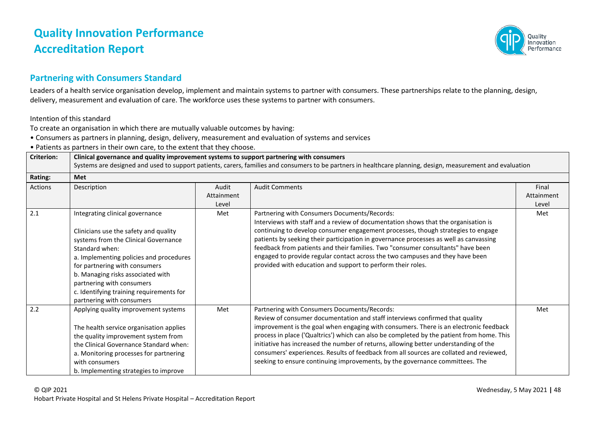

#### **Partnering with Consumers Standard**

Leaders of a health service organisation develop, implement and maintain systems to partner with consumers. These partnerships relate to the planning, design, delivery, measurement and evaluation of care. The workforce uses these systems to partner with consumers.

Intention of this standard

To create an organisation in which there are mutually valuable outcomes by having:

• Consumers as partners in planning, design, delivery, measurement and evaluation of systems and services

• Patients as partners in their own care, to the extent that they choose.

| <b>Criterion:</b> | Clinical governance and quality improvement systems to support partnering with consumers<br>Systems are designed and used to support patients, carers, families and consumers to be partners in healthcare planning, design, measurement and evaluation                                                                                                   |                              |                                                                                                                                                                                                                                                                                                                                                                                                                                                                                                                                                                                       |                              |  |
|-------------------|-----------------------------------------------------------------------------------------------------------------------------------------------------------------------------------------------------------------------------------------------------------------------------------------------------------------------------------------------------------|------------------------------|---------------------------------------------------------------------------------------------------------------------------------------------------------------------------------------------------------------------------------------------------------------------------------------------------------------------------------------------------------------------------------------------------------------------------------------------------------------------------------------------------------------------------------------------------------------------------------------|------------------------------|--|
| Rating:           | <b>Met</b>                                                                                                                                                                                                                                                                                                                                                |                              |                                                                                                                                                                                                                                                                                                                                                                                                                                                                                                                                                                                       |                              |  |
| Actions           | Description                                                                                                                                                                                                                                                                                                                                               | Audit<br>Attainment<br>Level | <b>Audit Comments</b>                                                                                                                                                                                                                                                                                                                                                                                                                                                                                                                                                                 | Final<br>Attainment<br>Level |  |
| 2.1               | Integrating clinical governance<br>Clinicians use the safety and quality<br>systems from the Clinical Governance<br>Standard when:<br>a. Implementing policies and procedures<br>for partnering with consumers<br>b. Managing risks associated with<br>partnering with consumers<br>c. Identifying training requirements for<br>partnering with consumers | Met                          | Partnering with Consumers Documents/Records:<br>Interviews with staff and a review of documentation shows that the organisation is<br>continuing to develop consumer engagement processes, though strategies to engage<br>patients by seeking their participation in governance processes as well as canvassing<br>feedback from patients and their families. Two "consumer consultants" have been<br>engaged to provide regular contact across the two campuses and they have been<br>provided with education and support to perform their roles.                                    | Met                          |  |
| 2.2               | Applying quality improvement systems<br>The health service organisation applies<br>the quality improvement system from<br>the Clinical Governance Standard when:<br>a. Monitoring processes for partnering<br>with consumers<br>b. Implementing strategies to improve                                                                                     | Met                          | Partnering with Consumers Documents/Records:<br>Review of consumer documentation and staff interviews confirmed that quality<br>improvement is the goal when engaging with consumers. There is an electronic feedback<br>process in place ('Qualtrics') which can also be completed by the patient from home. This<br>initiative has increased the number of returns, allowing better understanding of the<br>consumers' experiences. Results of feedback from all sources are collated and reviewed,<br>seeking to ensure continuing improvements, by the governance committees. The | Met                          |  |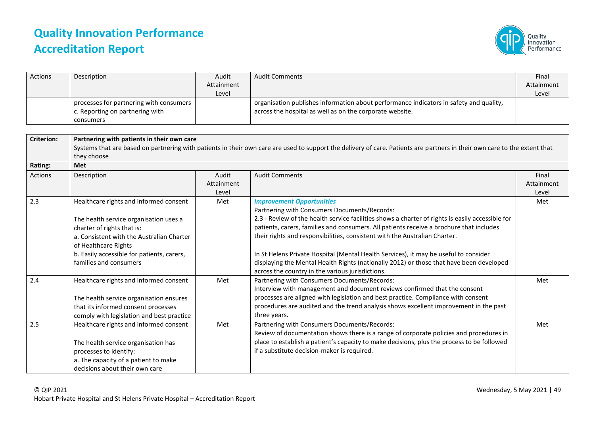

| Actions           | Description                                                                                                                                                                                                                                                 | Audit<br>Attainment          | <b>Audit Comments</b>                                                                                                                                                                                                                                                                                                                                                                                                                                                                                                                                                                                | Final<br>Attainment          |
|-------------------|-------------------------------------------------------------------------------------------------------------------------------------------------------------------------------------------------------------------------------------------------------------|------------------------------|------------------------------------------------------------------------------------------------------------------------------------------------------------------------------------------------------------------------------------------------------------------------------------------------------------------------------------------------------------------------------------------------------------------------------------------------------------------------------------------------------------------------------------------------------------------------------------------------------|------------------------------|
|                   | processes for partnering with consumers<br>c. Reporting on partnering with<br>consumers                                                                                                                                                                     | Level                        | organisation publishes information about performance indicators in safety and quality,<br>across the hospital as well as on the corporate website.                                                                                                                                                                                                                                                                                                                                                                                                                                                   | Level                        |
| <b>Criterion:</b> | Partnering with patients in their own care<br>they choose                                                                                                                                                                                                   |                              | Systems that are based on partnering with patients in their own care are used to support the delivery of care. Patients are partners in their own care to the extent that                                                                                                                                                                                                                                                                                                                                                                                                                            |                              |
| Rating:           | Met                                                                                                                                                                                                                                                         |                              |                                                                                                                                                                                                                                                                                                                                                                                                                                                                                                                                                                                                      |                              |
| Actions           | Description                                                                                                                                                                                                                                                 | Audit<br>Attainment<br>Level | <b>Audit Comments</b>                                                                                                                                                                                                                                                                                                                                                                                                                                                                                                                                                                                | Final<br>Attainment<br>Level |
| 2.3               | Healthcare rights and informed consent<br>The health service organisation uses a<br>charter of rights that is:<br>a. Consistent with the Australian Charter<br>of Healthcare Rights<br>b. Easily accessible for patients, carers,<br>families and consumers | Met                          | <b>Improvement Opportunities</b><br>Partnering with Consumers Documents/Records:<br>2.3 - Review of the health service facilities shows a charter of rights is easily accessible for<br>patients, carers, families and consumers. All patients receive a brochure that includes<br>their rights and responsibilities, consistent with the Australian Charter.<br>In St Helens Private Hospital (Mental Health Services), it may be useful to consider<br>displaying the Mental Health Rights (nationally 2012) or those that have been developed<br>across the country in the various jurisdictions. | Met                          |
| 2.4               | Healthcare rights and informed consent<br>The health service organisation ensures<br>that its informed consent processes<br>comply with legislation and best practice                                                                                       | Met                          | Partnering with Consumers Documents/Records:<br>Interview with management and document reviews confirmed that the consent<br>processes are aligned with legislation and best practice. Compliance with consent<br>procedures are audited and the trend analysis shows excellent improvement in the past<br>three years.                                                                                                                                                                                                                                                                              | Met                          |
| 2.5               | Healthcare rights and informed consent<br>The health service organisation has<br>processes to identify:<br>a. The capacity of a patient to make<br>decisions about their own care                                                                           | Met                          | Partnering with Consumers Documents/Records:<br>Review of documentation shows there is a range of corporate policies and procedures in<br>place to establish a patient's capacity to make decisions, plus the process to be followed<br>if a substitute decision-maker is required.                                                                                                                                                                                                                                                                                                                  | Met                          |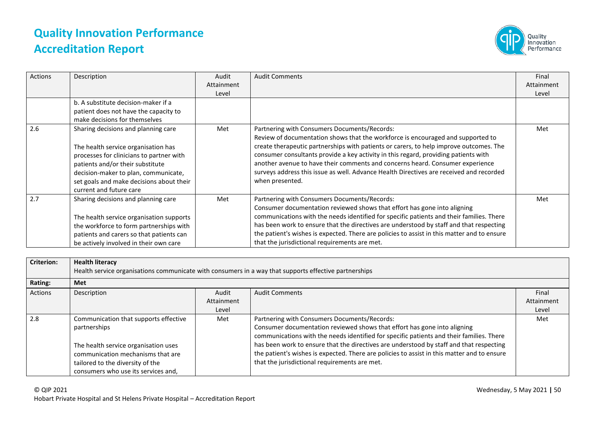

| Actions | Description                                                                                                                                                                                                                                                               | Audit<br>Attainment<br>Level | <b>Audit Comments</b>                                                                                                                                                                                                                                                                                                                                                                                                                                                                                           | Final<br>Attainment<br>Level |
|---------|---------------------------------------------------------------------------------------------------------------------------------------------------------------------------------------------------------------------------------------------------------------------------|------------------------------|-----------------------------------------------------------------------------------------------------------------------------------------------------------------------------------------------------------------------------------------------------------------------------------------------------------------------------------------------------------------------------------------------------------------------------------------------------------------------------------------------------------------|------------------------------|
|         | b. A substitute decision-maker if a<br>patient does not have the capacity to<br>make decisions for themselves                                                                                                                                                             |                              |                                                                                                                                                                                                                                                                                                                                                                                                                                                                                                                 |                              |
| 2.6     | Sharing decisions and planning care<br>The health service organisation has<br>processes for clinicians to partner with<br>patients and/or their substitute<br>decision-maker to plan, communicate,<br>set goals and make decisions about their<br>current and future care | Met                          | Partnering with Consumers Documents/Records:<br>Review of documentation shows that the workforce is encouraged and supported to<br>create therapeutic partnerships with patients or carers, to help improve outcomes. The<br>consumer consultants provide a key activity in this regard, providing patients with<br>another avenue to have their comments and concerns heard. Consumer experience<br>surveys address this issue as well. Advance Health Directives are received and recorded<br>when presented. | Met                          |
| 2.7     | Sharing decisions and planning care<br>The health service organisation supports<br>the workforce to form partnerships with<br>patients and carers so that patients can<br>be actively involved in their own care                                                          | Met                          | Partnering with Consumers Documents/Records:<br>Consumer documentation reviewed shows that effort has gone into aligning<br>communications with the needs identified for specific patients and their families. There<br>has been work to ensure that the directives are understood by staff and that respecting<br>the patient's wishes is expected. There are policies to assist in this matter and to ensure<br>that the jurisdictional requirements are met.                                                 | Met                          |

| <b>Criterion:</b> | <b>Health literacy</b><br>Health service organisations communicate with consumers in a way that supports effective partnerships                                                                               |                              |                                                                                                                                                                                                                                                                                                                                                                                                                                                                 |                              |  |
|-------------------|---------------------------------------------------------------------------------------------------------------------------------------------------------------------------------------------------------------|------------------------------|-----------------------------------------------------------------------------------------------------------------------------------------------------------------------------------------------------------------------------------------------------------------------------------------------------------------------------------------------------------------------------------------------------------------------------------------------------------------|------------------------------|--|
| Rating:           | Met                                                                                                                                                                                                           |                              |                                                                                                                                                                                                                                                                                                                                                                                                                                                                 |                              |  |
| Actions           | Description                                                                                                                                                                                                   | Audit<br>Attainment<br>Level | <b>Audit Comments</b>                                                                                                                                                                                                                                                                                                                                                                                                                                           | Final<br>Attainment<br>Level |  |
| 2.8               | Communication that supports effective<br>partnerships<br>The health service organisation uses<br>communication mechanisms that are<br>tailored to the diversity of the<br>consumers who use its services and, | Met                          | Partnering with Consumers Documents/Records:<br>Consumer documentation reviewed shows that effort has gone into aligning<br>communications with the needs identified for specific patients and their families. There<br>has been work to ensure that the directives are understood by staff and that respecting<br>the patient's wishes is expected. There are policies to assist in this matter and to ensure<br>that the jurisdictional requirements are met. | Met                          |  |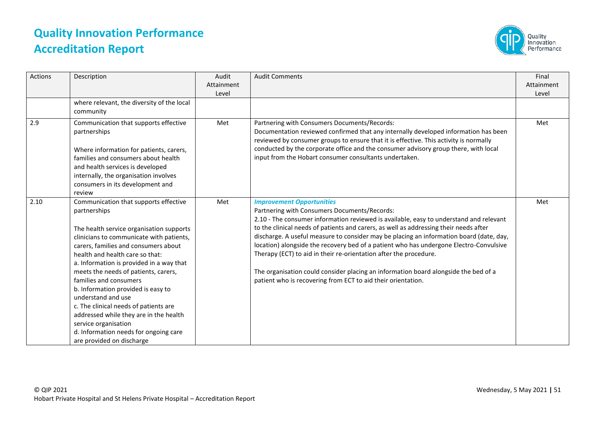

| <b>Actions</b> | Description                                                                                                                                                                                                                                                                                                                                                                                                                                                                                                                                                                         | Audit<br>Attainment<br>Level | <b>Audit Comments</b>                                                                                                                                                                                                                                                                                                                                                                                                                                                                                                                                                                                                                                                                | Final<br>Attainment<br>Level |
|----------------|-------------------------------------------------------------------------------------------------------------------------------------------------------------------------------------------------------------------------------------------------------------------------------------------------------------------------------------------------------------------------------------------------------------------------------------------------------------------------------------------------------------------------------------------------------------------------------------|------------------------------|--------------------------------------------------------------------------------------------------------------------------------------------------------------------------------------------------------------------------------------------------------------------------------------------------------------------------------------------------------------------------------------------------------------------------------------------------------------------------------------------------------------------------------------------------------------------------------------------------------------------------------------------------------------------------------------|------------------------------|
|                | where relevant, the diversity of the local<br>community                                                                                                                                                                                                                                                                                                                                                                                                                                                                                                                             |                              |                                                                                                                                                                                                                                                                                                                                                                                                                                                                                                                                                                                                                                                                                      |                              |
| 2.9            | Communication that supports effective<br>partnerships<br>Where information for patients, carers,<br>families and consumers about health<br>and health services is developed<br>internally, the organisation involves<br>consumers in its development and<br>review                                                                                                                                                                                                                                                                                                                  | Met                          | Partnering with Consumers Documents/Records:<br>Documentation reviewed confirmed that any internally developed information has been<br>reviewed by consumer groups to ensure that it is effective. This activity is normally<br>conducted by the corporate office and the consumer advisory group there, with local<br>input from the Hobart consumer consultants undertaken.                                                                                                                                                                                                                                                                                                        | Met                          |
| 2.10           | Communication that supports effective<br>partnerships<br>The health service organisation supports<br>clinicians to communicate with patients,<br>carers, families and consumers about<br>health and health care so that:<br>a. Information is provided in a way that<br>meets the needs of patients, carers,<br>families and consumers<br>b. Information provided is easy to<br>understand and use<br>c. The clinical needs of patients are<br>addressed while they are in the health<br>service organisation<br>d. Information needs for ongoing care<br>are provided on discharge | Met                          | <b>Improvement Opportunities</b><br>Partnering with Consumers Documents/Records:<br>2.10 - The consumer information reviewed is available, easy to understand and relevant<br>to the clinical needs of patients and carers, as well as addressing their needs after<br>discharge. A useful measure to consider may be placing an information board (date, day,<br>location) alongside the recovery bed of a patient who has undergone Electro-Convulsive<br>Therapy (ECT) to aid in their re-orientation after the procedure.<br>The organisation could consider placing an information board alongside the bed of a<br>patient who is recovering from ECT to aid their orientation. | Met                          |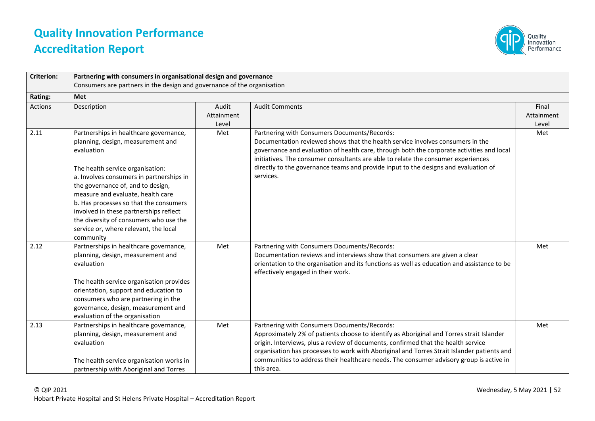

| <b>Criterion:</b> | Partnering with consumers in organisational design and governance                                                                                                                                                                                                                                                                                                                                                                       |                              |                                                                                                                                                                                                                                                                                                                                                                                                                                      |                              |
|-------------------|-----------------------------------------------------------------------------------------------------------------------------------------------------------------------------------------------------------------------------------------------------------------------------------------------------------------------------------------------------------------------------------------------------------------------------------------|------------------------------|--------------------------------------------------------------------------------------------------------------------------------------------------------------------------------------------------------------------------------------------------------------------------------------------------------------------------------------------------------------------------------------------------------------------------------------|------------------------------|
|                   | Consumers are partners in the design and governance of the organisation                                                                                                                                                                                                                                                                                                                                                                 |                              |                                                                                                                                                                                                                                                                                                                                                                                                                                      |                              |
| Rating:           | <b>Met</b>                                                                                                                                                                                                                                                                                                                                                                                                                              |                              |                                                                                                                                                                                                                                                                                                                                                                                                                                      |                              |
| <b>Actions</b>    | Description                                                                                                                                                                                                                                                                                                                                                                                                                             | Audit<br>Attainment<br>Level | <b>Audit Comments</b>                                                                                                                                                                                                                                                                                                                                                                                                                | Final<br>Attainment<br>Level |
| 2.11              | Partnerships in healthcare governance,<br>planning, design, measurement and<br>evaluation<br>The health service organisation:<br>a. Involves consumers in partnerships in<br>the governance of, and to design,<br>measure and evaluate, health care<br>b. Has processes so that the consumers<br>involved in these partnerships reflect<br>the diversity of consumers who use the<br>service or, where relevant, the local<br>community | Met                          | Partnering with Consumers Documents/Records:<br>Documentation reviewed shows that the health service involves consumers in the<br>governance and evaluation of health care, through both the corporate activities and local<br>initiatives. The consumer consultants are able to relate the consumer experiences<br>directly to the governance teams and provide input to the designs and evaluation of<br>services.                 | Met                          |
| 2.12              | Partnerships in healthcare governance,<br>planning, design, measurement and<br>evaluation<br>The health service organisation provides<br>orientation, support and education to<br>consumers who are partnering in the<br>governance, design, measurement and<br>evaluation of the organisation                                                                                                                                          | Met                          | Partnering with Consumers Documents/Records:<br>Documentation reviews and interviews show that consumers are given a clear<br>orientation to the organisation and its functions as well as education and assistance to be<br>effectively engaged in their work.                                                                                                                                                                      | Met                          |
| 2.13              | Partnerships in healthcare governance,<br>planning, design, measurement and<br>evaluation<br>The health service organisation works in<br>partnership with Aboriginal and Torres                                                                                                                                                                                                                                                         | Met                          | Partnering with Consumers Documents/Records:<br>Approximately 2% of patients choose to identify as Aboriginal and Torres strait Islander<br>origin. Interviews, plus a review of documents, confirmed that the health service<br>organisation has processes to work with Aboriginal and Torres Strait Islander patients and<br>communities to address their healthcare needs. The consumer advisory group is active in<br>this area. | Met                          |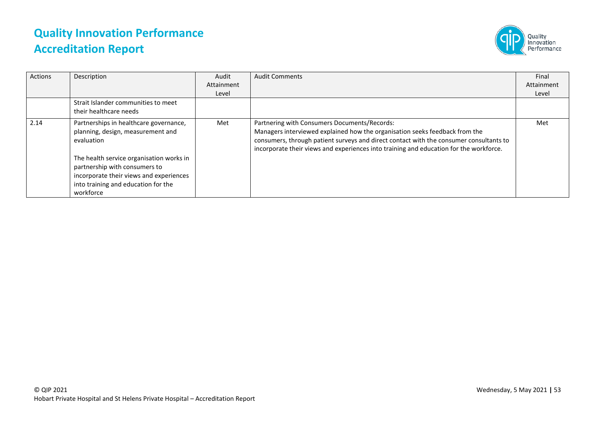

| Actions | Description                                                                                                                                                              | Audit      | <b>Audit Comments</b>                                                                                                                                                                                                                                                                                           | Final      |
|---------|--------------------------------------------------------------------------------------------------------------------------------------------------------------------------|------------|-----------------------------------------------------------------------------------------------------------------------------------------------------------------------------------------------------------------------------------------------------------------------------------------------------------------|------------|
|         |                                                                                                                                                                          | Attainment |                                                                                                                                                                                                                                                                                                                 | Attainment |
|         |                                                                                                                                                                          | Level      |                                                                                                                                                                                                                                                                                                                 | Level      |
|         | Strait Islander communities to meet<br>their healthcare needs                                                                                                            |            |                                                                                                                                                                                                                                                                                                                 |            |
| 2.14    | Partnerships in healthcare governance,<br>planning, design, measurement and<br>evaluation                                                                                | Met        | Partnering with Consumers Documents/Records:<br>Managers interviewed explained how the organisation seeks feedback from the<br>consumers, through patient surveys and direct contact with the consumer consultants to<br>incorporate their views and experiences into training and education for the workforce. | Met        |
|         | The health service organisation works in<br>partnership with consumers to<br>incorporate their views and experiences<br>into training and education for the<br>workforce |            |                                                                                                                                                                                                                                                                                                                 |            |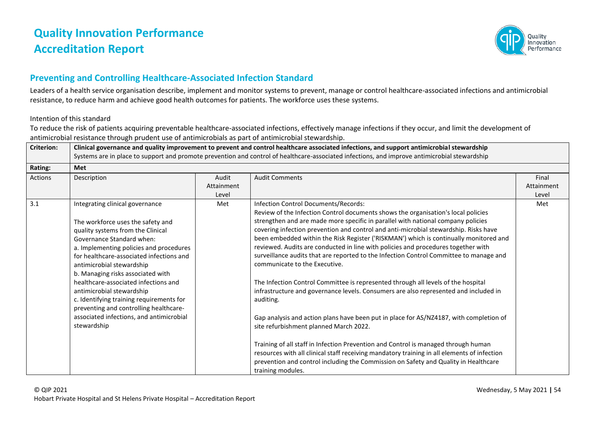

#### **Preventing and Controlling Healthcare-Associated Infection Standard**

Leaders of a health service organisation describe, implement and monitor systems to prevent, manage or control healthcare-associated infections and antimicrobial resistance, to reduce harm and achieve good health outcomes for patients. The workforce uses these systems.

#### Intention of this standard

To reduce the risk of patients acquiring preventable healthcare-associated infections, effectively manage infections if they occur, and limit the development of antimicrobial resistance through prudent use of antimicrobials as part of antimicrobial stewardship.

| <b>Criterion:</b> | Clinical governance and quality improvement to prevent and control healthcare associated infections, and support antimicrobial stewardship<br>Systems are in place to support and promote prevention and control of healthcare-associated infections, and improve antimicrobial stewardship                                                                                                                                                                                                                           |                              |                                                                                                                                                                                                                                                                                                                                                                                                                                                                                                                                                                                                                                                                                                                                                                                                                                                                                                                                                                                                                                                                                                                                                                                                                                               |                              |
|-------------------|-----------------------------------------------------------------------------------------------------------------------------------------------------------------------------------------------------------------------------------------------------------------------------------------------------------------------------------------------------------------------------------------------------------------------------------------------------------------------------------------------------------------------|------------------------------|-----------------------------------------------------------------------------------------------------------------------------------------------------------------------------------------------------------------------------------------------------------------------------------------------------------------------------------------------------------------------------------------------------------------------------------------------------------------------------------------------------------------------------------------------------------------------------------------------------------------------------------------------------------------------------------------------------------------------------------------------------------------------------------------------------------------------------------------------------------------------------------------------------------------------------------------------------------------------------------------------------------------------------------------------------------------------------------------------------------------------------------------------------------------------------------------------------------------------------------------------|------------------------------|
| <b>Rating:</b>    | <b>Met</b>                                                                                                                                                                                                                                                                                                                                                                                                                                                                                                            |                              |                                                                                                                                                                                                                                                                                                                                                                                                                                                                                                                                                                                                                                                                                                                                                                                                                                                                                                                                                                                                                                                                                                                                                                                                                                               |                              |
| Actions           | Description                                                                                                                                                                                                                                                                                                                                                                                                                                                                                                           | Audit<br>Attainment<br>Level | <b>Audit Comments</b>                                                                                                                                                                                                                                                                                                                                                                                                                                                                                                                                                                                                                                                                                                                                                                                                                                                                                                                                                                                                                                                                                                                                                                                                                         | Final<br>Attainment<br>Level |
| 3.1               | Integrating clinical governance<br>The workforce uses the safety and<br>quality systems from the Clinical<br>Governance Standard when:<br>a. Implementing policies and procedures<br>for healthcare-associated infections and<br>antimicrobial stewardship<br>b. Managing risks associated with<br>healthcare-associated infections and<br>antimicrobial stewardship<br>c. Identifying training requirements for<br>preventing and controlling healthcare-<br>associated infections, and antimicrobial<br>stewardship | Met                          | Infection Control Documents/Records:<br>Review of the Infection Control documents shows the organisation's local policies<br>strengthen and are made more specific in parallel with national company policies<br>covering infection prevention and control and anti-microbial stewardship. Risks have<br>been embedded within the Risk Register ('RISKMAN') which is continually monitored and<br>reviewed. Audits are conducted in line with policies and procedures together with<br>surveillance audits that are reported to the Infection Control Committee to manage and<br>communicate to the Executive.<br>The Infection Control Committee is represented through all levels of the hospital<br>infrastructure and governance levels. Consumers are also represented and included in<br>auditing.<br>Gap analysis and action plans have been put in place for AS/NZ4187, with completion of<br>site refurbishment planned March 2022.<br>Training of all staff in Infection Prevention and Control is managed through human<br>resources with all clinical staff receiving mandatory training in all elements of infection<br>prevention and control including the Commission on Safety and Quality in Healthcare<br>training modules. | Met                          |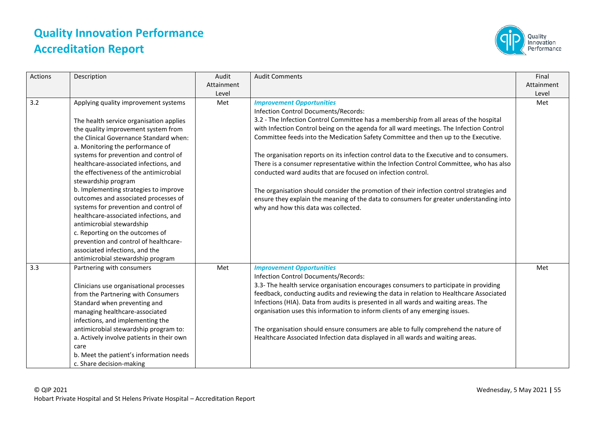

| Actions | Description                                                                                                                                                                                                                                                                                                                                                                                                                                                                                                                                                                                                                                                                                                | Audit<br>Attainment<br>Level | <b>Audit Comments</b>                                                                                                                                                                                                                                                                                                                                                                                                                                                                                                                                                                                                                                                                                                                                                                                                                     | Final<br>Attainment<br>Level |
|---------|------------------------------------------------------------------------------------------------------------------------------------------------------------------------------------------------------------------------------------------------------------------------------------------------------------------------------------------------------------------------------------------------------------------------------------------------------------------------------------------------------------------------------------------------------------------------------------------------------------------------------------------------------------------------------------------------------------|------------------------------|-------------------------------------------------------------------------------------------------------------------------------------------------------------------------------------------------------------------------------------------------------------------------------------------------------------------------------------------------------------------------------------------------------------------------------------------------------------------------------------------------------------------------------------------------------------------------------------------------------------------------------------------------------------------------------------------------------------------------------------------------------------------------------------------------------------------------------------------|------------------------------|
| 3.2     | Applying quality improvement systems<br>The health service organisation applies<br>the quality improvement system from<br>the Clinical Governance Standard when:<br>a. Monitoring the performance of<br>systems for prevention and control of<br>healthcare-associated infections, and<br>the effectiveness of the antimicrobial<br>stewardship program<br>b. Implementing strategies to improve<br>outcomes and associated processes of<br>systems for prevention and control of<br>healthcare-associated infections, and<br>antimicrobial stewardship<br>c. Reporting on the outcomes of<br>prevention and control of healthcare-<br>associated infections, and the<br>antimicrobial stewardship program | Met                          | <b>Improvement Opportunities</b><br>Infection Control Documents/Records:<br>3.2 - The Infection Control Committee has a membership from all areas of the hospital<br>with Infection Control being on the agenda for all ward meetings. The Infection Control<br>Committee feeds into the Medication Safety Committee and then up to the Executive.<br>The organisation reports on its infection control data to the Executive and to consumers.<br>There is a consumer representative within the Infection Control Committee, who has also<br>conducted ward audits that are focused on infection control.<br>The organisation should consider the promotion of their infection control strategies and<br>ensure they explain the meaning of the data to consumers for greater understanding into<br>why and how this data was collected. | Met                          |
| 3.3     | Partnering with consumers<br>Clinicians use organisational processes<br>from the Partnering with Consumers<br>Standard when preventing and<br>managing healthcare-associated<br>infections, and implementing the<br>antimicrobial stewardship program to:<br>a. Actively involve patients in their own<br>care<br>b. Meet the patient's information needs<br>c. Share decision-making                                                                                                                                                                                                                                                                                                                      | Met                          | <b>Improvement Opportunities</b><br>Infection Control Documents/Records:<br>3.3- The health service organisation encourages consumers to participate in providing<br>feedback, conducting audits and reviewing the data in relation to Healthcare Associated<br>Infections (HIA). Data from audits is presented in all wards and waiting areas. The<br>organisation uses this information to inform clients of any emerging issues.<br>The organisation should ensure consumers are able to fully comprehend the nature of<br>Healthcare Associated Infection data displayed in all wards and waiting areas.                                                                                                                                                                                                                              | Met                          |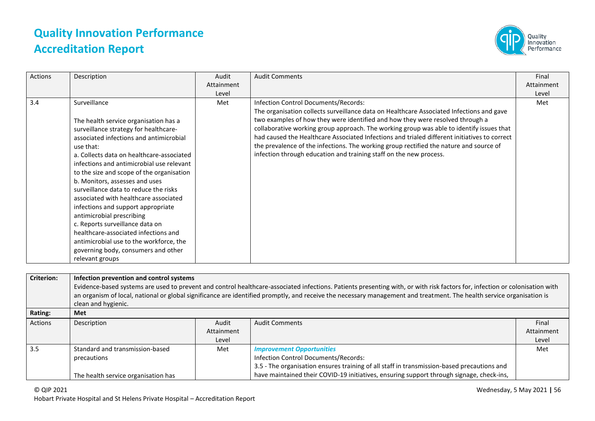

| Actions | Final                                                                                                                                                                                                                                                                              |
|---------|------------------------------------------------------------------------------------------------------------------------------------------------------------------------------------------------------------------------------------------------------------------------------------|
|         | Attainment                                                                                                                                                                                                                                                                         |
|         | Level                                                                                                                                                                                                                                                                              |
| 3.4     | Met<br>The organisation collects surveillance data on Healthcare Associated Infections and gave                                                                                                                                                                                    |
|         | collaborative working group approach. The working group was able to identify issues that<br>had caused the Healthcare Associated Infections and trialed different initiatives to correct<br>the prevalence of the infections. The working group rectified the nature and source of |

| <b>Criterion:</b> | Infection prevention and control systems                                                                                                                                    |            |                                                                                            |            |  |
|-------------------|-----------------------------------------------------------------------------------------------------------------------------------------------------------------------------|------------|--------------------------------------------------------------------------------------------|------------|--|
|                   | Evidence-based systems are used to prevent and control healthcare-associated infections. Patients presenting with, or with risk factors for, infection or colonisation with |            |                                                                                            |            |  |
|                   | an organism of local, national or global significance are identified promptly, and receive the necessary management and treatment. The health service organisation is       |            |                                                                                            |            |  |
|                   | clean and hygienic.                                                                                                                                                         |            |                                                                                            |            |  |
| Rating:           | Met                                                                                                                                                                         |            |                                                                                            |            |  |
| Actions           | Description                                                                                                                                                                 | Audit      | <b>Audit Comments</b>                                                                      | Final      |  |
|                   |                                                                                                                                                                             | Attainment |                                                                                            | Attainment |  |
|                   |                                                                                                                                                                             | Level      |                                                                                            | Level      |  |
| 3.5               | Standard and transmission-based                                                                                                                                             | Met        | <b>Improvement Opportunities</b>                                                           | Met        |  |
|                   | precautions                                                                                                                                                                 |            | Infection Control Documents/Records:                                                       |            |  |
|                   |                                                                                                                                                                             |            | 3.5 - The organisation ensures training of all staff in transmission-based precautions and |            |  |
|                   | The health service organisation has                                                                                                                                         |            | have maintained their COVID-19 initiatives, ensuring support through signage, check-ins,   |            |  |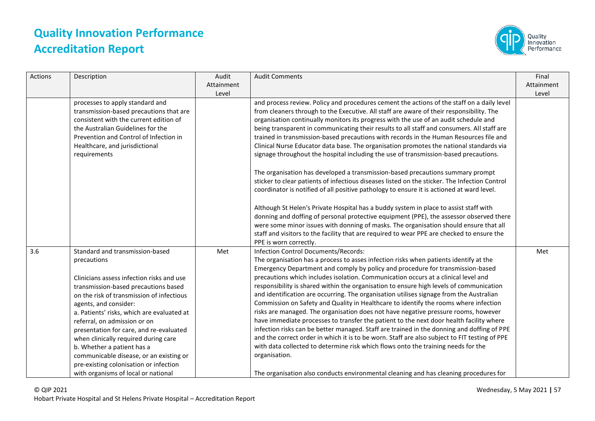

| Actions | Description                                                                                                                                                                                                                                                                                                                                                                                                                                                                                                                          | Audit<br>Attainment<br>Level | <b>Audit Comments</b>                                                                                                                                                                                                                                                                                                                                                                                                                                                                                                                                                                                                                                                                                                                                                                                                                                                                                                                                                                                                                                                                                                                                                                                                                                                                                                | Final<br>Attainment<br>Level |
|---------|--------------------------------------------------------------------------------------------------------------------------------------------------------------------------------------------------------------------------------------------------------------------------------------------------------------------------------------------------------------------------------------------------------------------------------------------------------------------------------------------------------------------------------------|------------------------------|----------------------------------------------------------------------------------------------------------------------------------------------------------------------------------------------------------------------------------------------------------------------------------------------------------------------------------------------------------------------------------------------------------------------------------------------------------------------------------------------------------------------------------------------------------------------------------------------------------------------------------------------------------------------------------------------------------------------------------------------------------------------------------------------------------------------------------------------------------------------------------------------------------------------------------------------------------------------------------------------------------------------------------------------------------------------------------------------------------------------------------------------------------------------------------------------------------------------------------------------------------------------------------------------------------------------|------------------------------|
|         | processes to apply standard and<br>transmission-based precautions that are<br>consistent with the current edition of<br>the Australian Guidelines for the<br>Prevention and Control of Infection in<br>Healthcare, and jurisdictional<br>requirements                                                                                                                                                                                                                                                                                |                              | and process review. Policy and procedures cement the actions of the staff on a daily level<br>from cleaners through to the Executive. All staff are aware of their responsibility. The<br>organisation continually monitors its progress with the use of an audit schedule and<br>being transparent in communicating their results to all staff and consumers. All staff are<br>trained in transmission-based precautions with records in the Human Resources file and<br>Clinical Nurse Educator data base. The organisation promotes the national standards via<br>signage throughout the hospital including the use of transmission-based precautions.<br>The organisation has developed a transmission-based precautions summary prompt<br>sticker to clear patients of infectious diseases listed on the sticker. The Infection Control<br>coordinator is notified of all positive pathology to ensure it is actioned at ward level.<br>Although St Helen's Private Hospital has a buddy system in place to assist staff with<br>donning and doffing of personal protective equipment (PPE), the assessor observed there<br>were some minor issues with donning of masks. The organisation should ensure that all<br>staff and visitors to the facility that are required to wear PPE are checked to ensure the |                              |
| 3.6     | Standard and transmission-based<br>precautions<br>Clinicians assess infection risks and use<br>transmission-based precautions based<br>on the risk of transmission of infectious<br>agents, and consider:<br>a. Patients' risks, which are evaluated at<br>referral, on admission or on<br>presentation for care, and re-evaluated<br>when clinically required during care<br>b. Whether a patient has a<br>communicable disease, or an existing or<br>pre-existing colonisation or infection<br>with organisms of local or national | Met                          | PPE is worn correctly.<br>Infection Control Documents/Records:<br>The organisation has a process to asses infection risks when patients identify at the<br>Emergency Department and comply by policy and procedure for transmission-based<br>precautions which includes isolation. Communication occurs at a clinical level and<br>responsibility is shared within the organisation to ensure high levels of communication<br>and identification are occurring. The organisation utilises signage from the Australian<br>Commission on Safety and Quality in Healthcare to identify the rooms where infection<br>risks are managed. The organisation does not have negative pressure rooms, however<br>have immediate processes to transfer the patient to the next door health facility where<br>infection risks can be better managed. Staff are trained in the donning and doffing of PPE<br>and the correct order in which it is to be worn. Staff are also subject to FIT testing of PPE<br>with data collected to determine risk which flows onto the training needs for the<br>organisation.<br>The organisation also conducts environmental cleaning and has cleaning procedures for                                                                                                                         | Met                          |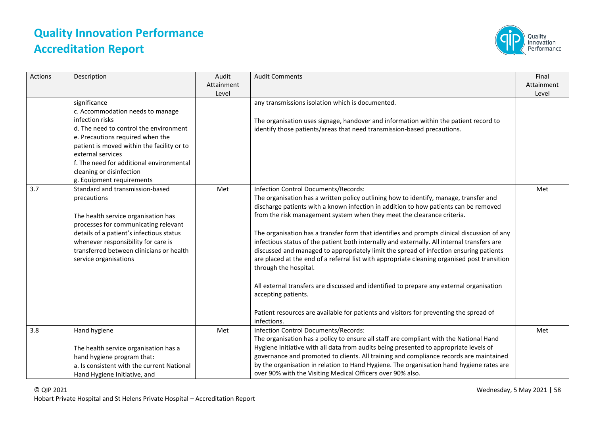

| <b>Actions</b> | Description                                                                                                                                                                                                                                                                                                               | Audit<br>Attainment<br>Level | <b>Audit Comments</b>                                                                                                                                                                                                                                                                                                                                                                                                                                                                                                                                                                                                                                                                                                                                                                                                                                                                                                                        | Final<br>Attainment<br>Level |
|----------------|---------------------------------------------------------------------------------------------------------------------------------------------------------------------------------------------------------------------------------------------------------------------------------------------------------------------------|------------------------------|----------------------------------------------------------------------------------------------------------------------------------------------------------------------------------------------------------------------------------------------------------------------------------------------------------------------------------------------------------------------------------------------------------------------------------------------------------------------------------------------------------------------------------------------------------------------------------------------------------------------------------------------------------------------------------------------------------------------------------------------------------------------------------------------------------------------------------------------------------------------------------------------------------------------------------------------|------------------------------|
|                | significance<br>c. Accommodation needs to manage<br>infection risks<br>d. The need to control the environment<br>e. Precautions required when the<br>patient is moved within the facility or to<br>external services<br>f. The need for additional environmental<br>cleaning or disinfection<br>g. Equipment requirements |                              | any transmissions isolation which is documented.<br>The organisation uses signage, handover and information within the patient record to<br>identify those patients/areas that need transmission-based precautions.                                                                                                                                                                                                                                                                                                                                                                                                                                                                                                                                                                                                                                                                                                                          |                              |
| 3.7            | Standard and transmission-based<br>precautions<br>The health service organisation has<br>processes for communicating relevant<br>details of a patient's infectious status<br>whenever responsibility for care is<br>transferred between clinicians or health<br>service organisations                                     | Met                          | Infection Control Documents/Records:<br>The organisation has a written policy outlining how to identify, manage, transfer and<br>discharge patients with a known infection in addition to how patients can be removed<br>from the risk management system when they meet the clearance criteria.<br>The organisation has a transfer form that identifies and prompts clinical discussion of any<br>infectious status of the patient both internally and externally. All internal transfers are<br>discussed and managed to appropriately limit the spread of infection ensuring patients<br>are placed at the end of a referral list with appropriate cleaning organised post transition<br>through the hospital.<br>All external transfers are discussed and identified to prepare any external organisation<br>accepting patients.<br>Patient resources are available for patients and visitors for preventing the spread of<br>infections. | Met                          |
| 3.8            | Hand hygiene<br>The health service organisation has a<br>hand hygiene program that:<br>a. Is consistent with the current National<br>Hand Hygiene Initiative, and                                                                                                                                                         | Met                          | Infection Control Documents/Records:<br>The organisation has a policy to ensure all staff are compliant with the National Hand<br>Hygiene Initiative with all data from audits being presented to appropriate levels of<br>governance and promoted to clients. All training and compliance records are maintained<br>by the organisation in relation to Hand Hygiene. The organisation hand hygiene rates are<br>over 90% with the Visiting Medical Officers over 90% also.                                                                                                                                                                                                                                                                                                                                                                                                                                                                  | Met                          |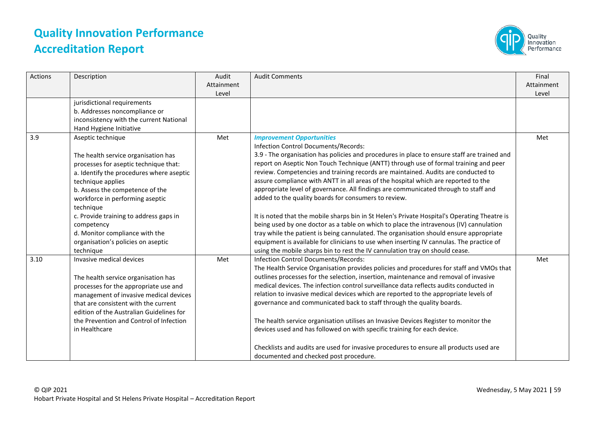

| Actions | Description                                                                                                                                                                                                                                                                                                                                                                                        | Audit<br>Attainment<br>Level | <b>Audit Comments</b>                                                                                                                                                                                                                                                                                                                                                                                                                                                                                                                                                                                                                                                                                                                                                                                                                                                                                                                                                                                                                                     | Final<br>Attainment<br>Level |
|---------|----------------------------------------------------------------------------------------------------------------------------------------------------------------------------------------------------------------------------------------------------------------------------------------------------------------------------------------------------------------------------------------------------|------------------------------|-----------------------------------------------------------------------------------------------------------------------------------------------------------------------------------------------------------------------------------------------------------------------------------------------------------------------------------------------------------------------------------------------------------------------------------------------------------------------------------------------------------------------------------------------------------------------------------------------------------------------------------------------------------------------------------------------------------------------------------------------------------------------------------------------------------------------------------------------------------------------------------------------------------------------------------------------------------------------------------------------------------------------------------------------------------|------------------------------|
|         | jurisdictional requirements<br>b. Addresses noncompliance or<br>inconsistency with the current National<br>Hand Hygiene Initiative                                                                                                                                                                                                                                                                 |                              |                                                                                                                                                                                                                                                                                                                                                                                                                                                                                                                                                                                                                                                                                                                                                                                                                                                                                                                                                                                                                                                           |                              |
| 3.9     | Aseptic technique<br>The health service organisation has<br>processes for aseptic technique that:<br>a. Identify the procedures where aseptic<br>technique applies<br>b. Assess the competence of the<br>workforce in performing aseptic<br>technique<br>c. Provide training to address gaps in<br>competency<br>d. Monitor compliance with the<br>organisation's policies on aseptic<br>technique | Met                          | <b>Improvement Opportunities</b><br>Infection Control Documents/Records:<br>3.9 - The organisation has policies and procedures in place to ensure staff are trained and<br>report on Aseptic Non Touch Technique (ANTT) through use of formal training and peer<br>review. Competencies and training records are maintained. Audits are conducted to<br>assure compliance with ANTT in all areas of the hospital which are reported to the<br>appropriate level of governance. All findings are communicated through to staff and<br>added to the quality boards for consumers to review.<br>It is noted that the mobile sharps bin in St Helen's Private Hospital's Operating Theatre is<br>being used by one doctor as a table on which to place the intravenous (IV) cannulation<br>tray while the patient is being cannulated. The organisation should ensure appropriate<br>equipment is available for clinicians to use when inserting IV cannulas. The practice of<br>using the mobile sharps bin to rest the IV cannulation tray on should cease. | Met                          |
| 3.10    | Invasive medical devices<br>The health service organisation has<br>processes for the appropriate use and<br>management of invasive medical devices<br>that are consistent with the current<br>edition of the Australian Guidelines for<br>the Prevention and Control of Infection<br>in Healthcare                                                                                                 | Met                          | Infection Control Documents/Records:<br>The Health Service Organisation provides policies and procedures for staff and VMOs that<br>outlines processes for the selection, insertion, maintenance and removal of invasive<br>medical devices. The infection control surveillance data reflects audits conducted in<br>relation to invasive medical devices which are reported to the appropriate levels of<br>governance and communicated back to staff through the quality boards.<br>The health service organisation utilises an Invasive Devices Register to monitor the<br>devices used and has followed on with specific training for each device.<br>Checklists and audits are used for invasive procedures to ensure all products used are<br>documented and checked post procedure.                                                                                                                                                                                                                                                                | Met                          |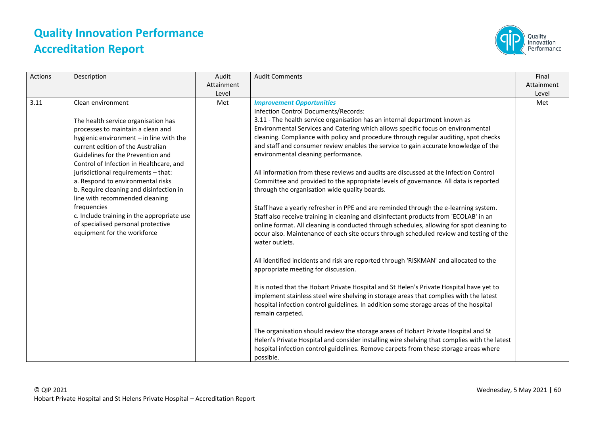

| <b>Actions</b> | Description                                                                                                                                                                                                                                                                                                                                                                                                                                                                                                                                              | Audit<br>Attainment<br>Level | <b>Audit Comments</b>                                                                                                                                                                                                                                                                                                                                                                                                                                                                                                                                                                                                                                                                                                                                                                                                                                                                                                                                                                                                                                                                                                                                                                                                                                                                                                                                                                                                                                                                                                                                                                                                                                                                                                                                                                                                      | Final<br>Attainment<br>Level |
|----------------|----------------------------------------------------------------------------------------------------------------------------------------------------------------------------------------------------------------------------------------------------------------------------------------------------------------------------------------------------------------------------------------------------------------------------------------------------------------------------------------------------------------------------------------------------------|------------------------------|----------------------------------------------------------------------------------------------------------------------------------------------------------------------------------------------------------------------------------------------------------------------------------------------------------------------------------------------------------------------------------------------------------------------------------------------------------------------------------------------------------------------------------------------------------------------------------------------------------------------------------------------------------------------------------------------------------------------------------------------------------------------------------------------------------------------------------------------------------------------------------------------------------------------------------------------------------------------------------------------------------------------------------------------------------------------------------------------------------------------------------------------------------------------------------------------------------------------------------------------------------------------------------------------------------------------------------------------------------------------------------------------------------------------------------------------------------------------------------------------------------------------------------------------------------------------------------------------------------------------------------------------------------------------------------------------------------------------------------------------------------------------------------------------------------------------------|------------------------------|
| 3.11           | Clean environment<br>The health service organisation has<br>processes to maintain a clean and<br>hygienic environment - in line with the<br>current edition of the Australian<br>Guidelines for the Prevention and<br>Control of Infection in Healthcare, and<br>jurisdictional requirements - that:<br>a. Respond to environmental risks<br>b. Require cleaning and disinfection in<br>line with recommended cleaning<br>frequencies<br>c. Include training in the appropriate use<br>of specialised personal protective<br>equipment for the workforce | Met                          | <b>Improvement Opportunities</b><br>Infection Control Documents/Records:<br>3.11 - The health service organisation has an internal department known as<br>Environmental Services and Catering which allows specific focus on environmental<br>cleaning. Compliance with policy and procedure through regular auditing, spot checks<br>and staff and consumer review enables the service to gain accurate knowledge of the<br>environmental cleaning performance.<br>All information from these reviews and audits are discussed at the Infection Control<br>Committee and provided to the appropriate levels of governance. All data is reported<br>through the organisation wide quality boards.<br>Staff have a yearly refresher in PPE and are reminded through the e-learning system.<br>Staff also receive training in cleaning and disinfectant products from 'ECOLAB' in an<br>online format. All cleaning is conducted through schedules, allowing for spot cleaning to<br>occur also. Maintenance of each site occurs through scheduled review and testing of the<br>water outlets.<br>All identified incidents and risk are reported through 'RISKMAN' and allocated to the<br>appropriate meeting for discussion.<br>It is noted that the Hobart Private Hospital and St Helen's Private Hospital have yet to<br>implement stainless steel wire shelving in storage areas that complies with the latest<br>hospital infection control guidelines. In addition some storage areas of the hospital<br>remain carpeted.<br>The organisation should review the storage areas of Hobart Private Hospital and St<br>Helen's Private Hospital and consider installing wire shelving that complies with the latest<br>hospital infection control guidelines. Remove carpets from these storage areas where<br>possible. | Met                          |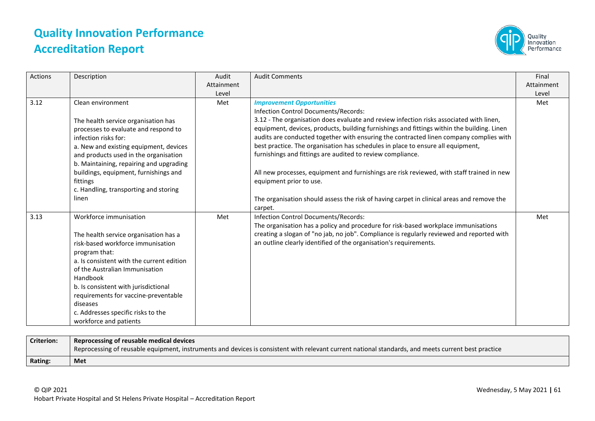

| Actions | Description                                                                                                                                                                                                                                                                                                                                                                  | Audit               | <b>Audit Comments</b>                                                                                                                                                                                                                                                                                                                                                                                                                                                                                                                                                                                                                                                                                                                        | Final               |
|---------|------------------------------------------------------------------------------------------------------------------------------------------------------------------------------------------------------------------------------------------------------------------------------------------------------------------------------------------------------------------------------|---------------------|----------------------------------------------------------------------------------------------------------------------------------------------------------------------------------------------------------------------------------------------------------------------------------------------------------------------------------------------------------------------------------------------------------------------------------------------------------------------------------------------------------------------------------------------------------------------------------------------------------------------------------------------------------------------------------------------------------------------------------------------|---------------------|
|         |                                                                                                                                                                                                                                                                                                                                                                              | Attainment<br>Level |                                                                                                                                                                                                                                                                                                                                                                                                                                                                                                                                                                                                                                                                                                                                              | Attainment<br>Level |
| 3.12    | Clean environment<br>The health service organisation has<br>processes to evaluate and respond to<br>infection risks for:<br>a. New and existing equipment, devices<br>and products used in the organisation<br>b. Maintaining, repairing and upgrading<br>buildings, equipment, furnishings and<br>fittings<br>c. Handling, transporting and storing<br>linen                | Met                 | <b>Improvement Opportunities</b><br>Infection Control Documents/Records:<br>3.12 - The organisation does evaluate and review infection risks associated with linen,<br>equipment, devices, products, building furnishings and fittings within the building. Linen<br>audits are conducted together with ensuring the contracted linen company complies with<br>best practice. The organisation has schedules in place to ensure all equipment,<br>furnishings and fittings are audited to review compliance.<br>All new processes, equipment and furnishings are risk reviewed, with staff trained in new<br>equipment prior to use.<br>The organisation should assess the risk of having carpet in clinical areas and remove the<br>carpet. | Met                 |
| 3.13    | Workforce immunisation<br>The health service organisation has a<br>risk-based workforce immunisation<br>program that:<br>a. Is consistent with the current edition<br>of the Australian Immunisation<br>Handbook<br>b. Is consistent with jurisdictional<br>requirements for vaccine-preventable<br>diseases<br>c. Addresses specific risks to the<br>workforce and patients | Met                 | Infection Control Documents/Records:<br>The organisation has a policy and procedure for risk-based workplace immunisations<br>creating a slogan of "no jab, no job". Compliance is regularly reviewed and reported with<br>an outline clearly identified of the organisation's requirements.                                                                                                                                                                                                                                                                                                                                                                                                                                                 | Met                 |

| <b>Criterion:</b> | Reprocessing of reusable medical devices                                                                                                            |
|-------------------|-----------------------------------------------------------------------------------------------------------------------------------------------------|
|                   | Reprocessing of reusable equipment, instruments and devices is consistent with relevant current national standards, and meets current best practice |
| Rating:           | Met                                                                                                                                                 |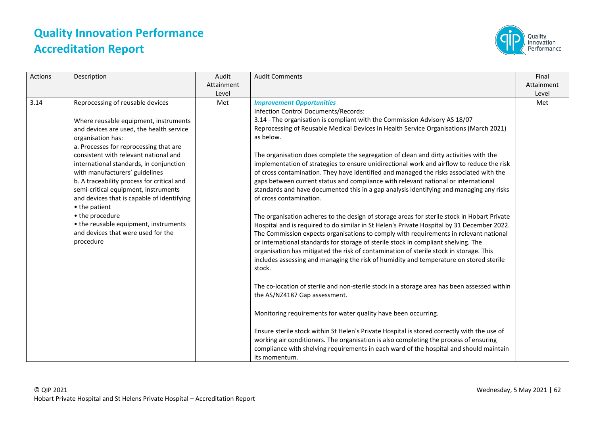

| <b>Actions</b> | Description                                                                                                                                                                                                                                                                                                                                                                                                                                                                                                                                                                    | Audit<br>Attainment<br>Level | <b>Audit Comments</b>                                                                                                                                                                                                                                                                                                                                                                                                                                                                                                                                                                                                                                                                                                                                                                                                                                                                                                                                                                                                                                                                                                                                                                                                                                                                                                                                                                                                                                                                                                                                                                                                                                                                                                                                                                                                                   | Final<br>Attainment<br>Level |
|----------------|--------------------------------------------------------------------------------------------------------------------------------------------------------------------------------------------------------------------------------------------------------------------------------------------------------------------------------------------------------------------------------------------------------------------------------------------------------------------------------------------------------------------------------------------------------------------------------|------------------------------|-----------------------------------------------------------------------------------------------------------------------------------------------------------------------------------------------------------------------------------------------------------------------------------------------------------------------------------------------------------------------------------------------------------------------------------------------------------------------------------------------------------------------------------------------------------------------------------------------------------------------------------------------------------------------------------------------------------------------------------------------------------------------------------------------------------------------------------------------------------------------------------------------------------------------------------------------------------------------------------------------------------------------------------------------------------------------------------------------------------------------------------------------------------------------------------------------------------------------------------------------------------------------------------------------------------------------------------------------------------------------------------------------------------------------------------------------------------------------------------------------------------------------------------------------------------------------------------------------------------------------------------------------------------------------------------------------------------------------------------------------------------------------------------------------------------------------------------------|------------------------------|
| 3.14           | Reprocessing of reusable devices<br>Where reusable equipment, instruments<br>and devices are used, the health service<br>organisation has:<br>a. Processes for reprocessing that are<br>consistent with relevant national and<br>international standards, in conjunction<br>with manufacturers' guidelines<br>b. A traceability process for critical and<br>semi-critical equipment, instruments<br>and devices that is capable of identifying<br>• the patient<br>• the procedure<br>• the reusable equipment, instruments<br>and devices that were used for the<br>procedure | Met                          | <b>Improvement Opportunities</b><br>Infection Control Documents/Records:<br>3.14 - The organisation is compliant with the Commission Advisory AS 18/07<br>Reprocessing of Reusable Medical Devices in Health Service Organisations (March 2021)<br>as below.<br>The organisation does complete the segregation of clean and dirty activities with the<br>implementation of strategies to ensure unidirectional work and airflow to reduce the risk<br>of cross contamination. They have identified and managed the risks associated with the<br>gaps between current status and compliance with relevant national or international<br>standards and have documented this in a gap analysis identifying and managing any risks<br>of cross contamination.<br>The organisation adheres to the design of storage areas for sterile stock in Hobart Private<br>Hospital and is required to do similar in St Helen's Private Hospital by 31 December 2022.<br>The Commission expects organisations to comply with requirements in relevant national<br>or international standards for storage of sterile stock in compliant shelving. The<br>organisation has mitigated the risk of contamination of sterile stock in storage. This<br>includes assessing and managing the risk of humidity and temperature on stored sterile<br>stock.<br>The co-location of sterile and non-sterile stock in a storage area has been assessed within<br>the AS/NZ4187 Gap assessment.<br>Monitoring requirements for water quality have been occurring.<br>Ensure sterile stock within St Helen's Private Hospital is stored correctly with the use of<br>working air conditioners. The organisation is also completing the process of ensuring<br>compliance with shelving requirements in each ward of the hospital and should maintain<br>its momentum. | Met                          |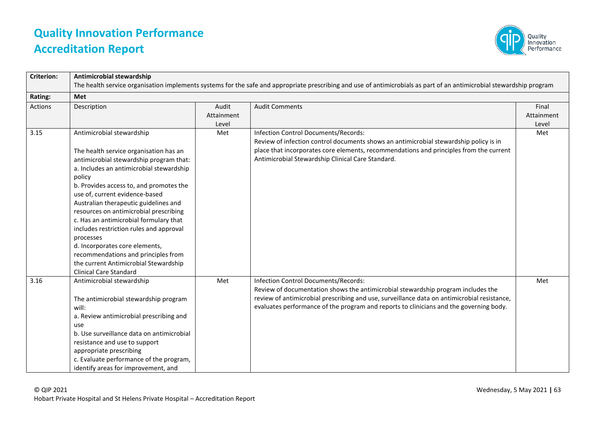

| <b>Criterion:</b> | Antimicrobial stewardship                                                                                                                                                                                                                                                                                                                                                                                                                                                                                                                                                          |                              |                                                                                                                                                                                                                                                                                                                   |                              |
|-------------------|------------------------------------------------------------------------------------------------------------------------------------------------------------------------------------------------------------------------------------------------------------------------------------------------------------------------------------------------------------------------------------------------------------------------------------------------------------------------------------------------------------------------------------------------------------------------------------|------------------------------|-------------------------------------------------------------------------------------------------------------------------------------------------------------------------------------------------------------------------------------------------------------------------------------------------------------------|------------------------------|
|                   |                                                                                                                                                                                                                                                                                                                                                                                                                                                                                                                                                                                    |                              | The health service organisation implements systems for the safe and appropriate prescribing and use of antimicrobials as part of an antimicrobial stewardship program                                                                                                                                             |                              |
| Rating:           | <b>Met</b>                                                                                                                                                                                                                                                                                                                                                                                                                                                                                                                                                                         |                              |                                                                                                                                                                                                                                                                                                                   |                              |
| Actions           | Description                                                                                                                                                                                                                                                                                                                                                                                                                                                                                                                                                                        | Audit<br>Attainment<br>Level | <b>Audit Comments</b>                                                                                                                                                                                                                                                                                             | Final<br>Attainment<br>Level |
| 3.15              | Antimicrobial stewardship<br>The health service organisation has an<br>antimicrobial stewardship program that:<br>a. Includes an antimicrobial stewardship<br>policy<br>b. Provides access to, and promotes the<br>use of, current evidence-based<br>Australian therapeutic guidelines and<br>resources on antimicrobial prescribing<br>c. Has an antimicrobial formulary that<br>includes restriction rules and approval<br>processes<br>d. Incorporates core elements,<br>recommendations and principles from<br>the current Antimicrobial Stewardship<br>Clinical Care Standard | Met                          | <b>Infection Control Documents/Records:</b><br>Review of infection control documents shows an antimicrobial stewardship policy is in<br>place that incorporates core elements, recommendations and principles from the current<br>Antimicrobial Stewardship Clinical Care Standard.                               | Met                          |
| 3.16              | Antimicrobial stewardship<br>The antimicrobial stewardship program<br>will:<br>a. Review antimicrobial prescribing and<br>use<br>b. Use surveillance data on antimicrobial<br>resistance and use to support<br>appropriate prescribing<br>c. Evaluate performance of the program,<br>identify areas for improvement, and                                                                                                                                                                                                                                                           | Met                          | Infection Control Documents/Records:<br>Review of documentation shows the antimicrobial stewardship program includes the<br>review of antimicrobial prescribing and use, surveillance data on antimicrobial resistance,<br>evaluates performance of the program and reports to clinicians and the governing body. | Met                          |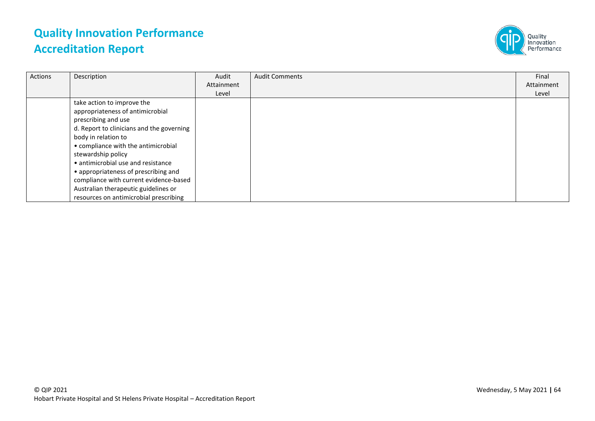

| Actions | Description                               | Audit      | <b>Audit Comments</b> | Final      |
|---------|-------------------------------------------|------------|-----------------------|------------|
|         |                                           | Attainment |                       | Attainment |
|         |                                           | Level      |                       | Level      |
|         | take action to improve the                |            |                       |            |
|         | appropriateness of antimicrobial          |            |                       |            |
|         | prescribing and use                       |            |                       |            |
|         | d. Report to clinicians and the governing |            |                       |            |
|         | body in relation to                       |            |                       |            |
|         | • compliance with the antimicrobial       |            |                       |            |
|         | stewardship policy                        |            |                       |            |
|         | • antimicrobial use and resistance        |            |                       |            |
|         | • appropriateness of prescribing and      |            |                       |            |
|         | compliance with current evidence-based    |            |                       |            |
|         | Australian therapeutic guidelines or      |            |                       |            |
|         | resources on antimicrobial prescribing    |            |                       |            |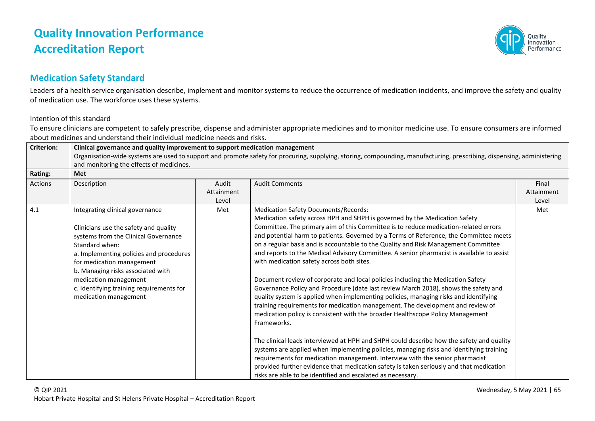

#### **Medication Safety Standard**

Leaders of a health service organisation describe, implement and monitor systems to reduce the occurrence of medication incidents, and improve the safety and quality of medication use. The workforce uses these systems.

#### Intention of this standard

To ensure clinicians are competent to safely prescribe, dispense and administer appropriate medicines and to monitor medicine use. To ensure consumers are informed about medicines and understand their individual medicine needs and risks.

| <b>Criterion:</b> | Clinical governance and quality improvement to support medication management<br>Organisation-wide systems are used to support and promote safety for procuring, supplying, storing, compounding, manufacturing, prescribing, dispensing, administering<br>and monitoring the effects of medicines.                                            |                              |                                                                                                                                                                                                                                                                                                                                                                                                                                                                                                                                                                                                                                                                                                                                                                                                                                                                                                                                                                                                                                                                                                                                                                                                                                                                                                                                                                                                                                 |                              |
|-------------------|-----------------------------------------------------------------------------------------------------------------------------------------------------------------------------------------------------------------------------------------------------------------------------------------------------------------------------------------------|------------------------------|---------------------------------------------------------------------------------------------------------------------------------------------------------------------------------------------------------------------------------------------------------------------------------------------------------------------------------------------------------------------------------------------------------------------------------------------------------------------------------------------------------------------------------------------------------------------------------------------------------------------------------------------------------------------------------------------------------------------------------------------------------------------------------------------------------------------------------------------------------------------------------------------------------------------------------------------------------------------------------------------------------------------------------------------------------------------------------------------------------------------------------------------------------------------------------------------------------------------------------------------------------------------------------------------------------------------------------------------------------------------------------------------------------------------------------|------------------------------|
| Rating:           | <b>Met</b>                                                                                                                                                                                                                                                                                                                                    |                              |                                                                                                                                                                                                                                                                                                                                                                                                                                                                                                                                                                                                                                                                                                                                                                                                                                                                                                                                                                                                                                                                                                                                                                                                                                                                                                                                                                                                                                 |                              |
| Actions           | Description                                                                                                                                                                                                                                                                                                                                   | Audit<br>Attainment<br>Level | <b>Audit Comments</b>                                                                                                                                                                                                                                                                                                                                                                                                                                                                                                                                                                                                                                                                                                                                                                                                                                                                                                                                                                                                                                                                                                                                                                                                                                                                                                                                                                                                           | Final<br>Attainment<br>Level |
| 4.1               | Integrating clinical governance<br>Clinicians use the safety and quality<br>systems from the Clinical Governance<br>Standard when:<br>a. Implementing policies and procedures<br>for medication management<br>b. Managing risks associated with<br>medication management<br>c. Identifying training requirements for<br>medication management | Met                          | <b>Medication Safety Documents/Records:</b><br>Medication safety across HPH and SHPH is governed by the Medication Safety<br>Committee. The primary aim of this Committee is to reduce medication-related errors<br>and potential harm to patients. Governed by a Terms of Reference, the Committee meets<br>on a regular basis and is accountable to the Quality and Risk Management Committee<br>and reports to the Medical Advisory Committee. A senior pharmacist is available to assist<br>with medication safety across both sites.<br>Document review of corporate and local policies including the Medication Safety<br>Governance Policy and Procedure (date last review March 2018), shows the safety and<br>quality system is applied when implementing policies, managing risks and identifying<br>training requirements for medication management. The development and review of<br>medication policy is consistent with the broader Healthscope Policy Management<br>Frameworks.<br>The clinical leads interviewed at HPH and SHPH could describe how the safety and quality<br>systems are applied when implementing policies, managing risks and identifying training<br>requirements for medication management. Interview with the senior pharmacist<br>provided further evidence that medication safety is taken seriously and that medication<br>risks are able to be identified and escalated as necessary. | Met                          |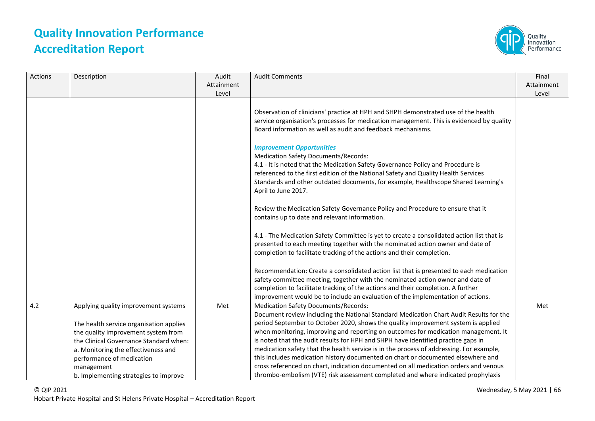

| Actions | Description                                                                                                                                                                                                                                                                                 | Audit<br>Attainment<br>Level | <b>Audit Comments</b>                                                                                                                                                                                                                                                                                                                                                                                                                                                                                                                                                                                                                                                                                                                                            | Final<br>Attainment<br>Level |
|---------|---------------------------------------------------------------------------------------------------------------------------------------------------------------------------------------------------------------------------------------------------------------------------------------------|------------------------------|------------------------------------------------------------------------------------------------------------------------------------------------------------------------------------------------------------------------------------------------------------------------------------------------------------------------------------------------------------------------------------------------------------------------------------------------------------------------------------------------------------------------------------------------------------------------------------------------------------------------------------------------------------------------------------------------------------------------------------------------------------------|------------------------------|
|         |                                                                                                                                                                                                                                                                                             |                              | Observation of clinicians' practice at HPH and SHPH demonstrated use of the health<br>service organisation's processes for medication management. This is evidenced by quality<br>Board information as well as audit and feedback mechanisms.                                                                                                                                                                                                                                                                                                                                                                                                                                                                                                                    |                              |
|         |                                                                                                                                                                                                                                                                                             |                              | <b>Improvement Opportunities</b><br><b>Medication Safety Documents/Records:</b><br>4.1 - It is noted that the Medication Safety Governance Policy and Procedure is<br>referenced to the first edition of the National Safety and Quality Health Services<br>Standards and other outdated documents, for example, Healthscope Shared Learning's<br>April to June 2017.                                                                                                                                                                                                                                                                                                                                                                                            |                              |
|         |                                                                                                                                                                                                                                                                                             |                              | Review the Medication Safety Governance Policy and Procedure to ensure that it<br>contains up to date and relevant information.                                                                                                                                                                                                                                                                                                                                                                                                                                                                                                                                                                                                                                  |                              |
|         |                                                                                                                                                                                                                                                                                             |                              | 4.1 - The Medication Safety Committee is yet to create a consolidated action list that is<br>presented to each meeting together with the nominated action owner and date of<br>completion to facilitate tracking of the actions and their completion.                                                                                                                                                                                                                                                                                                                                                                                                                                                                                                            |                              |
|         |                                                                                                                                                                                                                                                                                             |                              | Recommendation: Create a consolidated action list that is presented to each medication<br>safety committee meeting, together with the nominated action owner and date of<br>completion to facilitate tracking of the actions and their completion. A further<br>improvement would be to include an evaluation of the implementation of actions.                                                                                                                                                                                                                                                                                                                                                                                                                  |                              |
| 4.2     | Applying quality improvement systems<br>The health service organisation applies<br>the quality improvement system from<br>the Clinical Governance Standard when:<br>a. Monitoring the effectiveness and<br>performance of medication<br>management<br>b. Implementing strategies to improve | Met                          | <b>Medication Safety Documents/Records:</b><br>Document review including the National Standard Medication Chart Audit Results for the<br>period September to October 2020, shows the quality improvement system is applied<br>when monitoring, improving and reporting on outcomes for medication management. It<br>is noted that the audit results for HPH and SHPH have identified practice gaps in<br>medication safety that the health service is in the process of addressing. For example,<br>this includes medication history documented on chart or documented elsewhere and<br>cross referenced on chart, indication documented on all medication orders and venous<br>thrombo-embolism (VTE) risk assessment completed and where indicated prophylaxis | Met                          |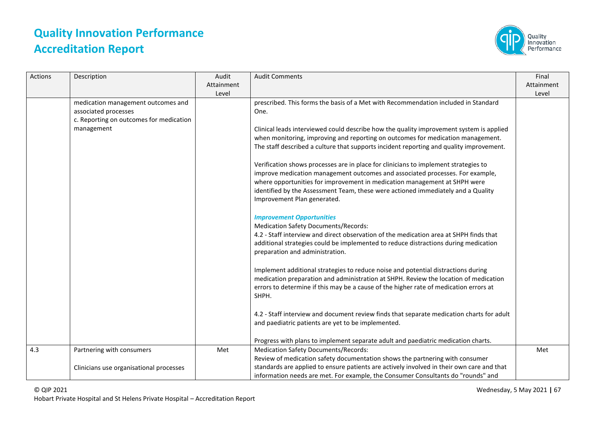

| Actions | Description                                                                                           | Audit<br>Attainment<br>Level | <b>Audit Comments</b>                                                                                                                                                                                                                                                                                                                                                | Final<br>Attainment<br>Level |
|---------|-------------------------------------------------------------------------------------------------------|------------------------------|----------------------------------------------------------------------------------------------------------------------------------------------------------------------------------------------------------------------------------------------------------------------------------------------------------------------------------------------------------------------|------------------------------|
|         | medication management outcomes and<br>associated processes<br>c. Reporting on outcomes for medication |                              | prescribed. This forms the basis of a Met with Recommendation included in Standard<br>One.                                                                                                                                                                                                                                                                           |                              |
|         | management                                                                                            |                              | Clinical leads interviewed could describe how the quality improvement system is applied<br>when monitoring, improving and reporting on outcomes for medication management.<br>The staff described a culture that supports incident reporting and quality improvement.                                                                                                |                              |
|         |                                                                                                       |                              | Verification shows processes are in place for clinicians to implement strategies to<br>improve medication management outcomes and associated processes. For example,<br>where opportunities for improvement in medication management at SHPH were<br>identified by the Assessment Team, these were actioned immediately and a Quality<br>Improvement Plan generated. |                              |
|         |                                                                                                       |                              | <b>Improvement Opportunities</b><br><b>Medication Safety Documents/Records:</b><br>4.2 - Staff interview and direct observation of the medication area at SHPH finds that<br>additional strategies could be implemented to reduce distractions during medication<br>preparation and administration.                                                                  |                              |
|         |                                                                                                       |                              | Implement additional strategies to reduce noise and potential distractions during<br>medication preparation and administration at SHPH. Review the location of medication<br>errors to determine if this may be a cause of the higher rate of medication errors at<br>SHPH.                                                                                          |                              |
|         |                                                                                                       |                              | 4.2 - Staff interview and document review finds that separate medication charts for adult<br>and paediatric patients are yet to be implemented.                                                                                                                                                                                                                      |                              |
|         |                                                                                                       |                              | Progress with plans to implement separate adult and paediatric medication charts.                                                                                                                                                                                                                                                                                    |                              |
| 4.3     | Partnering with consumers                                                                             | Met                          | <b>Medication Safety Documents/Records:</b>                                                                                                                                                                                                                                                                                                                          | Met                          |
|         | Clinicians use organisational processes                                                               |                              | Review of medication safety documentation shows the partnering with consumer<br>standards are applied to ensure patients are actively involved in their own care and that<br>information needs are met. For example, the Consumer Consultants do "rounds" and                                                                                                        |                              |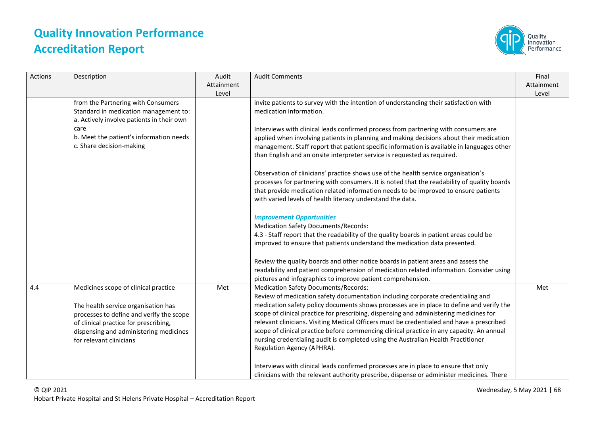

| Actions | Description                                                                                                                                                                                                                           | Audit<br>Attainment<br>Level | <b>Audit Comments</b>                                                                                                                                                                                                                                                                                                                                                                                                                                                                                                                                                                                                                                                                                                                                                                                                                                                                                                                                                                                                                                                              | Final<br>Attainment<br>Level |
|---------|---------------------------------------------------------------------------------------------------------------------------------------------------------------------------------------------------------------------------------------|------------------------------|------------------------------------------------------------------------------------------------------------------------------------------------------------------------------------------------------------------------------------------------------------------------------------------------------------------------------------------------------------------------------------------------------------------------------------------------------------------------------------------------------------------------------------------------------------------------------------------------------------------------------------------------------------------------------------------------------------------------------------------------------------------------------------------------------------------------------------------------------------------------------------------------------------------------------------------------------------------------------------------------------------------------------------------------------------------------------------|------------------------------|
|         | from the Partnering with Consumers<br>Standard in medication management to:<br>a. Actively involve patients in their own<br>care<br>b. Meet the patient's information needs<br>c. Share decision-making                               |                              | invite patients to survey with the intention of understanding their satisfaction with<br>medication information.<br>Interviews with clinical leads confirmed process from partnering with consumers are<br>applied when involving patients in planning and making decisions about their medication<br>management. Staff report that patient specific information is available in languages other<br>than English and an onsite interpreter service is requested as required.<br>Observation of clinicians' practice shows use of the health service organisation's<br>processes for partnering with consumers. It is noted that the readability of quality boards<br>that provide medication related information needs to be improved to ensure patients<br>with varied levels of health literacy understand the data.<br><b>Improvement Opportunities</b><br><b>Medication Safety Documents/Records:</b><br>4.3 - Staff report that the readability of the quality boards in patient areas could be<br>improved to ensure that patients understand the medication data presented. |                              |
|         |                                                                                                                                                                                                                                       |                              | Review the quality boards and other notice boards in patient areas and assess the<br>readability and patient comprehension of medication related information. Consider using<br>pictures and infographics to improve patient comprehension.                                                                                                                                                                                                                                                                                                                                                                                                                                                                                                                                                                                                                                                                                                                                                                                                                                        |                              |
| 4.4     | Medicines scope of clinical practice<br>The health service organisation has<br>processes to define and verify the scope<br>of clinical practice for prescribing,<br>dispensing and administering medicines<br>for relevant clinicians | Met                          | <b>Medication Safety Documents/Records:</b><br>Review of medication safety documentation including corporate credentialing and<br>medication safety policy documents shows processes are in place to define and verify the<br>scope of clinical practice for prescribing, dispensing and administering medicines for<br>relevant clinicians. Visiting Medical Officers must be credentialed and have a prescribed<br>scope of clinical practice before commencing clinical practice in any capacity. An annual<br>nursing credentialing audit is completed using the Australian Health Practitioner<br>Regulation Agency (APHRA).                                                                                                                                                                                                                                                                                                                                                                                                                                                  | Met                          |
|         |                                                                                                                                                                                                                                       |                              | Interviews with clinical leads confirmed processes are in place to ensure that only<br>clinicians with the relevant authority prescribe, dispense or administer medicines. There                                                                                                                                                                                                                                                                                                                                                                                                                                                                                                                                                                                                                                                                                                                                                                                                                                                                                                   |                              |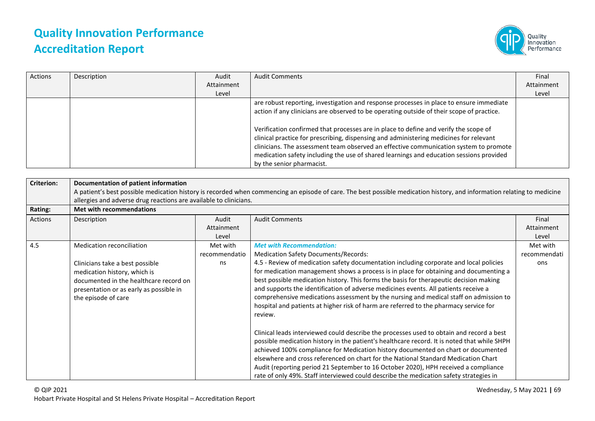

| Actions | Description | Audit      | <b>Audit Comments</b>                                                                                                                                                                                                                                                                                                                                                                                                                                                                                                                                                                   | Final      |
|---------|-------------|------------|-----------------------------------------------------------------------------------------------------------------------------------------------------------------------------------------------------------------------------------------------------------------------------------------------------------------------------------------------------------------------------------------------------------------------------------------------------------------------------------------------------------------------------------------------------------------------------------------|------------|
|         |             | Attainment |                                                                                                                                                                                                                                                                                                                                                                                                                                                                                                                                                                                         | Attainment |
|         |             | Level      |                                                                                                                                                                                                                                                                                                                                                                                                                                                                                                                                                                                         | Level      |
|         |             |            | are robust reporting, investigation and response processes in place to ensure immediate<br>action if any clinicians are observed to be operating outside of their scope of practice.<br>Verification confirmed that processes are in place to define and verify the scope of<br>clinical practice for prescribing, dispensing and administering medicines for relevant<br>clinicians. The assessment team observed an effective communication system to promote<br>medication safety including the use of shared learnings and education sessions provided<br>by the senior pharmacist. |            |

| <b>Criterion:</b> | Documentation of patient information                                                                                                                                        |                              |                                                                                                                                                                                                                                                                                                                                                                                                                                                                                                                                                               |                              |
|-------------------|-----------------------------------------------------------------------------------------------------------------------------------------------------------------------------|------------------------------|---------------------------------------------------------------------------------------------------------------------------------------------------------------------------------------------------------------------------------------------------------------------------------------------------------------------------------------------------------------------------------------------------------------------------------------------------------------------------------------------------------------------------------------------------------------|------------------------------|
|                   | A patient's best possible medication history is recorded when commencing an episode of care. The best possible medication history, and information relating to medicine     |                              |                                                                                                                                                                                                                                                                                                                                                                                                                                                                                                                                                               |                              |
|                   | allergies and adverse drug reactions are available to clinicians.                                                                                                           |                              |                                                                                                                                                                                                                                                                                                                                                                                                                                                                                                                                                               |                              |
| Rating:           | Met with recommendations                                                                                                                                                    |                              |                                                                                                                                                                                                                                                                                                                                                                                                                                                                                                                                                               |                              |
| Actions           | Description                                                                                                                                                                 | Audit<br>Attainment<br>Level | <b>Audit Comments</b>                                                                                                                                                                                                                                                                                                                                                                                                                                                                                                                                         | Final<br>Attainment<br>Level |
| 4.5               | Medication reconciliation                                                                                                                                                   | Met with                     | <b>Met with Recommendation:</b>                                                                                                                                                                                                                                                                                                                                                                                                                                                                                                                               | Met with                     |
|                   |                                                                                                                                                                             | recommendatio                | <b>Medication Safety Documents/Records:</b>                                                                                                                                                                                                                                                                                                                                                                                                                                                                                                                   | recommendati                 |
|                   | Clinicians take a best possible<br>medication history, which is<br>documented in the healthcare record on<br>presentation or as early as possible in<br>the episode of care | ns                           | 4.5 - Review of medication safety documentation including corporate and local policies<br>for medication management shows a process is in place for obtaining and documenting a<br>best possible medication history. This forms the basis for therapeutic decision making<br>and supports the identification of adverse medicines events. All patients receive a<br>comprehensive medications assessment by the nursing and medical staff on admission to<br>hospital and patients at higher risk of harm are referred to the pharmacy service for<br>review. | ons                          |
|                   |                                                                                                                                                                             |                              | Clinical leads interviewed could describe the processes used to obtain and record a best<br>possible medication history in the patient's healthcare record. It is noted that while SHPH<br>achieved 100% compliance for Medication history documented on chart or documented<br>elsewhere and cross referenced on chart for the National Standard Medication Chart<br>Audit (reporting period 21 September to 16 October 2020), HPH received a compliance<br>rate of only 49%. Staff interviewed could describe the medication safety strategies in           |                              |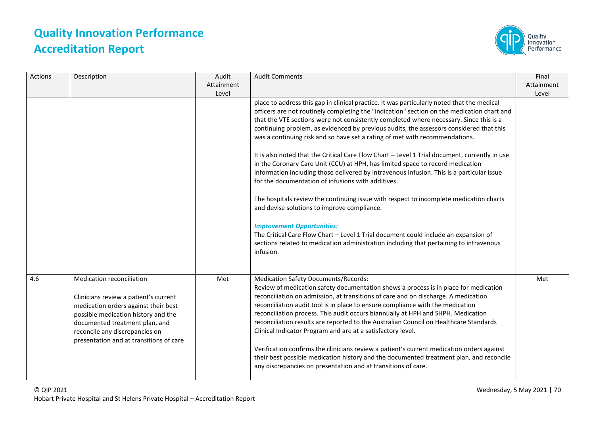

| Actions | Description                                                                                                                                                                                                                                                      | Audit<br>Attainment<br>Level | <b>Audit Comments</b>                                                                                                                                                                                                                                                                                                                                                                                                                                                                                                                                                                                                                                                                                                                                                                                                                                                                                                                                                                                                                                                                                                                                                          | Final<br>Attainment<br>Level |
|---------|------------------------------------------------------------------------------------------------------------------------------------------------------------------------------------------------------------------------------------------------------------------|------------------------------|--------------------------------------------------------------------------------------------------------------------------------------------------------------------------------------------------------------------------------------------------------------------------------------------------------------------------------------------------------------------------------------------------------------------------------------------------------------------------------------------------------------------------------------------------------------------------------------------------------------------------------------------------------------------------------------------------------------------------------------------------------------------------------------------------------------------------------------------------------------------------------------------------------------------------------------------------------------------------------------------------------------------------------------------------------------------------------------------------------------------------------------------------------------------------------|------------------------------|
|         |                                                                                                                                                                                                                                                                  |                              | place to address this gap in clinical practice. It was particularly noted that the medical<br>officers are not routinely completing the "indication" section on the medication chart and<br>that the VTE sections were not consistently completed where necessary. Since this is a<br>continuing problem, as evidenced by previous audits, the assessors considered that this<br>was a continuing risk and so have set a rating of met with recommendations.<br>It is also noted that the Critical Care Flow Chart - Level 1 Trial document, currently in use<br>in the Coronary Care Unit (CCU) at HPH, has limited space to record medication<br>information including those delivered by intravenous infusion. This is a particular issue<br>for the documentation of infusions with additives.<br>The hospitals review the continuing issue with respect to incomplete medication charts<br>and devise solutions to improve compliance.<br><b>Improvement Opportunities:</b><br>The Critical Care Flow Chart - Level 1 Trial document could include an expansion of<br>sections related to medication administration including that pertaining to intravenous<br>infusion. |                              |
| 4.6     | Medication reconciliation<br>Clinicians review a patient's current<br>medication orders against their best<br>possible medication history and the<br>documented treatment plan, and<br>reconcile any discrepancies on<br>presentation and at transitions of care | Met                          | <b>Medication Safety Documents/Records:</b><br>Review of medication safety documentation shows a process is in place for medication<br>reconciliation on admission, at transitions of care and on discharge. A medication<br>reconciliation audit tool is in place to ensure compliance with the medication<br>reconciliation process. This audit occurs biannually at HPH and SHPH. Medication<br>reconciliation results are reported to the Australian Council on Healthcare Standards<br>Clinical Indicator Program and are at a satisfactory level.<br>Verification confirms the clinicians review a patient's current medication orders against<br>their best possible medication history and the documented treatment plan, and reconcile<br>any discrepancies on presentation and at transitions of care.                                                                                                                                                                                                                                                                                                                                                               | Met                          |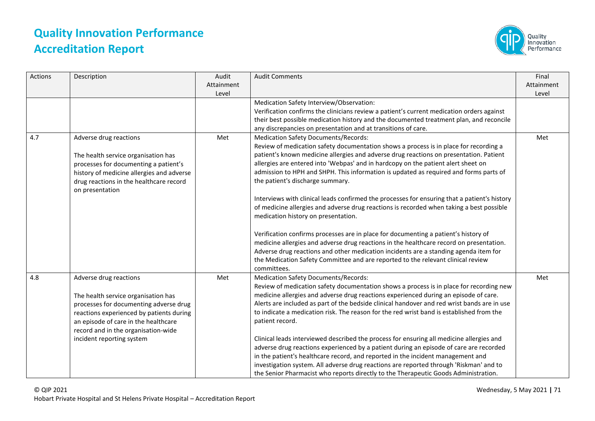

| Actions | Description                                                                                                                                                                                                                                                     | Audit<br>Attainment<br>Level | <b>Audit Comments</b>                                                                                                                                                                                                                                                                                                                                                                                                                                                                                                                                                                                                                                                                                                                                                                                                                                                                                                                                                                                                                             | Final<br>Attainment<br>Level |
|---------|-----------------------------------------------------------------------------------------------------------------------------------------------------------------------------------------------------------------------------------------------------------------|------------------------------|---------------------------------------------------------------------------------------------------------------------------------------------------------------------------------------------------------------------------------------------------------------------------------------------------------------------------------------------------------------------------------------------------------------------------------------------------------------------------------------------------------------------------------------------------------------------------------------------------------------------------------------------------------------------------------------------------------------------------------------------------------------------------------------------------------------------------------------------------------------------------------------------------------------------------------------------------------------------------------------------------------------------------------------------------|------------------------------|
|         |                                                                                                                                                                                                                                                                 |                              | Medication Safety Interview/Observation:<br>Verification confirms the clinicians review a patient's current medication orders against<br>their best possible medication history and the documented treatment plan, and reconcile<br>any discrepancies on presentation and at transitions of care.                                                                                                                                                                                                                                                                                                                                                                                                                                                                                                                                                                                                                                                                                                                                                 |                              |
| 4.7     | Adverse drug reactions<br>The health service organisation has<br>processes for documenting a patient's<br>history of medicine allergies and adverse<br>drug reactions in the healthcare record<br>on presentation                                               | Met                          | <b>Medication Safety Documents/Records:</b><br>Review of medication safety documentation shows a process is in place for recording a<br>patient's known medicine allergies and adverse drug reactions on presentation. Patient<br>allergies are entered into 'Webpas' and in hardcopy on the patient alert sheet on<br>admission to HPH and SHPH. This information is updated as required and forms parts of<br>the patient's discharge summary.<br>Interviews with clinical leads confirmed the processes for ensuring that a patient's history<br>of medicine allergies and adverse drug reactions is recorded when taking a best possible<br>medication history on presentation.<br>Verification confirms processes are in place for documenting a patient's history of<br>medicine allergies and adverse drug reactions in the healthcare record on presentation.<br>Adverse drug reactions and other medication incidents are a standing agenda item for<br>the Medication Safety Committee and are reported to the relevant clinical review | Met                          |
| 4.8     | Adverse drug reactions<br>The health service organisation has<br>processes for documenting adverse drug<br>reactions experienced by patients during<br>an episode of care in the healthcare<br>record and in the organisation-wide<br>incident reporting system | Met                          | committees.<br><b>Medication Safety Documents/Records:</b><br>Review of medication safety documentation shows a process is in place for recording new<br>medicine allergies and adverse drug reactions experienced during an episode of care.<br>Alerts are included as part of the bedside clinical handover and red wrist bands are in use<br>to indicate a medication risk. The reason for the red wrist band is established from the<br>patient record.<br>Clinical leads interviewed described the process for ensuring all medicine allergies and<br>adverse drug reactions experienced by a patient during an episode of care are recorded<br>in the patient's healthcare record, and reported in the incident management and<br>investigation system. All adverse drug reactions are reported through 'Riskman' and to<br>the Senior Pharmacist who reports directly to the Therapeutic Goods Administration.                                                                                                                             | Met                          |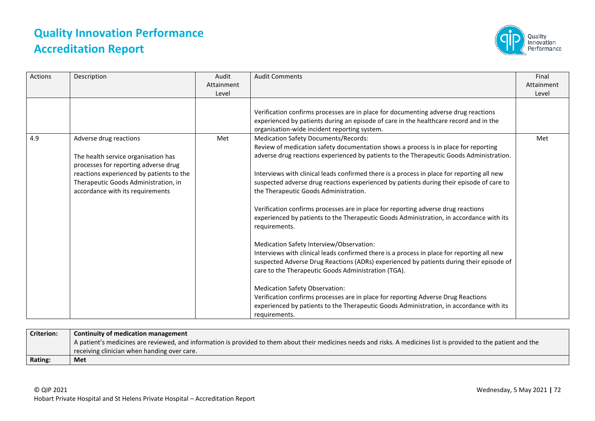

| Actions | Description                                                                                                                                                                                                                   | Audit<br>Attainment<br>Level | <b>Audit Comments</b>                                                                                                                                                                                                                                                                                                                                                                                                                                                                                                                                                                                                                                                                                                                                                                                                                                                                                                                                                                                                                                                                                                                                                                                   | Final<br>Attainment<br>Level |
|---------|-------------------------------------------------------------------------------------------------------------------------------------------------------------------------------------------------------------------------------|------------------------------|---------------------------------------------------------------------------------------------------------------------------------------------------------------------------------------------------------------------------------------------------------------------------------------------------------------------------------------------------------------------------------------------------------------------------------------------------------------------------------------------------------------------------------------------------------------------------------------------------------------------------------------------------------------------------------------------------------------------------------------------------------------------------------------------------------------------------------------------------------------------------------------------------------------------------------------------------------------------------------------------------------------------------------------------------------------------------------------------------------------------------------------------------------------------------------------------------------|------------------------------|
|         |                                                                                                                                                                                                                               |                              | Verification confirms processes are in place for documenting adverse drug reactions<br>experienced by patients during an episode of care in the healthcare record and in the<br>organisation-wide incident reporting system.                                                                                                                                                                                                                                                                                                                                                                                                                                                                                                                                                                                                                                                                                                                                                                                                                                                                                                                                                                            |                              |
| 4.9     | Adverse drug reactions<br>The health service organisation has<br>processes for reporting adverse drug<br>reactions experienced by patients to the<br>Therapeutic Goods Administration, in<br>accordance with its requirements | Met                          | <b>Medication Safety Documents/Records:</b><br>Review of medication safety documentation shows a process is in place for reporting<br>adverse drug reactions experienced by patients to the Therapeutic Goods Administration.<br>Interviews with clinical leads confirmed there is a process in place for reporting all new<br>suspected adverse drug reactions experienced by patients during their episode of care to<br>the Therapeutic Goods Administration.<br>Verification confirms processes are in place for reporting adverse drug reactions<br>experienced by patients to the Therapeutic Goods Administration, in accordance with its<br>requirements.<br>Medication Safety Interview/Observation:<br>Interviews with clinical leads confirmed there is a process in place for reporting all new<br>suspected Adverse Drug Reactions (ADRs) experienced by patients during their episode of<br>care to the Therapeutic Goods Administration (TGA).<br><b>Medication Safety Observation:</b><br>Verification confirms processes are in place for reporting Adverse Drug Reactions<br>experienced by patients to the Therapeutic Goods Administration, in accordance with its<br>requirements. | Met                          |

| <b>Criterion:</b> | Continuity of medication management                                                                                                                                |
|-------------------|--------------------------------------------------------------------------------------------------------------------------------------------------------------------|
|                   | A patient's medicines are reviewed, and information is provided to them about their medicines needs and risks. A medicines list is provided to the patient and the |
|                   | receiving clinician when handing over care.                                                                                                                        |
| <b>Rating:</b>    | Met                                                                                                                                                                |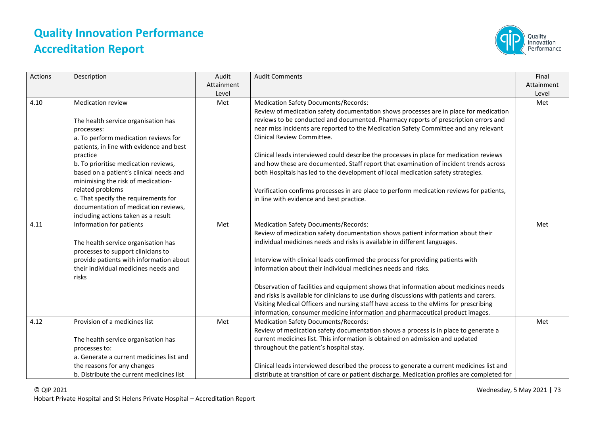

| Actions | Description                                                                                                                                                                                                                                                                                                                                                                                                                                       | Audit<br>Attainment<br>Level | <b>Audit Comments</b>                                                                                                                                                                                                                                                                                                                                                                                                                                                                                                                                                                                                                                                                                                                                             | Final<br>Attainment<br>Level |
|---------|---------------------------------------------------------------------------------------------------------------------------------------------------------------------------------------------------------------------------------------------------------------------------------------------------------------------------------------------------------------------------------------------------------------------------------------------------|------------------------------|-------------------------------------------------------------------------------------------------------------------------------------------------------------------------------------------------------------------------------------------------------------------------------------------------------------------------------------------------------------------------------------------------------------------------------------------------------------------------------------------------------------------------------------------------------------------------------------------------------------------------------------------------------------------------------------------------------------------------------------------------------------------|------------------------------|
| 4.10    | <b>Medication review</b><br>The health service organisation has<br>processes:<br>a. To perform medication reviews for<br>patients, in line with evidence and best<br>practice<br>b. To prioritise medication reviews,<br>based on a patient's clinical needs and<br>minimising the risk of medication-<br>related problems<br>c. That specify the requirements for<br>documentation of medication reviews,<br>including actions taken as a result | Met                          | <b>Medication Safety Documents/Records:</b><br>Review of medication safety documentation shows processes are in place for medication<br>reviews to be conducted and documented. Pharmacy reports of prescription errors and<br>near miss incidents are reported to the Medication Safety Committee and any relevant<br>Clinical Review Committee.<br>Clinical leads interviewed could describe the processes in place for medication reviews<br>and how these are documented. Staff report that examination of incident trends across<br>both Hospitals has led to the development of local medication safety strategies.<br>Verification confirms processes in are place to perform medication reviews for patients,<br>in line with evidence and best practice. | Met                          |
| 4.11    | Information for patients<br>The health service organisation has<br>processes to support clinicians to<br>provide patients with information about<br>their individual medicines needs and<br>risks                                                                                                                                                                                                                                                 | Met                          | <b>Medication Safety Documents/Records:</b><br>Review of medication safety documentation shows patient information about their<br>individual medicines needs and risks is available in different languages.<br>Interview with clinical leads confirmed the process for providing patients with<br>information about their individual medicines needs and risks.<br>Observation of facilities and equipment shows that information about medicines needs<br>and risks is available for clinicians to use during discussions with patients and carers.<br>Visiting Medical Officers and nursing staff have access to the eMims for prescribing<br>information, consumer medicine information and pharmaceutical product images.                                     | Met                          |
| 4.12    | Provision of a medicines list<br>The health service organisation has<br>processes to:<br>a. Generate a current medicines list and<br>the reasons for any changes<br>b. Distribute the current medicines list                                                                                                                                                                                                                                      | Met                          | <b>Medication Safety Documents/Records:</b><br>Review of medication safety documentation shows a process is in place to generate a<br>current medicines list. This information is obtained on admission and updated<br>throughout the patient's hospital stay.<br>Clinical leads interviewed described the process to generate a current medicines list and<br>distribute at transition of care or patient discharge. Medication profiles are completed for                                                                                                                                                                                                                                                                                                       | Met                          |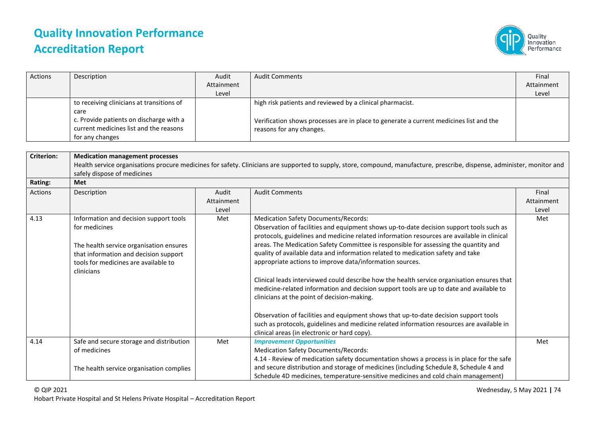

| Actions           | Description                                                                                                                                                                                       | Audit<br>Attainment<br>Level | <b>Audit Comments</b>                                                                                                                                                                                                                                                                                                                                                                                                                                                                                                                                                                                                                                                                                                                                                                                                                                                                                                                                    | Final<br>Attainment<br>Level |
|-------------------|---------------------------------------------------------------------------------------------------------------------------------------------------------------------------------------------------|------------------------------|----------------------------------------------------------------------------------------------------------------------------------------------------------------------------------------------------------------------------------------------------------------------------------------------------------------------------------------------------------------------------------------------------------------------------------------------------------------------------------------------------------------------------------------------------------------------------------------------------------------------------------------------------------------------------------------------------------------------------------------------------------------------------------------------------------------------------------------------------------------------------------------------------------------------------------------------------------|------------------------------|
|                   | to receiving clinicians at transitions of<br>care                                                                                                                                                 |                              | high risk patients and reviewed by a clinical pharmacist.                                                                                                                                                                                                                                                                                                                                                                                                                                                                                                                                                                                                                                                                                                                                                                                                                                                                                                |                              |
|                   | c. Provide patients on discharge with a<br>current medicines list and the reasons<br>for any changes                                                                                              |                              | Verification shows processes are in place to generate a current medicines list and the<br>reasons for any changes.                                                                                                                                                                                                                                                                                                                                                                                                                                                                                                                                                                                                                                                                                                                                                                                                                                       |                              |
|                   |                                                                                                                                                                                                   |                              |                                                                                                                                                                                                                                                                                                                                                                                                                                                                                                                                                                                                                                                                                                                                                                                                                                                                                                                                                          |                              |
| <b>Criterion:</b> | <b>Medication management processes</b><br>safely dispose of medicines                                                                                                                             |                              | Health service organisations procure medicines for safety. Clinicians are supported to supply, store, compound, manufacture, prescribe, dispense, administer, monitor and                                                                                                                                                                                                                                                                                                                                                                                                                                                                                                                                                                                                                                                                                                                                                                                |                              |
| Rating:           | Met                                                                                                                                                                                               |                              |                                                                                                                                                                                                                                                                                                                                                                                                                                                                                                                                                                                                                                                                                                                                                                                                                                                                                                                                                          |                              |
| Actions           | Description                                                                                                                                                                                       | Audit<br>Attainment<br>Level | <b>Audit Comments</b>                                                                                                                                                                                                                                                                                                                                                                                                                                                                                                                                                                                                                                                                                                                                                                                                                                                                                                                                    | Final<br>Attainment<br>Level |
| 4.13              | Information and decision support tools<br>for medicines<br>The health service organisation ensures<br>that information and decision support<br>tools for medicines are available to<br>clinicians | Met                          | <b>Medication Safety Documents/Records:</b><br>Observation of facilities and equipment shows up-to-date decision support tools such as<br>protocols, guidelines and medicine related information resources are available in clinical<br>areas. The Medication Safety Committee is responsible for assessing the quantity and<br>quality of available data and information related to medication safety and take<br>appropriate actions to improve data/information sources.<br>Clinical leads interviewed could describe how the health service organisation ensures that<br>medicine-related information and decision support tools are up to date and available to<br>clinicians at the point of decision-making.<br>Observation of facilities and equipment shows that up-to-date decision support tools<br>such as protocols, guidelines and medicine related information resources are available in<br>clinical areas (in electronic or hard copy). | Met                          |
| 4.14              | Safe and secure storage and distribution<br>of medicines                                                                                                                                          | Met                          | <b>Improvement Opportunities</b><br><b>Medication Safety Documents/Records:</b><br>4.14 - Review of medication safety documentation shows a process is in place for the safe                                                                                                                                                                                                                                                                                                                                                                                                                                                                                                                                                                                                                                                                                                                                                                             | Met                          |
|                   | The health service organisation complies                                                                                                                                                          |                              | and secure distribution and storage of medicines (including Schedule 8, Schedule 4 and<br>Schedule 4D medicines, temperature-sensitive medicines and cold chain management)                                                                                                                                                                                                                                                                                                                                                                                                                                                                                                                                                                                                                                                                                                                                                                              |                              |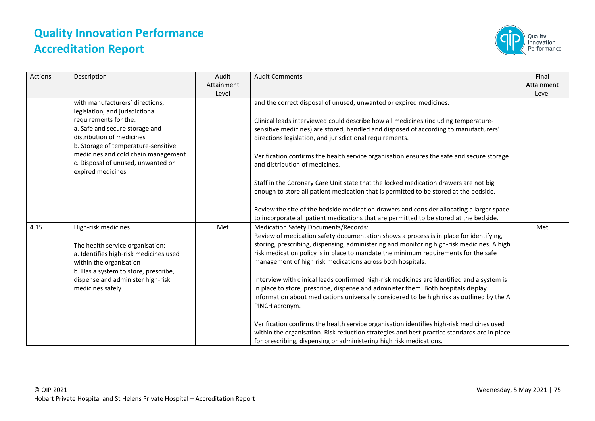

| Actions | Description                                                                                                                                                                                                                                                                                         | Audit<br>Attainment<br>Level | <b>Audit Comments</b>                                                                                                                                                                                                                                                                                                                                                                                                                                                                                                                                                                                                                                                                       | Final<br>Attainment<br>Level |
|---------|-----------------------------------------------------------------------------------------------------------------------------------------------------------------------------------------------------------------------------------------------------------------------------------------------------|------------------------------|---------------------------------------------------------------------------------------------------------------------------------------------------------------------------------------------------------------------------------------------------------------------------------------------------------------------------------------------------------------------------------------------------------------------------------------------------------------------------------------------------------------------------------------------------------------------------------------------------------------------------------------------------------------------------------------------|------------------------------|
|         | with manufacturers' directions,<br>legislation, and jurisdictional<br>requirements for the:<br>a. Safe and secure storage and<br>distribution of medicines<br>b. Storage of temperature-sensitive<br>medicines and cold chain management<br>c. Disposal of unused, unwanted or<br>expired medicines |                              | and the correct disposal of unused, unwanted or expired medicines.<br>Clinical leads interviewed could describe how all medicines (including temperature-<br>sensitive medicines) are stored, handled and disposed of according to manufacturers'<br>directions legislation, and jurisdictional requirements.<br>Verification confirms the health service organisation ensures the safe and secure storage<br>and distribution of medicines.                                                                                                                                                                                                                                                |                              |
|         |                                                                                                                                                                                                                                                                                                     |                              | Staff in the Coronary Care Unit state that the locked medication drawers are not big<br>enough to store all patient medication that is permitted to be stored at the bedside.<br>Review the size of the bedside medication drawers and consider allocating a larger space<br>to incorporate all patient medications that are permitted to be stored at the bedside.                                                                                                                                                                                                                                                                                                                         |                              |
| 4.15    | High-risk medicines<br>The health service organisation:<br>a. Identifies high-risk medicines used<br>within the organisation<br>b. Has a system to store, prescribe,<br>dispense and administer high-risk<br>medicines safely                                                                       | Met                          | <b>Medication Safety Documents/Records:</b><br>Review of medication safety documentation shows a process is in place for identifying,<br>storing, prescribing, dispensing, administering and monitoring high-risk medicines. A high<br>risk medication policy is in place to mandate the minimum requirements for the safe<br>management of high risk medications across both hospitals.<br>Interview with clinical leads confirmed high-risk medicines are identified and a system is<br>in place to store, prescribe, dispense and administer them. Both hospitals display<br>information about medications universally considered to be high risk as outlined by the A<br>PINCH acronym. | Met                          |
|         |                                                                                                                                                                                                                                                                                                     |                              | Verification confirms the health service organisation identifies high-risk medicines used<br>within the organisation. Risk reduction strategies and best practice standards are in place<br>for prescribing, dispensing or administering high risk medications.                                                                                                                                                                                                                                                                                                                                                                                                                             |                              |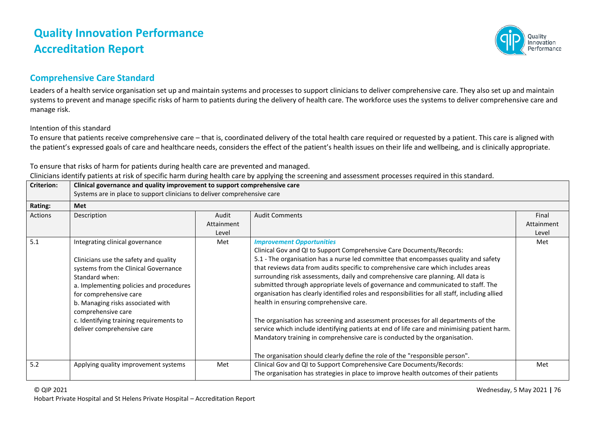

### **Comprehensive Care Standard**

Leaders of a health service organisation set up and maintain systems and processes to support clinicians to deliver comprehensive care. They also set up and maintain systems to prevent and manage specific risks of harm to patients during the delivery of health care. The workforce uses the systems to deliver comprehensive care and manage risk.

### Intention of this standard

To ensure that patients receive comprehensive care – that is, coordinated delivery of the total health care required or requested by a patient. This care is aligned with the patient's expressed goals of care and healthcare needs, considers the effect of the patient's health issues on their life and wellbeing, and is clinically appropriate.

To ensure that risks of harm for patients during health care are prevented and managed.

Clinicians identify patients at risk of specific harm during health care by applying the screening and assessment processes required in this standard.

| <b>Criterion:</b> | Clinical governance and quality improvement to support comprehensive care                                                                                                                                                                                                                                                                   |                              |                                                                                                                                                                                                                                                                                                                                                                                                                                                                                                                                                                                                                                                                                                                                                                                                                                                                                                                                                               |                              |  |
|-------------------|---------------------------------------------------------------------------------------------------------------------------------------------------------------------------------------------------------------------------------------------------------------------------------------------------------------------------------------------|------------------------------|---------------------------------------------------------------------------------------------------------------------------------------------------------------------------------------------------------------------------------------------------------------------------------------------------------------------------------------------------------------------------------------------------------------------------------------------------------------------------------------------------------------------------------------------------------------------------------------------------------------------------------------------------------------------------------------------------------------------------------------------------------------------------------------------------------------------------------------------------------------------------------------------------------------------------------------------------------------|------------------------------|--|
|                   | Systems are in place to support clinicians to deliver comprehensive care                                                                                                                                                                                                                                                                    |                              |                                                                                                                                                                                                                                                                                                                                                                                                                                                                                                                                                                                                                                                                                                                                                                                                                                                                                                                                                               |                              |  |
| Rating:           | Met                                                                                                                                                                                                                                                                                                                                         |                              |                                                                                                                                                                                                                                                                                                                                                                                                                                                                                                                                                                                                                                                                                                                                                                                                                                                                                                                                                               |                              |  |
| Actions           | Description                                                                                                                                                                                                                                                                                                                                 | Audit<br>Attainment<br>Level | <b>Audit Comments</b>                                                                                                                                                                                                                                                                                                                                                                                                                                                                                                                                                                                                                                                                                                                                                                                                                                                                                                                                         | Final<br>Attainment<br>Level |  |
| 5.1               | Integrating clinical governance<br>Clinicians use the safety and quality<br>systems from the Clinical Governance<br>Standard when:<br>a. Implementing policies and procedures<br>for comprehensive care<br>b. Managing risks associated with<br>comprehensive care<br>c. Identifying training requirements to<br>deliver comprehensive care | Met                          | <b>Improvement Opportunities</b><br>Clinical Gov and QI to Support Comprehensive Care Documents/Records:<br>5.1 - The organisation has a nurse led committee that encompasses quality and safety<br>that reviews data from audits specific to comprehensive care which includes areas<br>surrounding risk assessments, daily and comprehensive care planning. All data is<br>submitted through appropriate levels of governance and communicated to staff. The<br>organisation has clearly identified roles and responsibilities for all staff, including allied<br>health in ensuring comprehensive care.<br>The organisation has screening and assessment processes for all departments of the<br>service which include identifying patients at end of life care and minimising patient harm.<br>Mandatory training in comprehensive care is conducted by the organisation.<br>The organisation should clearly define the role of the "responsible person". | Met                          |  |
| 5.2               | Applying quality improvement systems                                                                                                                                                                                                                                                                                                        | Met                          | Clinical Gov and QI to Support Comprehensive Care Documents/Records:<br>The organisation has strategies in place to improve health outcomes of their patients                                                                                                                                                                                                                                                                                                                                                                                                                                                                                                                                                                                                                                                                                                                                                                                                 | Met                          |  |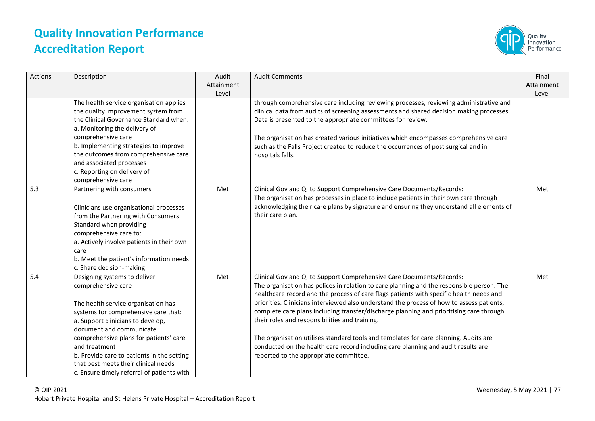

| <b>Actions</b> | Description                                                                                                                                                                                                                                                                                                                                                                                       | Audit<br>Attainment<br>Level | <b>Audit Comments</b>                                                                                                                                                                                                                                                                                                                                                                                                                                                                                                                                                                                                                                                                                                         | Final<br>Attainment<br>Level |
|----------------|---------------------------------------------------------------------------------------------------------------------------------------------------------------------------------------------------------------------------------------------------------------------------------------------------------------------------------------------------------------------------------------------------|------------------------------|-------------------------------------------------------------------------------------------------------------------------------------------------------------------------------------------------------------------------------------------------------------------------------------------------------------------------------------------------------------------------------------------------------------------------------------------------------------------------------------------------------------------------------------------------------------------------------------------------------------------------------------------------------------------------------------------------------------------------------|------------------------------|
|                | The health service organisation applies<br>the quality improvement system from<br>the Clinical Governance Standard when:<br>a. Monitoring the delivery of<br>comprehensive care<br>b. Implementing strategies to improve<br>the outcomes from comprehensive care<br>and associated processes<br>c. Reporting on delivery of<br>comprehensive care                                                 |                              | through comprehensive care including reviewing processes, reviewing administrative and<br>clinical data from audits of screening assessments and shared decision making processes.<br>Data is presented to the appropriate committees for review.<br>The organisation has created various initiatives which encompasses comprehensive care<br>such as the Falls Project created to reduce the occurrences of post surgical and in<br>hospitals falls.                                                                                                                                                                                                                                                                         |                              |
| 5.3            | Partnering with consumers<br>Clinicians use organisational processes<br>from the Partnering with Consumers<br>Standard when providing<br>comprehensive care to:<br>a. Actively involve patients in their own<br>care<br>b. Meet the patient's information needs<br>c. Share decision-making                                                                                                       | Met                          | Clinical Gov and QI to Support Comprehensive Care Documents/Records:<br>The organisation has processes in place to include patients in their own care through<br>acknowledging their care plans by signature and ensuring they understand all elements of<br>their care plan.                                                                                                                                                                                                                                                                                                                                                                                                                                                 | Met                          |
| 5.4            | Designing systems to deliver<br>comprehensive care<br>The health service organisation has<br>systems for comprehensive care that:<br>a. Support clinicians to develop,<br>document and communicate<br>comprehensive plans for patients' care<br>and treatment<br>b. Provide care to patients in the setting<br>that best meets their clinical needs<br>c. Ensure timely referral of patients with | Met                          | Clinical Gov and QI to Support Comprehensive Care Documents/Records:<br>The organisation has polices in relation to care planning and the responsible person. The<br>healthcare record and the process of care flags patients with specific health needs and<br>priorities. Clinicians interviewed also understand the process of how to assess patients,<br>complete care plans including transfer/discharge planning and prioritising care through<br>their roles and responsibilities and training.<br>The organisation utilises standard tools and templates for care planning. Audits are<br>conducted on the health care record including care planning and audit results are<br>reported to the appropriate committee. | Met                          |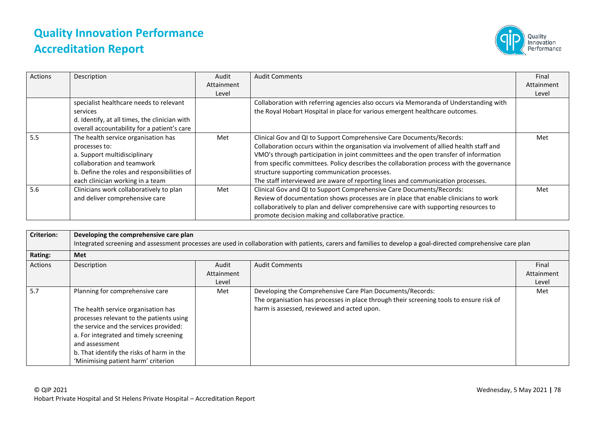

| Actions | Description                                   | Audit      | <b>Audit Comments</b>                                                                    | Final      |
|---------|-----------------------------------------------|------------|------------------------------------------------------------------------------------------|------------|
|         |                                               | Attainment |                                                                                          | Attainment |
|         |                                               | Level      |                                                                                          | Level      |
|         | specialist healthcare needs to relevant       |            | Collaboration with referring agencies also occurs via Memoranda of Understanding with    |            |
|         | services                                      |            | the Royal Hobart Hospital in place for various emergent healthcare outcomes.             |            |
|         | d. Identify, at all times, the clinician with |            |                                                                                          |            |
|         | overall accountability for a patient's care   |            |                                                                                          |            |
| 5.5     | The health service organisation has           | Met        | Clinical Gov and QI to Support Comprehensive Care Documents/Records:                     | Met        |
|         | processes to:                                 |            | Collaboration occurs within the organisation via involvement of allied health staff and  |            |
|         | a. Support multidisciplinary                  |            | VMO's through participation in joint committees and the open transfer of information     |            |
|         | collaboration and teamwork                    |            | from specific committees. Policy describes the collaboration process with the governance |            |
|         | b. Define the roles and responsibilities of   |            | structure supporting communication processes.                                            |            |
|         | each clinician working in a team              |            | The staff interviewed are aware of reporting lines and communication processes.          |            |
| 5.6     | Clinicians work collaboratively to plan       | Met        | Clinical Gov and QI to Support Comprehensive Care Documents/Records:                     | Met        |
|         | and deliver comprehensive care                |            | Review of documentation shows processes are in place that enable clinicians to work      |            |
|         |                                               |            | collaboratively to plan and deliver comprehensive care with supporting resources to      |            |
|         |                                               |            | promote decision making and collaborative practice.                                      |            |

| <b>Criterion:</b> | Developing the comprehensive care plan                                                                                                                                                                                                                                                                       |            | Integrated screening and assessment processes are used in collaboration with patients, carers and families to develop a goal-directed comprehensive care plan                                      |            |
|-------------------|--------------------------------------------------------------------------------------------------------------------------------------------------------------------------------------------------------------------------------------------------------------------------------------------------------------|------------|----------------------------------------------------------------------------------------------------------------------------------------------------------------------------------------------------|------------|
| Rating:           | Met                                                                                                                                                                                                                                                                                                          |            |                                                                                                                                                                                                    |            |
| Actions           | Description                                                                                                                                                                                                                                                                                                  | Audit      | <b>Audit Comments</b>                                                                                                                                                                              | Final      |
|                   |                                                                                                                                                                                                                                                                                                              | Attainment |                                                                                                                                                                                                    | Attainment |
|                   |                                                                                                                                                                                                                                                                                                              | Level      |                                                                                                                                                                                                    | Level      |
| 5.7               | Planning for comprehensive care<br>The health service organisation has<br>processes relevant to the patients using<br>the service and the services provided:<br>a. For integrated and timely screening<br>and assessment<br>b. That identify the risks of harm in the<br>'Minimising patient harm' criterion | Met        | Developing the Comprehensive Care Plan Documents/Records:<br>The organisation has processes in place through their screening tools to ensure risk of<br>harm is assessed, reviewed and acted upon. | Met        |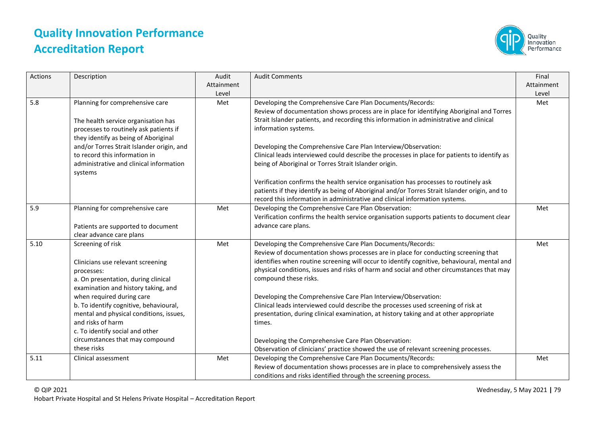

| Actions | Description                                                                                                                                                                                                                                                                                                                                                                    | Audit<br>Attainment<br>Level | <b>Audit Comments</b>                                                                                                                                                                                                                                                                                                                                                                                                                                                                                                                                                                                                                                                                                                                                                       | Final<br>Attainment<br>Level |
|---------|--------------------------------------------------------------------------------------------------------------------------------------------------------------------------------------------------------------------------------------------------------------------------------------------------------------------------------------------------------------------------------|------------------------------|-----------------------------------------------------------------------------------------------------------------------------------------------------------------------------------------------------------------------------------------------------------------------------------------------------------------------------------------------------------------------------------------------------------------------------------------------------------------------------------------------------------------------------------------------------------------------------------------------------------------------------------------------------------------------------------------------------------------------------------------------------------------------------|------------------------------|
| 5.8     | Planning for comprehensive care<br>The health service organisation has<br>processes to routinely ask patients if<br>they identify as being of Aboriginal                                                                                                                                                                                                                       | Met                          | Developing the Comprehensive Care Plan Documents/Records:<br>Review of documentation shows process are in place for identifying Aboriginal and Torres<br>Strait Islander patients, and recording this information in administrative and clinical<br>information systems.                                                                                                                                                                                                                                                                                                                                                                                                                                                                                                    | Met                          |
|         | and/or Torres Strait Islander origin, and<br>to record this information in<br>administrative and clinical information<br>systems                                                                                                                                                                                                                                               |                              | Developing the Comprehensive Care Plan Interview/Observation:<br>Clinical leads interviewed could describe the processes in place for patients to identify as<br>being of Aboriginal or Torres Strait Islander origin.                                                                                                                                                                                                                                                                                                                                                                                                                                                                                                                                                      |                              |
|         |                                                                                                                                                                                                                                                                                                                                                                                |                              | Verification confirms the health service organisation has processes to routinely ask<br>patients if they identify as being of Aboriginal and/or Torres Strait Islander origin, and to<br>record this information in administrative and clinical information systems.                                                                                                                                                                                                                                                                                                                                                                                                                                                                                                        |                              |
| 5.9     | Planning for comprehensive care<br>Patients are supported to document<br>clear advance care plans                                                                                                                                                                                                                                                                              | Met                          | Developing the Comprehensive Care Plan Observation:<br>Verification confirms the health service organisation supports patients to document clear<br>advance care plans.                                                                                                                                                                                                                                                                                                                                                                                                                                                                                                                                                                                                     | Met                          |
| 5.10    | Screening of risk<br>Clinicians use relevant screening<br>processes:<br>a. On presentation, during clinical<br>examination and history taking, and<br>when required during care<br>b. To identify cognitive, behavioural,<br>mental and physical conditions, issues,<br>and risks of harm<br>c. To identify social and other<br>circumstances that may compound<br>these risks | Met                          | Developing the Comprehensive Care Plan Documents/Records:<br>Review of documentation shows processes are in place for conducting screening that<br>identifies when routine screening will occur to identify cognitive, behavioural, mental and<br>physical conditions, issues and risks of harm and social and other circumstances that may<br>compound these risks.<br>Developing the Comprehensive Care Plan Interview/Observation:<br>Clinical leads interviewed could describe the processes used screening of risk at<br>presentation, during clinical examination, at history taking and at other appropriate<br>times.<br>Developing the Comprehensive Care Plan Observation:<br>Observation of clinicians' practice showed the use of relevant screening processes. | Met                          |
| 5.11    | Clinical assessment                                                                                                                                                                                                                                                                                                                                                            | Met                          | Developing the Comprehensive Care Plan Documents/Records:<br>Review of documentation shows processes are in place to comprehensively assess the<br>conditions and risks identified through the screening process.                                                                                                                                                                                                                                                                                                                                                                                                                                                                                                                                                           | Met                          |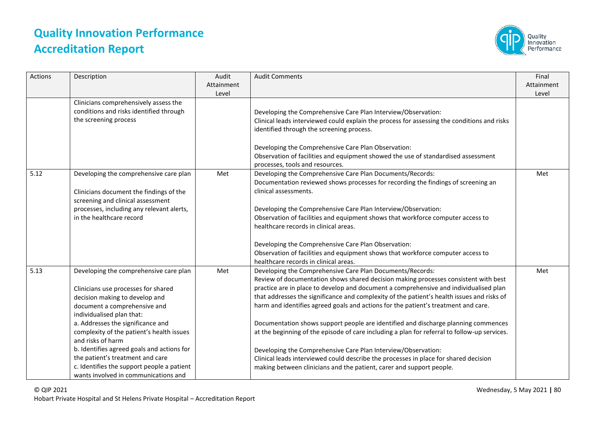

| Actions | Description                                                                                                                                                                                                                                                                                                                                                                                                                                                 | Audit<br>Attainment<br>Level | <b>Audit Comments</b>                                                                                                                                                                                                                                                                                                                                                                                                                                                                                                                                                                                                                                                                                                                                                                                                                                | Final<br>Attainment<br>Level |
|---------|-------------------------------------------------------------------------------------------------------------------------------------------------------------------------------------------------------------------------------------------------------------------------------------------------------------------------------------------------------------------------------------------------------------------------------------------------------------|------------------------------|------------------------------------------------------------------------------------------------------------------------------------------------------------------------------------------------------------------------------------------------------------------------------------------------------------------------------------------------------------------------------------------------------------------------------------------------------------------------------------------------------------------------------------------------------------------------------------------------------------------------------------------------------------------------------------------------------------------------------------------------------------------------------------------------------------------------------------------------------|------------------------------|
|         | Clinicians comprehensively assess the<br>conditions and risks identified through<br>the screening process                                                                                                                                                                                                                                                                                                                                                   |                              | Developing the Comprehensive Care Plan Interview/Observation:<br>Clinical leads interviewed could explain the process for assessing the conditions and risks<br>identified through the screening process.<br>Developing the Comprehensive Care Plan Observation:<br>Observation of facilities and equipment showed the use of standardised assessment<br>processes, tools and resources.                                                                                                                                                                                                                                                                                                                                                                                                                                                             |                              |
| 5.12    | Developing the comprehensive care plan<br>Clinicians document the findings of the<br>screening and clinical assessment<br>processes, including any relevant alerts,<br>in the healthcare record                                                                                                                                                                                                                                                             | Met                          | Developing the Comprehensive Care Plan Documents/Records:<br>Documentation reviewed shows processes for recording the findings of screening an<br>clinical assessments.<br>Developing the Comprehensive Care Plan Interview/Observation:<br>Observation of facilities and equipment shows that workforce computer access to<br>healthcare records in clinical areas.<br>Developing the Comprehensive Care Plan Observation:<br>Observation of facilities and equipment shows that workforce computer access to<br>healthcare records in clinical areas.                                                                                                                                                                                                                                                                                              | Met                          |
| 5.13    | Developing the comprehensive care plan<br>Clinicians use processes for shared<br>decision making to develop and<br>document a comprehensive and<br>individualised plan that:<br>a. Addresses the significance and<br>complexity of the patient's health issues<br>and risks of harm<br>b. Identifies agreed goals and actions for<br>the patient's treatment and care<br>c. Identifies the support people a patient<br>wants involved in communications and | Met                          | Developing the Comprehensive Care Plan Documents/Records:<br>Review of documentation shows shared decision making processes consistent with best<br>practice are in place to develop and document a comprehensive and individualised plan<br>that addresses the significance and complexity of the patient's health issues and risks of<br>harm and identifies agreed goals and actions for the patient's treatment and care.<br>Documentation shows support people are identified and discharge planning commences<br>at the beginning of the episode of care including a plan for referral to follow-up services.<br>Developing the Comprehensive Care Plan Interview/Observation:<br>Clinical leads interviewed could describe the processes in place for shared decision<br>making between clinicians and the patient, carer and support people. | Met                          |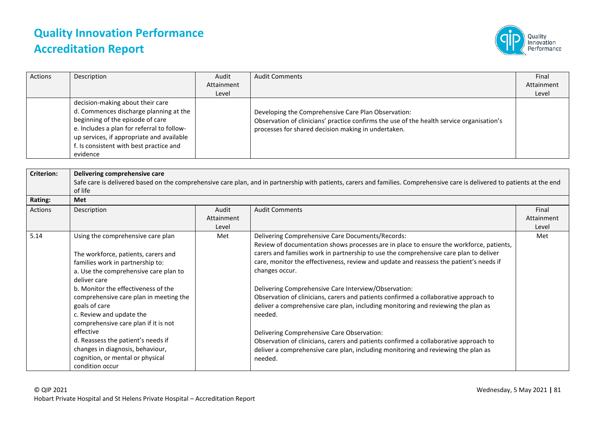

| Actions | Description                                                                                                                                                                                                                                                      | Audit<br>Attainment | <b>Audit Comments</b>                                                                                                                                                                                   | Final<br>Attainment |
|---------|------------------------------------------------------------------------------------------------------------------------------------------------------------------------------------------------------------------------------------------------------------------|---------------------|---------------------------------------------------------------------------------------------------------------------------------------------------------------------------------------------------------|---------------------|
|         |                                                                                                                                                                                                                                                                  |                     |                                                                                                                                                                                                         |                     |
|         |                                                                                                                                                                                                                                                                  | Level               |                                                                                                                                                                                                         | Level               |
|         | decision-making about their care<br>d. Commences discharge planning at the<br>beginning of the episode of care<br>e. Includes a plan for referral to follow-<br>up services, if appropriate and available<br>f. Is consistent with best practice and<br>evidence |                     | Developing the Comprehensive Care Plan Observation:<br>Observation of clinicians' practice confirms the use of the health service organisation's<br>processes for shared decision making in undertaken. |                     |

| <b>Criterion:</b> | Delivering comprehensive care          |            |                                                                                                                                                                            |            |  |
|-------------------|----------------------------------------|------------|----------------------------------------------------------------------------------------------------------------------------------------------------------------------------|------------|--|
|                   |                                        |            | Safe care is delivered based on the comprehensive care plan, and in partnership with patients, carers and families. Comprehensive care is delivered to patients at the end |            |  |
|                   | of life                                |            |                                                                                                                                                                            |            |  |
| Rating:           | Met                                    |            |                                                                                                                                                                            |            |  |
| Actions           | Description                            | Audit      | <b>Audit Comments</b>                                                                                                                                                      | Final      |  |
|                   |                                        | Attainment |                                                                                                                                                                            | Attainment |  |
|                   |                                        | Level      |                                                                                                                                                                            | Level      |  |
| 5.14              | Using the comprehensive care plan      | Met        | Delivering Comprehensive Care Documents/Records:                                                                                                                           | Met        |  |
|                   |                                        |            | Review of documentation shows processes are in place to ensure the workforce, patients,                                                                                    |            |  |
|                   | The workforce, patients, carers and    |            | carers and families work in partnership to use the comprehensive care plan to deliver                                                                                      |            |  |
|                   | families work in partnership to:       |            | care, monitor the effectiveness, review and update and reassess the patient's needs if                                                                                     |            |  |
|                   | a. Use the comprehensive care plan to  |            | changes occur.                                                                                                                                                             |            |  |
|                   | deliver care                           |            |                                                                                                                                                                            |            |  |
|                   | b. Monitor the effectiveness of the    |            | Delivering Comprehensive Care Interview/Observation:                                                                                                                       |            |  |
|                   | comprehensive care plan in meeting the |            | Observation of clinicians, carers and patients confirmed a collaborative approach to                                                                                       |            |  |
|                   | goals of care                          |            | deliver a comprehensive care plan, including monitoring and reviewing the plan as                                                                                          |            |  |
|                   | c. Review and update the               |            | needed.                                                                                                                                                                    |            |  |
|                   | comprehensive care plan if it is not   |            |                                                                                                                                                                            |            |  |
|                   | effective                              |            | Delivering Comprehensive Care Observation:                                                                                                                                 |            |  |
|                   | d. Reassess the patient's needs if     |            | Observation of clinicians, carers and patients confirmed a collaborative approach to                                                                                       |            |  |
|                   | changes in diagnosis, behaviour,       |            | deliver a comprehensive care plan, including monitoring and reviewing the plan as                                                                                          |            |  |
|                   | cognition, or mental or physical       |            | needed.                                                                                                                                                                    |            |  |
|                   | condition occur                        |            |                                                                                                                                                                            |            |  |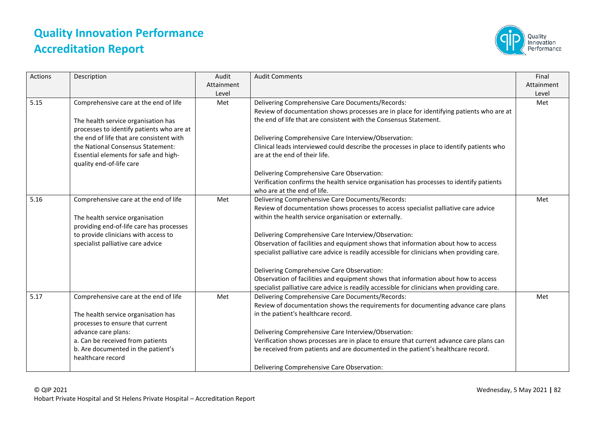

| Actions | Description                                                                                                                                                                                                                                                                     | Audit<br>Attainment<br>Level | <b>Audit Comments</b>                                                                                                                                                                                                                                                                                                                                                                                                                                                                                                                                                                                                                                                            | Final<br>Attainment<br>Level |
|---------|---------------------------------------------------------------------------------------------------------------------------------------------------------------------------------------------------------------------------------------------------------------------------------|------------------------------|----------------------------------------------------------------------------------------------------------------------------------------------------------------------------------------------------------------------------------------------------------------------------------------------------------------------------------------------------------------------------------------------------------------------------------------------------------------------------------------------------------------------------------------------------------------------------------------------------------------------------------------------------------------------------------|------------------------------|
| 5.15    | Comprehensive care at the end of life<br>The health service organisation has<br>processes to identify patients who are at<br>the end of life that are consistent with<br>the National Consensus Statement:<br>Essential elements for safe and high-<br>quality end-of-life care | Met                          | Delivering Comprehensive Care Documents/Records:<br>Review of documentation shows processes are in place for identifying patients who are at<br>the end of life that are consistent with the Consensus Statement.<br>Delivering Comprehensive Care Interview/Observation:<br>Clinical leads interviewed could describe the processes in place to identify patients who<br>are at the end of their life.<br>Delivering Comprehensive Care Observation:<br>Verification confirms the health service organisation has processes to identify patients<br>who are at the end of life.                                                                                                 | Met                          |
| 5.16    | Comprehensive care at the end of life<br>The health service organisation<br>providing end-of-life care has processes<br>to provide clinicians with access to<br>specialist palliative care advice                                                                               | Met                          | Delivering Comprehensive Care Documents/Records:<br>Review of documentation shows processes to access specialist palliative care advice<br>within the health service organisation or externally.<br>Delivering Comprehensive Care Interview/Observation:<br>Observation of facilities and equipment shows that information about how to access<br>specialist palliative care advice is readily accessible for clinicians when providing care.<br>Delivering Comprehensive Care Observation:<br>Observation of facilities and equipment shows that information about how to access<br>specialist palliative care advice is readily accessible for clinicians when providing care. | Met                          |
| 5.17    | Comprehensive care at the end of life<br>The health service organisation has<br>processes to ensure that current<br>advance care plans:<br>a. Can be received from patients<br>b. Are documented in the patient's<br>healthcare record                                          | Met                          | Delivering Comprehensive Care Documents/Records:<br>Review of documentation shows the requirements for documenting advance care plans<br>in the patient's healthcare record.<br>Delivering Comprehensive Care Interview/Observation:<br>Verification shows processes are in place to ensure that current advance care plans can<br>be received from patients and are documented in the patient's healthcare record.<br>Delivering Comprehensive Care Observation:                                                                                                                                                                                                                | Met                          |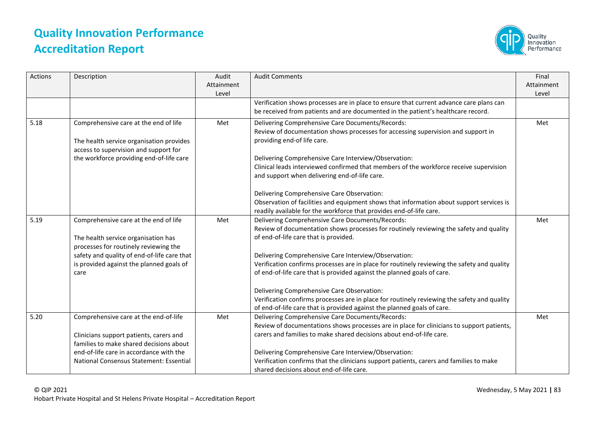

| Actions | Description                                                                                                                                                                                                              | Audit<br>Attainment<br>Level | <b>Audit Comments</b>                                                                                                                                                                                                                                                                                                                                                                                                                                                                                                                                                                                                                                                                                                | Final<br>Attainment<br>Level |
|---------|--------------------------------------------------------------------------------------------------------------------------------------------------------------------------------------------------------------------------|------------------------------|----------------------------------------------------------------------------------------------------------------------------------------------------------------------------------------------------------------------------------------------------------------------------------------------------------------------------------------------------------------------------------------------------------------------------------------------------------------------------------------------------------------------------------------------------------------------------------------------------------------------------------------------------------------------------------------------------------------------|------------------------------|
|         |                                                                                                                                                                                                                          |                              | Verification shows processes are in place to ensure that current advance care plans can<br>be received from patients and are documented in the patient's healthcare record.                                                                                                                                                                                                                                                                                                                                                                                                                                                                                                                                          |                              |
| 5.18    | Comprehensive care at the end of life<br>The health service organisation provides<br>access to supervision and support for<br>the workforce providing end-of-life care                                                   | Met                          | Delivering Comprehensive Care Documents/Records:<br>Review of documentation shows processes for accessing supervision and support in<br>providing end-of life care.<br>Delivering Comprehensive Care Interview/Observation:<br>Clinical leads interviewed confirmed that members of the workforce receive supervision<br>and support when delivering end-of-life care.<br>Delivering Comprehensive Care Observation:<br>Observation of facilities and equipment shows that information about support services is                                                                                                                                                                                                     | Met                          |
| 5.19    | Comprehensive care at the end of life<br>The health service organisation has<br>processes for routinely reviewing the<br>safety and quality of end-of-life care that<br>is provided against the planned goals of<br>care | Met                          | readily available for the workforce that provides end-of-life care.<br>Delivering Comprehensive Care Documents/Records:<br>Review of documentation shows processes for routinely reviewing the safety and quality<br>of end-of-life care that is provided.<br>Delivering Comprehensive Care Interview/Observation:<br>Verification confirms processes are in place for routinely reviewing the safety and quality<br>of end-of-life care that is provided against the planned goals of care.<br>Delivering Comprehensive Care Observation:<br>Verification confirms processes are in place for routinely reviewing the safety and quality<br>of end-of-life care that is provided against the planned goals of care. | Met                          |
| 5.20    | Comprehensive care at the end-of-life<br>Clinicians support patients, carers and<br>families to make shared decisions about<br>end-of-life care in accordance with the<br>National Consensus Statement: Essential        | Met                          | Delivering Comprehensive Care Documents/Records:<br>Review of documentations shows processes are in place for clinicians to support patients,<br>carers and families to make shared decisions about end-of-life care.<br>Delivering Comprehensive Care Interview/Observation:<br>Verification confirms that the clinicians support patients, carers and families to make<br>shared decisions about end-of-life care.                                                                                                                                                                                                                                                                                                 | Met                          |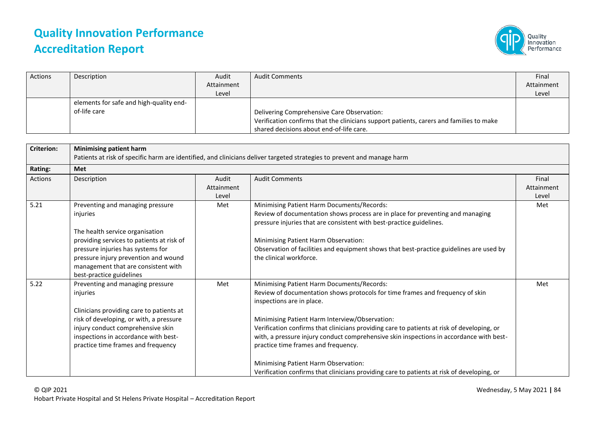

| Actions | Description                                             | Audit      | <b>Audit Comments</b>                                                                                                                                                             | Final      |
|---------|---------------------------------------------------------|------------|-----------------------------------------------------------------------------------------------------------------------------------------------------------------------------------|------------|
|         |                                                         | Attainment |                                                                                                                                                                                   | Attainment |
|         |                                                         | Level      |                                                                                                                                                                                   | Level      |
|         | elements for safe and high-quality end-<br>of-life care |            | Delivering Comprehensive Care Observation:<br>Verification confirms that the clinicians support patients, carers and families to make<br>shared decisions about end-of-life care. |            |

| <b>Criterion:</b> | <b>Minimising patient harm</b><br>Patients at risk of specific harm are identified, and clinicians deliver targeted strategies to prevent and manage harm                                                                                                                    |                              |                                                                                                                                                                                                                                                                                                                                                                                                                                                                                                                                                                                  |                              |  |
|-------------------|------------------------------------------------------------------------------------------------------------------------------------------------------------------------------------------------------------------------------------------------------------------------------|------------------------------|----------------------------------------------------------------------------------------------------------------------------------------------------------------------------------------------------------------------------------------------------------------------------------------------------------------------------------------------------------------------------------------------------------------------------------------------------------------------------------------------------------------------------------------------------------------------------------|------------------------------|--|
| Rating:           | <b>Met</b>                                                                                                                                                                                                                                                                   |                              |                                                                                                                                                                                                                                                                                                                                                                                                                                                                                                                                                                                  |                              |  |
| <b>Actions</b>    | Description                                                                                                                                                                                                                                                                  | Audit<br>Attainment<br>Level | <b>Audit Comments</b>                                                                                                                                                                                                                                                                                                                                                                                                                                                                                                                                                            | Final<br>Attainment<br>Level |  |
| 5.21              | Preventing and managing pressure<br>injuries<br>The health service organisation<br>providing services to patients at risk of<br>pressure injuries has systems for<br>pressure injury prevention and wound<br>management that are consistent with<br>best-practice guidelines | Met                          | Minimising Patient Harm Documents/Records:<br>Review of documentation shows process are in place for preventing and managing<br>pressure injuries that are consistent with best-practice guidelines.<br>Minimising Patient Harm Observation:<br>Observation of facilities and equipment shows that best-practice guidelines are used by<br>the clinical workforce.                                                                                                                                                                                                               | Met                          |  |
| 5.22              | Preventing and managing pressure<br>injuries<br>Clinicians providing care to patients at<br>risk of developing, or with, a pressure<br>injury conduct comprehensive skin<br>inspections in accordance with best-<br>practice time frames and frequency                       | Met                          | Minimising Patient Harm Documents/Records:<br>Review of documentation shows protocols for time frames and frequency of skin<br>inspections are in place.<br>Minimising Patient Harm Interview/Observation:<br>Verification confirms that clinicians providing care to patients at risk of developing, or<br>with, a pressure injury conduct comprehensive skin inspections in accordance with best-<br>practice time frames and frequency.<br>Minimising Patient Harm Observation:<br>Verification confirms that clinicians providing care to patients at risk of developing, or | Met                          |  |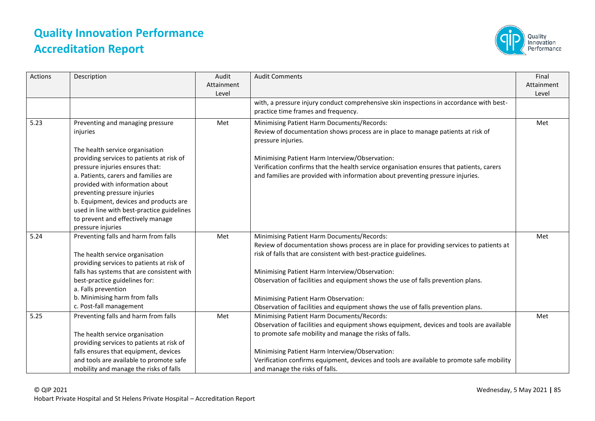

| Actions | Description                                                                                                                                                                                                                                                                                                                                                                  | Audit<br>Attainment<br>Level | <b>Audit Comments</b>                                                                                                                                                                                                                                                                                                                                                                                                                                                        | Final<br>Attainment<br>Level |
|---------|------------------------------------------------------------------------------------------------------------------------------------------------------------------------------------------------------------------------------------------------------------------------------------------------------------------------------------------------------------------------------|------------------------------|------------------------------------------------------------------------------------------------------------------------------------------------------------------------------------------------------------------------------------------------------------------------------------------------------------------------------------------------------------------------------------------------------------------------------------------------------------------------------|------------------------------|
|         |                                                                                                                                                                                                                                                                                                                                                                              |                              | with, a pressure injury conduct comprehensive skin inspections in accordance with best-<br>practice time frames and frequency.                                                                                                                                                                                                                                                                                                                                               |                              |
| 5.23    | Preventing and managing pressure<br>injuries                                                                                                                                                                                                                                                                                                                                 | Met                          | Minimising Patient Harm Documents/Records:<br>Review of documentation shows process are in place to manage patients at risk of<br>pressure injuries.                                                                                                                                                                                                                                                                                                                         | Met                          |
|         | The health service organisation<br>providing services to patients at risk of<br>pressure injuries ensures that:<br>a. Patients, carers and families are<br>provided with information about<br>preventing pressure injuries<br>b. Equipment, devices and products are<br>used in line with best-practice guidelines<br>to prevent and effectively manage<br>pressure injuries |                              | Minimising Patient Harm Interview/Observation:<br>Verification confirms that the health service organisation ensures that patients, carers<br>and families are provided with information about preventing pressure injuries.                                                                                                                                                                                                                                                 |                              |
| 5.24    | Preventing falls and harm from falls<br>The health service organisation<br>providing services to patients at risk of<br>falls has systems that are consistent with<br>best-practice guidelines for:<br>a. Falls prevention<br>b. Minimising harm from falls<br>c. Post-fall management                                                                                       | Met                          | Minimising Patient Harm Documents/Records:<br>Review of documentation shows process are in place for providing services to patients at<br>risk of falls that are consistent with best-practice guidelines.<br>Minimising Patient Harm Interview/Observation:<br>Observation of facilities and equipment shows the use of falls prevention plans.<br>Minimising Patient Harm Observation:<br>Observation of facilities and equipment shows the use of falls prevention plans. | Met                          |
| 5.25    | Preventing falls and harm from falls<br>The health service organisation<br>providing services to patients at risk of<br>falls ensures that equipment, devices<br>and tools are available to promote safe<br>mobility and manage the risks of falls                                                                                                                           | Met                          | Minimising Patient Harm Documents/Records:<br>Observation of facilities and equipment shows equipment, devices and tools are available<br>to promote safe mobility and manage the risks of falls.<br>Minimising Patient Harm Interview/Observation:<br>Verification confirms equipment, devices and tools are available to promote safe mobility<br>and manage the risks of falls.                                                                                           | Met                          |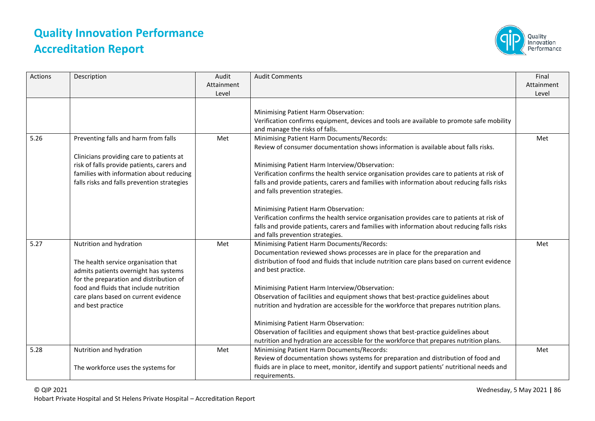

| Actions | Description                                                                                                                                                                                                                                                | Audit<br>Attainment<br>Level | <b>Audit Comments</b>                                                                                                                                                                                                                                                                                                                                                                                                                                                                                                                                                                                                                                                                                    | Final<br>Attainment<br>Level |
|---------|------------------------------------------------------------------------------------------------------------------------------------------------------------------------------------------------------------------------------------------------------------|------------------------------|----------------------------------------------------------------------------------------------------------------------------------------------------------------------------------------------------------------------------------------------------------------------------------------------------------------------------------------------------------------------------------------------------------------------------------------------------------------------------------------------------------------------------------------------------------------------------------------------------------------------------------------------------------------------------------------------------------|------------------------------|
|         |                                                                                                                                                                                                                                                            |                              | Minimising Patient Harm Observation:<br>Verification confirms equipment, devices and tools are available to promote safe mobility<br>and manage the risks of falls.                                                                                                                                                                                                                                                                                                                                                                                                                                                                                                                                      |                              |
| 5.26    | Preventing falls and harm from falls<br>Clinicians providing care to patients at<br>risk of falls provide patients, carers and<br>families with information about reducing<br>falls risks and falls prevention strategies                                  | Met                          | Minimising Patient Harm Documents/Records:<br>Review of consumer documentation shows information is available about falls risks.<br>Minimising Patient Harm Interview/Observation:<br>Verification confirms the health service organisation provides care to patients at risk of<br>falls and provide patients, carers and families with information about reducing falls risks<br>and falls prevention strategies.<br>Minimising Patient Harm Observation:<br>Verification confirms the health service organisation provides care to patients at risk of<br>falls and provide patients, carers and families with information about reducing falls risks<br>and falls prevention strategies.             | Met                          |
| 5.27    | Nutrition and hydration<br>The health service organisation that<br>admits patients overnight has systems<br>for the preparation and distribution of<br>food and fluids that include nutrition<br>care plans based on current evidence<br>and best practice | Met                          | Minimising Patient Harm Documents/Records:<br>Documentation reviewed shows processes are in place for the preparation and<br>distribution of food and fluids that include nutrition care plans based on current evidence<br>and best practice.<br>Minimising Patient Harm Interview/Observation:<br>Observation of facilities and equipment shows that best-practice guidelines about<br>nutrition and hydration are accessible for the workforce that prepares nutrition plans.<br>Minimising Patient Harm Observation:<br>Observation of facilities and equipment shows that best-practice guidelines about<br>nutrition and hydration are accessible for the workforce that prepares nutrition plans. | Met                          |
| 5.28    | Nutrition and hydration<br>The workforce uses the systems for                                                                                                                                                                                              | Met                          | Minimising Patient Harm Documents/Records:<br>Review of documentation shows systems for preparation and distribution of food and<br>fluids are in place to meet, monitor, identify and support patients' nutritional needs and<br>requirements.                                                                                                                                                                                                                                                                                                                                                                                                                                                          | Met                          |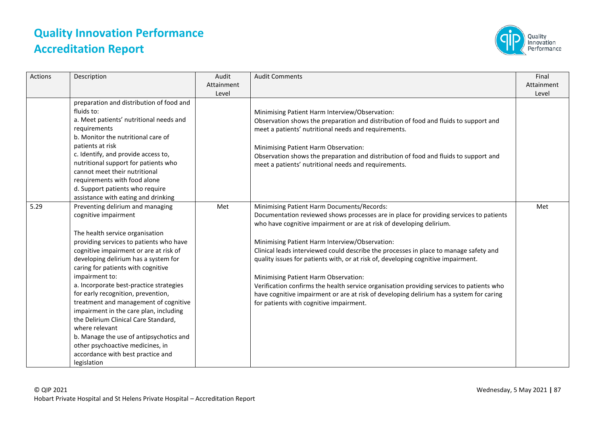

| <b>Actions</b> | Description                                                                                                                                                                                                                                                                                                                                                                                                                                                                                                                                                                                                                                       | Audit<br>Attainment<br>Level | <b>Audit Comments</b>                                                                                                                                                                                                                                                                                                                                                                                                                                                                                                                                                                                                                                                                                                  | Final<br>Attainment<br>Level |
|----------------|---------------------------------------------------------------------------------------------------------------------------------------------------------------------------------------------------------------------------------------------------------------------------------------------------------------------------------------------------------------------------------------------------------------------------------------------------------------------------------------------------------------------------------------------------------------------------------------------------------------------------------------------------|------------------------------|------------------------------------------------------------------------------------------------------------------------------------------------------------------------------------------------------------------------------------------------------------------------------------------------------------------------------------------------------------------------------------------------------------------------------------------------------------------------------------------------------------------------------------------------------------------------------------------------------------------------------------------------------------------------------------------------------------------------|------------------------------|
|                | preparation and distribution of food and<br>fluids to:<br>a. Meet patients' nutritional needs and<br>requirements<br>b. Monitor the nutritional care of<br>patients at risk<br>c. Identify, and provide access to,<br>nutritional support for patients who<br>cannot meet their nutritional<br>requirements with food alone<br>d. Support patients who require<br>assistance with eating and drinking                                                                                                                                                                                                                                             |                              | Minimising Patient Harm Interview/Observation:<br>Observation shows the preparation and distribution of food and fluids to support and<br>meet a patients' nutritional needs and requirements.<br>Minimising Patient Harm Observation:<br>Observation shows the preparation and distribution of food and fluids to support and<br>meet a patients' nutritional needs and requirements.                                                                                                                                                                                                                                                                                                                                 |                              |
| 5.29           | Preventing delirium and managing<br>cognitive impairment<br>The health service organisation<br>providing services to patients who have<br>cognitive impairment or are at risk of<br>developing delirium has a system for<br>caring for patients with cognitive<br>impairment to:<br>a. Incorporate best-practice strategies<br>for early recognition, prevention,<br>treatment and management of cognitive<br>impairment in the care plan, including<br>the Delirium Clinical Care Standard,<br>where relevant<br>b. Manage the use of antipsychotics and<br>other psychoactive medicines, in<br>accordance with best practice and<br>legislation | Met                          | Minimising Patient Harm Documents/Records:<br>Documentation reviewed shows processes are in place for providing services to patients<br>who have cognitive impairment or are at risk of developing delirium.<br>Minimising Patient Harm Interview/Observation:<br>Clinical leads interviewed could describe the processes in place to manage safety and<br>quality issues for patients with, or at risk of, developing cognitive impairment.<br>Minimising Patient Harm Observation:<br>Verification confirms the health service organisation providing services to patients who<br>have cognitive impairment or are at risk of developing delirium has a system for caring<br>for patients with cognitive impairment. | Met                          |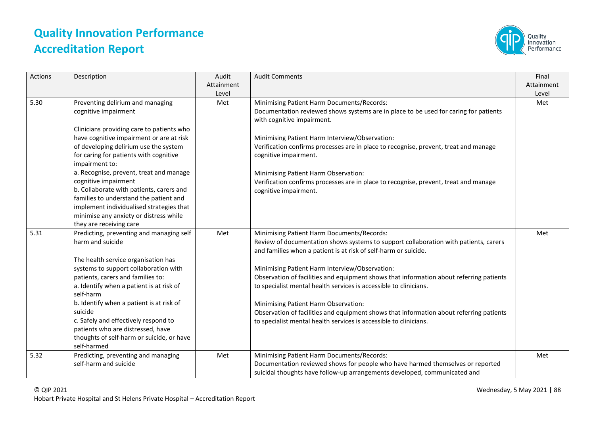

| <b>Actions</b> | Description                                                                                                                                                                                                                                                                                                                                                                                                                                                                                                                      | Audit<br>Attainment<br>Level | <b>Audit Comments</b>                                                                                                                                                                                                                                                                                                                                                                                                                                                                                                                                                                                                           | Final<br>Attainment<br>Level |
|----------------|----------------------------------------------------------------------------------------------------------------------------------------------------------------------------------------------------------------------------------------------------------------------------------------------------------------------------------------------------------------------------------------------------------------------------------------------------------------------------------------------------------------------------------|------------------------------|---------------------------------------------------------------------------------------------------------------------------------------------------------------------------------------------------------------------------------------------------------------------------------------------------------------------------------------------------------------------------------------------------------------------------------------------------------------------------------------------------------------------------------------------------------------------------------------------------------------------------------|------------------------------|
| 5.30           | Preventing delirium and managing<br>cognitive impairment<br>Clinicians providing care to patients who<br>have cognitive impairment or are at risk<br>of developing delirium use the system<br>for caring for patients with cognitive<br>impairment to:<br>a. Recognise, prevent, treat and manage<br>cognitive impairment<br>b. Collaborate with patients, carers and<br>families to understand the patient and<br>implement individualised strategies that<br>minimise any anxiety or distress while<br>they are receiving care | Met                          | Minimising Patient Harm Documents/Records:<br>Documentation reviewed shows systems are in place to be used for caring for patients<br>with cognitive impairment.<br>Minimising Patient Harm Interview/Observation:<br>Verification confirms processes are in place to recognise, prevent, treat and manage<br>cognitive impairment.<br>Minimising Patient Harm Observation:<br>Verification confirms processes are in place to recognise, prevent, treat and manage<br>cognitive impairment.                                                                                                                                    | Met                          |
| 5.31           | Predicting, preventing and managing self<br>harm and suicide<br>The health service organisation has<br>systems to support collaboration with<br>patients, carers and families to:<br>a. Identify when a patient is at risk of<br>self-harm<br>b. Identify when a patient is at risk of<br>suicide<br>c. Safely and effectively respond to<br>patients who are distressed, have<br>thoughts of self-harm or suicide, or have<br>self-harmed                                                                                       | Met                          | Minimising Patient Harm Documents/Records:<br>Review of documentation shows systems to support collaboration with patients, carers<br>and families when a patient is at risk of self-harm or suicide.<br>Minimising Patient Harm Interview/Observation:<br>Observation of facilities and equipment shows that information about referring patients<br>to specialist mental health services is accessible to clinicians.<br>Minimising Patient Harm Observation:<br>Observation of facilities and equipment shows that information about referring patients<br>to specialist mental health services is accessible to clinicians. | Met                          |
| 5.32           | Predicting, preventing and managing<br>self-harm and suicide                                                                                                                                                                                                                                                                                                                                                                                                                                                                     | Met                          | Minimising Patient Harm Documents/Records:<br>Documentation reviewed shows for people who have harmed themselves or reported<br>suicidal thoughts have follow-up arrangements developed, communicated and                                                                                                                                                                                                                                                                                                                                                                                                                       | Met                          |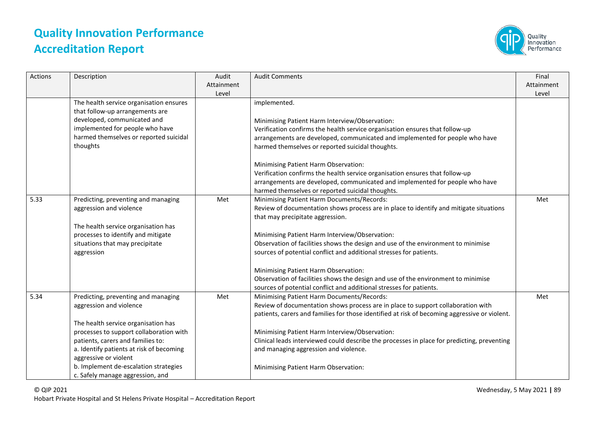

| Actions | Description                                                                | Audit<br>Attainment<br>Level | <b>Audit Comments</b>                                                                         | Final<br>Attainment<br>Level |
|---------|----------------------------------------------------------------------------|------------------------------|-----------------------------------------------------------------------------------------------|------------------------------|
|         | The health service organisation ensures<br>that follow-up arrangements are |                              | implemented.                                                                                  |                              |
|         | developed, communicated and                                                |                              | Minimising Patient Harm Interview/Observation:                                                |                              |
|         | implemented for people who have                                            |                              | Verification confirms the health service organisation ensures that follow-up                  |                              |
|         | harmed themselves or reported suicidal                                     |                              | arrangements are developed, communicated and implemented for people who have                  |                              |
|         | thoughts                                                                   |                              | harmed themselves or reported suicidal thoughts.                                              |                              |
|         |                                                                            |                              | Minimising Patient Harm Observation:                                                          |                              |
|         |                                                                            |                              | Verification confirms the health service organisation ensures that follow-up                  |                              |
|         |                                                                            |                              | arrangements are developed, communicated and implemented for people who have                  |                              |
|         |                                                                            |                              | harmed themselves or reported suicidal thoughts.                                              |                              |
| 5.33    | Predicting, preventing and managing                                        | Met                          | Minimising Patient Harm Documents/Records:                                                    | Met                          |
|         | aggression and violence                                                    |                              | Review of documentation shows process are in place to identify and mitigate situations        |                              |
|         |                                                                            |                              | that may precipitate aggression.                                                              |                              |
|         | The health service organisation has                                        |                              |                                                                                               |                              |
|         | processes to identify and mitigate                                         |                              | Minimising Patient Harm Interview/Observation:                                                |                              |
|         | situations that may precipitate                                            |                              | Observation of facilities shows the design and use of the environment to minimise             |                              |
|         | aggression                                                                 |                              | sources of potential conflict and additional stresses for patients.                           |                              |
|         |                                                                            |                              | Minimising Patient Harm Observation:                                                          |                              |
|         |                                                                            |                              | Observation of facilities shows the design and use of the environment to minimise             |                              |
|         |                                                                            |                              | sources of potential conflict and additional stresses for patients.                           |                              |
| 5.34    | Predicting, preventing and managing                                        | Met                          | Minimising Patient Harm Documents/Records:                                                    | Met                          |
|         | aggression and violence                                                    |                              | Review of documentation shows process are in place to support collaboration with              |                              |
|         |                                                                            |                              | patients, carers and families for those identified at risk of becoming aggressive or violent. |                              |
|         | The health service organisation has                                        |                              |                                                                                               |                              |
|         | processes to support collaboration with                                    |                              | Minimising Patient Harm Interview/Observation:                                                |                              |
|         | patients, carers and families to:                                          |                              | Clinical leads interviewed could describe the processes in place for predicting, preventing   |                              |
|         | a. Identify patients at risk of becoming                                   |                              | and managing aggression and violence.                                                         |                              |
|         | aggressive or violent                                                      |                              |                                                                                               |                              |
|         | b. Implement de-escalation strategies                                      |                              | Minimising Patient Harm Observation:                                                          |                              |
|         | c. Safely manage aggression, and                                           |                              |                                                                                               |                              |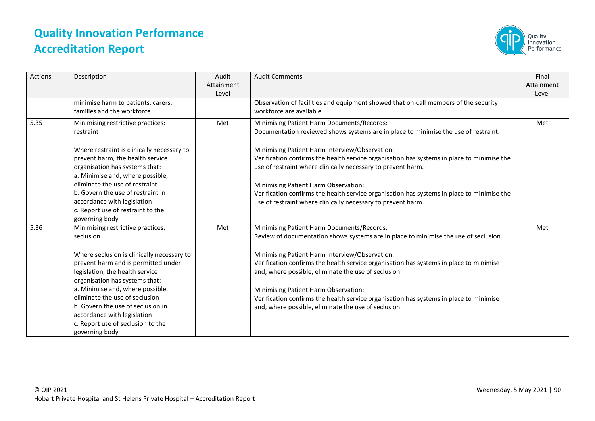

| Actions | Description                                                                                                                                                                                                                                                                                                                                                                                               | Audit<br>Attainment<br>Level | <b>Audit Comments</b>                                                                                                                                                                                                                                                                                                                                                                                                                                                                                                            | Final<br>Attainment<br>Level |
|---------|-----------------------------------------------------------------------------------------------------------------------------------------------------------------------------------------------------------------------------------------------------------------------------------------------------------------------------------------------------------------------------------------------------------|------------------------------|----------------------------------------------------------------------------------------------------------------------------------------------------------------------------------------------------------------------------------------------------------------------------------------------------------------------------------------------------------------------------------------------------------------------------------------------------------------------------------------------------------------------------------|------------------------------|
|         | minimise harm to patients, carers,<br>families and the workforce                                                                                                                                                                                                                                                                                                                                          |                              | Observation of facilities and equipment showed that on-call members of the security<br>workforce are available.                                                                                                                                                                                                                                                                                                                                                                                                                  |                              |
| 5.35    | Minimising restrictive practices:<br>restraint                                                                                                                                                                                                                                                                                                                                                            | Met                          | Minimising Patient Harm Documents/Records:<br>Documentation reviewed shows systems are in place to minimise the use of restraint.                                                                                                                                                                                                                                                                                                                                                                                                | Met                          |
|         | Where restraint is clinically necessary to<br>prevent harm, the health service<br>organisation has systems that:<br>a. Minimise and, where possible,                                                                                                                                                                                                                                                      |                              | Minimising Patient Harm Interview/Observation:<br>Verification confirms the health service organisation has systems in place to minimise the<br>use of restraint where clinically necessary to prevent harm.                                                                                                                                                                                                                                                                                                                     |                              |
|         | eliminate the use of restraint<br>b. Govern the use of restraint in<br>accordance with legislation<br>c. Report use of restraint to the<br>governing body                                                                                                                                                                                                                                                 |                              | Minimising Patient Harm Observation:<br>Verification confirms the health service organisation has systems in place to minimise the<br>use of restraint where clinically necessary to prevent harm.                                                                                                                                                                                                                                                                                                                               |                              |
| 5.36    | Minimising restrictive practices:<br>seclusion<br>Where seclusion is clinically necessary to<br>prevent harm and is permitted under<br>legislation, the health service<br>organisation has systems that:<br>a. Minimise and, where possible,<br>eliminate the use of seclusion<br>b. Govern the use of seclusion in<br>accordance with legislation<br>c. Report use of seclusion to the<br>governing body | Met                          | Minimising Patient Harm Documents/Records:<br>Review of documentation shows systems are in place to minimise the use of seclusion.<br>Minimising Patient Harm Interview/Observation:<br>Verification confirms the health service organisation has systems in place to minimise<br>and, where possible, eliminate the use of seclusion.<br>Minimising Patient Harm Observation:<br>Verification confirms the health service organisation has systems in place to minimise<br>and, where possible, eliminate the use of seclusion. | Met                          |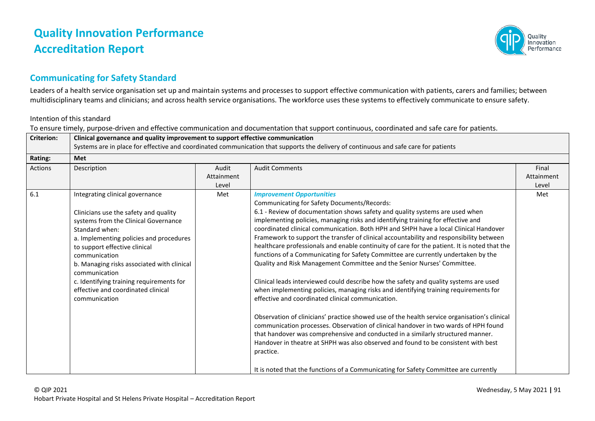

### **Communicating for Safety Standard**

Leaders of a health service organisation set up and maintain systems and processes to support effective communication with patients, carers and families; between multidisciplinary teams and clinicians; and across health service organisations. The workforce uses these systems to effectively communicate to ensure safety.

#### Intention of this standard

To ensure timely, purpose-driven and effective communication and documentation that support continuous, coordinated and safe care for patients.

| <b>Criterion:</b> | Clinical governance and quality improvement to support effective communication<br>Systems are in place for effective and coordinated communication that supports the delivery of continuous and safe care for patients                                                                                                                                                                            |                              |                                                                                                                                                                                                                                                                                                                                                                                                                                                                                                                                                                                                                                                                                                                                                                                                                                                                                                                                                                                                                                                                                                                                                                                                                                                                                                                                                                                                                   |                              |  |
|-------------------|---------------------------------------------------------------------------------------------------------------------------------------------------------------------------------------------------------------------------------------------------------------------------------------------------------------------------------------------------------------------------------------------------|------------------------------|-------------------------------------------------------------------------------------------------------------------------------------------------------------------------------------------------------------------------------------------------------------------------------------------------------------------------------------------------------------------------------------------------------------------------------------------------------------------------------------------------------------------------------------------------------------------------------------------------------------------------------------------------------------------------------------------------------------------------------------------------------------------------------------------------------------------------------------------------------------------------------------------------------------------------------------------------------------------------------------------------------------------------------------------------------------------------------------------------------------------------------------------------------------------------------------------------------------------------------------------------------------------------------------------------------------------------------------------------------------------------------------------------------------------|------------------------------|--|
| Rating:           | <b>Met</b>                                                                                                                                                                                                                                                                                                                                                                                        |                              |                                                                                                                                                                                                                                                                                                                                                                                                                                                                                                                                                                                                                                                                                                                                                                                                                                                                                                                                                                                                                                                                                                                                                                                                                                                                                                                                                                                                                   |                              |  |
| <b>Actions</b>    | Description                                                                                                                                                                                                                                                                                                                                                                                       | Audit<br>Attainment<br>Level | <b>Audit Comments</b>                                                                                                                                                                                                                                                                                                                                                                                                                                                                                                                                                                                                                                                                                                                                                                                                                                                                                                                                                                                                                                                                                                                                                                                                                                                                                                                                                                                             | Final<br>Attainment<br>Level |  |
| 6.1               | Integrating clinical governance<br>Clinicians use the safety and quality<br>systems from the Clinical Governance<br>Standard when:<br>a. Implementing policies and procedures<br>to support effective clinical<br>communication<br>b. Managing risks associated with clinical<br>communication<br>c. Identifying training requirements for<br>effective and coordinated clinical<br>communication | Met                          | <b>Improvement Opportunities</b><br>Communicating for Safety Documents/Records:<br>6.1 - Review of documentation shows safety and quality systems are used when<br>implementing policies, managing risks and identifying training for effective and<br>coordinated clinical communication. Both HPH and SHPH have a local Clinical Handover<br>Framework to support the transfer of clinical accountability and responsibility between<br>healthcare professionals and enable continuity of care for the patient. It is noted that the<br>functions of a Communicating for Safety Committee are currently undertaken by the<br>Quality and Risk Management Committee and the Senior Nurses' Committee.<br>Clinical leads interviewed could describe how the safety and quality systems are used<br>when implementing policies, managing risks and identifying training requirements for<br>effective and coordinated clinical communication.<br>Observation of clinicians' practice showed use of the health service organisation's clinical<br>communication processes. Observation of clinical handover in two wards of HPH found<br>that handover was comprehensive and conducted in a similarly structured manner.<br>Handover in theatre at SHPH was also observed and found to be consistent with best<br>practice.<br>It is noted that the functions of a Communicating for Safety Committee are currently | Met                          |  |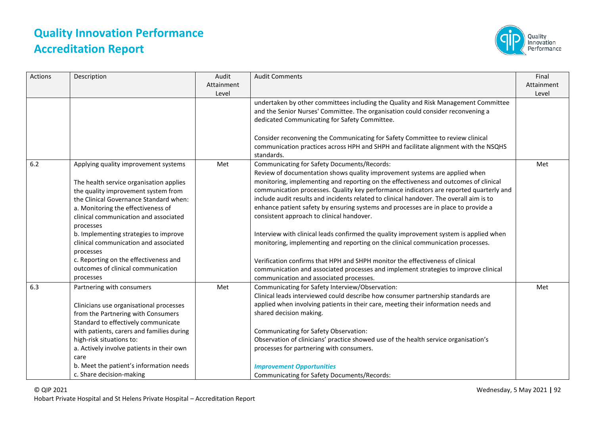

| Actions | Description                                                                                                                                                                                                                                                                                                                                                                                                                                | Audit<br>Attainment<br>Level | <b>Audit Comments</b>                                                                                                                                                                                                                                                                                                                                                                                                                                                                                                                                                                                                                                                                                                                                                                                                                                                                          | Final<br>Attainment<br>Level |
|---------|--------------------------------------------------------------------------------------------------------------------------------------------------------------------------------------------------------------------------------------------------------------------------------------------------------------------------------------------------------------------------------------------------------------------------------------------|------------------------------|------------------------------------------------------------------------------------------------------------------------------------------------------------------------------------------------------------------------------------------------------------------------------------------------------------------------------------------------------------------------------------------------------------------------------------------------------------------------------------------------------------------------------------------------------------------------------------------------------------------------------------------------------------------------------------------------------------------------------------------------------------------------------------------------------------------------------------------------------------------------------------------------|------------------------------|
|         |                                                                                                                                                                                                                                                                                                                                                                                                                                            |                              | undertaken by other committees including the Quality and Risk Management Committee<br>and the Senior Nurses' Committee. The organisation could consider reconvening a<br>dedicated Communicating for Safety Committee.                                                                                                                                                                                                                                                                                                                                                                                                                                                                                                                                                                                                                                                                         |                              |
|         |                                                                                                                                                                                                                                                                                                                                                                                                                                            |                              | Consider reconvening the Communicating for Safety Committee to review clinical<br>communication practices across HPH and SHPH and facilitate alignment with the NSQHS<br>standards.                                                                                                                                                                                                                                                                                                                                                                                                                                                                                                                                                                                                                                                                                                            |                              |
| 6.2     | Applying quality improvement systems<br>The health service organisation applies<br>the quality improvement system from<br>the Clinical Governance Standard when:<br>a. Monitoring the effectiveness of<br>clinical communication and associated<br>processes<br>b. Implementing strategies to improve<br>clinical communication and associated<br>processes<br>c. Reporting on the effectiveness and<br>outcomes of clinical communication | Met                          | Communicating for Safety Documents/Records:<br>Review of documentation shows quality improvement systems are applied when<br>monitoring, implementing and reporting on the effectiveness and outcomes of clinical<br>communication processes. Quality key performance indicators are reported quarterly and<br>include audit results and incidents related to clinical handover. The overall aim is to<br>enhance patient safety by ensuring systems and processes are in place to provide a<br>consistent approach to clinical handover.<br>Interview with clinical leads confirmed the quality improvement system is applied when<br>monitoring, implementing and reporting on the clinical communication processes.<br>Verification confirms that HPH and SHPH monitor the effectiveness of clinical<br>communication and associated processes and implement strategies to improve clinical | Met                          |
| 6.3     | processes<br>Partnering with consumers                                                                                                                                                                                                                                                                                                                                                                                                     | Met                          | communication and associated processes.<br>Communicating for Safety Interview/Observation:                                                                                                                                                                                                                                                                                                                                                                                                                                                                                                                                                                                                                                                                                                                                                                                                     | Met                          |
|         | Clinicians use organisational processes<br>from the Partnering with Consumers<br>Standard to effectively communicate<br>with patients, carers and families during<br>high-risk situations to:<br>a. Actively involve patients in their own                                                                                                                                                                                                 |                              | Clinical leads interviewed could describe how consumer partnership standards are<br>applied when involving patients in their care, meeting their information needs and<br>shared decision making.<br>Communicating for Safety Observation:<br>Observation of clinicians' practice showed use of the health service organisation's<br>processes for partnering with consumers.                                                                                                                                                                                                                                                                                                                                                                                                                                                                                                                  |                              |
|         | care<br>b. Meet the patient's information needs<br>c. Share decision-making                                                                                                                                                                                                                                                                                                                                                                |                              | <b>Improvement Opportunities</b><br>Communicating for Safety Documents/Records:                                                                                                                                                                                                                                                                                                                                                                                                                                                                                                                                                                                                                                                                                                                                                                                                                |                              |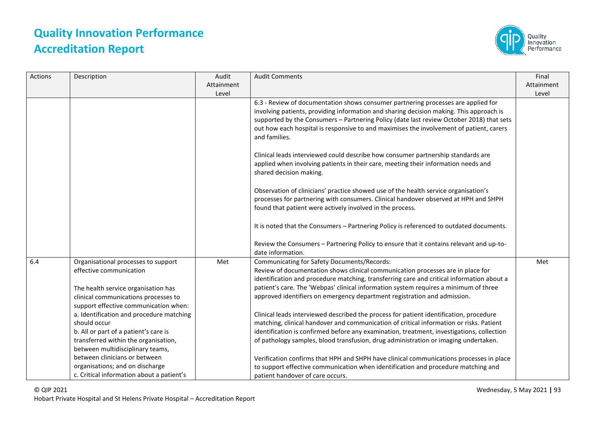

| Actions | Description                                                                                                                                                                            | Audit<br>Attainment<br>Level | <b>Audit Comments</b>                                                                                                                                                                                                                                                                                                                                                                           | Final<br>Attainment<br>Level |
|---------|----------------------------------------------------------------------------------------------------------------------------------------------------------------------------------------|------------------------------|-------------------------------------------------------------------------------------------------------------------------------------------------------------------------------------------------------------------------------------------------------------------------------------------------------------------------------------------------------------------------------------------------|------------------------------|
|         |                                                                                                                                                                                        |                              | 6.3 - Review of documentation shows consumer partnering processes are applied for<br>involving patients, providing information and sharing decision making. This approach is<br>supported by the Consumers - Partnering Policy (date last review October 2018) that sets<br>out how each hospital is responsive to and maximises the involvement of patient, carers<br>and families.            |                              |
|         |                                                                                                                                                                                        |                              | Clinical leads interviewed could describe how consumer partnership standards are<br>applied when involving patients in their care, meeting their information needs and<br>shared decision making.                                                                                                                                                                                               |                              |
|         |                                                                                                                                                                                        |                              | Observation of clinicians' practice showed use of the health service organisation's<br>processes for partnering with consumers. Clinical handover observed at HPH and SHPH<br>found that patient were actively involved in the process.                                                                                                                                                         |                              |
|         |                                                                                                                                                                                        |                              | It is noted that the Consumers - Partnering Policy is referenced to outdated documents.                                                                                                                                                                                                                                                                                                         |                              |
|         |                                                                                                                                                                                        |                              | Review the Consumers - Partnering Policy to ensure that it contains relevant and up-to-<br>date information.                                                                                                                                                                                                                                                                                    |                              |
| 6.4     | Organisational processes to support<br>effective communication<br>The health service organisation has<br>clinical communications processes to<br>support effective communication when: | Met                          | Communicating for Safety Documents/Records:<br>Review of documentation shows clinical communication processes are in place for<br>identification and procedure matching, transferring care and critical information about a<br>patient's care. The 'Webpas' clinical information system requires a minimum of three<br>approved identifiers on emergency department registration and admission. | Met                          |
|         | a. Identification and procedure matching<br>should occur<br>b. All or part of a patient's care is<br>transferred within the organisation,<br>between multidisciplinary teams,          |                              | Clinical leads interviewed described the process for patient identification, procedure<br>matching, clinical handover and communication of critical information or risks. Patient<br>identification is confirmed before any examination, treatment, investigations, collection<br>of pathology samples, blood transfusion, drug administration or imaging undertaken.                           |                              |
|         | between clinicians or between<br>organisations; and on discharge<br>c. Critical information about a patient's                                                                          |                              | Verification confirms that HPH and SHPH have clinical communications processes in place<br>to support effective communication when identification and procedure matching and<br>patient handover of care occurs.                                                                                                                                                                                |                              |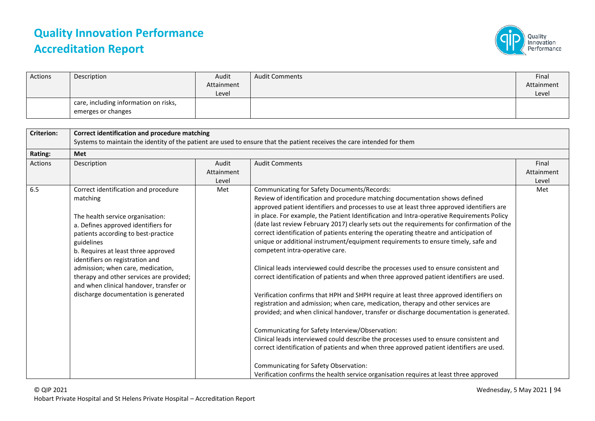

| Actions | Description                           | Audit      | <b>Audit Comments</b> | Final      |
|---------|---------------------------------------|------------|-----------------------|------------|
|         |                                       | Attainment |                       | Attainment |
|         |                                       | Level      |                       | Level      |
|         | care, including information on risks, |            |                       |            |
|         | emerges or changes                    |            |                       |            |

| <b>Criterion:</b> | Correct identification and procedure matching<br>Systems to maintain the identity of the patient are used to ensure that the patient receives the care intended for them                                                                                                                                                                                                                                                       |                              |                                                                                                                                                                                                                                                                                                                                                                                                                                                                                                                                                                                                                                                                                                                                                                                                                                                                                                                                                                                                                                                                                                                                                                                                                                                                                                                                                                                                                                                                               |                              |
|-------------------|--------------------------------------------------------------------------------------------------------------------------------------------------------------------------------------------------------------------------------------------------------------------------------------------------------------------------------------------------------------------------------------------------------------------------------|------------------------------|-------------------------------------------------------------------------------------------------------------------------------------------------------------------------------------------------------------------------------------------------------------------------------------------------------------------------------------------------------------------------------------------------------------------------------------------------------------------------------------------------------------------------------------------------------------------------------------------------------------------------------------------------------------------------------------------------------------------------------------------------------------------------------------------------------------------------------------------------------------------------------------------------------------------------------------------------------------------------------------------------------------------------------------------------------------------------------------------------------------------------------------------------------------------------------------------------------------------------------------------------------------------------------------------------------------------------------------------------------------------------------------------------------------------------------------------------------------------------------|------------------------------|
| Rating:           | Met                                                                                                                                                                                                                                                                                                                                                                                                                            |                              |                                                                                                                                                                                                                                                                                                                                                                                                                                                                                                                                                                                                                                                                                                                                                                                                                                                                                                                                                                                                                                                                                                                                                                                                                                                                                                                                                                                                                                                                               |                              |
| Actions           | Description                                                                                                                                                                                                                                                                                                                                                                                                                    | Audit<br>Attainment<br>Level | <b>Audit Comments</b>                                                                                                                                                                                                                                                                                                                                                                                                                                                                                                                                                                                                                                                                                                                                                                                                                                                                                                                                                                                                                                                                                                                                                                                                                                                                                                                                                                                                                                                         | Final<br>Attainment<br>Level |
| 6.5               | Correct identification and procedure<br>matching<br>The health service organisation:<br>a. Defines approved identifiers for<br>patients according to best-practice<br>guidelines<br>b. Requires at least three approved<br>identifiers on registration and<br>admission; when care, medication,<br>therapy and other services are provided;<br>and when clinical handover, transfer or<br>discharge documentation is generated | Met                          | Communicating for Safety Documents/Records:<br>Review of identification and procedure matching documentation shows defined<br>approved patient identifiers and processes to use at least three approved identifiers are<br>in place. For example, the Patient Identification and Intra-operative Requirements Policy<br>(date last review February 2017) clearly sets out the requirements for confirmation of the<br>correct identification of patients entering the operating theatre and anticipation of<br>unique or additional instrument/equipment requirements to ensure timely, safe and<br>competent intra-operative care.<br>Clinical leads interviewed could describe the processes used to ensure consistent and<br>correct identification of patients and when three approved patient identifiers are used.<br>Verification confirms that HPH and SHPH require at least three approved identifiers on<br>registration and admission; when care, medication, therapy and other services are<br>provided; and when clinical handover, transfer or discharge documentation is generated.<br>Communicating for Safety Interview/Observation:<br>Clinical leads interviewed could describe the processes used to ensure consistent and<br>correct identification of patients and when three approved patient identifiers are used.<br>Communicating for Safety Observation:<br>Verification confirms the health service organisation requires at least three approved | Met                          |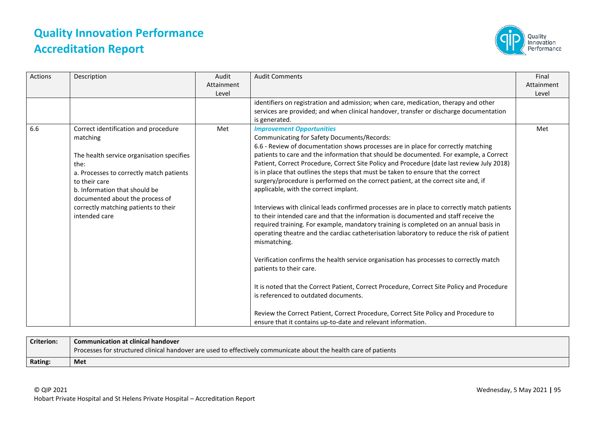

| <b>Actions</b> | Description                                                                                                                                                                                                                                                                                     | Audit<br>Attainment<br>Level | <b>Audit Comments</b>                                                                                                                                                                                                                                                                                                                                                                                                                                                                                                                                                                                                                                                                                                                                                                                                                                                                                                                                                                                                                                                                                                                                                                                                                                                                                                                                                                           | Final<br>Attainment<br>Level |
|----------------|-------------------------------------------------------------------------------------------------------------------------------------------------------------------------------------------------------------------------------------------------------------------------------------------------|------------------------------|-------------------------------------------------------------------------------------------------------------------------------------------------------------------------------------------------------------------------------------------------------------------------------------------------------------------------------------------------------------------------------------------------------------------------------------------------------------------------------------------------------------------------------------------------------------------------------------------------------------------------------------------------------------------------------------------------------------------------------------------------------------------------------------------------------------------------------------------------------------------------------------------------------------------------------------------------------------------------------------------------------------------------------------------------------------------------------------------------------------------------------------------------------------------------------------------------------------------------------------------------------------------------------------------------------------------------------------------------------------------------------------------------|------------------------------|
|                |                                                                                                                                                                                                                                                                                                 |                              | identifiers on registration and admission; when care, medication, therapy and other<br>services are provided; and when clinical handover, transfer or discharge documentation<br>is generated.                                                                                                                                                                                                                                                                                                                                                                                                                                                                                                                                                                                                                                                                                                                                                                                                                                                                                                                                                                                                                                                                                                                                                                                                  |                              |
| 6.6            | Correct identification and procedure<br>matching<br>The health service organisation specifies<br>the:<br>a. Processes to correctly match patients<br>to their care<br>b. Information that should be<br>documented about the process of<br>correctly matching patients to their<br>intended care | Met                          | <b>Improvement Opportunities</b><br>Communicating for Safety Documents/Records:<br>6.6 - Review of documentation shows processes are in place for correctly matching<br>patients to care and the information that should be documented. For example, a Correct<br>Patient, Correct Procedure, Correct Site Policy and Procedure (date last review July 2018)<br>is in place that outlines the steps that must be taken to ensure that the correct<br>surgery/procedure is performed on the correct patient, at the correct site and, if<br>applicable, with the correct implant.<br>Interviews with clinical leads confirmed processes are in place to correctly match patients<br>to their intended care and that the information is documented and staff receive the<br>required training. For example, mandatory training is completed on an annual basis in<br>operating theatre and the cardiac catheterisation laboratory to reduce the risk of patient<br>mismatching.<br>Verification confirms the health service organisation has processes to correctly match<br>patients to their care.<br>It is noted that the Correct Patient, Correct Procedure, Correct Site Policy and Procedure<br>is referenced to outdated documents.<br>Review the Correct Patient, Correct Procedure, Correct Site Policy and Procedure to<br>ensure that it contains up-to-date and relevant information. | Met                          |

| <b>Criterion:</b> | <b>Communication at clinical handover</b>                                                                        |
|-------------------|------------------------------------------------------------------------------------------------------------------|
|                   | Processes for structured clinical handover are used to effectively communicate about the health care of patients |
| Rating:           | Met                                                                                                              |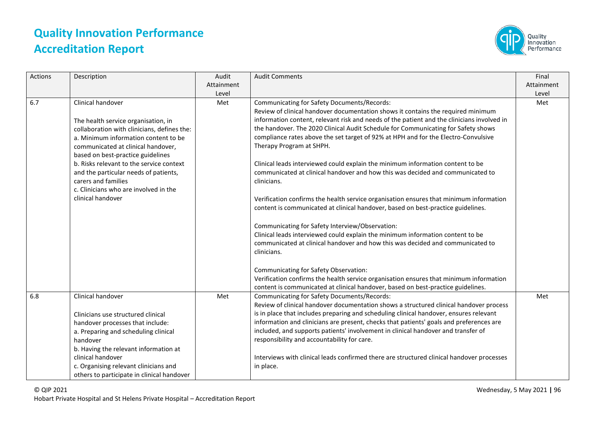

| Actions | Description                                                                                                                                                                                                                                                                                                                                                                                          | Audit<br>Attainment<br>Level | <b>Audit Comments</b>                                                                                                                                                                                                                                                                                                                                                                                                                                                                                                                                                                                                                                                                                                                                                                                                                                                                                                                                                                                                                                                                                                                                                                                                                                              | Final<br>Attainment<br>Level |
|---------|------------------------------------------------------------------------------------------------------------------------------------------------------------------------------------------------------------------------------------------------------------------------------------------------------------------------------------------------------------------------------------------------------|------------------------------|--------------------------------------------------------------------------------------------------------------------------------------------------------------------------------------------------------------------------------------------------------------------------------------------------------------------------------------------------------------------------------------------------------------------------------------------------------------------------------------------------------------------------------------------------------------------------------------------------------------------------------------------------------------------------------------------------------------------------------------------------------------------------------------------------------------------------------------------------------------------------------------------------------------------------------------------------------------------------------------------------------------------------------------------------------------------------------------------------------------------------------------------------------------------------------------------------------------------------------------------------------------------|------------------------------|
| 6.7     | Clinical handover<br>The health service organisation, in<br>collaboration with clinicians, defines the:<br>a. Minimum information content to be<br>communicated at clinical handover,<br>based on best-practice guidelines<br>b. Risks relevant to the service context<br>and the particular needs of patients,<br>carers and families<br>c. Clinicians who are involved in the<br>clinical handover | Met                          | Communicating for Safety Documents/Records:<br>Review of clinical handover documentation shows it contains the required minimum<br>information content, relevant risk and needs of the patient and the clinicians involved in<br>the handover. The 2020 Clinical Audit Schedule for Communicating for Safety shows<br>compliance rates above the set target of 92% at HPH and for the Electro-Convulsive<br>Therapy Program at SHPH.<br>Clinical leads interviewed could explain the minimum information content to be<br>communicated at clinical handover and how this was decided and communicated to<br>clinicians.<br>Verification confirms the health service organisation ensures that minimum information<br>content is communicated at clinical handover, based on best-practice guidelines.<br>Communicating for Safety Interview/Observation:<br>Clinical leads interviewed could explain the minimum information content to be<br>communicated at clinical handover and how this was decided and communicated to<br>clinicians.<br>Communicating for Safety Observation:<br>Verification confirms the health service organisation ensures that minimum information<br>content is communicated at clinical handover, based on best-practice guidelines. | Met                          |
| 6.8     | Clinical handover<br>Clinicians use structured clinical<br>handover processes that include:<br>a. Preparing and scheduling clinical<br>handover<br>b. Having the relevant information at<br>clinical handover<br>c. Organising relevant clinicians and<br>others to participate in clinical handover                                                                                                 | Met                          | <b>Communicating for Safety Documents/Records:</b><br>Review of clinical handover documentation shows a structured clinical handover process<br>is in place that includes preparing and scheduling clinical handover, ensures relevant<br>information and clinicians are present, checks that patients' goals and preferences are<br>included, and supports patients' involvement in clinical handover and transfer of<br>responsibility and accountability for care.<br>Interviews with clinical leads confirmed there are structured clinical handover processes<br>in place.                                                                                                                                                                                                                                                                                                                                                                                                                                                                                                                                                                                                                                                                                    | Met                          |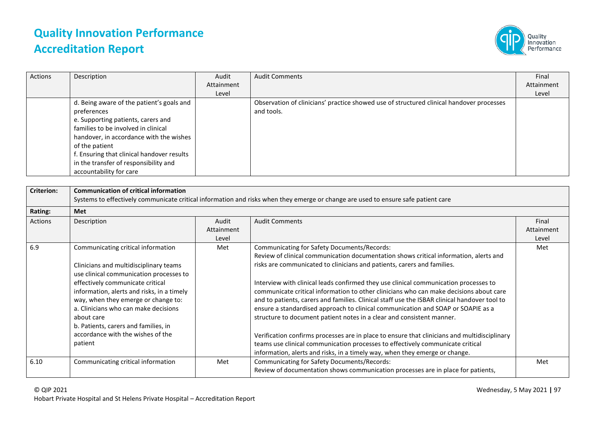

| Actions | Description                                | Audit      | <b>Audit Comments</b>                                                                    | Final      |
|---------|--------------------------------------------|------------|------------------------------------------------------------------------------------------|------------|
|         |                                            | Attainment |                                                                                          | Attainment |
|         |                                            | Level      |                                                                                          | Level      |
|         | d. Being aware of the patient's goals and  |            | Observation of clinicians' practice showed use of structured clinical handover processes |            |
|         | preferences                                |            | and tools.                                                                               |            |
|         | e. Supporting patients, carers and         |            |                                                                                          |            |
|         | families to be involved in clinical        |            |                                                                                          |            |
|         | handover, in accordance with the wishes    |            |                                                                                          |            |
|         | of the patient                             |            |                                                                                          |            |
|         | f. Ensuring that clinical handover results |            |                                                                                          |            |
|         | in the transfer of responsibility and      |            |                                                                                          |            |
|         | accountability for care                    |            |                                                                                          |            |

| <b>Criterion:</b> | <b>Communication of critical information</b><br>Systems to effectively communicate critical information and risks when they emerge or change are used to ensure safe patient care |            |                                                                                              |            |
|-------------------|-----------------------------------------------------------------------------------------------------------------------------------------------------------------------------------|------------|----------------------------------------------------------------------------------------------|------------|
| Rating:           | Met                                                                                                                                                                               |            |                                                                                              |            |
| Actions           | Description                                                                                                                                                                       | Audit      | <b>Audit Comments</b>                                                                        | Final      |
|                   |                                                                                                                                                                                   | Attainment |                                                                                              | Attainment |
|                   |                                                                                                                                                                                   | Level      |                                                                                              | Level      |
| 6.9               | Communicating critical information                                                                                                                                                | Met        | <b>Communicating for Safety Documents/Records:</b>                                           | Met        |
|                   |                                                                                                                                                                                   |            | Review of clinical communication documentation shows critical information, alerts and        |            |
|                   | Clinicians and multidisciplinary teams                                                                                                                                            |            | risks are communicated to clinicians and patients, carers and families.                      |            |
|                   | use clinical communication processes to                                                                                                                                           |            |                                                                                              |            |
|                   | effectively communicate critical                                                                                                                                                  |            | Interview with clinical leads confirmed they use clinical communication processes to         |            |
|                   | information, alerts and risks, in a timely                                                                                                                                        |            | communicate critical information to other clinicians who can make decisions about care       |            |
|                   | way, when they emerge or change to:                                                                                                                                               |            | and to patients, carers and families. Clinical staff use the ISBAR clinical handover tool to |            |
|                   | a. Clinicians who can make decisions                                                                                                                                              |            | ensure a standardised approach to clinical communication and SOAP or SOAPIE as a             |            |
|                   | about care                                                                                                                                                                        |            | structure to document patient notes in a clear and consistent manner.                        |            |
|                   | b. Patients, carers and families, in                                                                                                                                              |            |                                                                                              |            |
|                   | accordance with the wishes of the                                                                                                                                                 |            | Verification confirms processes are in place to ensure that clinicians and multidisciplinary |            |
|                   | patient                                                                                                                                                                           |            | teams use clinical communication processes to effectively communicate critical               |            |
|                   |                                                                                                                                                                                   |            | information, alerts and risks, in a timely way, when they emerge or change.                  |            |
| 6.10              | Communicating critical information                                                                                                                                                | Met        | Communicating for Safety Documents/Records:                                                  | Met        |
|                   |                                                                                                                                                                                   |            | Review of documentation shows communication processes are in place for patients,             |            |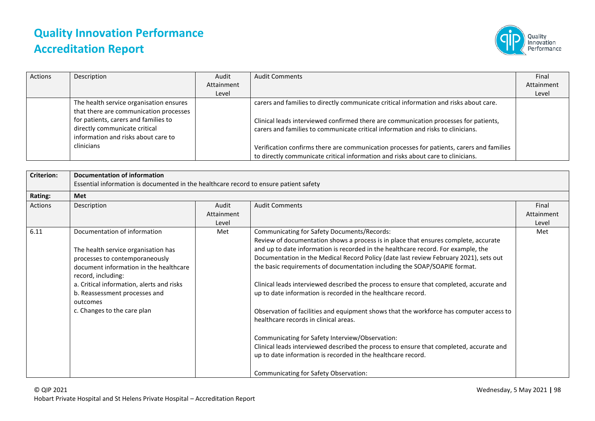

| Actions | Description                                                                                                  | Audit      | <b>Audit Comments</b>                                                                                                                                                         | Final      |
|---------|--------------------------------------------------------------------------------------------------------------|------------|-------------------------------------------------------------------------------------------------------------------------------------------------------------------------------|------------|
|         |                                                                                                              | Attainment |                                                                                                                                                                               | Attainment |
|         |                                                                                                              | Level      |                                                                                                                                                                               | Level      |
|         | The health service organisation ensures<br>that there are communication processes                            |            | carers and families to directly communicate critical information and risks about care.                                                                                        |            |
|         | for patients, carers and families to<br>directly communicate critical<br>information and risks about care to |            | Clinical leads interviewed confirmed there are communication processes for patients,<br>carers and families to communicate critical information and risks to clinicians.      |            |
|         | clinicians                                                                                                   |            | Verification confirms there are communication processes for patients, carers and families<br>to directly communicate critical information and risks about care to clinicians. |            |

| <b>Criterion:</b> | Documentation of information<br>Essential information is documented in the healthcare record to ensure patient safety |            |                                                                                         |            |
|-------------------|-----------------------------------------------------------------------------------------------------------------------|------------|-----------------------------------------------------------------------------------------|------------|
| Rating:           | <b>Met</b>                                                                                                            |            |                                                                                         |            |
| Actions           | Description                                                                                                           | Audit      | <b>Audit Comments</b>                                                                   | Final      |
|                   |                                                                                                                       | Attainment |                                                                                         | Attainment |
|                   |                                                                                                                       | Level      |                                                                                         | Level      |
| 6.11              | Documentation of information                                                                                          | Met        | Communicating for Safety Documents/Records:                                             | Met        |
|                   |                                                                                                                       |            | Review of documentation shows a process is in place that ensures complete, accurate     |            |
|                   | The health service organisation has                                                                                   |            | and up to date information is recorded in the healthcare record. For example, the       |            |
|                   | processes to contemporaneously                                                                                        |            | Documentation in the Medical Record Policy (date last review February 2021), sets out   |            |
|                   | document information in the healthcare<br>record, including:                                                          |            | the basic requirements of documentation including the SOAP/SOAPIE format.               |            |
|                   | a. Critical information, alerts and risks                                                                             |            | Clinical leads interviewed described the process to ensure that completed, accurate and |            |
|                   | b. Reassessment processes and<br>outcomes                                                                             |            | up to date information is recorded in the healthcare record.                            |            |
|                   | c. Changes to the care plan                                                                                           |            | Observation of facilities and equipment shows that the workforce has computer access to |            |
|                   |                                                                                                                       |            | healthcare records in clinical areas.                                                   |            |
|                   |                                                                                                                       |            | Communicating for Safety Interview/Observation:                                         |            |
|                   |                                                                                                                       |            | Clinical leads interviewed described the process to ensure that completed, accurate and |            |
|                   |                                                                                                                       |            | up to date information is recorded in the healthcare record.                            |            |
|                   |                                                                                                                       |            | Communicating for Safety Observation:                                                   |            |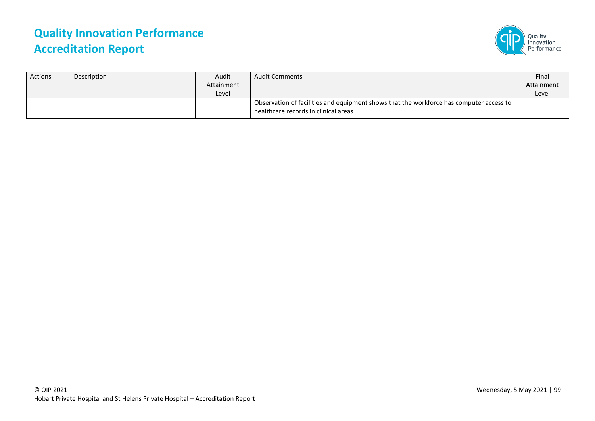

| <b>Actions</b> | Description | Audit<br>Attainment<br>Level | <b>Audit Comments</b>                                                                                                            | Final<br>Attainment<br>Level |
|----------------|-------------|------------------------------|----------------------------------------------------------------------------------------------------------------------------------|------------------------------|
|                |             |                              | Observation of facilities and equipment shows that the workforce has computer access to<br>healthcare records in clinical areas. |                              |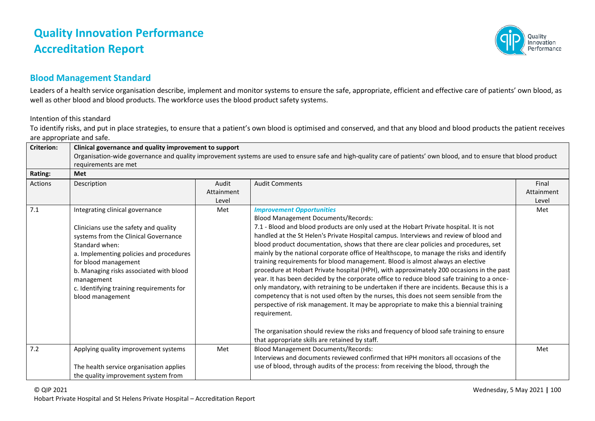

### **Blood Management Standard**

Leaders of a health service organisation describe, implement and monitor systems to ensure the safe, appropriate, efficient and effective care of patients' own blood, as well as other blood and blood products. The workforce uses the blood product safety systems.

Intention of this standard

To identify risks, and put in place strategies, to ensure that a patient's own blood is optimised and conserved, and that any blood and blood products the patient receives are appropriate and safe.

| <b>Criterion:</b> | Clinical governance and quality improvement to support<br>Organisation-wide governance and quality improvement systems are used to ensure safe and high-quality care of patients' own blood, and to ensure that blood product                                                                                                  |                              |                                                                                                                                                                                                                                                                                                                                                                                                                                                                                                                                                                                                                                                                                                                                                                                                                                                                                                                                                                                                                                                                                                                                                                                 |                              |  |
|-------------------|--------------------------------------------------------------------------------------------------------------------------------------------------------------------------------------------------------------------------------------------------------------------------------------------------------------------------------|------------------------------|---------------------------------------------------------------------------------------------------------------------------------------------------------------------------------------------------------------------------------------------------------------------------------------------------------------------------------------------------------------------------------------------------------------------------------------------------------------------------------------------------------------------------------------------------------------------------------------------------------------------------------------------------------------------------------------------------------------------------------------------------------------------------------------------------------------------------------------------------------------------------------------------------------------------------------------------------------------------------------------------------------------------------------------------------------------------------------------------------------------------------------------------------------------------------------|------------------------------|--|
|                   | requirements are met                                                                                                                                                                                                                                                                                                           |                              |                                                                                                                                                                                                                                                                                                                                                                                                                                                                                                                                                                                                                                                                                                                                                                                                                                                                                                                                                                                                                                                                                                                                                                                 |                              |  |
| <b>Rating:</b>    | <b>Met</b>                                                                                                                                                                                                                                                                                                                     |                              |                                                                                                                                                                                                                                                                                                                                                                                                                                                                                                                                                                                                                                                                                                                                                                                                                                                                                                                                                                                                                                                                                                                                                                                 |                              |  |
| <b>Actions</b>    | Description                                                                                                                                                                                                                                                                                                                    | Audit<br>Attainment<br>Level | <b>Audit Comments</b>                                                                                                                                                                                                                                                                                                                                                                                                                                                                                                                                                                                                                                                                                                                                                                                                                                                                                                                                                                                                                                                                                                                                                           | Final<br>Attainment<br>Level |  |
| 7.1               | Integrating clinical governance<br>Clinicians use the safety and quality<br>systems from the Clinical Governance<br>Standard when:<br>a. Implementing policies and procedures<br>for blood management<br>b. Managing risks associated with blood<br>management<br>c. Identifying training requirements for<br>blood management | Met                          | <b>Improvement Opportunities</b><br><b>Blood Management Documents/Records:</b><br>7.1 - Blood and blood products are only used at the Hobart Private hospital. It is not<br>handled at the St Helen's Private Hospital campus. Interviews and review of blood and<br>blood product documentation, shows that there are clear policies and procedures, set<br>mainly by the national corporate office of Healthscope, to manage the risks and identify<br>training requirements for blood management. Blood is almost always an elective<br>procedure at Hobart Private hospital (HPH), with approximately 200 occasions in the past<br>year. It has been decided by the corporate office to reduce blood safe training to a once-<br>only mandatory, with retraining to be undertaken if there are incidents. Because this is a<br>competency that is not used often by the nurses, this does not seem sensible from the<br>perspective of risk management. It may be appropriate to make this a biennial training<br>requirement.<br>The organisation should review the risks and frequency of blood safe training to ensure<br>that appropriate skills are retained by staff. | Met                          |  |
| 7.2               | Applying quality improvement systems<br>The health service organisation applies<br>the quality improvement system from                                                                                                                                                                                                         | Met                          | <b>Blood Management Documents/Records:</b><br>Interviews and documents reviewed confirmed that HPH monitors all occasions of the<br>use of blood, through audits of the process: from receiving the blood, through the                                                                                                                                                                                                                                                                                                                                                                                                                                                                                                                                                                                                                                                                                                                                                                                                                                                                                                                                                          | Met                          |  |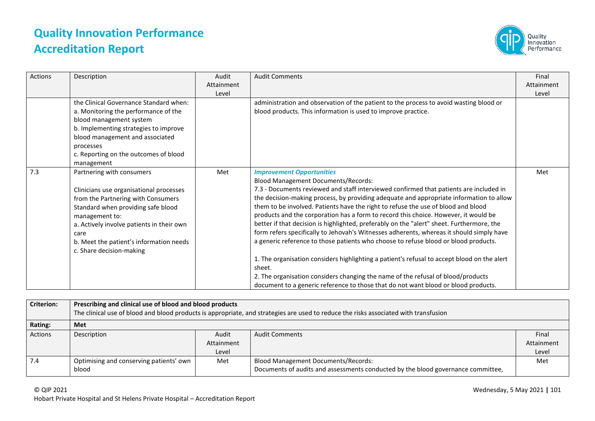

| Actions | Description                                                                                                                                                                                                                                                                                    | Audit               | <b>Audit Comments</b>                                                                                                                                                                                                                                                                                                                                                                                                                                                                                                                                                                                                                                                                                                                                                                                                                                                                                                                                                                                              | Final               |
|---------|------------------------------------------------------------------------------------------------------------------------------------------------------------------------------------------------------------------------------------------------------------------------------------------------|---------------------|--------------------------------------------------------------------------------------------------------------------------------------------------------------------------------------------------------------------------------------------------------------------------------------------------------------------------------------------------------------------------------------------------------------------------------------------------------------------------------------------------------------------------------------------------------------------------------------------------------------------------------------------------------------------------------------------------------------------------------------------------------------------------------------------------------------------------------------------------------------------------------------------------------------------------------------------------------------------------------------------------------------------|---------------------|
|         |                                                                                                                                                                                                                                                                                                | Attainment<br>Level |                                                                                                                                                                                                                                                                                                                                                                                                                                                                                                                                                                                                                                                                                                                                                                                                                                                                                                                                                                                                                    | Attainment<br>Level |
|         | the Clinical Governance Standard when:<br>a. Monitoring the performance of the<br>blood management system<br>b. Implementing strategies to improve<br>blood management and associated<br>processes<br>c. Reporting on the outcomes of blood<br>management                                      |                     | administration and observation of the patient to the process to avoid wasting blood or<br>blood products. This information is used to improve practice.                                                                                                                                                                                                                                                                                                                                                                                                                                                                                                                                                                                                                                                                                                                                                                                                                                                            |                     |
| 7.3     | Partnering with consumers<br>Clinicians use organisational processes<br>from the Partnering with Consumers<br>Standard when providing safe blood<br>management to:<br>a. Actively involve patients in their own<br>care<br>b. Meet the patient's information needs<br>c. Share decision-making | Met                 | <b>Improvement Opportunities</b><br><b>Blood Management Documents/Records:</b><br>7.3 - Documents reviewed and staff interviewed confirmed that patients are included in<br>the decision-making process, by providing adequate and appropriate information to allow<br>them to be involved. Patients have the right to refuse the use of blood and blood<br>products and the corporation has a form to record this choice. However, it would be<br>better if that decision is highlighted, preferably on the "alert" sheet. Furthermore, the<br>form refers specifically to Jehovah's Witnesses adherents, whereas it should simply have<br>a generic reference to those patients who choose to refuse blood or blood products.<br>1. The organisation considers highlighting a patient's refusal to accept blood on the alert<br>sheet.<br>2. The organisation considers changing the name of the refusal of blood/products<br>document to a generic reference to those that do not want blood or blood products. | Met                 |

| <b>Criterion:</b> | Prescribing and clinical use of blood and blood products<br>The clinical use of blood and blood products is appropriate, and strategies are used to reduce the risks associated with transfusion |            |                                                                                  |            |  |  |
|-------------------|--------------------------------------------------------------------------------------------------------------------------------------------------------------------------------------------------|------------|----------------------------------------------------------------------------------|------------|--|--|
| Rating:           | Met                                                                                                                                                                                              |            |                                                                                  |            |  |  |
| Actions           | Description                                                                                                                                                                                      | Audit      | <b>Audit Comments</b>                                                            | Final      |  |  |
|                   |                                                                                                                                                                                                  | Attainment |                                                                                  | Attainment |  |  |
|                   |                                                                                                                                                                                                  | Level      |                                                                                  | Level      |  |  |
| 7.4               | Optimising and conserving patients' own                                                                                                                                                          | Met        | <b>Blood Management Documents/Records:</b>                                       | Met        |  |  |
|                   | blood                                                                                                                                                                                            |            | Documents of audits and assessments conducted by the blood governance committee, |            |  |  |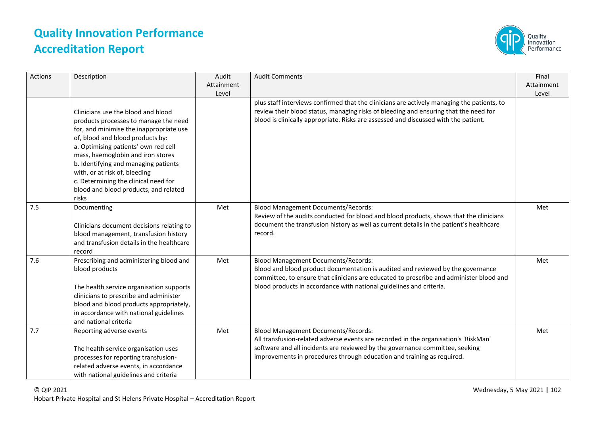

| Actions | Description                                                                                                                                                                                                                                                                                                                                                                                                | Audit<br>Attainment<br>Level | <b>Audit Comments</b>                                                                                                                                                                                                                                                                           | Final<br>Attainment<br>Level |
|---------|------------------------------------------------------------------------------------------------------------------------------------------------------------------------------------------------------------------------------------------------------------------------------------------------------------------------------------------------------------------------------------------------------------|------------------------------|-------------------------------------------------------------------------------------------------------------------------------------------------------------------------------------------------------------------------------------------------------------------------------------------------|------------------------------|
|         | Clinicians use the blood and blood<br>products processes to manage the need<br>for, and minimise the inappropriate use<br>of, blood and blood products by:<br>a. Optimising patients' own red cell<br>mass, haemoglobin and iron stores<br>b. Identifying and managing patients<br>with, or at risk of, bleeding<br>c. Determining the clinical need for<br>blood and blood products, and related<br>risks |                              | plus staff interviews confirmed that the clinicians are actively managing the patients, to<br>review their blood status, managing risks of bleeding and ensuring that the need for<br>blood is clinically appropriate. Risks are assessed and discussed with the patient.                       |                              |
| 7.5     | Documenting<br>Clinicians document decisions relating to<br>blood management, transfusion history<br>and transfusion details in the healthcare<br>record                                                                                                                                                                                                                                                   | Met                          | <b>Blood Management Documents/Records:</b><br>Review of the audits conducted for blood and blood products, shows that the clinicians<br>document the transfusion history as well as current details in the patient's healthcare<br>record.                                                      | Met                          |
| 7.6     | Prescribing and administering blood and<br>blood products<br>The health service organisation supports<br>clinicians to prescribe and administer<br>blood and blood products appropriately,<br>in accordance with national guidelines<br>and national criteria                                                                                                                                              | Met                          | <b>Blood Management Documents/Records:</b><br>Blood and blood product documentation is audited and reviewed by the governance<br>committee, to ensure that clinicians are educated to prescribe and administer blood and<br>blood products in accordance with national guidelines and criteria. | Met                          |
| 7.7     | Reporting adverse events<br>The health service organisation uses<br>processes for reporting transfusion-<br>related adverse events, in accordance<br>with national guidelines and criteria                                                                                                                                                                                                                 | Met                          | <b>Blood Management Documents/Records:</b><br>All transfusion-related adverse events are recorded in the organisation's 'RiskMan'<br>software and all incidents are reviewed by the governance committee, seeking<br>improvements in procedures through education and training as required.     | Met                          |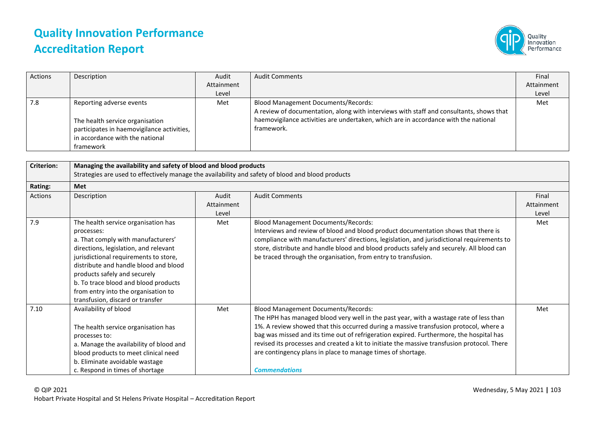

| Actions | Description                                                                                                                                               | Audit<br>Attainment<br>Level | <b>Audit Comments</b>                                                                                                                                                                                                                      | Final<br>Attainment<br>Level |
|---------|-----------------------------------------------------------------------------------------------------------------------------------------------------------|------------------------------|--------------------------------------------------------------------------------------------------------------------------------------------------------------------------------------------------------------------------------------------|------------------------------|
| 7.8     | Reporting adverse events<br>The health service organisation<br>participates in haemovigilance activities,<br>in accordance with the national<br>framework | Met                          | <b>Blood Management Documents/Records:</b><br>A review of documentation, along with interviews with staff and consultants, shows that<br>haemovigilance activities are undertaken, which are in accordance with the national<br>framework. | Met                          |

| <b>Criterion:</b> | Managing the availability and safety of blood and blood products<br>Strategies are used to effectively manage the availability and safety of blood and blood products                                                                                                                                                                                                 |                              |                                                                                                                                                                                                                                                                                                                                                                                                                                                                                                                |                              |  |
|-------------------|-----------------------------------------------------------------------------------------------------------------------------------------------------------------------------------------------------------------------------------------------------------------------------------------------------------------------------------------------------------------------|------------------------------|----------------------------------------------------------------------------------------------------------------------------------------------------------------------------------------------------------------------------------------------------------------------------------------------------------------------------------------------------------------------------------------------------------------------------------------------------------------------------------------------------------------|------------------------------|--|
| Rating:           | <b>Met</b>                                                                                                                                                                                                                                                                                                                                                            |                              |                                                                                                                                                                                                                                                                                                                                                                                                                                                                                                                |                              |  |
| Actions           | Description                                                                                                                                                                                                                                                                                                                                                           | Audit<br>Attainment<br>Level | <b>Audit Comments</b>                                                                                                                                                                                                                                                                                                                                                                                                                                                                                          | Final<br>Attainment<br>Level |  |
| 7.9               | The health service organisation has<br>processes:<br>a. That comply with manufacturers'<br>directions, legislation, and relevant<br>jurisdictional requirements to store,<br>distribute and handle blood and blood<br>products safely and securely<br>b. To trace blood and blood products<br>from entry into the organisation to<br>transfusion, discard or transfer | Met                          | <b>Blood Management Documents/Records:</b><br>Interviews and review of blood and blood product documentation shows that there is<br>compliance with manufacturers' directions, legislation, and jurisdictional requirements to<br>store, distribute and handle blood and blood products safely and securely. All blood can<br>be traced through the organisation, from entry to transfusion.                                                                                                                   | Met                          |  |
| 7.10              | Availability of blood<br>The health service organisation has<br>processes to:<br>a. Manage the availability of blood and<br>blood products to meet clinical need<br>b. Eliminate avoidable wastage<br>c. Respond in times of shortage                                                                                                                                 | Met                          | <b>Blood Management Documents/Records:</b><br>The HPH has managed blood very well in the past year, with a wastage rate of less than<br>1%. A review showed that this occurred during a massive transfusion protocol, where a<br>bag was missed and its time out of refrigeration expired. Furthermore, the hospital has<br>revised its processes and created a kit to initiate the massive transfusion protocol. There<br>are contingency plans in place to manage times of shortage.<br><b>Commendations</b> | Met                          |  |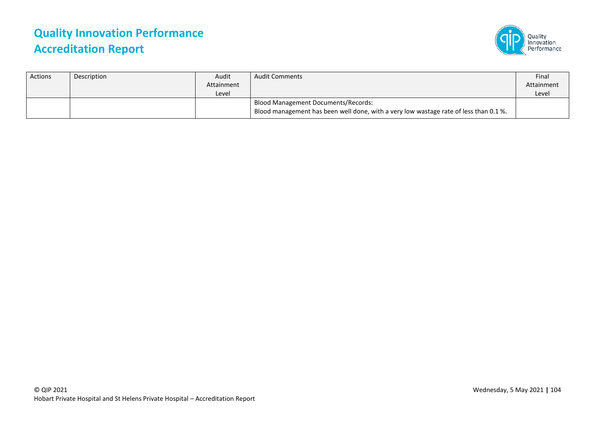

| Actions | Description | Audit      | <b>Audit Comments</b>                                                                                                        | Final      |
|---------|-------------|------------|------------------------------------------------------------------------------------------------------------------------------|------------|
|         |             | Attainment |                                                                                                                              | Attainment |
|         |             | Level      |                                                                                                                              | Level      |
|         |             |            | Blood Management Documents/Records:<br>Blood management has been well done, with a very low wastage rate of less than 0.1 %. |            |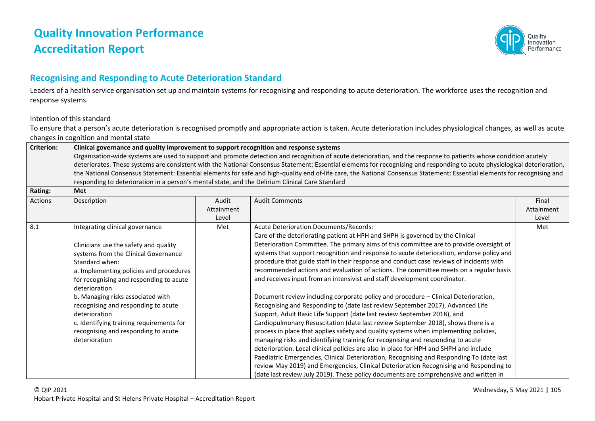

### **Recognising and Responding to Acute Deterioration Standard**

Leaders of a health service organisation set up and maintain systems for recognising and responding to acute deterioration. The workforce uses the recognition and response systems.

#### Intention of this standard

To ensure that a person's acute deterioration is recognised promptly and appropriate action is taken. Acute deterioration includes physiological changes, as well as acute changes in cognition and mental state

| <b>Criterion:</b> | Clinical governance and quality improvement to support recognition and response systems                                                                                   |            |                                                                                                                                                                           |            |  |  |
|-------------------|---------------------------------------------------------------------------------------------------------------------------------------------------------------------------|------------|---------------------------------------------------------------------------------------------------------------------------------------------------------------------------|------------|--|--|
|                   | Organisation-wide systems are used to support and promote detection and recognition of acute deterioration, and the response to patients whose condition acutely          |            |                                                                                                                                                                           |            |  |  |
|                   | deteriorates. These systems are consistent with the National Consensus Statement: Essential elements for recognising and responding to acute physiological deterioration, |            |                                                                                                                                                                           |            |  |  |
|                   |                                                                                                                                                                           |            | the National Consensus Statement: Essential elements for safe and high-quality end of-life care, the National Consensus Statement: Essential elements for recognising and |            |  |  |
|                   | responding to deterioration in a person's mental state, and the Delirium Clinical Care Standard                                                                           |            |                                                                                                                                                                           |            |  |  |
| Rating:           | Met                                                                                                                                                                       |            |                                                                                                                                                                           |            |  |  |
| Actions           | Description                                                                                                                                                               | Audit      | <b>Audit Comments</b>                                                                                                                                                     | Final      |  |  |
|                   |                                                                                                                                                                           | Attainment |                                                                                                                                                                           | Attainment |  |  |
|                   |                                                                                                                                                                           | Level      |                                                                                                                                                                           | Level      |  |  |
| 8.1               | Integrating clinical governance                                                                                                                                           | Met        | <b>Acute Deterioration Documents/Records:</b>                                                                                                                             | Met        |  |  |
|                   |                                                                                                                                                                           |            | Care of the deteriorating patient at HPH and SHPH is governed by the Clinical                                                                                             |            |  |  |
|                   | Clinicians use the safety and quality                                                                                                                                     |            | Deterioration Committee. The primary aims of this committee are to provide oversight of                                                                                   |            |  |  |
|                   | systems from the Clinical Governance                                                                                                                                      |            | systems that support recognition and response to acute deterioration, endorse policy and                                                                                  |            |  |  |
|                   | Standard when:                                                                                                                                                            |            | procedure that guide staff in their response and conduct case reviews of incidents with                                                                                   |            |  |  |
|                   | a. Implementing policies and procedures                                                                                                                                   |            | recommended actions and evaluation of actions. The committee meets on a regular basis                                                                                     |            |  |  |
|                   | for recognising and responding to acute                                                                                                                                   |            | and receives input from an intensivist and staff development coordinator.                                                                                                 |            |  |  |
|                   | deterioration                                                                                                                                                             |            |                                                                                                                                                                           |            |  |  |
|                   | b. Managing risks associated with                                                                                                                                         |            | Document review including corporate policy and procedure - Clinical Deterioration,                                                                                        |            |  |  |
|                   | recognising and responding to acute                                                                                                                                       |            | Recognising and Responding to (date last review September 2017), Advanced Life                                                                                            |            |  |  |
|                   | deterioration                                                                                                                                                             |            | Support, Adult Basic Life Support (date last review September 2018), and                                                                                                  |            |  |  |
|                   | c. Identifying training requirements for                                                                                                                                  |            | Cardiopulmonary Resuscitation (date last review September 2018), shows there is a                                                                                         |            |  |  |
|                   | recognising and responding to acute                                                                                                                                       |            | process in place that applies safety and quality systems when implementing policies,                                                                                      |            |  |  |
|                   | deterioration                                                                                                                                                             |            | managing risks and identifying training for recognising and responding to acute                                                                                           |            |  |  |
|                   |                                                                                                                                                                           |            | deterioration. Local clinical policies are also in place for HPH and SHPH and include                                                                                     |            |  |  |
|                   |                                                                                                                                                                           |            | Paediatric Emergencies, Clinical Deterioration, Recognising and Responding To (date last                                                                                  |            |  |  |
|                   |                                                                                                                                                                           |            | review May 2019) and Emergencies, Clinical Deterioration Recognising and Responding to                                                                                    |            |  |  |
|                   |                                                                                                                                                                           |            | (date last review July 2019). These policy documents are comprehensive and written in                                                                                     |            |  |  |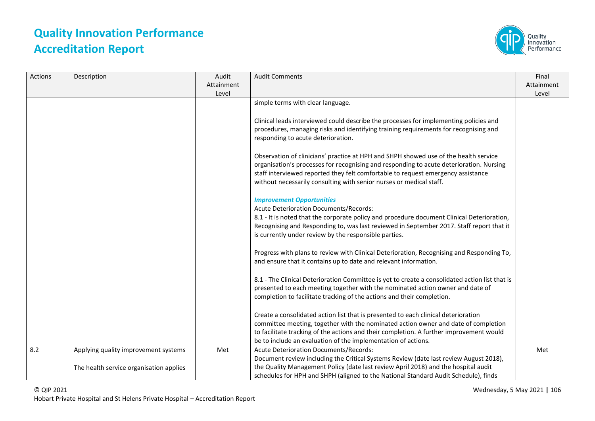

| Actions | Description                             | Audit<br>Attainment | <b>Audit Comments</b>                                                                                                                                                                                                                                                                                                                      | Final<br>Attainment |
|---------|-----------------------------------------|---------------------|--------------------------------------------------------------------------------------------------------------------------------------------------------------------------------------------------------------------------------------------------------------------------------------------------------------------------------------------|---------------------|
|         |                                         | Level               | simple terms with clear language.                                                                                                                                                                                                                                                                                                          | Level               |
|         |                                         |                     |                                                                                                                                                                                                                                                                                                                                            |                     |
|         |                                         |                     | Clinical leads interviewed could describe the processes for implementing policies and<br>procedures, managing risks and identifying training requirements for recognising and<br>responding to acute deterioration.                                                                                                                        |                     |
|         |                                         |                     | Observation of clinicians' practice at HPH and SHPH showed use of the health service<br>organisation's processes for recognising and responding to acute deterioration. Nursing<br>staff interviewed reported they felt comfortable to request emergency assistance<br>without necessarily consulting with senior nurses or medical staff. |                     |
|         |                                         |                     | <b>Improvement Opportunities</b><br>Acute Deterioration Documents/Records:<br>8.1 - It is noted that the corporate policy and procedure document Clinical Deterioration,<br>Recognising and Responding to, was last reviewed in September 2017. Staff report that it<br>is currently under review by the responsible parties.              |                     |
|         |                                         |                     | Progress with plans to review with Clinical Deterioration, Recognising and Responding To,<br>and ensure that it contains up to date and relevant information.                                                                                                                                                                              |                     |
|         |                                         |                     | 8.1 - The Clinical Deterioration Committee is yet to create a consolidated action list that is<br>presented to each meeting together with the nominated action owner and date of<br>completion to facilitate tracking of the actions and their completion.                                                                                 |                     |
|         |                                         |                     | Create a consolidated action list that is presented to each clinical deterioration<br>committee meeting, together with the nominated action owner and date of completion<br>to facilitate tracking of the actions and their completion. A further improvement would<br>be to include an evaluation of the implementation of actions.       |                     |
| 8.2     | Applying quality improvement systems    | Met                 | Acute Deterioration Documents/Records:<br>Document review including the Critical Systems Review (date last review August 2018),                                                                                                                                                                                                            | Met                 |
|         | The health service organisation applies |                     | the Quality Management Policy (date last review April 2018) and the hospital audit<br>schedules for HPH and SHPH (aligned to the National Standard Audit Schedule), finds                                                                                                                                                                  |                     |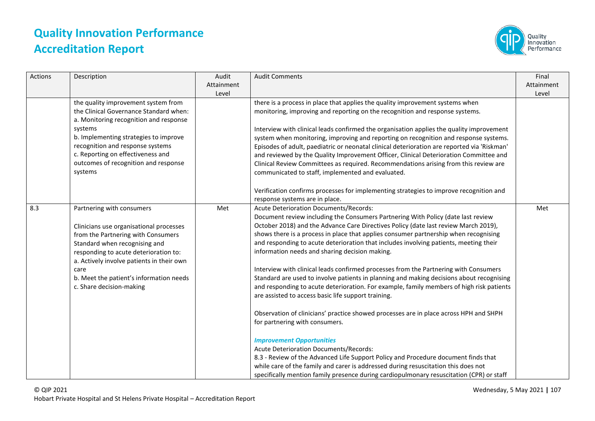

| Actions | Description                                                                                                                                                                                                                                                                                                      | Audit<br>Attainment<br>Level | <b>Audit Comments</b>                                                                                                                                                                                                                                                                                                                                                                                                                                                                                                                                                                                                                                                                                                                                                                                                                                                                                                                                                                                                                                                                             | Final<br>Attainment<br>Level |
|---------|------------------------------------------------------------------------------------------------------------------------------------------------------------------------------------------------------------------------------------------------------------------------------------------------------------------|------------------------------|---------------------------------------------------------------------------------------------------------------------------------------------------------------------------------------------------------------------------------------------------------------------------------------------------------------------------------------------------------------------------------------------------------------------------------------------------------------------------------------------------------------------------------------------------------------------------------------------------------------------------------------------------------------------------------------------------------------------------------------------------------------------------------------------------------------------------------------------------------------------------------------------------------------------------------------------------------------------------------------------------------------------------------------------------------------------------------------------------|------------------------------|
|         | the quality improvement system from<br>the Clinical Governance Standard when:<br>a. Monitoring recognition and response<br>systems<br>b. Implementing strategies to improve<br>recognition and response systems<br>c. Reporting on effectiveness and<br>outcomes of recognition and response<br>systems          |                              | there is a process in place that applies the quality improvement systems when<br>monitoring, improving and reporting on the recognition and response systems.<br>Interview with clinical leads confirmed the organisation applies the quality improvement<br>system when monitoring, improving and reporting on recognition and response systems.<br>Episodes of adult, paediatric or neonatal clinical deterioration are reported via 'Riskman'<br>and reviewed by the Quality Improvement Officer, Clinical Deterioration Committee and<br>Clinical Review Committees as required. Recommendations arising from this review are<br>communicated to staff, implemented and evaluated.<br>Verification confirms processes for implementing strategies to improve recognition and<br>response systems are in place.                                                                                                                                                                                                                                                                                |                              |
| 8.3     | Partnering with consumers<br>Clinicians use organisational processes<br>from the Partnering with Consumers<br>Standard when recognising and<br>responding to acute deterioration to:<br>a. Actively involve patients in their own<br>care<br>b. Meet the patient's information needs<br>c. Share decision-making | Met                          | Acute Deterioration Documents/Records:<br>Document review including the Consumers Partnering With Policy (date last review<br>October 2018) and the Advance Care Directives Policy (date last review March 2019),<br>shows there is a process in place that applies consumer partnership when recognising<br>and responding to acute deterioration that includes involving patients, meeting their<br>information needs and sharing decision making.<br>Interview with clinical leads confirmed processes from the Partnering with Consumers<br>Standard are used to involve patients in planning and making decisions about recognising<br>and responding to acute deterioration. For example, family members of high risk patients<br>are assisted to access basic life support training.<br>Observation of clinicians' practice showed processes are in place across HPH and SHPH<br>for partnering with consumers.<br><b>Improvement Opportunities</b><br><b>Acute Deterioration Documents/Records:</b><br>8.3 - Review of the Advanced Life Support Policy and Procedure document finds that | Met                          |
|         |                                                                                                                                                                                                                                                                                                                  |                              | while care of the family and carer is addressed during resuscitation this does not<br>specifically mention family presence during cardiopulmonary resuscitation (CPR) or staff                                                                                                                                                                                                                                                                                                                                                                                                                                                                                                                                                                                                                                                                                                                                                                                                                                                                                                                    |                              |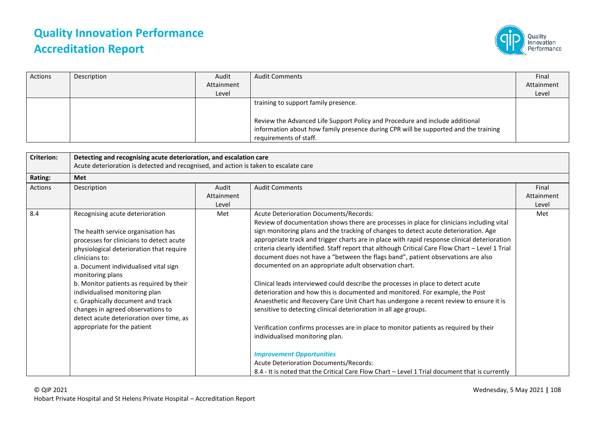

| Actions | Description | Audit      | <b>Audit Comments</b>                                                                                                                                                                         | Final      |
|---------|-------------|------------|-----------------------------------------------------------------------------------------------------------------------------------------------------------------------------------------------|------------|
|         |             | Attainment |                                                                                                                                                                                               | Attainment |
|         |             | Level      |                                                                                                                                                                                               | Level      |
|         |             |            | training to support family presence.                                                                                                                                                          |            |
|         |             |            | Review the Advanced Life Support Policy and Procedure and include additional<br>information about how family presence during CPR will be supported and the training<br>requirements of staff. |            |

| <b>Criterion:</b> | Detecting and recognising acute deterioration, and escalation care<br>Acute deterioration is detected and recognised, and action is taken to escalate care                                                                                                                                                                                                                                                                                                                       |                              |                                                                                                                                                                                                                                                                                                                                                                                                                                                                                                                                                                                                                                                                                                                                                                                                                                                                                                                                                                                                                                                                                                                                                                                                                             |                              |  |
|-------------------|----------------------------------------------------------------------------------------------------------------------------------------------------------------------------------------------------------------------------------------------------------------------------------------------------------------------------------------------------------------------------------------------------------------------------------------------------------------------------------|------------------------------|-----------------------------------------------------------------------------------------------------------------------------------------------------------------------------------------------------------------------------------------------------------------------------------------------------------------------------------------------------------------------------------------------------------------------------------------------------------------------------------------------------------------------------------------------------------------------------------------------------------------------------------------------------------------------------------------------------------------------------------------------------------------------------------------------------------------------------------------------------------------------------------------------------------------------------------------------------------------------------------------------------------------------------------------------------------------------------------------------------------------------------------------------------------------------------------------------------------------------------|------------------------------|--|
| <b>Rating:</b>    | <b>Met</b>                                                                                                                                                                                                                                                                                                                                                                                                                                                                       |                              |                                                                                                                                                                                                                                                                                                                                                                                                                                                                                                                                                                                                                                                                                                                                                                                                                                                                                                                                                                                                                                                                                                                                                                                                                             |                              |  |
| <b>Actions</b>    | Description                                                                                                                                                                                                                                                                                                                                                                                                                                                                      | Audit<br>Attainment<br>Level | <b>Audit Comments</b>                                                                                                                                                                                                                                                                                                                                                                                                                                                                                                                                                                                                                                                                                                                                                                                                                                                                                                                                                                                                                                                                                                                                                                                                       | Final<br>Attainment<br>Level |  |
| 8.4               | Recognising acute deterioration<br>The health service organisation has<br>processes for clinicians to detect acute<br>physiological deterioration that require<br>clinicians to:<br>a. Document individualised vital sign<br>monitoring plans<br>b. Monitor patients as required by their<br>individualised monitoring plan<br>c. Graphically document and track<br>changes in agreed observations to<br>detect acute deterioration over time, as<br>appropriate for the patient | Met                          | Acute Deterioration Documents/Records:<br>Review of documentation shows there are processes in place for clinicians including vital<br>sign monitoring plans and the tracking of changes to detect acute deterioration. Age<br>appropriate track and trigger charts are in place with rapid response clinical deterioration<br>criteria clearly identified. Staff report that although Critical Care Flow Chart - Level 1 Trial<br>document does not have a "between the flags band", patient observations are also<br>documented on an appropriate adult observation chart.<br>Clinical leads interviewed could describe the processes in place to detect acute<br>deterioration and how this is documented and monitored. For example, the Post<br>Anaesthetic and Recovery Care Unit Chart has undergone a recent review to ensure it is<br>sensitive to detecting clinical deterioration in all age groups.<br>Verification confirms processes are in place to monitor patients as required by their<br>individualised monitoring plan.<br><b>Improvement Opportunities</b><br>Acute Deterioration Documents/Records:<br>8.4 - It is noted that the Critical Care Flow Chart - Level 1 Trial document that is currently | Met                          |  |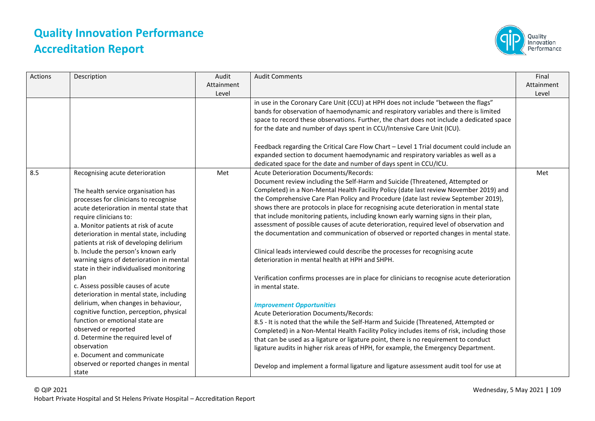

| Actions | Description                                                                                                                                                                                                                                                                                                                                                                                                                                                                                                                                                                                                                                                                                                                                                                      | Audit<br>Attainment<br>Level | <b>Audit Comments</b>                                                                                                                                                                                                                                                                                                                                                                                                                                                                                                                                                                                                                                                                                                                                                                                                                                                                                                                                                                                                                                                                                                                                                                                                                                                                                                                                                                                 | Final<br>Attainment<br>Level |
|---------|----------------------------------------------------------------------------------------------------------------------------------------------------------------------------------------------------------------------------------------------------------------------------------------------------------------------------------------------------------------------------------------------------------------------------------------------------------------------------------------------------------------------------------------------------------------------------------------------------------------------------------------------------------------------------------------------------------------------------------------------------------------------------------|------------------------------|-------------------------------------------------------------------------------------------------------------------------------------------------------------------------------------------------------------------------------------------------------------------------------------------------------------------------------------------------------------------------------------------------------------------------------------------------------------------------------------------------------------------------------------------------------------------------------------------------------------------------------------------------------------------------------------------------------------------------------------------------------------------------------------------------------------------------------------------------------------------------------------------------------------------------------------------------------------------------------------------------------------------------------------------------------------------------------------------------------------------------------------------------------------------------------------------------------------------------------------------------------------------------------------------------------------------------------------------------------------------------------------------------------|------------------------------|
|         |                                                                                                                                                                                                                                                                                                                                                                                                                                                                                                                                                                                                                                                                                                                                                                                  |                              | in use in the Coronary Care Unit (CCU) at HPH does not include "between the flags"<br>bands for observation of haemodynamic and respiratory variables and there is limited<br>space to record these observations. Further, the chart does not include a dedicated space<br>for the date and number of days spent in CCU/Intensive Care Unit (ICU).                                                                                                                                                                                                                                                                                                                                                                                                                                                                                                                                                                                                                                                                                                                                                                                                                                                                                                                                                                                                                                                    |                              |
|         |                                                                                                                                                                                                                                                                                                                                                                                                                                                                                                                                                                                                                                                                                                                                                                                  |                              | Feedback regarding the Critical Care Flow Chart - Level 1 Trial document could include an<br>expanded section to document haemodynamic and respiratory variables as well as a<br>dedicated space for the date and number of days spent in CCU/ICU.                                                                                                                                                                                                                                                                                                                                                                                                                                                                                                                                                                                                                                                                                                                                                                                                                                                                                                                                                                                                                                                                                                                                                    |                              |
| 8.5     | Recognising acute deterioration<br>The health service organisation has<br>processes for clinicians to recognise<br>acute deterioration in mental state that<br>require clinicians to:<br>a. Monitor patients at risk of acute<br>deterioration in mental state, including<br>patients at risk of developing delirium<br>b. Include the person's known early<br>warning signs of deterioration in mental<br>state in their individualised monitoring<br>plan<br>c. Assess possible causes of acute<br>deterioration in mental state, including<br>delirium, when changes in behaviour,<br>cognitive function, perception, physical<br>function or emotional state are<br>observed or reported<br>d. Determine the required level of<br>observation<br>e. Document and communicate | Met                          | <b>Acute Deterioration Documents/Records:</b><br>Document review including the Self-Harm and Suicide (Threatened, Attempted or<br>Completed) in a Non-Mental Health Facility Policy (date last review November 2019) and<br>the Comprehensive Care Plan Policy and Procedure (date last review September 2019),<br>shows there are protocols in place for recognising acute deterioration in mental state<br>that include monitoring patients, including known early warning signs in their plan,<br>assessment of possible causes of acute deterioration, required level of observation and<br>the documentation and communication of observed or reported changes in mental state.<br>Clinical leads interviewed could describe the processes for recognising acute<br>deterioration in mental health at HPH and SHPH.<br>Verification confirms processes are in place for clinicians to recognise acute deterioration<br>in mental state.<br><b>Improvement Opportunities</b><br><b>Acute Deterioration Documents/Records:</b><br>8.5 - It is noted that the while the Self-Harm and Suicide (Threatened, Attempted or<br>Completed) in a Non-Mental Health Facility Policy includes items of risk, including those<br>that can be used as a ligature or ligature point, there is no requirement to conduct<br>ligature audits in higher risk areas of HPH, for example, the Emergency Department. | Met                          |
|         | observed or reported changes in mental<br>state                                                                                                                                                                                                                                                                                                                                                                                                                                                                                                                                                                                                                                                                                                                                  |                              | Develop and implement a formal ligature and ligature assessment audit tool for use at                                                                                                                                                                                                                                                                                                                                                                                                                                                                                                                                                                                                                                                                                                                                                                                                                                                                                                                                                                                                                                                                                                                                                                                                                                                                                                                 |                              |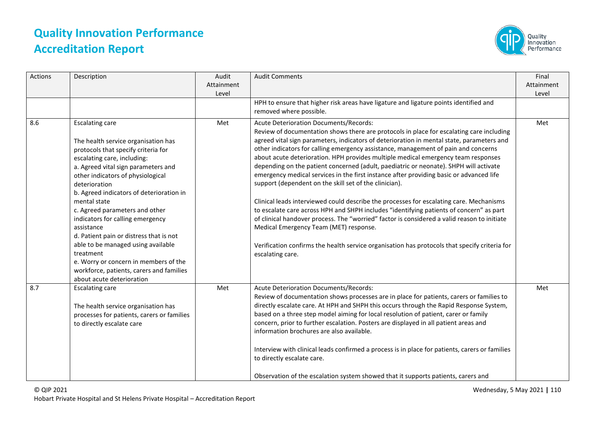

| <b>Actions</b> | Description                                                                                                                                                                                                                                                                                                                                                                                                                                                                                                                                                                                      | Audit<br>Attainment<br>Level | <b>Audit Comments</b><br>HPH to ensure that higher risk areas have ligature and ligature points identified and                                                                                                                                                                                                                                                                                                                                                                                                                                                                                                                                                                                                                                                                                                                                                                                                                                                                                                                                                                                                      | Final<br>Attainment<br>Level |
|----------------|--------------------------------------------------------------------------------------------------------------------------------------------------------------------------------------------------------------------------------------------------------------------------------------------------------------------------------------------------------------------------------------------------------------------------------------------------------------------------------------------------------------------------------------------------------------------------------------------------|------------------------------|---------------------------------------------------------------------------------------------------------------------------------------------------------------------------------------------------------------------------------------------------------------------------------------------------------------------------------------------------------------------------------------------------------------------------------------------------------------------------------------------------------------------------------------------------------------------------------------------------------------------------------------------------------------------------------------------------------------------------------------------------------------------------------------------------------------------------------------------------------------------------------------------------------------------------------------------------------------------------------------------------------------------------------------------------------------------------------------------------------------------|------------------------------|
|                |                                                                                                                                                                                                                                                                                                                                                                                                                                                                                                                                                                                                  |                              | removed where possible.                                                                                                                                                                                                                                                                                                                                                                                                                                                                                                                                                                                                                                                                                                                                                                                                                                                                                                                                                                                                                                                                                             |                              |
| 8.6            | <b>Escalating care</b><br>The health service organisation has<br>protocols that specify criteria for<br>escalating care, including:<br>a. Agreed vital sign parameters and<br>other indicators of physiological<br>deterioration<br>b. Agreed indicators of deterioration in<br>mental state<br>c. Agreed parameters and other<br>indicators for calling emergency<br>assistance<br>d. Patient pain or distress that is not<br>able to be managed using available<br>treatment<br>e. Worry or concern in members of the<br>workforce, patients, carers and families<br>about acute deterioration | Met                          | <b>Acute Deterioration Documents/Records:</b><br>Review of documentation shows there are protocols in place for escalating care including<br>agreed vital sign parameters, indicators of deterioration in mental state, parameters and<br>other indicators for calling emergency assistance, management of pain and concerns<br>about acute deterioration. HPH provides multiple medical emergency team responses<br>depending on the patient concerned (adult, paediatric or neonate). SHPH will activate<br>emergency medical services in the first instance after providing basic or advanced life<br>support (dependent on the skill set of the clinician).<br>Clinical leads interviewed could describe the processes for escalating care. Mechanisms<br>to escalate care across HPH and SHPH includes "identifying patients of concern" as part<br>of clinical handover process. The "worried" factor is considered a valid reason to initiate<br>Medical Emergency Team (MET) response.<br>Verification confirms the health service organisation has protocols that specify criteria for<br>escalating care. | Met                          |
| 8.7            | <b>Escalating care</b><br>The health service organisation has<br>processes for patients, carers or families<br>to directly escalate care                                                                                                                                                                                                                                                                                                                                                                                                                                                         | Met                          | <b>Acute Deterioration Documents/Records:</b><br>Review of documentation shows processes are in place for patients, carers or families to<br>directly escalate care. At HPH and SHPH this occurs through the Rapid Response System,<br>based on a three step model aiming for local resolution of patient, carer or family<br>concern, prior to further escalation. Posters are displayed in all patient areas and<br>information brochures are also available.<br>Interview with clinical leads confirmed a process is in place for patients, carers or families<br>to directly escalate care.<br>Observation of the escalation system showed that it supports patients, carers and                                                                                                                                                                                                                                                                                                                                                                                                                                | Met                          |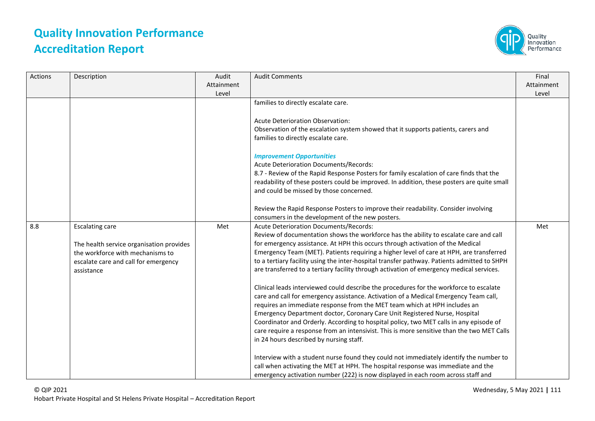

| Actions | Description                                                                                                                                                  | Audit<br>Attainment<br>Level | <b>Audit Comments</b>                                                                                                                                                                                                                                                                                                                                                                                                                                                                                                                                                                                                                                                                                                                                                                                                                                                                                                                                                                                                                                                                   | Final<br>Attainment<br>Level |
|---------|--------------------------------------------------------------------------------------------------------------------------------------------------------------|------------------------------|-----------------------------------------------------------------------------------------------------------------------------------------------------------------------------------------------------------------------------------------------------------------------------------------------------------------------------------------------------------------------------------------------------------------------------------------------------------------------------------------------------------------------------------------------------------------------------------------------------------------------------------------------------------------------------------------------------------------------------------------------------------------------------------------------------------------------------------------------------------------------------------------------------------------------------------------------------------------------------------------------------------------------------------------------------------------------------------------|------------------------------|
|         |                                                                                                                                                              |                              | families to directly escalate care.                                                                                                                                                                                                                                                                                                                                                                                                                                                                                                                                                                                                                                                                                                                                                                                                                                                                                                                                                                                                                                                     |                              |
|         |                                                                                                                                                              |                              | <b>Acute Deterioration Observation:</b><br>Observation of the escalation system showed that it supports patients, carers and<br>families to directly escalate care.                                                                                                                                                                                                                                                                                                                                                                                                                                                                                                                                                                                                                                                                                                                                                                                                                                                                                                                     |                              |
|         |                                                                                                                                                              |                              | <b>Improvement Opportunities</b><br>Acute Deterioration Documents/Records:<br>8.7 - Review of the Rapid Response Posters for family escalation of care finds that the<br>readability of these posters could be improved. In addition, these posters are quite small<br>and could be missed by those concerned.                                                                                                                                                                                                                                                                                                                                                                                                                                                                                                                                                                                                                                                                                                                                                                          |                              |
|         |                                                                                                                                                              |                              | Review the Rapid Response Posters to improve their readability. Consider involving<br>consumers in the development of the new posters.                                                                                                                                                                                                                                                                                                                                                                                                                                                                                                                                                                                                                                                                                                                                                                                                                                                                                                                                                  |                              |
| 8.8     | <b>Escalating care</b><br>The health service organisation provides<br>the workforce with mechanisms to<br>escalate care and call for emergency<br>assistance | Met                          | Acute Deterioration Documents/Records:<br>Review of documentation shows the workforce has the ability to escalate care and call<br>for emergency assistance. At HPH this occurs through activation of the Medical<br>Emergency Team (MET). Patients requiring a higher level of care at HPH, are transferred<br>to a tertiary facility using the inter-hospital transfer pathway. Patients admitted to SHPH<br>are transferred to a tertiary facility through activation of emergency medical services.<br>Clinical leads interviewed could describe the procedures for the workforce to escalate<br>care and call for emergency assistance. Activation of a Medical Emergency Team call,<br>requires an immediate response from the MET team which at HPH includes an<br>Emergency Department doctor, Coronary Care Unit Registered Nurse, Hospital<br>Coordinator and Orderly. According to hospital policy, two MET calls in any episode of<br>care require a response from an intensivist. This is more sensitive than the two MET Calls<br>in 24 hours described by nursing staff. | Met                          |
|         |                                                                                                                                                              |                              | Interview with a student nurse found they could not immediately identify the number to<br>call when activating the MET at HPH. The hospital response was immediate and the<br>emergency activation number (222) is now displayed in each room across staff and                                                                                                                                                                                                                                                                                                                                                                                                                                                                                                                                                                                                                                                                                                                                                                                                                          |                              |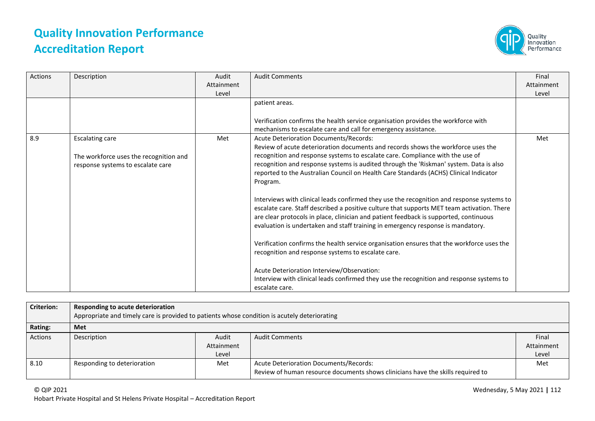

| Actions | Description                                                                                           | Audit      | <b>Audit Comments</b>                                                                                                                                                                                                                                                                                                                                                                                                                                                                                                  | Final      |
|---------|-------------------------------------------------------------------------------------------------------|------------|------------------------------------------------------------------------------------------------------------------------------------------------------------------------------------------------------------------------------------------------------------------------------------------------------------------------------------------------------------------------------------------------------------------------------------------------------------------------------------------------------------------------|------------|
|         |                                                                                                       | Attainment |                                                                                                                                                                                                                                                                                                                                                                                                                                                                                                                        | Attainment |
|         |                                                                                                       | Level      |                                                                                                                                                                                                                                                                                                                                                                                                                                                                                                                        | Level      |
|         |                                                                                                       |            | patient areas.                                                                                                                                                                                                                                                                                                                                                                                                                                                                                                         |            |
|         |                                                                                                       |            | Verification confirms the health service organisation provides the workforce with                                                                                                                                                                                                                                                                                                                                                                                                                                      |            |
|         |                                                                                                       |            | mechanisms to escalate care and call for emergency assistance.                                                                                                                                                                                                                                                                                                                                                                                                                                                         |            |
| 8.9     | <b>Escalating care</b><br>The workforce uses the recognition and<br>response systems to escalate care | Met        | Acute Deterioration Documents/Records:<br>Review of acute deterioration documents and records shows the workforce uses the<br>recognition and response systems to escalate care. Compliance with the use of<br>recognition and response systems is audited through the 'Riskman' system. Data is also<br>reported to the Australian Council on Health Care Standards (ACHS) Clinical Indicator<br>Program.                                                                                                             | Met        |
|         |                                                                                                       |            | Interviews with clinical leads confirmed they use the recognition and response systems to<br>escalate care. Staff described a positive culture that supports MET team activation. There<br>are clear protocols in place, clinician and patient feedback is supported, continuous<br>evaluation is undertaken and staff training in emergency response is mandatory.<br>Verification confirms the health service organisation ensures that the workforce uses the<br>recognition and response systems to escalate care. |            |
|         |                                                                                                       |            | Acute Deterioration Interview/Observation:<br>Interview with clinical leads confirmed they use the recognition and response systems to<br>escalate care.                                                                                                                                                                                                                                                                                                                                                               |            |

| <b>Criterion:</b> | Responding to acute deterioration<br>Appropriate and timely care is provided to patients whose condition is acutely deteriorating |            |                                                                                 |            |  |
|-------------------|-----------------------------------------------------------------------------------------------------------------------------------|------------|---------------------------------------------------------------------------------|------------|--|
| Rating:           | Met                                                                                                                               |            |                                                                                 |            |  |
| <b>Actions</b>    | Description                                                                                                                       | Audit      | <b>Audit Comments</b>                                                           | Final      |  |
|                   |                                                                                                                                   | Attainment |                                                                                 | Attainment |  |
|                   |                                                                                                                                   | Level      |                                                                                 | Level      |  |
| 8.10              | Responding to deterioration                                                                                                       | Met        | Acute Deterioration Documents/Records:                                          | Met        |  |
|                   |                                                                                                                                   |            | Review of human resource documents shows clinicians have the skills required to |            |  |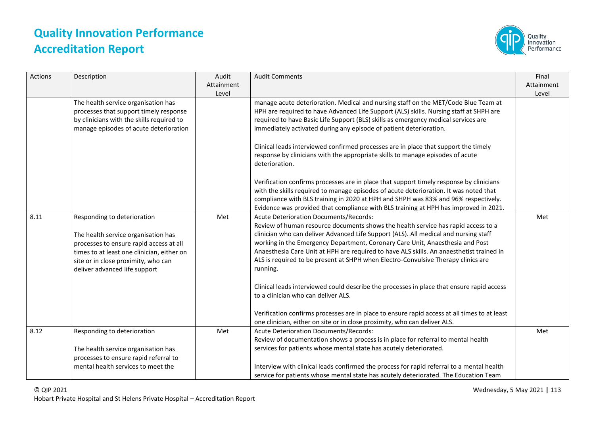

| Actions | Description                                                                                                                                                                                                                         | Audit<br>Attainment<br>Level | <b>Audit Comments</b>                                                                                                                                                                                                                                                                                                                                                                                                                                                                                                                                                                                 | Final<br>Attainment<br>Level |
|---------|-------------------------------------------------------------------------------------------------------------------------------------------------------------------------------------------------------------------------------------|------------------------------|-------------------------------------------------------------------------------------------------------------------------------------------------------------------------------------------------------------------------------------------------------------------------------------------------------------------------------------------------------------------------------------------------------------------------------------------------------------------------------------------------------------------------------------------------------------------------------------------------------|------------------------------|
|         | The health service organisation has<br>processes that support timely response<br>by clinicians with the skills required to<br>manage episodes of acute deterioration                                                                |                              | manage acute deterioration. Medical and nursing staff on the MET/Code Blue Team at<br>HPH are required to have Advanced Life Support (ALS) skills. Nursing staff at SHPH are<br>required to have Basic Life Support (BLS) skills as emergency medical services are<br>immediately activated during any episode of patient deterioration.                                                                                                                                                                                                                                                              |                              |
|         |                                                                                                                                                                                                                                     |                              | Clinical leads interviewed confirmed processes are in place that support the timely<br>response by clinicians with the appropriate skills to manage episodes of acute<br>deterioration.                                                                                                                                                                                                                                                                                                                                                                                                               |                              |
|         |                                                                                                                                                                                                                                     |                              | Verification confirms processes are in place that support timely response by clinicians<br>with the skills required to manage episodes of acute deterioration. It was noted that<br>compliance with BLS training in 2020 at HPH and SHPH was 83% and 96% respectively.<br>Evidence was provided that compliance with BLS training at HPH has improved in 2021.                                                                                                                                                                                                                                        |                              |
| 8.11    | Responding to deterioration<br>The health service organisation has<br>processes to ensure rapid access at all<br>times to at least one clinician, either on<br>site or in close proximity, who can<br>deliver advanced life support | Met                          | <b>Acute Deterioration Documents/Records:</b><br>Review of human resource documents shows the health service has rapid access to a<br>clinician who can deliver Advanced Life Support (ALS). All medical and nursing staff<br>working in the Emergency Department, Coronary Care Unit, Anaesthesia and Post<br>Anaesthesia Care Unit at HPH are required to have ALS skills. An anaesthetist trained in<br>ALS is required to be present at SHPH when Electro-Convulsive Therapy clinics are<br>running.<br>Clinical leads interviewed could describe the processes in place that ensure rapid access | Met                          |
|         |                                                                                                                                                                                                                                     |                              | to a clinician who can deliver ALS.<br>Verification confirms processes are in place to ensure rapid access at all times to at least<br>one clinician, either on site or in close proximity, who can deliver ALS.                                                                                                                                                                                                                                                                                                                                                                                      |                              |
| 8.12    | Responding to deterioration<br>The health service organisation has<br>processes to ensure rapid referral to<br>mental health services to meet the                                                                                   | Met                          | Acute Deterioration Documents/Records:<br>Review of documentation shows a process is in place for referral to mental health<br>services for patients whose mental state has acutely deteriorated.<br>Interview with clinical leads confirmed the process for rapid referral to a mental health                                                                                                                                                                                                                                                                                                        | Met                          |
|         |                                                                                                                                                                                                                                     |                              | service for patients whose mental state has acutely deteriorated. The Education Team                                                                                                                                                                                                                                                                                                                                                                                                                                                                                                                  |                              |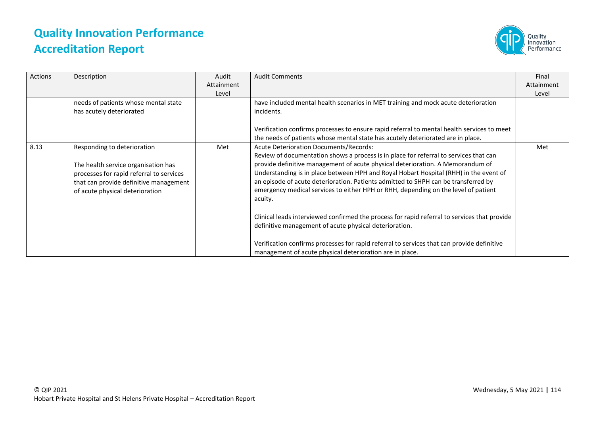

| Actions | Description                                                                                                                                                                                 | Audit<br>Attainment<br>Level | <b>Audit Comments</b>                                                                                                                                                                                                                                                                                                                                                                                                                                                                             | Final<br>Attainment<br>Level |
|---------|---------------------------------------------------------------------------------------------------------------------------------------------------------------------------------------------|------------------------------|---------------------------------------------------------------------------------------------------------------------------------------------------------------------------------------------------------------------------------------------------------------------------------------------------------------------------------------------------------------------------------------------------------------------------------------------------------------------------------------------------|------------------------------|
|         | needs of patients whose mental state<br>has acutely deteriorated                                                                                                                            |                              | have included mental health scenarios in MET training and mock acute deterioration<br>incidents.                                                                                                                                                                                                                                                                                                                                                                                                  |                              |
|         |                                                                                                                                                                                             |                              | Verification confirms processes to ensure rapid referral to mental health services to meet<br>the needs of patients whose mental state has acutely deteriorated are in place.                                                                                                                                                                                                                                                                                                                     |                              |
| 8.13    | Responding to deterioration<br>The health service organisation has<br>processes for rapid referral to services<br>that can provide definitive management<br>of acute physical deterioration | Met                          | Acute Deterioration Documents/Records:<br>Review of documentation shows a process is in place for referral to services that can<br>provide definitive management of acute physical deterioration. A Memorandum of<br>Understanding is in place between HPH and Royal Hobart Hospital (RHH) in the event of<br>an episode of acute deterioration. Patients admitted to SHPH can be transferred by<br>emergency medical services to either HPH or RHH, depending on the level of patient<br>acuity. | Met                          |
|         |                                                                                                                                                                                             |                              | Clinical leads interviewed confirmed the process for rapid referral to services that provide<br>definitive management of acute physical deterioration.                                                                                                                                                                                                                                                                                                                                            |                              |
|         |                                                                                                                                                                                             |                              | Verification confirms processes for rapid referral to services that can provide definitive<br>management of acute physical deterioration are in place.                                                                                                                                                                                                                                                                                                                                            |                              |